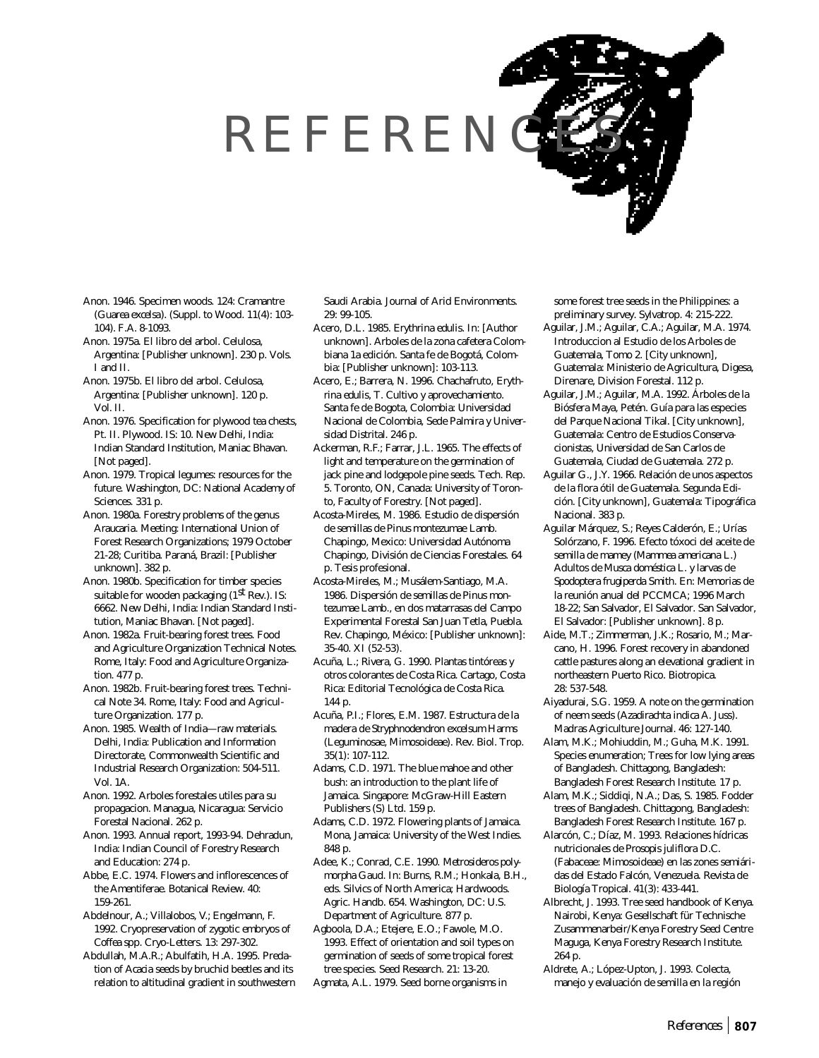## REFEREN

- Anon. 1946. Specimen woods. 124: Cramantre (*Guarea excelsa*). (Suppl. to Wood. 11(4): 103- 104). F.A. 8-1093.
- Anon. 1975a. El libro del arbol. Celulosa, Argentina: [Publisher unknown]. 230 p. Vols. I and II.
- Anon. 1975b. El libro del arbol. Celulosa, Argentina: [Publisher unknown]. 120 p. Vol. II.
- Anon. 1976. Specification for plywood tea chests, Pt. II. Plywood. IS: 10. New Delhi, India: Indian Standard Institution, Maniac Bhavan. [Not paged].
- Anon. 1979. Tropical legumes: resources for the future. Washington, DC: National Academy of Sciences. 331 p.
- Anon. 1980a. Forestry problems of the genus *Araucaria*. Meeting: International Union of Forest Research Organizations; 1979 October 21-28; Curitiba. Paraná, Brazil: [Publisher unknown]. 382 p.
- Anon. 1980b. Specification for timber species suitable for wooden packaging  $(1<sup>st</sup> Rev.)$ . IS: 6662. New Delhi, India: Indian Standard Institution, Maniac Bhavan. [Not paged].
- Anon. 1982a. Fruit-bearing forest trees. Food and Agriculture Organization Technical Notes. Rome, Italy: Food and Agriculture Organization. 477 p.
- Anon. 1982b. Fruit-bearing forest trees. Technical Note 34. Rome, Italy: Food and Agriculture Organization. 177 p.
- Anon. 1985. Wealth of India—raw materials. Delhi, India: Publication and Information Directorate, Commonwealth Scientific and Industrial Research Organization: 504-511. Vol. 1A.
- Anon. 1992. Arboles forestales utiles para su propagacion. Managua, Nicaragua: Servicio Forestal Nacional. 262 p.
- Anon. 1993. Annual report, 1993-94. Dehradun, India: Indian Council of Forestry Research and Education: 274 p.
- Abbe, E.C. 1974. Flowers and inflorescences of the Amentiferae. Botanical Review. 40: 159-261.
- Abdelnour, A.; Villalobos, V.; Engelmann, F. 1992. Cryopreservation of zygotic embryos of *Coffea* spp. Cryo-Letters. 13: 297-302.
- Abdullah, M.A.R.; Abulfatih, H.A. 1995. Predation of *Acacia* seeds by bruchid beetles and its relation to altitudinal gradient in southwestern

Saudi Arabia. Journal of Arid Environments. 29: 99-105.

- Acero, D.L. 1985. *Erythrina edulis*. In: [Author unknown]. Arboles de la zona cafetera Colombiana 1a edición. Santa fe de Bogotá, Colombia: [Publisher unknown]: 103-113.
- Acero, E.; Barrera, N. 1996. Chachafruto, *Erythrina edulis*, T. Cultivo y aprovechamiento. Santa fe de Bogota, Colombia: Universidad Nacional de Colombia, Sede Palmira y Universidad Distrital. 246 p.
- Ackerman, R.F.; Farrar, J.L. 1965. The effects of light and temperature on the germination of jack pine and lodgepole pine seeds. Tech. Rep. 5. Toronto, ON, Canada: University of Toronto, Faculty of Forestry. [Not paged].
- Acosta-Mireles, M. 1986. Estudio de dispersión de semillas de *Pinus montezumae* Lamb. Chapingo, Mexico: Universidad Autónoma Chapingo, División de Ciencias Forestales. 64 p. Tesis profesional.
- Acosta-Mireles, M.; Musálem-Santiago, M.A. 1986. Dispersión de semillas de *Pinus montezumae* Lamb., en dos matarrasas del Campo Experimental Forestal San Juan Tetla, Puebla. Rev. Chapingo, México: [Publisher unknown]: 35-40. XI (52-53).
- Acuña, L.; Rivera, G. 1990. Plantas tintóreas y otros colorantes de Costa Rica. Cartago, Costa Rica: Editorial Tecnológica de Costa Rica. 144 p.
- Acuña, P.I.; Flores, E.M. 1987. Estructura de la madera de *Stryphnodendron excelsum* Harms (Leguminosae, Mimosoideae). Rev. Biol. Trop. 35(1): 107-112.
- Adams, C.D. 1971. The blue mahoe and other bush: an introduction to the plant life of Jamaica. Singapore: McGraw-Hill Eastern Publishers (S) Ltd. 159 p.
- Adams, C.D. 1972. Flowering plants of Jamaica. Mona, Jamaica: University of the West Indies. 848 p.
- Adee, K.; Conrad, C.E. 1990. *Metrosideros polymorpha* Gaud. In: Burns, R.M.; Honkala, B.H., eds. Silvics of North America; Hardwoods. Agric. Handb. 654. Washington, DC: U.S. Department of Agriculture. 877 p.
- Agboola, D.A.; Etejere, E.O.; Fawole, M.O. 1993. Effect of orientation and soil types on germination of seeds of some tropical forest tree species. Seed Research. 21: 13-20.
- Agmata, A.L. 1979. Seed borne organisms in

some forest tree seeds in the Philippines: a preliminary survey. Sylvatrop. 4: 215-222.

- Aguilar, J.M.; Aguilar, C.A.; Aguilar, M.A. 1974. Introduccion al Estudio de los Arboles de Guatemala, Tomo 2. [City unknown], Guatemala: Ministerio de Agricultura, Digesa, Direnare, Division Forestal. 112 p.
- Aguilar, J.M.; Aguilar, M.A. 1992. Árboles de la Biósfera Maya, Petén. Guía para las especies del Parque Nacional Tikal. [City unknown], Guatemala: Centro de Estudios Conservacionistas, Universidad de San Carlos de Guatemala, Ciudad de Guatemala. 272 p.
- Aguilar G., J.Y. 1966. Relación de unos aspectos de la flora ótil de Guatemala. Segunda Edición. [City unknown], Guatemala: Tipográfica Nacional. 383 p.
- Aguilar Márquez, S.; Reyes Calderón, E.; Urías Solórzano, F. 1996. Efecto tóxoci del aceite de semilla de mamey (*Mammea americana* L.) Adultos de *Musca doméstica* L. y larvas de *Spodoptera frugiperda* Smith. En: Memorias de la reunión anual del PCCMCA; 1996 March 18-22; San Salvador, El Salvador. San Salvador, El Salvador: [Publisher unknown]. 8 p.
- Aide, M.T.; Zimmerman, J.K.; Rosario, M.; Marcano, H. 1996. Forest recovery in abandoned cattle pastures along an elevational gradient in northeastern Puerto Rico. Biotropica. 28: 537-548.
- Aiyadurai, S.G. 1959. A note on the germination of neem seeds (*Azadirachta indica* A. Juss). Madras Agriculture Journal. 46: 127-140.
- Alam, M.K.; Mohiuddin, M.; Guha, M.K. 1991. Species enumeration; Trees for low lying areas of Bangladesh. Chittagong, Bangladesh: Bangladesh Forest Research Institute. 17 p.
- Alam, M.K.; Siddiqi, N.A.; Das, S. 1985. Fodder trees of Bangladesh. Chittagong, Bangladesh: Bangladesh Forest Research Institute. 167 p.
- Alarcón, C.; Díaz, M. 1993. Relaciones hídricas nutricionales de *Prosopis juliflora* D.C. (Fabaceae: Mimosoideae) en las zones semiáridas del Estado Falcón, Venezuela. Revista de Biología Tropical. 41(3): 433-441.
- Albrecht, J. 1993. Tree seed handbook of Kenya. Nairobi, Kenya: Gesellschaft für Technische Zusammenarbeir/Kenya Forestry Seed Centre Maguga, Kenya Forestry Research Institute. 264 p.
- Aldrete, A.; López-Upton, J. 1993. Colecta, manejo y evaluación de semilla en la región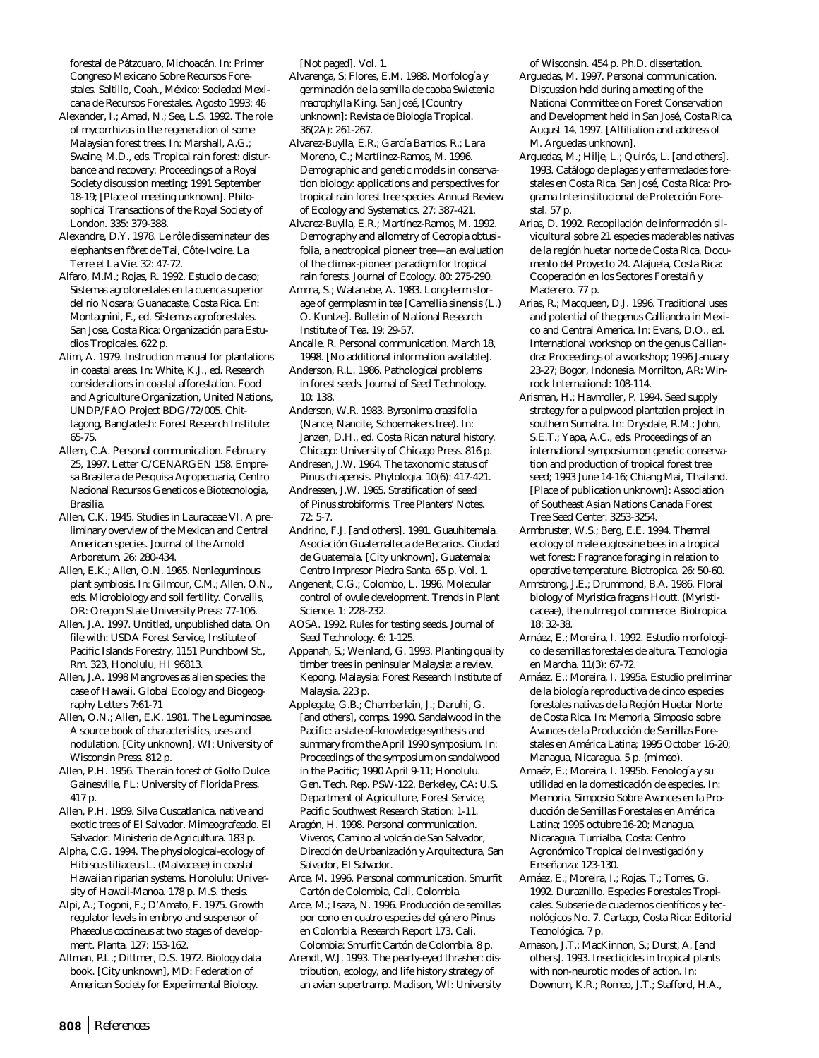forestal de Pátzcuaro, Michoacán. In: Primer Congreso Mexicano Sobre Recursos Forestales. Saltillo, Coah., México: Sociedad Mexicana de Recursos Forestales. Agosto 1993: 46

- Alexander, I.; Amad, N.; See, L.S. 1992. The role of mycorrhizas in the regeneration of some Malaysian forest trees. In: Marshall, A.G.; Swaine, M.D., eds. Tropical rain forest: disturbance and recovery: Proceedings of a Royal Society discussion meeting; 1991 September 18-19; [Place of meeting unknown]. Philosophical Transactions of the Royal Society of London. 335: 379-388.
- Alexandre, D.Y. 1978. Le rôle disseminateur des elephants en fôret de Tai, Côte-Ivoire. La Terre et La Vie. 32: 47-72.
- Alfaro, M.M.; Rojas, R. 1992. Estudio de caso; Sistemas agroforestales en la cuenca superior del río Nosara; Guanacaste, Costa Rica. En: Montagnini, F., ed. Sistemas agroforestales. San Jose, Costa Rica: Organización para Estudios Tropicales. 622 p.

Alim, A. 1979. Instruction manual for plantations in coastal areas. In: White, K.J., ed. Research considerations in coastal afforestation. Food and Agriculture Organization, United Nations, UNDP/FAO Project BDG/72/005. Chittagong, Bangladesh: Forest Research Institute: 65-75.

Allem, C.A. Personal communication. February 25, 1997. Letter C/CENARGEN 158. Empresa Brasilera de Pesquisa Agropecuaria, Centro Nacional Recursos Geneticos e Biotecnologia, Brasilia.

Allen, C.K. 1945. Studies in Lauraceae VI. A preliminary overview of the Mexican and Central American species. Journal of the Arnold Arboretum. 26: 280-434.

Allen, E.K.; Allen, O.N. 1965. *Nonleguminous plant symbiosis*. In: Gilmour, C.M.; Allen, O.N., eds. Microbiology and soil fertility. Corvallis, OR: Oregon State University Press: 77-106.

Allen, J.A. 1997. Untitled, unpublished data. On file with: USDA Forest Service, Institute of Pacific Islands Forestry, 1151 Punchbowl St., Rm. 323, Honolulu, HI 96813.

Allen, J.A. 1998 Mangroves as alien species: the case of Hawaii. Global Ecology and Biogeography Letters 7:61-71

Allen, O.N.; Allen, E.K. 1981. The Leguminosae. A source book of characteristics, uses and nodulation. [City unknown], WI: University of Wisconsin Press. 812 p.

Allen, P.H. 1956. The rain forest of Golfo Dulce. Gainesville, FL: University of Florida Press. 417 p.

Allen, P.H. 1959. Silva Cuscatlanica, native and exotic trees of El Salvador. Mimeografeado. El Salvador: Ministerio de Agricultura. 183 p.

Alpha, C.G. 1994. The physiological-ecology of *Hibiscus tiliaceus* L. (Malvaceae) in coastal Hawaiian riparian systems. Honolulu: University of Hawaii-Manoa. 178 p. M.S. thesis.

Alpi, A.; Togoni, F.; D'Amato, F. 1975. Growth regulator levels in embryo and suspensor of *Phaseolus coccineus* at two stages of development. Planta. 127: 153-162.

Altman, P.L.; Dittmer, D.S. 1972. Biology data book. [City unknown], MD: Federation of American Society for Experimental Biology.

[Not paged]. Vol. 1.

- Alvarenga, S; Flores, E.M. 1988. Morfología y germinación de la semilla de caoba *Swietenia macrophylla* King. San José, [Country unknown]: Revista de Biología Tropical. 36(2A): 261-267.
- Alvarez-Buylla, E.R.; García Barrios, R.; Lara Moreno, C.; Martíinez-Ramos, M. 1996. Demographic and genetic models in conservation biology: applications and perspectives for tropical rain forest tree species. Annual Review of Ecology and Systematics. 27: 387-421.

Alvarez-Buylla, E.R.; Martínez-Ramos, M. 1992. Demography and allometry of *Cecropia obtusifolia*, a neotropical pioneer tree—an evaluation of the climax-pioneer paradigm for tropical rain forests. Journal of Ecology. 80: 275-290.

Amma, S.; Watanabe, A. 1983. Long-term storage of germplasm in tea [*Camellia sinensis* (L.) O. Kuntze]. Bulletin of National Research Institute of Tea. 19: 29-57.

Ancalle, R. Personal communication. March 18, 1998. [No additional information available].

Anderson, R.L. 1986. Pathological problems in forest seeds. Journal of Seed Technology. 10: 138.

Anderson, W.R. 1983. *Byrsonima crassifolia* (Nance, Nancite, Schoemakers tree). In: Janzen, D.H., ed. Costa Rican natural history. Chicago: University of Chicago Press. 816 p.

Andresen, J.W. 1964. The taxonomic status of *Pinus chiapensis.* Phytologia. 10(6): 417-421.

Andressen, J.W. 1965. Stratification of seed of *Pinus strobiformis*. Tree Planters' Notes. 72: 5-7.

Andrino, F.J. [and others]. 1991. Guauhitemala. Asociación Guatemalteca de Becarios. Ciudad de Guatemala. [City unknown], Guatemala: Centro Impresor Piedra Santa. 65 p. Vol. 1.

Angenent, C.G.; Colombo, L. 1996. Molecular control of ovule development. Trends in Plant Science. 1: 228-232.

AOSA. 1992. Rules for testing seeds. Journal of Seed Technology. 6: 1-125.

Appanah, S.; Weinland, G. 1993. Planting quality timber trees in peninsular Malaysia: a review. Kepong, Malaysia: Forest Research Institute of Malaysia. 223 p.

Applegate, G.B.; Chamberlain, J.; Daruhi, G. [and others], comps. 1990. Sandalwood in the Pacific: a state-of-knowledge synthesis and summary from the April 1990 symposium. In: Proceedings of the symposium on sandalwood in the Pacific; 1990 April 9-11; Honolulu. Gen. Tech. Rep. PSW-122. Berkeley, CA: U.S. Department of Agriculture, Forest Service, Pacific Southwest Research Station: 1-11.

Aragón, H. 1998. Personal communication. Viveros, Camino al volcán de San Salvador, Dirección de Urbanización y Arquitectura, San Salvador, El Salvador.

Arce, M. 1996. Personal communication. Smurfit Cartón de Colombia, Cali, Colombia.

Arce, M.; Isaza, N. 1996. Producción de semillas por cono en cuatro especies del género *Pinus* en Colombia. Research Report 173. Cali, Colombia: Smurfit Cartón de Colombia. 8 p.

Arendt, W.J. 1993. The pearly-eyed thrasher: distribution, ecology, and life history strategy of an avian supertramp. Madison, WI: University

of Wisconsin. 454 p. Ph.D. dissertation.

- Arguedas, M. 1997. Personal communication. Discussion held during a meeting of the National Committee on Forest Conservation and Development held in San José, Costa Rica, August 14, 1997. [Affiliation and address of M. Arguedas unknown].
- Arguedas, M.; Hilje, L.; Quirós, L. [and others]. 1993. Catálogo de plagas y enfermedades forestales en Costa Rica. San José, Costa Rica: Programa Interinstitucional de Protección Forestal. 57 p.
- Arias, D. 1992. Recopilación de información silvicultural sobre 21 especies maderables nativas de la región huetar norte de Costa Rica. Documento del Proyecto 24. Alajuela, Costa Rica: Cooperación en los Sectores Forestalñ y Maderero. 77 p.
- Arias, R.; Macqueen, D.J. 1996. Traditional uses and potential of the genus *Calliandra* in Mexico and Central America. In: Evans, D.O., ed. International workshop on the genus *Calliandra:* Proceedings of a workshop; 1996 January 23-27; Bogor, Indonesia. Morrilton, AR: Winrock International: 108-114.
- Arisman, H.; Havmoller, P. 1994. Seed supply strategy for a pulpwood plantation project in southern Sumatra. In: Drysdale, R.M.; John, S.E.T.; Yapa, A.C., eds. Proceedings of an international symposium on genetic conservation and production of tropical forest tree seed; 1993 June 14-16; Chiang Mai, Thailand. [Place of publication unknown]: Association of Southeast Asian Nations Canada Forest Tree Seed Center: 3253-3254.
- Armbruster, W.S.; Berg, E.E. 1994. Thermal ecology of male euglossine bees in a tropical wet forest: Fragrance foraging in relation to operative temperature. Biotropica. 26: 50-60.
- Armstrong, J.E.; Drummond, B.A. 1986. Floral biology of *Myristica fragans* Houtt. (Myristicaceae), the nutmeg of commerce. Biotropica. 18: 32-38.
- Arnáez, E.; Moreira, I. 1992. Estudio morfologico de semillas forestales de altura. Tecnologia en Marcha. 11(3): 67-72.
- Arnáez, E.; Moreira, I. 1995a. Estudio preliminar de la biología reproductiva de cinco especies forestales nativas de la Región Huetar Norte de Costa Rica. In: Memoria, Simposio sobre Avances de la Producción de Semillas Forestales en América Latina; 1995 October 16-20; Managua, Nicaragua. 5 p. (mimeo).
- Arnaéz, E.; Moreira, I. 1995b. Fenología y su utilidad en la domesticación de especies. In: Memoria, Simposio Sobre Avances en la Producción de Semillas Forestales en América Latina; 1995 octubre 16-20; Managua, Nicaragua. Turrialba, Costa: Centro Agronómico Tropical de Investigación y Enseñanza: 123-130.
- Arnáez, E.; Moreira, I.; Rojas, T.; Torres, G. 1992. Duraznillo. Especies Forestales Tropicales. Subserie de cuadernos científicos y tecnológicos No. 7. Cartago, Costa Rica: Editorial Tecnológica. 7 p.
- Arnason, J.T.; MacKinnon, S.; Durst, A. [and others]. 1993. Insecticides in tropical plants with non-neurotic modes of action. In: Downum, K.R.; Romeo, J.T.; Stafford, H.A.,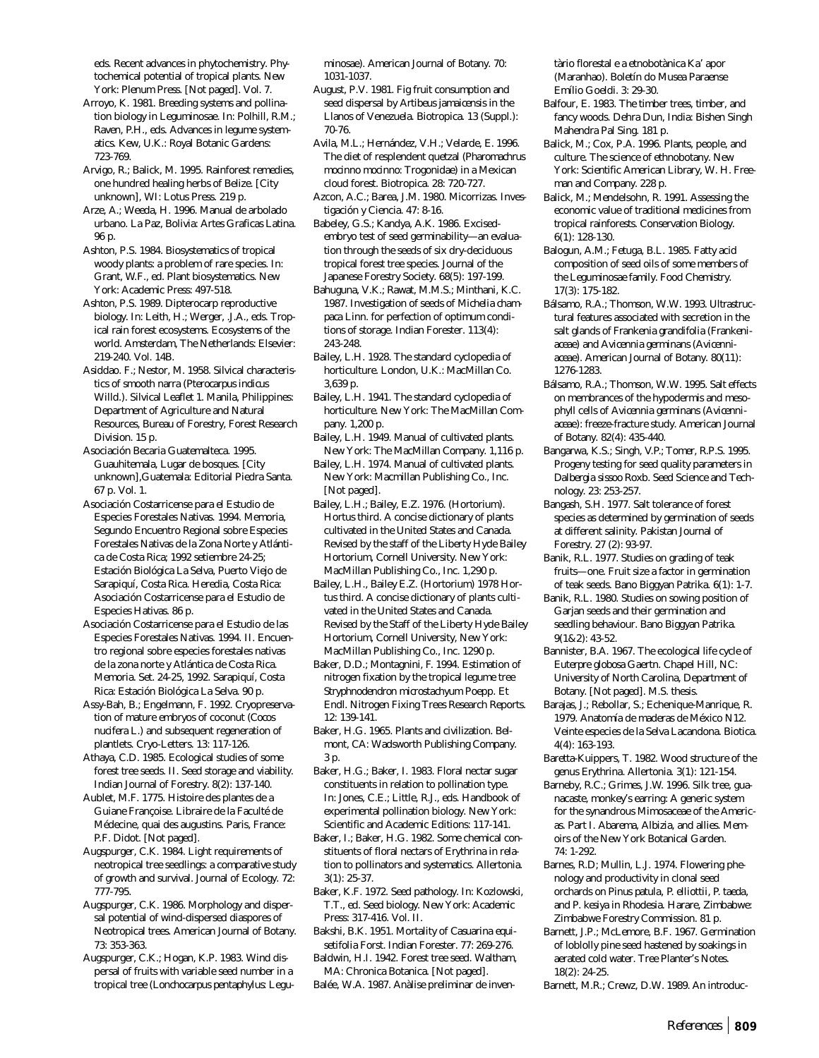eds. Recent advances in phytochemistry. Phytochemical potential of tropical plants. New York: Plenum Press. [Not paged]. Vol. 7.

- Arroyo, K. 1981. Breeding systems and pollination biology in Leguminosae. In: Polhill, R.M.; Raven, P.H., eds. Advances in legume systematics. Kew, U.K.: Royal Botanic Gardens: 723-769.
- Arvigo, R.; Balick, M. 1995. Rainforest remedies, one hundred healing herbs of Belize. [City unknown], WI: Lotus Press. 219 p.
- Arze, A.; Weeda, H. 1996. Manual de arbolado urbano. La Paz, Bolivia: Artes Graficas Latina. 96 p.
- Ashton, P.S. 1984. Biosystematics of tropical woody plants: a problem of rare species. In: Grant, W.F., ed. Plant biosystematics. New York: Academic Press: 497-518.
- Ashton, P.S. 1989. Dipterocarp reproductive biology. In: Leith, H.; Werger, .J.A., eds. Tropical rain forest ecosystems. Ecosystems of the world. Amsterdam, The Netherlands: Elsevier: 219-240. Vol. 14B.
- Asiddao. F.; Nestor, M. 1958. Silvical characteristics of smooth narra (*Pterocarpus indicus* Willd.). Silvical Leaflet 1. Manila, Philippines: Department of Agriculture and Natural Resources, Bureau of Forestry, Forest Research Division. 15 p.
- Asociación Becaria Guatemalteca. 1995. Guauhitemala, Lugar de bosques. [City unknown],Guatemala: Editorial Piedra Santa. 67 p. Vol. 1.
- Asociación Costarricense para el Estudio de Especies Forestales Nativas. 1994. Memoria, Segundo Encuentro Regional sobre Especies Forestales Nativas de la Zona Norte y Atlántica de Costa Rica; 1992 setiembre 24-25; Estación Biológica La Selva, Puerto Viejo de Sarapiquí, Costa Rica. Heredia, Costa Rica: Asociación Costarricense para el Estudio de Especies Hativas. 86 p.
- Asociación Costarricense para el Estudio de las Especies Forestales Nativas. 1994. II. Encuentro regional sobre especies forestales nativas de la zona norte y Atlántica de Costa Rica. Memoria. Set. 24-25, 1992. Sarapiquí, Costa Rica: Estación Biológica La Selva. 90 p.
- Assy-Bah, B.; Engelmann, F. 1992. Cryopreservation of mature embryos of coconut (*Cocos nucifera* L.) and subsequent regeneration of plantlets. Cryo-Letters. 13: 117-126.
- Athaya, C.D. 1985. Ecological studies of some forest tree seeds. II. Seed storage and viability. Indian Journal of Forestry. 8(2): 137-140.
- Aublet, M.F. 1775. Histoire des plantes de a Guiane Françoise. Libraire de la Faculté de Médecine, quai des augustins. Paris, France: P.F. Didot. [Not paged].
- Augspurger, C.K. 1984. Light requirements of neotropical tree seedlings: a comparative study of growth and survival. Journal of Ecology. 72: 777-795.
- Augspurger, C.K. 1986. Morphology and dispersal potential of wind-dispersed diaspores of Neotropical trees. American Journal of Botany. 73: 353-363.
- Augspurger, C.K.; Hogan, K.P. 1983. Wind dispersal of fruits with variable seed number in a tropical tree (*Lonchocarpus pentaphylus*: Legu-

minosae). American Journal of Botany. 70: 1031-1037.

- August, P.V. 1981. Fig fruit consumption and seed dispersal by *Artibeus jamaicensis* in the Llanos of Venezuela. Biotropica. 13 (Suppl.): 70-76.
- Avila, M.L.; Hernández, V.H.; Velarde, E. 1996. The diet of resplendent quetzal (*Pharomachrus mocinno mocinno*: Trogonidae) in a Mexican cloud forest. Biotropica. 28: 720-727.
- Azcon, A.C.; Barea, J.M. 1980. Micorrizas. Investigación y Ciencia. 47: 8-16.
- Babeley, G.S.; Kandya, A.K. 1986. Excisedembryo test of seed germinability—an evaluation through the seeds of six dry-deciduous tropical forest tree species. Journal of the Japanese Forestry Society. 68(5): 197-199.
- Bahuguna, V.K.; Rawat, M.M.S.; Minthani, K.C. 1987. Investigation of seeds of *Michelia champaca* Linn. for perfection of optimum conditions of storage. Indian Forester. 113(4): 243-248.
- Bailey, L.H. 1928. The standard cyclopedia of horticulture. London, U.K.: MacMillan Co. 3,639 p.
- Bailey, L.H. 1941. The standard cyclopedia of horticulture. New York: The MacMillan Company. 1,200 p.
- Bailey, L.H. 1949. Manual of cultivated plants. New York: The MacMillan Company. 1,116 p.
- Bailey, L.H. 1974. Manual of cultivated plants. New York: Macmillan Publishing Co., Inc. [Not paged].
- Bailey, L.H.; Bailey, E.Z. 1976. (Hortorium). Hortus third. A concise dictionary of plants cultivated in the United States and Canada. Revised by the staff of the Liberty Hyde Bailey Hortorium, Cornell University. New York: MacMillan Publishing Co., Inc. 1,290 p.
- Bailey, L.H., Bailey E.Z. (Hortorium) 1978 Hortus third. A concise dictionary of plants cultivated in the United States and Canada. Revised by the Staff of the Liberty Hyde Bailey Hortorium, Cornell University, New York: MacMillan Publishing Co., Inc. 1290 p.
- Baker, D.D.; Montagnini, F. 1994. Estimation of nitrogen fixation by the tropical legume tree *Stryphnodendron microstachyum* Poepp. Et Endl. Nitrogen Fixing Trees Research Reports. 12: 139-141.
- Baker, H.G. 1965. Plants and civilization. Belmont, CA: Wadsworth Publishing Company. 3 p.
- Baker, H.G.; Baker, I. 1983. Floral nectar sugar constituents in relation to pollination type. In: Jones, C.E.; Little, R.J., eds. Handbook of experimental pollination biology. New York: Scientific and Academic Editions: 117-141.
- Baker, I.; Baker, H.G. 1982. Some chemical constituents of floral nectars of *Erythrina* in relation to pollinators and systematics. Allertonia. 3(1): 25-37.
- Baker, K.F. 1972. Seed pathology. In: Kozlowski, T.T., ed. Seed biology. New York: Academic Press: 317-416. Vol. II.
- Bakshi, B.K. 1951. Mortality of *Casuarina equisetifolia* Forst. Indian Forester. 77: 269-276.
- Baldwin, H.I. 1942. Forest tree seed. Waltham, MA: Chronica Botanica. [Not paged].
- Balée, W.A. 1987. Anàlise preliminar de inven-

tàrio florestal e a etnobotànica Ka' apor (Maranhao). Boletín do Musea Paraense Emílio Goeldi. 3: 29-30.

- Balfour, E. 1983. The timber trees, timber, and fancy woods. Dehra Dun, India: Bishen Singh Mahendra Pal Sing. 181 p.
- Balick, M.; Cox, P.A. 1996. Plants, people, and culture. The science of ethnobotany. New York: Scientific American Library, W. H. Freeman and Company. 228 p.
- Balick, M.; Mendelsohn, R. 1991. Assessing the economic value of traditional medicines from tropical rainforests. Conservation Biology. 6(1): 128-130.
- Balogun, A.M.; Fetuga, B.L. 1985. Fatty acid composition of seed oils of some members of the Leguminosae family. Food Chemistry. 17(3): 175-182.
- Bálsamo, R.A.; Thomson, W.W. 1993. Ultrastructural features associated with secretion in the salt glands of *Frankenia grandifolia (Frankeniaceae)* and *Avicennia germinans (Avicenniaceae)*. American Journal of Botany. 80(11): 1276-1283.
- Bálsamo, R.A.; Thomson, W.W. 1995. Salt effects on membrances of the hypodermis and mesophyll cells of *Avicennia germinans (Avicenniaceae*): freeze-fracture study. American Journal of Botany. 82(4): 435-440.
- Bangarwa, K.S.; Singh, V.P.; Tomer, R.P.S. 1995. Progeny testing for seed quality parameters in *Dalbergia sissoo* Roxb. Seed Science and Technology. 23: 253-257.
- Bangash, S.H. 1977. Salt tolerance of forest species as determined by germination of seeds at different salinity. Pakistan Journal of Forestry. 27 (2): 93-97.
- Banik, R.L. 1977. Studies on grading of teak fruits—one. Fruit size a factor in germination of teak seeds. Bano Biggyan Patrika. 6(1): 1-7.
- Banik, R.L. 1980. Studies on sowing position of Garjan seeds and their germination and seedling behaviour. Bano Biggyan Patrika. 9(1&2): 43-52.
- Bannister, B.A. 1967. The ecological life cycle of *Euterpre globosa* Gaertn. Chapel Hill, NC: University of North Carolina, Department of Botany. [Not paged]. M.S. thesis.
- Barajas, J.; Rebollar, S.; Echenique-Manrique, R. 1979. Anatomía de maderas de México N12. Veinte especies de la Selva Lacandona. Biotica. 4(4): 163-193.
- Baretta-Kuippers, T. 1982. Wood structure of the genus *Erythrina*. Allertonia. 3(1): 121-154.
- Barneby, R.C.; Grimes, J.W. 1996. Silk tree, guanacaste, monkey's earring: A generic system for the synandrous Mimosaceae of the Americas. Part I. *Abarema*, *Albizia*, and allies. Memoirs of the New York Botanical Garden. 74: 1-292.
- Barnes, R.D; Mullin, L.J. 1974. Flowering phenology and productivity in clonal seed orchards on *Pinus patula*, *P. elliottii, P. taeda*, and *P. kesiya* in Rhodesia. Harare, Zimbabwe: Zimbabwe Forestry Commission. 81 p.
- Barnett, J.P.; McLemore, B.F. 1967. Germination of loblolly pine seed hastened by soakings in aerated cold water. Tree Planter's Notes. 18(2): 24-25.
- Barnett, M.R.; Crewz, D.W. 1989. An introduc-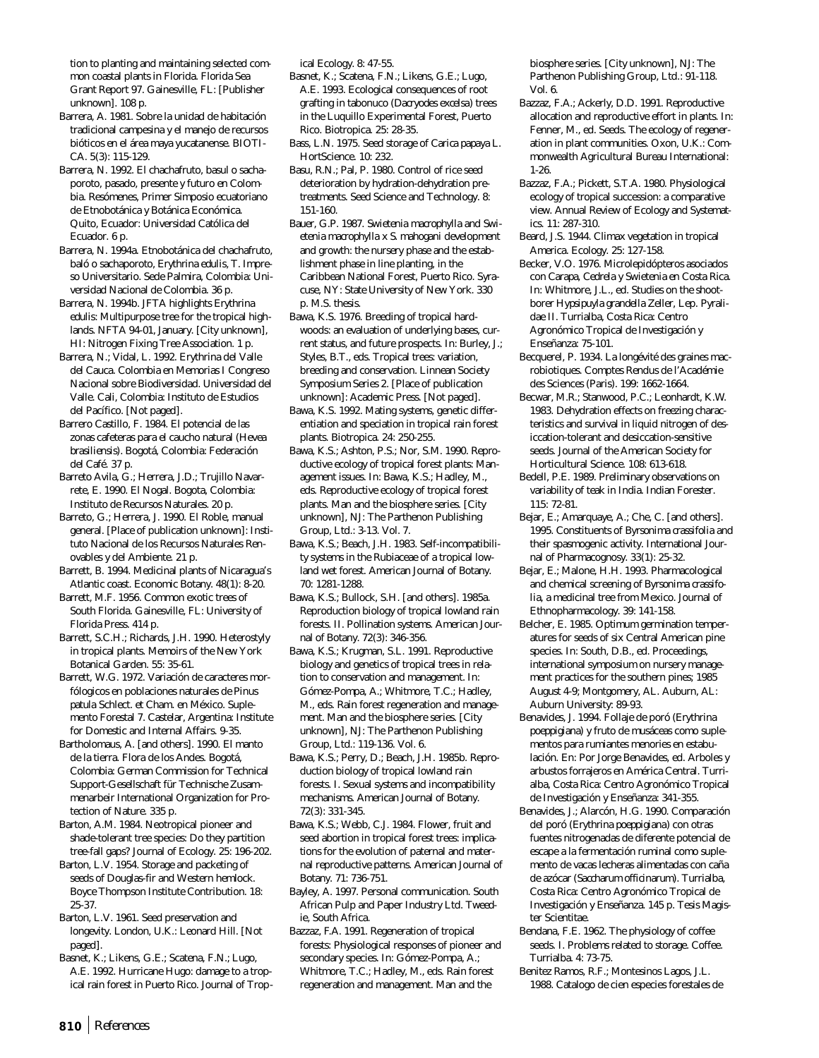tion to planting and maintaining selected common coastal plants in Florida. Florida Sea Grant Report 97. Gainesville, FL: [Publisher unknown]. 108 p.

Barrera, A. 1981. Sobre la unidad de habitación tradicional campesina y el manejo de recursos bióticos en el área maya yucatanense. BIOTI-CA. 5(3): 115-129.

Barrera, N. 1992. El chachafruto, basul o sachaporoto, pasado, presente y futuro en Colombia. Resómenes, Primer Simposio ecuatoriano de Etnobotánica y Botánica Económica. Quito, Ecuador: Universidad Católica del Ecuador. 6 p.

Barrera, N. 1994a. Etnobotánica del chachafruto, baló o sachaporoto, *Erythrina edulis*, T. Impreso Universitario. Sede Palmira, Colombia: Universidad Nacional de Colombia. 36 p.

Barrera, N. 1994b. JFTA highlights *Erythrina edulis*: Multipurpose tree for the tropical highlands. NFTA 94-01, January. [City unknown], HI: Nitrogen Fixing Tree Association. 1 p.

Barrera, N.; Vidal, L. 1992. Erythrina del Valle del Cauca. Colombia en Memorias I Congreso Nacional sobre Biodiversidad. Universidad del Valle. Cali, Colombia: Instituto de Estudios del Pacífico. [Not paged].

Barrero Castillo, F. 1984. El potencial de las zonas cafeteras para el caucho natural (*Hevea brasiliensis*). Bogotá, Colombia: Federación del Café. 37 p.

Barreto Avila, G.; Herrera, J.D.; Trujillo Navarrete, E. 1990. El Nogal. Bogota, Colombia: Instituto de Recursos Naturales. 20 p.

Barreto, G.; Herrera, J. 1990. El Roble, manual general. [Place of publication unknown]: Instituto Nacional de los Recursos Naturales Renovables y del Ambiente. 21 p.

Barrett, B. 1994. Medicinal plants of Nicaragua's Atlantic coast. Economic Botany. 48(1): 8-20.

Barrett, M.F. 1956. Common exotic trees of South Florida. Gainesville, FL: University of Florida Press. 414 p.

Barrett, S.C.H.; Richards, J.H. 1990. Heterostyly in tropical plants. Memoirs of the New York Botanical Garden. 55: 35-61.

Barrett, W.G. 1972. Variación de caracteres morfólogicos en poblaciones naturales de *Pinus patula* Schlect. et Cham. en México. Suplemento Forestal 7. Castelar, Argentina: Institute for Domestic and Internal Affairs. 9-35.

Bartholomaus, A. [and others]. 1990. El manto de la tierra. Flora de los Andes. Bogotá, Colombia: German Commission for Technical Support-Gesellschaft für Technische Zusammenarbeir International Organization for Protection of Nature. 335 p.

Barton, A.M. 1984. Neotropical pioneer and shade-tolerant tree species: Do they partition tree-fall gaps? Journal of Ecology. 25: 196-202.

Barton, L.V. 1954. Storage and packeting of seeds of Douglas-fir and Western hemlock. Boyce Thompson Institute Contribution. 18: 25-37.

Barton, L.V. 1961. Seed preservation and longevity. London, U.K.: Leonard Hill. [Not paged].

Basnet, K.; Likens, G.E.; Scatena, F.N.; Lugo, A.E. 1992. Hurricane Hugo: damage to a tropical rain forest in Puerto Rico. Journal of Tropical Ecology. 8: 47-55.

Basnet, K.; Scatena, F.N.; Likens, G.E.; Lugo, A.E. 1993. Ecological consequences of root grafting in tabonuco (*Dacryodes excelsa*) trees in the Luquillo Experimental Forest, Puerto Rico. Biotropica. 25: 28-35.

Bass, L.N. 1975. Seed storage of *Carica papaya* L. HortScience. 10: 232.

Basu, R.N.; Pal, P. 1980. Control of rice seed deterioration by hydration-dehydration pretreatments. Seed Science and Technology. 8: 151-160.

Bauer, G.P. 1987. *Swietenia macrophylla* and *Swietenia macrophylla* x *S. mahogani* development and growth: the nursery phase and the establishment phase in line planting, in the Caribbean National Forest, Puerto Rico. Syracuse, NY: State University of New York. 330 p. M.S. thesis.

Bawa, K.S. 1976. Breeding of tropical hardwoods: an evaluation of underlying bases, current status, and future prospects. In: Burley, J.; Styles, B.T., eds. Tropical trees: variation, breeding and conservation. Linnean Society Symposium Series 2. [Place of publication unknown]: Academic Press. [Not paged].

Bawa, K.S. 1992. Mating systems, genetic differentiation and speciation in tropical rain forest plants. Biotropica. 24: 250-255.

Bawa, K.S.; Ashton, P.S.; Nor, S.M. 1990. Reproductive ecology of tropical forest plants: Management issues. In: Bawa, K.S.; Hadley, M., eds. Reproductive ecology of tropical forest plants. Man and the biosphere series. [City unknown], NJ: The Parthenon Publishing Group, Ltd.: 3-13. Vol. 7.

Bawa, K.S.; Beach, J.H. 1983. Self-incompatibility systems in the Rubiaceae of a tropical lowland wet forest. American Journal of Botany. 70: 1281-1288.

Bawa, K.S.; Bullock, S.H. [and others]. 1985a. Reproduction biology of tropical lowland rain forests. II. Pollination systems. American Journal of Botany. 72(3): 346-356.

Bawa, K.S.; Krugman, S.L. 1991. Reproductive biology and genetics of tropical trees in relation to conservation and management. In: Gómez-Pompa, A.; Whitmore, T.C.; Hadley, M., eds. Rain forest regeneration and management. Man and the biosphere series. [City unknown], NJ: The Parthenon Publishing Group, Ltd.: 119-136. Vol. 6.

Bawa, K.S.; Perry, D.; Beach, J.H. 1985b. Reproduction biology of tropical lowland rain forests. I. Sexual systems and incompatibility mechanisms. American Journal of Botany. 72(3): 331-345.

Bawa, K.S.; Webb, C.J. 1984. Flower, fruit and seed abortion in tropical forest trees: implications for the evolution of paternal and maternal reproductive patterns. American Journal of Botany. 71: 736-751.

Bayley, A. 1997. Personal communication. South African Pulp and Paper Industry Ltd. Tweedie, South Africa.

Bazzaz, F.A. 1991. Regeneration of tropical forests: Physiological responses of pioneer and secondary species. In: Gómez-Pompa, A.; Whitmore, T.C.; Hadley, M., eds. Rain forest regeneration and management. Man and the

biosphere series. [City unknown], NJ: The Parthenon Publishing Group, Ltd.: 91-118. Vol. 6.

- Bazzaz, F.A.; Ackerly, D.D. 1991. Reproductive allocation and reproductive effort in plants. In: Fenner, M., ed. Seeds. The ecology of regeneration in plant communities. Oxon, U.K.: Commonwealth Agricultural Bureau International: 1-26.
- Bazzaz, F.A.; Pickett, S.T.A. 1980. Physiological ecology of tropical succession: a comparative view. Annual Review of Ecology and Systematics. 11: 287-310.
- Beard, J.S. 1944. Climax vegetation in tropical America. Ecology. 25: 127-158.
- Becker, V.O. 1976. Microlepidópteros asociados con *Carapa*, *Cedrela* y *Swietenia* en Costa Rica. In: Whitmore, J.L., ed. Studies on the shootborer *Hypsipuyla grandella* Zeller, Lep. Pyralidae II. Turrialba, Costa Rica: Centro Agronómico Tropical de Investigación y Enseñanza: 75-101.
- Becquerel, P. 1934. La longévité des graines macrobiotiques. Comptes Rendus de l'Académie des Sciences (Paris). 199: 1662-1664.
- Becwar, M.R.; Stanwood, P.C.; Leonhardt, K.W. 1983. Dehydration effects on freezing characteristics and survival in liquid nitrogen of desiccation-tolerant and desiccation-sensitive seeds. Journal of the American Society for Horticultural Science. 108: 613-618.
- Bedell, P.E. 1989. Preliminary observations on variability of teak in India. Indian Forester. 115: 72-81.
- Bejar, E.; Amarquaye, A.; Che, C. [and others]. 1995. Constituents of *Byrsonima crassifolia* and their spasmogenic activity. International Journal of Pharmacognosy. 33(1): 25-32.
- Bejar, E.; Malone, H.H. 1993. Pharmacological and chemical screening of *Byrsonima crassifolia*, a medicinal tree from Mexico. Journal of Ethnopharmacology. 39: 141-158.
- Belcher, E. 1985. Optimum germination temperatures for seeds of six Central American pine species. In: South, D.B., ed. Proceedings, international symposium on nursery management practices for the southern pines; 1985 August 4-9; Montgomery, AL. Auburn, AL: Auburn University: 89-93.
- Benavides, J. 1994. Follaje de poró (*Erythrina poeppigiana*) y fruto de musáceas como suplementos para rumiantes menories en estabulación. En: Por Jorge Benavides, ed. Arboles y arbustos forrajeros en América Central. Turrialba, Costa Rica: Centro Agronómico Tropical de Investigación y Enseñanza: 341-355.
- Benavides, J.; Alarcón, H.G. 1990. Comparación del poró (*Erythrina poeppigiana*) con otras fuentes nitrogenadas de diferente potencial de escape a la fermentación ruminal como suplemento de vacas lecheras alimentadas con caña de azócar (*Saccharum officinarum*). Turrialba, Costa Rica: Centro Agronómico Tropical de Investigación y Enseñanza. 145 p. Tesis Magister Scientitae.
- Bendana, F.E. 1962. The physiology of coffee seeds. I. Problems related to storage. Coffee. Turrialba. 4: 73-75.
- Benitez Ramos, R.F.; Montesinos Lagos, J.L. 1988. Catalogo de cien especies forestales de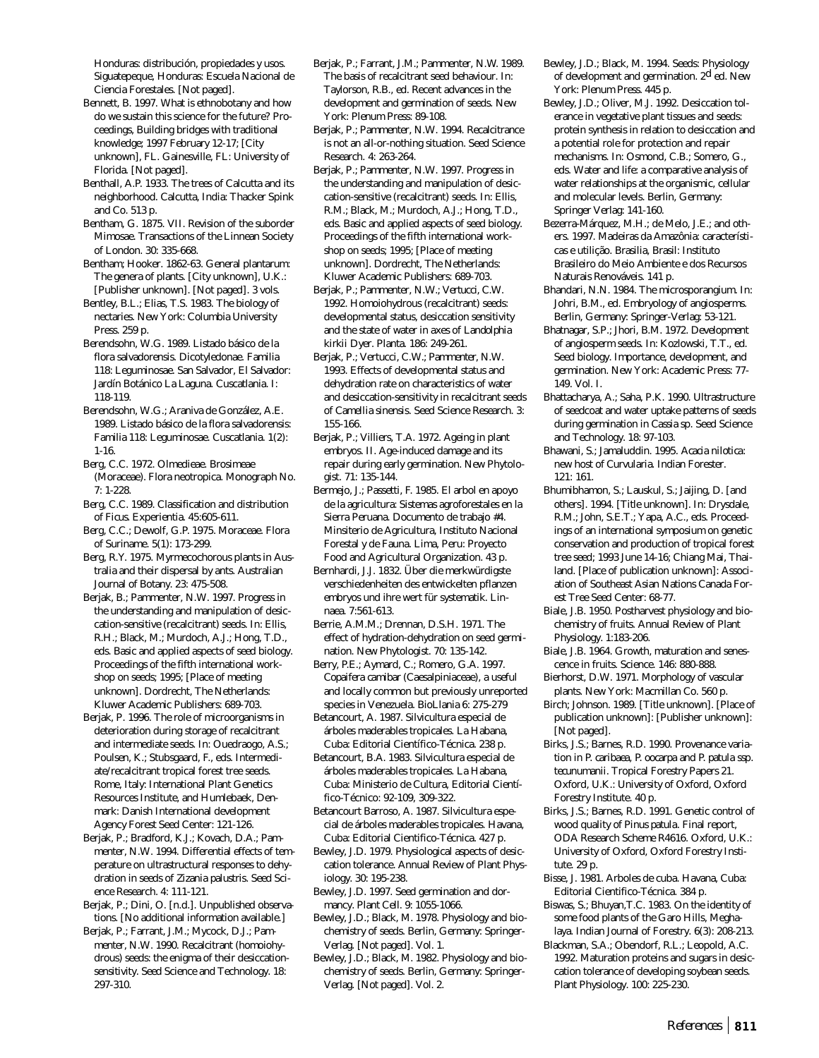Honduras: distribución, propiedades y usos. Siguatepeque, Honduras: Escuela Nacional de Ciencia Forestales. [Not paged].

- Bennett, B. 1997. What is ethnobotany and how do we sustain this science for the future? Proceedings, Building bridges with traditional knowledge; 1997 February 12-17; [City unknown], FL. Gainesville, FL: University of Florida. [Not paged].
- Benthall, A.P. 1933. The trees of Calcutta and its neighborhood. Calcutta, India: Thacker Spink and Co. 513 p.
- Bentham, G. 1875. VII. Revision of the suborder Mimosae. Transactions of the Linnean Society of London. 30: 335-668.
- Bentham; Hooker. 1862-63. General plantarum: The genera of plants. [City unknown], U.K.: [Publisher unknown]. [Not paged]. 3 vols.
- Bentley, B.L.; Elias, T.S. 1983. The biology of nectaries. New York: Columbia University Press. 259 p.
- Berendsohn, W.G. 1989. Listado básico de la flora salvadorensis. Dicotyledonae. Familia 118: Leguminosae. San Salvador, El Salvador: Jardín Botánico La Laguna. Cuscatlania. I: 118-119.
- Berendsohn, W.G.; Araniva de González, A.E. 1989. Listado básico de la flora salvadorensis: Familia 118: Leguminosae. Cuscatlania. 1(2): 1-16.
- Berg, C.C. 1972. Olmedieae. Brosimeae (Moraceae). Flora neotropica. Monograph No. 7: 1-228.
- Berg, C.C. 1989. Classification and distribution of *Ficus*. Experientia. 45:605-611.
- Berg, C.C.; Dewolf, G.P. 1975. Moraceae. Flora of Suriname. 5(1): 173-299.
- Berg, R.Y. 1975. Myrmecochorous plants in Australia and their dispersal by ants. Australian Journal of Botany. 23: 475-508.
- Berjak, B.; Pammenter, N.W. 1997. Progress in the understanding and manipulation of desiccation-sensitive (recalcitrant) seeds. In: Ellis, R.H.; Black, M.; Murdoch, A.J.; Hong, T.D., eds. Basic and applied aspects of seed biology. Proceedings of the fifth international workshop on seeds; 1995; [Place of meeting unknown]. Dordrecht, The Netherlands: Kluwer Academic Publishers: 689-703.
- Berjak, P. 1996. The role of microorganisms in deterioration during storage of recalcitrant and intermediate seeds. In: Ouedraogo, A.S.; Poulsen, K.; Stubsgaard, F., eds. Intermediate/recalcitrant tropical forest tree seeds. Rome, Italy: International Plant Genetics Resources Institute, and Humlebaek, Denmark: Danish International development Agency Forest Seed Center: 121-126.
- Berjak, P.; Bradford, K.J.; Kovach, D.A.; Pammenter, N.W. 1994. Differential effects of temperature on ultrastructural responses to dehydration in seeds of *Zizania palustris*. Seed Science Research. 4: 111-121.
- Berjak, P.; Dini, O. [n.d.]. Unpublished observations. [No additional information available.]
- Berjak, P.; Farrant, J.M.; Mycock, D.J.; Pammenter, N.W. 1990. Recalcitrant (homoiohydrous) seeds: the enigma of their desiccationsensitivity. Seed Science and Technology. 18: 297-310.
- Berjak, P.; Farrant, J.M.; Pammenter, N.W. 1989. The basis of recalcitrant seed behaviour. In: Taylorson, R.B., ed. Recent advances in the development and germination of seeds. New York: Plenum Press: 89-108.
- Berjak, P.; Pammenter, N.W. 1994. Recalcitrance is not an all-or-nothing situation. Seed Science Research. 4: 263-264.
- Berjak, P.; Pammenter, N.W. 1997. Progress in the understanding and manipulation of desiccation-sensitive (recalcitrant) seeds. In: Ellis, R.M.; Black, M.; Murdoch, A.J.; Hong, T.D., eds. Basic and applied aspects of seed biology. Proceedings of the fifth international workshop on seeds; 1995; [Place of meeting unknown]. Dordrecht, The Netherlands: Kluwer Academic Publishers: 689-703.
- Berjak, P.; Pammenter, N.W.; Vertucci, C.W. 1992. Homoiohydrous (recalcitrant) seeds: developmental status, desiccation sensitivity and the state of water in axes of *Landolphia kirkii* Dyer. Planta. 186: 249-261.
- Berjak, P.; Vertucci, C.W.; Pammenter, N.W. 1993. Effects of developmental status and dehydration rate on characteristics of water and desiccation-sensitivity in recalcitrant seeds of *Camellia sinensis*. Seed Science Research. 3: 155-166.
- Berjak, P.; Villiers, T.A. 1972. Ageing in plant embryos. II. Age-induced damage and its repair during early germination. New Phytologist. 71: 135-144.
- Bermejo, J.; Passetti, F. 1985. El arbol en apoyo de la agricultura: Sistemas agroforestales en la Sierra Peruana. Documento de trabajo #4. Minsiterio de Agricultura, Instituto Nacional Forestal y de Fauna. Lima, Peru: Proyecto Food and Agricultural Organization. 43 p.
- Bernhardi, J.J. 1832. Über die merkwürdigste verschiedenheiten des entwickelten pflanzen embryos und ihre wert für systematik. Linnaea. 7:561-613.
- Berrie, A.M.M.; Drennan, D.S.H. 1971. The effect of hydration-dehydration on seed germination. New Phytologist. 70: 135-142.
- Berry, P.E.; Aymard, C.; Romero, G.A. 1997. *Copaifera camibar* (Caesalpiniaceae), a useful and locally common but previously unreported species in Venezuela. BioLlania 6: 275-279
- Betancourt, A. 1987. Silvicultura especial de árboles maderables tropicales. La Habana, Cuba: Editorial Científico-Técnica. 238 p.
- Betancourt, B.A. 1983. Silvicultura especial de árboles maderables tropicales. La Habana, Cuba: Ministerio de Cultura, Editorial Científico-Técnico: 92-109, 309-322.
- Betancourt Barroso, A. 1987. Silvicultura especial de árboles maderables tropicales. Havana, Cuba: Editorial Cientifico-Técnica. 427 p.
- Bewley, J.D. 1979. Physiological aspects of desiccation tolerance. Annual Review of Plant Physiology. 30: 195-238.
- Bewley, J.D. 1997. Seed germination and dormancy. Plant Cell. 9: 1055-1066.
- Bewley, J.D.; Black, M. 1978. Physiology and biochemistry of seeds. Berlin, Germany: Springer-Verlag. [Not paged]. Vol. 1.
- Bewley, J.D.; Black, M. 1982. Physiology and biochemistry of seeds. Berlin, Germany: Springer-Verlag. [Not paged]. Vol. 2.
- Bewley, J.D.; Black, M. 1994. Seeds: Physiology of development and germination. 2<sup>d</sup> ed. New York: Plenum Press. 445 p.
- Bewley, J.D.; Oliver, M.J. 1992. Desiccation tolerance in vegetative plant tissues and seeds: protein synthesis in relation to desiccation and a potential role for protection and repair mechanisms. In: Osmond, C.B.; Somero, G., eds. Water and life: a comparative analysis of water relationships at the organismic, cellular and molecular levels. Berlin, Germany: Springer Verlag: 141-160.
- Bezerra-Márquez, M.H.; de Melo, J.E.; and others. 1997. Madeiras da Amazônia: características e utilição. Brasilia, Brasil: Instituto Brasileiro do Meio Ambiente e dos Recursos Naturais Renováveis. 141 p.
- Bhandari, N.N. 1984. The microsporangium. In: Johri, B.M., ed. Embryology of angiosperms. Berlin, Germany: Springer-Verlag: 53-121.
- Bhatnagar, S.P.; Jhori, B.M. 1972. Development of angiosperm seeds. In: Kozlowski, T.T., ed. Seed biology. Importance, development, and germination. New York: Academic Press: 77- 149. Vol. I.
- Bhattacharya, A.; Saha, P.K. 1990. Ultrastructure of seedcoat and water uptake patterns of seeds during germination in *Cassia* sp. Seed Science and Technology. 18: 97-103.
- Bhawani, S.; Jamaluddin. 1995. *Acacia nilotica*: new host of *Curvularia*. Indian Forester. 121: 161.
- Bhumibhamon, S.; Lauskul, S.; Jaijing, D. [and others]. 1994. [Title unknown]. In: Drysdale, R.M.; John, S.E.T.; Yapa, A.C., eds. Proceedings of an international symposium on genetic conservation and production of tropical forest tree seed; 1993 June 14-16; Chiang Mai, Thailand. [Place of publication unknown]: Association of Southeast Asian Nations Canada Forest Tree Seed Center: 68-77.
- Biale, J.B. 1950. Postharvest physiology and biochemistry of fruits. Annual Review of Plant Physiology. 1:183-206.
- Biale, J.B. 1964. Growth, maturation and senescence in fruits. Science. 146: 880-888.
- Bierhorst, D.W. 1971. Morphology of vascular plants. New York: Macmillan Co. 560 p.
- Birch; Johnson. 1989. [Title unknown]. [Place of publication unknown]: [Publisher unknown]: [Not paged].
- Birks, J.S.; Barnes, R.D. 1990. Provenance variation in *P. caribaea, P. oocarpa* and *P. patula* ssp. *tecunumanii*. Tropical Forestry Papers 21. Oxford, U.K.: University of Oxford, Oxford Forestry Institute. 40 p.
- Birks, J.S.; Barnes, R.D. 1991. Genetic control of wood quality of *Pinus patula*. Final report, ODA Research Scheme R4616. Oxford, U.K.: University of Oxford, Oxford Forestry Institute. 29 p.
- Bisse, J. 1981. Arboles de cuba. Havana, Cuba: Editorial Cientifico-Técnica. 384 p.
- Biswas, S.; Bhuyan,T.C. 1983. On the identity of some food plants of the Garo Hills, Meghalaya. Indian Journal of Forestry. 6(3): 208-213.
- Blackman, S.A.; Obendorf, R.L.; Leopold, A.C. 1992. Maturation proteins and sugars in desiccation tolerance of developing soybean seeds. Plant Physiology. 100: 225-230.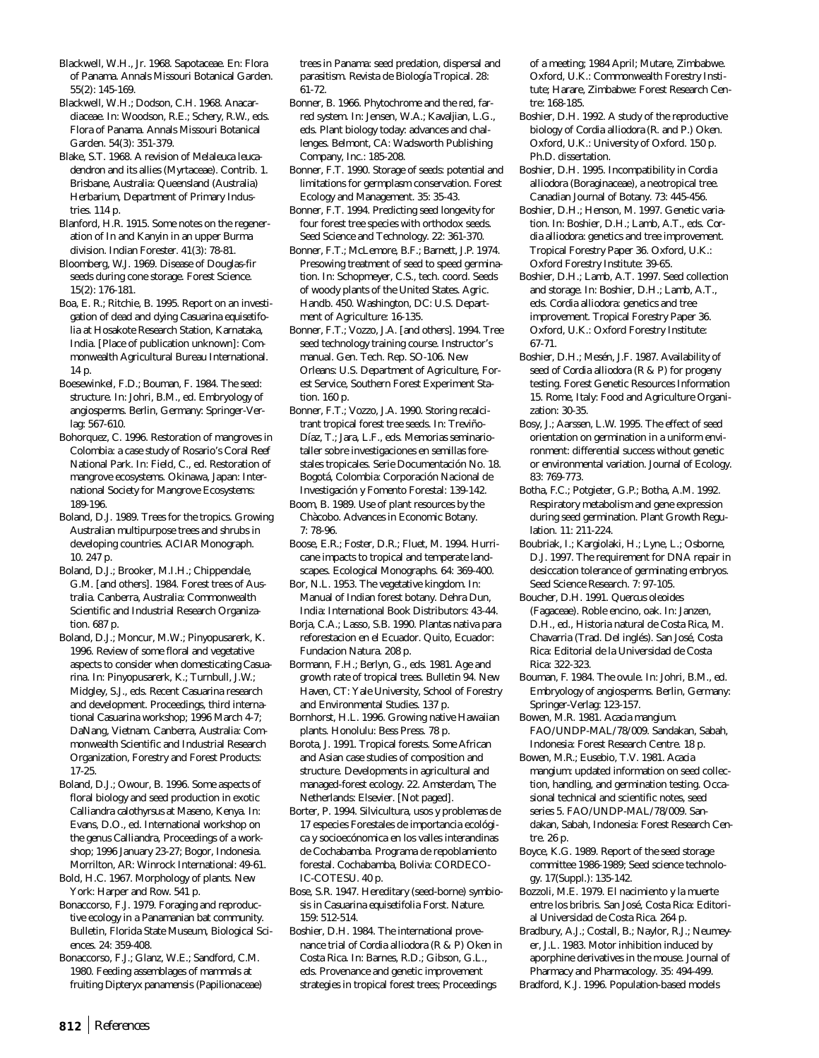Blackwell, W.H., Jr. 1968. Sapotaceae. En: Flora of Panama. Annals Missouri Botanical Garden. 55(2): 145-169.

Blackwell, W.H.; Dodson, C.H. 1968. Anacardiaceae. In: Woodson, R.E.; Schery, R.W., eds. Flora of Panama. Annals Missouri Botanical Garden. 54(3): 351-379.

Blake, S.T. 1968. A revision of *Melaleuca leucadendron* and its allies (Myrtaceae). Contrib. 1. Brisbane, Australia: Queensland (Australia) Herbarium, Department of Primary Industries. 114 p.

Blanford, H.R. 1915. Some notes on the regeneration of In and Kanyin in an upper Burma division. Indian Forester. 41(3): 78-81.

Bloomberg, W.J. 1969. Disease of Douglas-fir seeds during cone storage. Forest Science. 15(2): 176-181.

Boa, E. R.; Ritchie, B. 1995. Report on an investigation of dead and dying *Casuarina equisetifolia* at Hosakote Research Station, Karnataka, India. [Place of publication unknown]: Commonwealth Agricultural Bureau International. 14 p.

Boesewinkel, F.D.; Bouman, F. 1984. The seed: structure. In: Johri, B.M., ed. Embryology of angiosperms. Berlin, Germany: Springer-Verlag: 567-610.

Bohorquez, C. 1996. Restoration of mangroves in Colombia: a case study of Rosario's Coral Reef National Park. In: Field, C., ed. Restoration of mangrove ecosystems. Okinawa, Japan: International Society for Mangrove Ecosystems: 189-196.

Boland, D.J. 1989. Trees for the tropics. Growing Australian multipurpose trees and shrubs in developing countries. ACIAR Monograph. 10. 247 p.

Boland, D.J.; Brooker, M.I.H.; Chippendale, G.M. [and others]. 1984. Forest trees of Australia. Canberra, Australia: Commonwealth Scientific and Industrial Research Organization. 687 p.

Boland, D.J.; Moncur, M.W.; Pinyopusarerk, K. 1996. Review of some floral and vegetative aspects to consider when domesticating *Casuarina*. In: Pinyopusarerk, K.; Turnbull, J.W.; Midgley, S.J., eds. Recent *Casuarina* research and development. Proceedings, third international *Casuarina* workshop; 1996 March 4-7; DaNang, Vietnam. Canberra, Australia: Commonwealth Scientific and Industrial Research Organization, Forestry and Forest Products: 17-25.

Boland, D.J.; Owour, B. 1996. Some aspects of floral biology and seed production in exotic *Calliandra calothyrsus* at Maseno, Kenya. In: Evans, D.O., ed. International workshop on the genus *Calliandra,* Proceedings of a workshop; 1996 January 23-27; Bogor, Indonesia. Morrilton, AR: Winrock International: 49-61.

Bold, H.C. 1967. Morphology of plants. New York: Harper and Row. 541 p.

Bonaccorso, F.J. 1979. Foraging and reproductive ecology in a Panamanian bat community. Bulletin, Florida State Museum, Biological Sciences. 24: 359-408.

Bonaccorso, F.J.; Glanz, W.E.; Sandford, C.M. 1980. Feeding assemblages of mammals at fruiting *Dipteryx panamensis* (Papilionaceae) trees in Panama: seed predation, dispersal and parasitism. Revista de Biología Tropical. 28: 61-72.

Bonner, B. 1966. Phytochrome and the red, farred system. In: Jensen, W.A.; Kavaljian, L.G., eds. Plant biology today: advances and challenges. Belmont, CA: Wadsworth Publishing Company, Inc.: 185-208.

Bonner, F.T. 1990. Storage of seeds: potential and limitations for germplasm conservation. Forest Ecology and Management. 35: 35-43.

Bonner, F.T. 1994. Predicting seed longevity for four forest tree species with orthodox seeds. Seed Science and Technology. 22: 361-370.

Bonner, F.T.; McLemore, B.F.; Barnett, J.P. 1974. Presowing treatment of seed to speed germination. In: Schopmeyer, C.S., tech. coord. Seeds of woody plants of the United States. Agric. Handb. 450. Washington, DC: U.S. Department of Agriculture: 16-135.

Bonner, F.T.; Vozzo, J.A. [and others]. 1994. Tree seed technology training course. Instructor's manual. Gen. Tech. Rep. SO-106. New Orleans: U.S. Department of Agriculture, Forest Service, Southern Forest Experiment Station. 160 p.

Bonner, F.T.; Vozzo, J.A. 1990. Storing recalcitrant tropical forest tree seeds. In: Treviño-Díaz, T.; Jara, L.F., eds. Memorias seminariotaller sobre investigaciones en semillas forestales tropicales. Serie Documentación No. 18. Bogotá, Colombia: Corporación Nacional de Investigación y Fomento Forestal: 139-142.

Boom, B. 1989. Use of plant resources by the Chàcobo. Advances in Economic Botany. 7: 78-96.

Boose, E.R.; Foster, D.R.; Fluet, M. 1994. Hurricane impacts to tropical and temperate landscapes. Ecological Monographs. 64: 369-400.

Bor, N.L. 1953. The vegetative kingdom. In: Manual of Indian forest botany. Dehra Dun, India: International Book Distributors: 43-44.

Borja, C.A.; Lasso, S.B. 1990. Plantas nativa para reforestacion en el Ecuador. Quito, Ecuador: Fundacion Natura. 208 p.

Bormann, F.H.; Berlyn, G., eds. 1981. Age and growth rate of tropical trees. Bulletin 94. New Haven, CT: Yale University, School of Forestry and Environmental Studies. 137 p.

Bornhorst, H.L. 1996. Growing native Hawaiian plants. Honolulu: Bess Press. 78 p.

Borota, J. 1991. Tropical forests. Some African and Asian case studies of composition and structure. Developments in agricultural and managed-forest ecology. 22. Amsterdam, The Netherlands: Elsevier. [Not paged].

Borter, P. 1994. Silvicultura, usos y problemas de 17 especies Forestales de importancia ecológica y socioecónomica en los valles interandinas de Cochabamba. Programa de repoblamiento forestal. Cochabamba, Bolivia: CORDECO-IC-COTESU. 40 p.

Bose, S.R. 1947. Hereditary (seed-borne) symbiosis in *Casuarina equisetifolia* Forst. Nature. 159: 512-514.

Boshier, D.H. 1984. The international provenance trial of *Cordia alliodora* (R & P) Oken in Costa Rica. In: Barnes, R.D.; Gibson, G.L., eds. Provenance and genetic improvement strategies in tropical forest trees; Proceedings

of a meeting; 1984 April; Mutare, Zimbabwe. Oxford, U.K.: Commonwealth Forestry Institute; Harare, Zimbabwe: Forest Research Centre: 168-185.

Boshier, D.H. 1992. A study of the reproductive biology of *Cordia alliodora* (R. and P.) Oken. Oxford, U.K.: University of Oxford. 150 p. Ph.D. dissertation.

Boshier, D.H. 1995. Incompatibility in *Cordia alliodora* (Boraginaceae), a neotropical tree. Canadian Journal of Botany. 73: 445-456.

Boshier, D.H.; Henson, M. 1997. Genetic variation. In: Boshier, D.H.; Lamb, A.T., eds. *Cordia alliodora:* genetics and tree improvement. Tropical Forestry Paper 36. Oxford, U.K.: Oxford Forestry Institute: 39-65.

Boshier, D.H.; Lamb, A.T. 1997. Seed collection and storage. In: Boshier, D.H.; Lamb, A.T., eds. *Cordia alliodora:* genetics and tree improvement*.* Tropical Forestry Paper 36. Oxford, U.K.: Oxford Forestry Institute: 67-71.

Boshier, D.H.; Mesén, J.F. 1987. Availability of seed of *Cordia alliodora* (R & P) for progeny testing. Forest Genetic Resources Information 15. Rome, Italy: Food and Agriculture Organization: 30-35.

Bosy, J.; Aarssen, L.W. 1995. The effect of seed orientation on germination in a uniform environment: differential success without genetic or environmental variation. Journal of Ecology. 83: 769-773.

Botha, F.C.; Potgieter, G.P.; Botha, A.M. 1992. Respiratory metabolism and gene expression during seed germination. Plant Growth Regulation. 11: 211-224.

Boubriak, I.; Kargiolaki, H.; Lyne, L.; Osborne, D.J. 1997. The requirement for DNA repair in desiccation tolerance of germinating embryos. Seed Science Research. 7: 97-105.

Boucher, D.H. 1991. *Quercus oleoides* (Fagaceae). Roble encino, oak. In: Janzen, D.H., ed., Historia natural de Costa Rica, M. Chavarria (Trad. Del inglés). San José, Costa Rica: Editorial de la Universidad de Costa Rica: 322-323.

Bouman, F. 1984. The ovule. In: Johri, B.M., ed. Embryology of angiosperms. Berlin, Germany: Springer-Verlag: 123-157.

Bowen, M.R. 1981. *Acacia mangium*. FAO/UNDP-MAL/78/009. Sandakan, Sabah, Indonesia: Forest Research Centre. 18 p.

Bowen, M.R.; Eusebio, T.V. 1981. *Acacia mangium*: updated information on seed collection, handling, and germination testing. Occasional technical and scientific notes, seed series 5. FAO/UNDP-MAL/78/009. Sandakan, Sabah, Indonesia: Forest Research Centre. 26 p.

Boyce, K.G. 1989. Report of the seed storage committee 1986-1989; Seed science technology. 17(Suppl.): 135-142.

Bozzoli, M.E. 1979. El nacimiento y la muerte entre los bribris. San José, Costa Rica: Editorial Universidad de Costa Rica. 264 p.

Bradbury, A.J.; Costall, B.; Naylor, R.J.; Neumeyer, J.L. 1983. Motor inhibition induced by aporphine derivatives in the mouse. Journal of Pharmacy and Pharmacology. 35: 494-499.

Bradford, K.J. 1996. Population-based models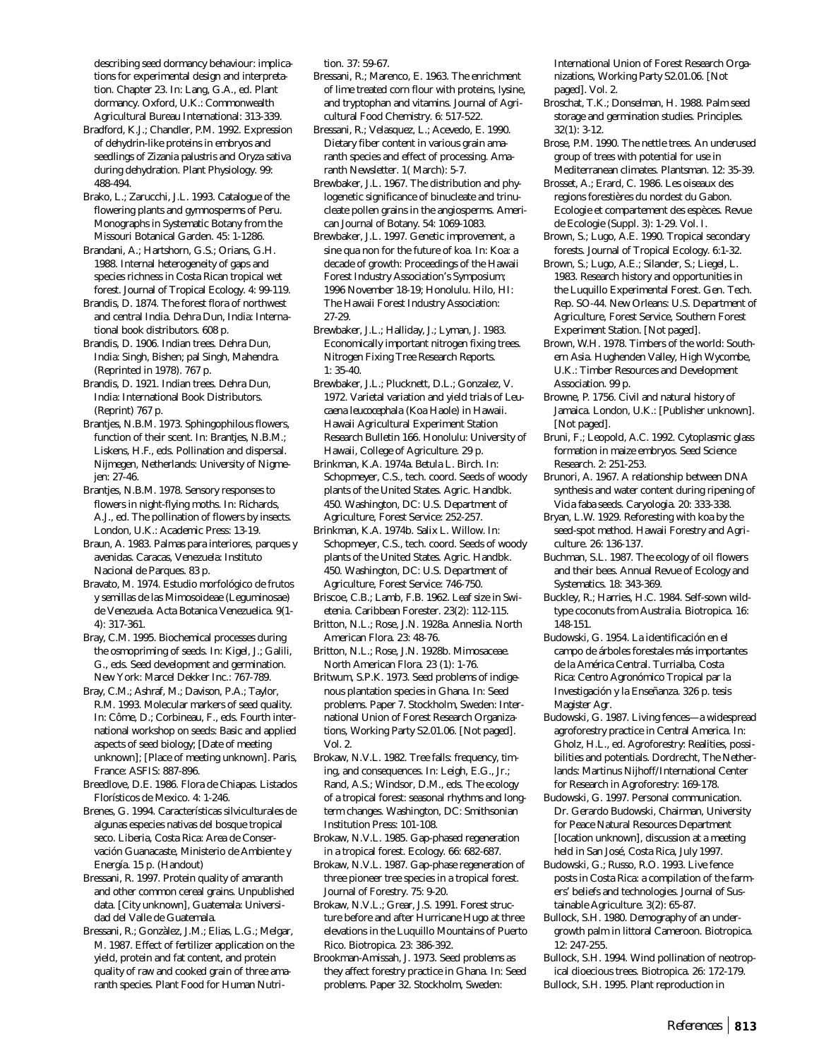describing seed dormancy behaviour: implications for experimental design and interpretation. Chapter 23. In: Lang, G.A., ed. Plant dormancy. Oxford, U.K.: Commonwealth Agricultural Bureau International: 313-339.

Bradford, K.J.; Chandler, P.M. 1992. Expression of dehydrin-like proteins in embryos and seedlings of *Zizania palustris* and *Oryza sativa* during dehydration. Plant Physiology. 99: 488-494.

Brako, L.; Zarucchi, J.L. 1993. Catalogue of the flowering plants and gymnosperms of Peru. Monographs in Systematic Botany from the Missouri Botanical Garden. 45: 1-1286.

Brandani, A.; Hartshorn, G.S.; Orians, G.H. 1988. Internal heterogeneity of gaps and species richness in Costa Rican tropical wet forest. Journal of Tropical Ecology. 4: 99-119.

Brandis, D. 1874. The forest flora of northwest and central India. Dehra Dun, India: International book distributors. 608 p.

Brandis, D. 1906. Indian trees. Dehra Dun, India: Singh, Bishen; pal Singh, Mahendra. (Reprinted in 1978). 767 p.

Brandis, D. 1921. Indian trees. Dehra Dun, India: International Book Distributors. (Reprint) 767 p.

Brantjes, N.B.M. 1973. Sphingophilous flowers, function of their scent. In: Brantjes, N.B.M.; Liskens, H.F., eds. Pollination and dispersal. Nijmegen, Netherlands: University of Nigmejen: 27-46.

Brantjes, N.B.M. 1978. Sensory responses to flowers in night-flying moths. In: Richards, A.J., ed. The pollination of flowers by insects. London, U.K.: Academic Press: 13-19.

Braun, A. 1983. Palmas para interiores, parques y avenidas. Caracas, Venezuela: Instituto Nacional de Parques. 83 p.

Bravato, M. 1974. Estudio morfológico de frutos y semillas de las Mimosoideae (Leguminosae) de Venezuela. Acta Botanica Venezuelica. 9(1- 4): 317-361.

Bray, C.M. 1995. Biochemical processes during the osmopriming of seeds. In: Kigel, J.; Galili, G., eds. Seed development and germination. New York: Marcel Dekker Inc.: 767-789.

Bray, C.M.; Ashraf, M.; Davison, P.A.; Taylor, R.M. 1993. Molecular markers of seed quality. In: Côme, D.; Corbineau, F., eds. Fourth international workshop on seeds: Basic and applied aspects of seed biology; [Date of meeting unknown]; [Place of meeting unknown]. Paris, France: ASFIS: 887-896.

Breedlove, D.E. 1986. Flora de Chiapas. Listados Florísticos de Mexico. 4: 1-246.

Brenes, G. 1994. Características silviculturales de algunas especies nativas del bosque tropical seco. Liberia, Costa Rica: Area de Conservación Guanacaste, Ministerio de Ambiente y Energía. 15 p. (Handout)

Bressani, R. 1997. Protein quality of amaranth and other common cereal grains. Unpublished data. [City unknown], Guatemala: Universidad del Valle de Guatemala.

Bressani, R.; Gonzàlez, J.M.; Elias, L.G.; Melgar, M. 1987. Effect of fertilizer application on the yield, protein and fat content, and protein quality of raw and cooked grain of three amaranth species. Plant Food for Human Nutrition. 37: 59-67.

Bressani, R.; Marenco, E. 1963. The enrichment of lime treated corn flour with proteins, lysine, and tryptophan and vitamins. Journal of Agricultural Food Chemistry. 6: 517-522.

Bressani, R.; Velasquez, L.; Acevedo, E. 1990. Dietary fiber content in various grain amaranth species and effect of processing. Amaranth Newsletter. 1( March): 5-7.

Brewbaker, J.L. 1967. The distribution and phylogenetic significance of binucleate and trinucleate pollen grains in the angiosperms. American Journal of Botany. 54: 1069-1083.

Brewbaker, J.L. 1997. Genetic improvement, a sine qua non for the future of koa. In: Koa: a decade of growth: Proceedings of the Hawaii Forest Industry Association's Symposium; 1996 November 18-19; Honolulu. Hilo, HI: The Hawaii Forest Industry Association: 27-29.

Brewbaker, J.L.; Halliday, J.; Lyman, J. 1983. Economically important nitrogen fixing trees. Nitrogen Fixing Tree Research Reports. 1: 35-40.

Brewbaker, J.L.; Plucknett, D.L.; Gonzalez, V. 1972. Varietal variation and yield trials of *Leucaena leucocephala* (Koa Haole) in Hawaii. Hawaii Agricultural Experiment Station Research Bulletin 166. Honolulu: University of Hawaii, College of Agriculture. 29 p.

Brinkman, K.A. 1974a. *Betula* L. Birch. In: Schopmeyer, C.S., tech. coord. Seeds of woody plants of the United States. Agric. Handbk. 450. Washington, DC: U.S. Department of Agriculture, Forest Service: 252-257.

Brinkman, K.A. 1974b. *Salix* L. Willow. In: Schopmeyer, C.S., tech. coord. Seeds of woody plants of the United States. Agric. Handbk. 450. Washington, DC: U.S. Department of Agriculture, Forest Service: 746-750.

Briscoe, C.B.; Lamb, F.B. 1962. Leaf size in *Swietenia*. Caribbean Forester. 23(2): 112-115.

Britton, N.L.; Rose, J.N. 1928a. Anneslia. North American Flora. 23: 48-76.

Britton, N.L.; Rose, J.N. 1928b. Mimosaceae. North American Flora. 23 (1): 1-76.

Britwum, S.P.K. 1973. Seed problems of indigenous plantation species in Ghana. In: Seed problems. Paper 7. Stockholm, Sweden: International Union of Forest Research Organizations, Working Party S2.01.06. [Not paged]. Vol. 2.

Brokaw, N.V.L. 1982. Tree falls: frequency, timing, and consequences. In: Leigh, E.G., Jr.; Rand, A.S.; Windsor, D.M., eds. The ecology of a tropical forest: seasonal rhythms and longterm changes. Washington, DC: Smithsonian Institution Press: 101-108.

Brokaw, N.V.L. 1985. Gap-phased regeneration in a tropical forest. Ecology. 66: 682-687.

Brokaw, N.V.L. 1987. Gap-phase regeneration of three pioneer tree species in a tropical forest. Journal of Forestry. 75: 9-20.

Brokaw, N.V.L.; Grear, J.S. 1991. Forest structure before and after Hurricane Hugo at three elevations in the Luquillo Mountains of Puerto Rico. Biotropica. 23: 386-392.

Brookman-Amissah, J. 1973. Seed problems as they affect forestry practice in Ghana. In: Seed problems. Paper 32. Stockholm, Sweden:

International Union of Forest Research Organizations, Working Party S2.01.06. [Not paged]. Vol. 2.

Broschat, T.K.; Donselman, H. 1988. Palm seed storage and germination studies. Principles. 32(1): 3-12.

Brose, P.M. 1990. The nettle trees. An underused group of trees with potential for use in Mediterranean climates. Plantsman. 12: 35-39.

Brosset, A.; Erard, C. 1986. Les oiseaux des regions forestières du nordest du Gabon. Ecologie et compartement des espèces. Revue de Ecologie (Suppl. 3): 1-29. Vol. I.

Brown, S.; Lugo, A.E. 1990. Tropical secondary forests. Journal of Tropical Ecology. 6:1-32.

Brown, S.; Lugo, A.E.; Silander, S.; Liegel, L. 1983. Research history and opportunities in the Luquillo Experimental Forest. Gen. Tech. Rep. SO-44. New Orleans: U.S. Department of Agriculture, Forest Service, Southern Forest Experiment Station. [Not paged].

Brown, W.H. 1978. Timbers of the world: Southern Asia. Hughenden Valley, High Wycombe, U.K.: Timber Resources and Development Association. 99 p.

Browne, P. 1756. Civil and natural history of Jamaica. London, U.K.: [Publisher unknown]. [Not paged].

Bruni, F.; Leopold, A.C. 1992. Cytoplasmic glass formation in maize embryos. Seed Science Research. 2: 251-253.

Brunori, A. 1967. A relationship between DNA synthesis and water content during ripening of *Vicia faba* seeds. Caryologia. 20: 333-338.

Bryan, L.W. 1929. Reforesting with koa by the seed-spot method. Hawaii Forestry and Agriculture. 26: 136-137.

Buchman, S.L. 1987. The ecology of oil flowers and their bees. Annual Revue of Ecology and Systematics. 18: 343-369.

Buckley, R.; Harries, H.C. 1984. Self-sown wildtype coconuts from Australia. Biotropica. 16: 148-151.

Budowski, G. 1954. La identificación en el campo de árboles forestales más importantes de la América Central. Turrialba, Costa Rica: Centro Agronómico Tropical par la Investigación y la Enseñanza. 326 p. tesis Magister Agr.

Budowski, G. 1987. Living fences—a widespread agroforestry practice in Central America. In: Gholz, H.L., ed. Agroforestry: Realities, possibilities and potentials. Dordrecht, The Netherlands: Martinus Nijhoff/International Center for Research in Agroforestry: 169-178.

Budowski, G. 1997. Personal communication. Dr. Gerardo Budowski, Chairman, University for Peace Natural Resources Department [location unknown], discussion at a meeting held in San José, Costa Rica, July 1997.

Budowski, G.; Russo, R.O. 1993. Live fence posts in Costa Rica: a compilation of the farmers' beliefs and technologies. Journal of Sustainable Agriculture. 3(2): 65-87.

Bullock, S.H. 1980. Demography of an undergrowth palm in littoral Cameroon. Biotropica. 12: 247-255.

Bullock, S.H. 1994. Wind pollination of neotropical dioecious trees. Biotropica. 26: 172-179. Bullock, S.H. 1995. Plant reproduction in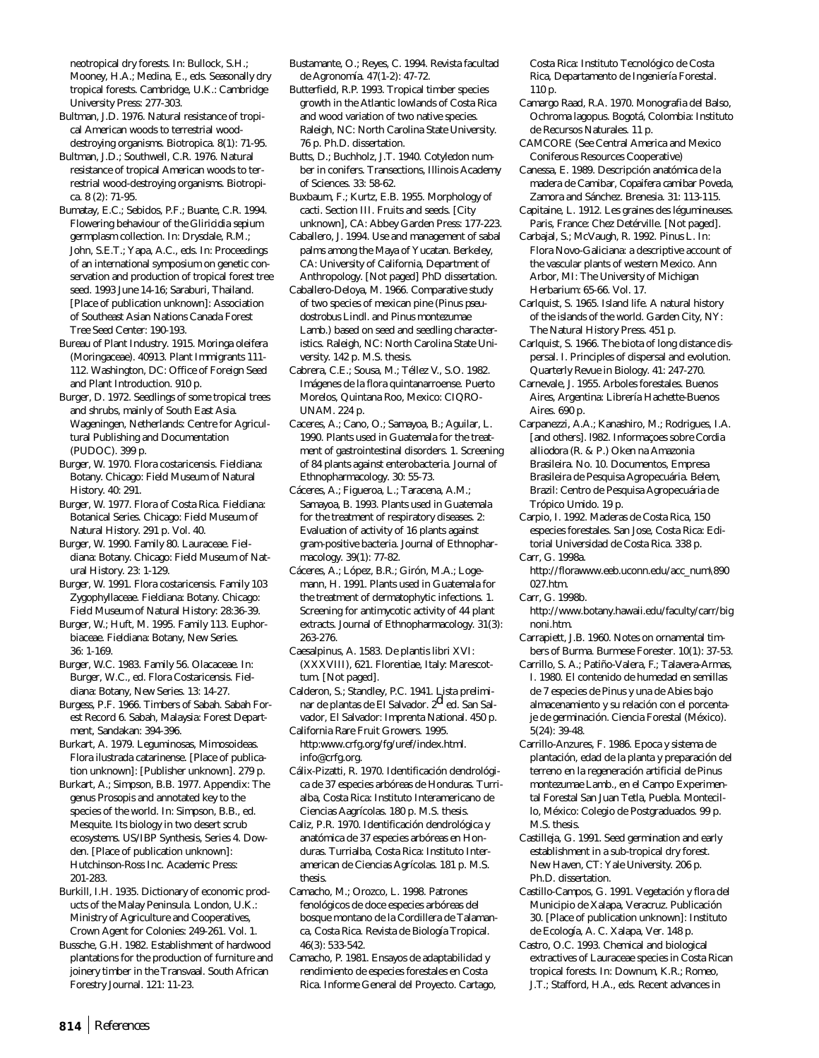neotropical dry forests. In: Bullock, S.H.; Mooney, H.A.; Medina, E., eds. Seasonally dry tropical forests. Cambridge, U.K.: Cambridge University Press: 277-303.

Bultman, J.D. 1976. Natural resistance of tropical American woods to terrestrial wooddestroying organisms. Biotropica. 8(1): 71-95.

Bultman, J.D.; Southwell, C.R. 1976. Natural resistance of tropical American woods to terrestrial wood-destroying organisms. Biotropica. 8 (2): 71-95.

Bumatay, E.C.; Sebidos, P.F.; Buante, C.R. 1994. Flowering behaviour of the *Gliricidia sepium* germplasm collection. In: Drysdale, R.M.; John, S.E.T.; Yapa, A.C., eds. In: Proceedings of an international symposium on genetic conservation and production of tropical forest tree seed. 1993 June 14-16; Saraburi, Thailand. [Place of publication unknown]: Association of Southeast Asian Nations Canada Forest Tree Seed Center: 190-193.

Bureau of Plant Industry. 1915. *Moringa oleifera* (Moringaceae). 40913. Plant Immigrants 111- 112. Washington, DC: Office of Foreign Seed and Plant Introduction. 910 p.

Burger, D. 1972. Seedlings of some tropical trees and shrubs, mainly of South East Asia. Wageningen, Netherlands: Centre for Agricultural Publishing and Documentation (PUDOC). 399 p.

Burger, W. 1970. Flora costaricensis. Fieldiana: Botany. Chicago: Field Museum of Natural History. 40: 291.

Burger, W. 1977. Flora of Costa Rica. Fieldiana: Botanical Series. Chicago: Field Museum of Natural History. 291 p. Vol. 40.

Burger, W. 1990. Family 80. Lauraceae. Fieldiana: Botany. Chicago: Field Museum of Natural History. 23: 1-129.

Burger, W. 1991. Flora costaricensis. Family 103 Zygophyllaceae. Fieldiana: Botany. Chicago: Field Museum of Natural History: 28:36-39.

Burger, W.; Huft, M. 1995. Family 113. Euphorbiaceae. Fieldiana: Botany, New Series. 36: 1-169.

Burger, W.C. 1983. Family 56. Olacaceae. In: Burger, W.C., ed. Flora Costaricensis. Fieldiana: Botany, New Series. 13: 14-27.

Burgess, P.F. 1966. Timbers of Sabah. Sabah Forest Record 6. Sabah, Malaysia: Forest Department, Sandakan: 394-396.

Burkart, A. 1979. Leguminosas, Mimosoideas. Flora ilustrada catarinense. [Place of publication unknown]: [Publisher unknown]. 279 p.

Burkart, A.; Simpson, B.B. 1977. Appendix: The genus Prosopis and annotated key to the species of the world. In: Simpson, B.B., ed. Mesquite. Its biology in two desert scrub ecosystems. US/IBP Synthesis, Series 4. Dowden. [Place of publication unknown]: Hutchinson-Ross Inc. Academic Press: 201-283.

Burkill, I.H. 1935. Dictionary of economic products of the Malay Peninsula. London, U.K.: Ministry of Agriculture and Cooperatives, Crown Agent for Colonies: 249-261. Vol. 1.

Bussche, G.H. 1982. Establishment of hardwood plantations for the production of furniture and joinery timber in the Transvaal. South African Forestry Journal. 121: 11-23.

Bustamante, O.; Reyes, C. 1994. Revista facultad de Agronomía. 47(1-2): 47-72.

Butterfield, R.P. 1993. Tropical timber species growth in the Atlantic lowlands of Costa Rica and wood variation of two native species. Raleigh, NC: North Carolina State University. 76 p. Ph.D. dissertation.

Butts, D.; Buchholz, J.T. 1940. Cotyledon number in conifers. Transections, Illinois Academy of Sciences. 33: 58-62.

Buxbaum, F.; Kurtz, E.B. 1955. Morphology of cacti. Section III. Fruits and seeds. [City unknown], CA: Abbey Garden Press: 177-223.

Caballero, J. 1994. Use and management of sabal palms among the Maya of Yucatan. Berkeley, CA: University of California, Department of Anthropology. [Not paged] PhD dissertation.

Caballero-Deloya, M. 1966. Comparative study of two species of mexican pine (*Pinus pseudostrobus* Lindl. and *Pinus montezumae* Lamb.) based on seed and seedling characteristics. Raleigh, NC: North Carolina State University. 142 p. M.S. thesis.

Cabrera, C.E.; Sousa, M.; Téllez V., S.O. 1982. Imágenes de la flora quintanarroense. Puerto Morelos, Quintana Roo, Mexico: CIQRO-UNAM. 224 p.

Caceres, A.; Cano, O.; Samayoa, B.; Aguilar, L. 1990. Plants used in Guatemala for the treatment of gastrointestinal disorders. 1. Screening of 84 plants against enterobacteria. Journal of Ethnopharmacology. 30: 55-73.

Cáceres, A.; Figueroa, L.; Taracena, A.M.; Samayoa, B. 1993. Plants used in Guatemala for the treatment of respiratory diseases. 2: Evaluation of activity of 16 plants against gram-positive bacteria. Journal of Ethnopharmacology. 39(1): 77-82.

Cáceres, A.; López, B.R.; Girón, M.A.; Logemann, H. 1991. Plants used in Guatemala for the treatment of dermatophytic infections. 1. Screening for antimycotic activity of 44 plant extracts. Journal of Ethnopharmacology. 31(3): 263-276.

Caesalpinus, A. 1583. De plantis libri XVI: (XXXVIII), 621. Florentiae, Italy: Marescottum. [Not paged].

Calderon, S.; Standley, P.C. 1941. Lista preliminar de plantas de El Salvador. 2d ed. San Salvador, El Salvador: Imprenta National. 450 p. California Rare Fruit Growers. 1995.

http:www.crfg.org/fg/uref/index.html. info@crfg.org.

Cálix-Pizatti, R. 1970. Identificación dendrológica de 37 especies arbóreas de Honduras. Turrialba, Costa Rica: Instituto Interamericano de Ciencias Aagrícolas. 180 p. M.S. thesis.

Caliz, P.R. 1970. Identificación dendrológica y anatómica de 37 especies arbóreas en Honduras. Turrialba, Costa Rica: Instituto Interamerican de Ciencias Agrícolas. 181 p. M.S. thesis.

Camacho, M.; Orozco, L. 1998. Patrones fenológicos de doce especies arbóreas del bosque montano de la Cordillera de Talamanca, Costa Rica. Revista de Biología Tropical. 46(3): 533-542.

Camacho, P. 1981. Ensayos de adaptabilidad y rendimiento de especies forestales en Costa Rica. Informe General del Proyecto. Cartago, Costa Rica: Instituto Tecnológico de Costa Rica, Departamento de Ingeniería Forestal. 110 p.

Camargo Raad, R.A. 1970. Monografia del Balso, Ochroma lagopus. Bogotá, Colombia: Instituto de Recursos Naturales. 11 p.

CAMCORE (See Central America and Mexico Coniferous Resources Cooperative)

Canessa, E. 1989. Descripción anatómica de la madera de Camibar, *Copaifera camibar* Poveda, Zamora and Sánchez. Brenesia. 31: 113-115.

Capitaine, L. 1912. Les graines des légumineuses. Paris, France: Chez Detérville. [Not paged].

Carbajal, S.; McVaugh, R. 1992. *Pinus* L. In: Flora Novo-Galiciana: a descriptive account of the vascular plants of western Mexico. Ann Arbor, MI: The University of Michigan Herbarium: 65-66. Vol. 17.

Carlquist, S. 1965. Island life. A natural history of the islands of the world. Garden City, NY: The Natural History Press. 451 p.

Carlquist, S. 1966. The biota of long distance dispersal. I. Principles of dispersal and evolution. Quarterly Revue in Biology. 41: 247-270.

Carnevale, J. 1955. Arboles forestales. Buenos Aires, Argentina: Librería Hachette-Buenos Aires. 690 p.

Carpanezzi, A.A.; Kanashiro, M.; Rodrigues, I.A. [and others]. l982. Informaçoes sobre *Cordia alliodora* (R. & P.) Oken na Amazonia Brasileira. No. 10. Documentos, Empresa Brasileira de Pesquisa Agropecuária. Belem, Brazil: Centro de Pesquisa Agropecuária de Trópico Umido. 19 p.

Carpio, I. 1992. Maderas de Costa Rica, 150 especies forestales. San Jose, Costa Rica: Editorial Universidad de Costa Rica. 338 p. Carr, G. 1998a.

http://florawww.eeb.uconn.edu/acc\_num\890 027.htm.

Carr, G. 1998b.

http://www.botany.hawaii.edu/faculty/carr/big noni.htm.

Carrapiett, J.B. 1960. Notes on ornamental timbers of Burma. Burmese Forester. 10(1): 37-53.

Carrillo, S. A.; Patiño-Valera, F.; Talavera-Armas, I. 1980. El contenido de humedad en semillas de 7 especies de *Pinus* y una de *Abies* bajo almacenamiento y su relación con el porcentaje de germinación. Ciencia Forestal (México). 5(24): 39-48.

Carrillo-Anzures, F. 1986. Epoca y sistema de plantación, edad de la planta y preparación del terreno en la regeneración artificial de *Pinus montezumae* Lamb., en el Campo Experimental Forestal San Juan Tetla, Puebla. Montecillo, México: Colegio de Postgraduados. 99 p. M.S. thesis.

Castilleja, G. 1991. Seed germination and early establishment in a sub-tropical dry forest. New Haven, CT: Yale University. 206 p. Ph.D. dissertation.

Castillo-Campos, G. 1991. Vegetación y flora del Municipio de Xalapa, Veracruz. Publicación 30. [Place of publication unknown]: Instituto de Ecología, A. C. Xalapa, Ver. 148 p.

Castro, O.C. 1993. Chemical and biological extractives of Lauraceae species in Costa Rican tropical forests. In: Downum, K.R.; Romeo, J.T.; Stafford, H.A., eds. Recent advances in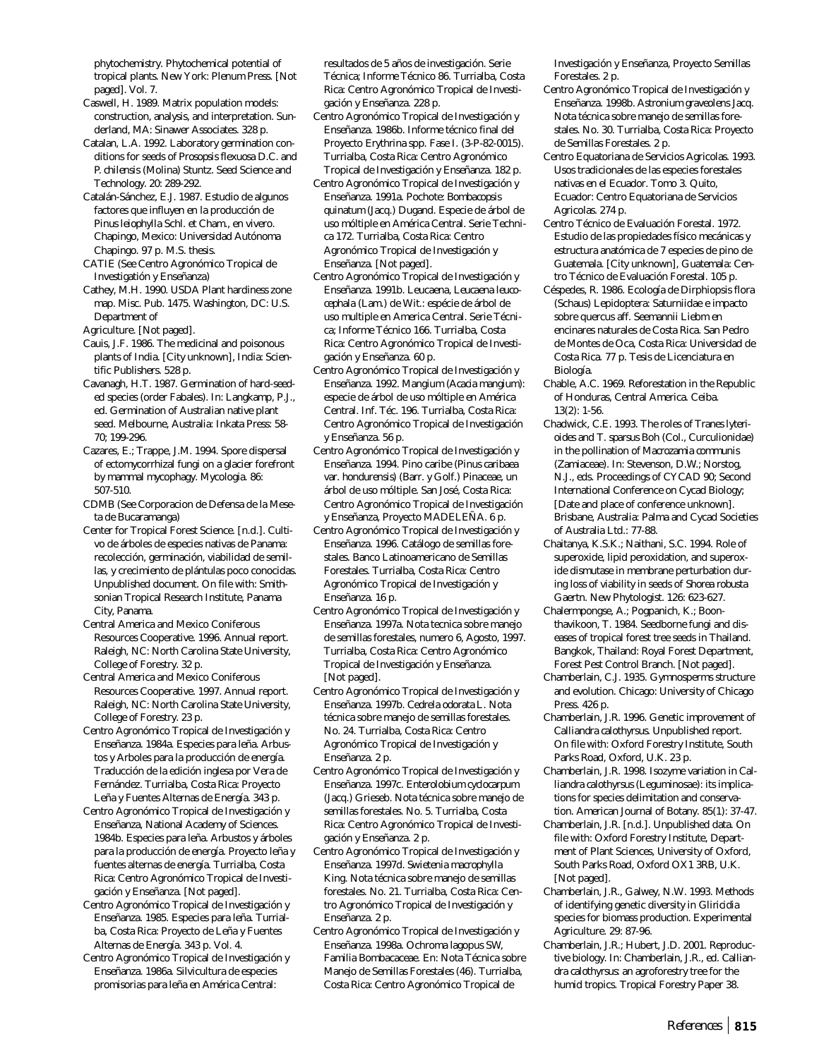phytochemistry. Phytochemical potential of tropical plants. New York: Plenum Press. [Not paged]. Vol. 7.

- Caswell, H. 1989. Matrix population models: construction, analysis, and interpretation. Sunderland, MA: Sinawer Associates. 328 p.
- Catalan, L.A. 1992. Laboratory germination conditions for seeds of *Prosopsis flexuosa* D.C. and *P. chilensis* (Molina) Stuntz. Seed Science and Technology. 20: 289-292.
- Catalán-Sánchez, E.J. 1987. Estudio de algunos factores que influyen en la producción de *Pinus leiophylla* Schl. et Cham., en vivero. Chapingo, Mexico: Universidad Autónoma Chapingo. 97 p. M.S. thesis.
- CATIE (See Centro Agronómico Tropical de Investigatión y Enseñanza)
- Cathey, M.H. 1990. USDA Plant hardiness zone map. Misc. Pub. 1475. Washington, DC: U.S. Department of
- Agriculture. [Not paged].
- Cauis, J.F. 1986. The medicinal and poisonous plants of India. [City unknown], India: Scientific Publishers. 528 p.
- Cavanagh, H.T. 1987. Germination of hard-seeded species (order Fabales). In: Langkamp, P.J., ed. Germination of Australian native plant seed. Melbourne, Australia: Inkata Press: 58- 70; 199-296.
- Cazares, E.; Trappe, J.M. 1994. Spore dispersal of ectomycorrhizal fungi on a glacier forefront by mammal mycophagy. Mycologia. 86: 507-510.
- CDMB (See Corporacion de Defensa de la Meseta de Bucaramanga)
- Center for Tropical Forest Science. [n.d.]. Cultivo de árboles de especies nativas de Panama: recolección, germinación, viabilidad de semillas, y crecimiento de plántulas poco conocidas. Unpublished document. On file with: Smithsonian Tropical Research Institute, Panama City, Panama.
- Central America and Mexico Coniferous Resources Cooperative. 1996. Annual report. Raleigh, NC: North Carolina State University, College of Forestry. 32 p.
- Central America and Mexico Coniferous Resources Cooperative. 1997. Annual report. Raleigh, NC: North Carolina State University, College of Forestry. 23 p.
- Centro Agronómico Tropical de Investigación y Enseñanza. 1984a. Especies para leña. Arbustos y Arboles para la producción de energía. Traducción de la edición inglesa por Vera de Fernández. Turrialba, Costa Rica: Proyecto Leña y Fuentes Alternas de Energía. 343 p.
- Centro Agronómico Tropical de Investigación y Enseñanza, National Academy of Sciences. 1984b. Especies para leña. Arbustos y árboles para la producción de energía. Proyecto leña y fuentes alternas de energía. Turrialba, Costa Rica: Centro Agronómico Tropical de Investigación y Enseñanza. [Not paged].
- Centro Agronómico Tropical de Investigación y Enseñanza. 1985. Especies para leña. Turrialba, Costa Rica: Proyecto de Leña y Fuentes Alternas de Energía. 343 p. Vol. 4.
- Centro Agronómico Tropical de Investigación y Enseñanza. 1986a. Silvicultura de especies promisorias para leña en América Central:

resultados de 5 años de investigación. Serie Técnica; Informe Técnico 86. Turrialba, Costa Rica: Centro Agronómico Tropical de Investigación y Enseñanza. 228 p.

- Centro Agronómico Tropical de Investigación y Enseñanza. 1986b. Informe técnico final del Proyecto *Erythrina* spp. Fase I. (3-P-82-0015). Turrialba, Costa Rica: Centro Agronómico Tropical de Investigación y Enseñanza. 182 p.
- Centro Agronómico Tropical de Investigación y Enseñanza. 1991a. Pochote: *Bombacopsis quinatum* (Jacq.) Dugand. Especie de árbol de uso móltiple en América Central. Serie Technica 172. Turrialba, Costa Rica: Centro Agronómico Tropical de Investigación y Enseñanza. [Not paged].
- Centro Agronómico Tropical de Investigación y Enseñanza. 1991b. Leucaena, *Leucaena leucocephala* (Lam.) de Wit.: espécie de árbol de uso multiple en America Central. Serie Técnica; Informe Técnico 166. Turrialba, Costa Rica: Centro Agronómico Tropical de Investigación y Enseñanza. 60 p.
- Centro Agronómico Tropical de Investigación y Enseñanza. 1992. Mangium (*Acacia mangium*): especie de árbol de uso móltiple en América Central. Inf. Téc. 196. Turrialba, Costa Rica: Centro Agronómico Tropical de Investigación y Enseñanza. 56 p.
- Centro Agronómico Tropical de Investigación y Enseñanza. 1994. Pino caribe (*Pinus caribaea* var. *hondurensis*) (Barr. y Golf.) Pinaceae, un árbol de uso móltiple. San José, Costa Rica: Centro Agronómico Tropical de Investigación y Enseñanza, Proyecto MADELEÑA. 6 p.
- Centro Agronómico Tropical de Investigación y Enseñanza. 1996. Catálogo de semillas forestales. Banco Latinoamericano de Semillas Forestales. Turrialba, Costa Rica: Centro Agronómico Tropical de Investigación y Enseñanza. 16 p.
- Centro Agronómico Tropical de Investigación y Enseñanza. 1997a. Nota tecnica sobre manejo de semillas forestales, numero 6, Agosto, 1997. Turrialba, Costa Rica: Centro Agronómico Tropical de Investigación y Enseñanza. [Not paged].
- Centro Agronómico Tropical de Investigación y Enseñanza. 1997b. *Cedrela odorata* L. Nota técnica sobre manejo de semillas forestales. No. 24. Turrialba, Costa Rica: Centro Agronómico Tropical de Investigación y Enseñanza. 2 p.
- Centro Agronómico Tropical de Investigación y Enseñanza. 1997c. *Enterolobium cyclocarpum* (Jacq.) Grieseb. Nota técnica sobre manejo de semillas forestales. No. 5. Turrialba, Costa Rica: Centro Agronómico Tropical de Investigación y Enseñanza. 2 p.
- Centro Agronómico Tropical de Investigación y Enseñanza. 1997d. *Swietenia macrophylla* King. Nota técnica sobre manejo de semillas forestales. No. 21. Turrialba, Costa Rica: Centro Agronómico Tropical de Investigación y Enseñanza. 2 p.
- Centro Agronómico Tropical de Investigación y Enseñanza. 1998a. Ochroma lagopus SW, Familia Bombacaceae. En: Nota Técnica sobre Manejo de Semillas Forestales (46). Turrialba, Costa Rica: Centro Agronómico Tropical de

Investigación y Enseñanza, Proyecto Semillas Forestales. 2 p.

- Centro Agronómico Tropical de Investigación y Enseñanza. 1998b. *Astronium graveolens* Jacq. Nota técnica sobre manejo de semillas forestales. No. 30. Turrialba, Costa Rica: Proyecto de Semillas Forestales. 2 p.
- Centro Equatoriana de Servicios Agricolas. 1993. Usos tradicionales de las especies forestales nativas en el Ecuador. Tomo 3. Quito, Ecuador: Centro Equatoriana de Servicios Agricolas. 274 p.
- Centro Técnico de Evaluación Forestal. 1972. Estudio de las propiedades físico mecánicas y estructura anatómica de 7 especies de pino de Guatemala. [City unknown], Guatemala: Centro Técnico de Evaluación Forestal. 105 p.
- Céspedes, R. 1986. Ecología de Dirphiopsis flora (Schaus) Lepidoptera: Saturniidae e impacto sobre quercus aff. Seemannii Liebm en encinares naturales de Costa Rica. San Pedro de Montes de Oca, Costa Rica: Universidad de Costa Rica. 77 p. Tesis de Licenciatura en Biología.
- Chable, A.C. 1969. Reforestation in the Republic of Honduras, Central America. Ceiba.  $13(2) \cdot 1 - 56$
- Chadwick, C.E. 1993. The roles of *Tranes lyterioides* and *T*. *sparsus* Boh (Col., Curculionidae) in the pollination of *Macrozamia communis* (Zamiaceae). In: Stevenson, D.W.; Norstog, N.J., eds. Proceedings of CYCAD 90; Second International Conference on Cycad Biology; [Date and place of conference unknown]. Brisbane, Australia: Palma and Cycad Societies of Australia Ltd.: 77-88.
- Chaitanya, K.S.K.; Naithani, S.C. 1994. Role of superoxide, lipid peroxidation, and superoxide dismutase in membrane perturbation during loss of viability in seeds of *Shorea robusta* Gaertn. New Phytologist. 126: 623-627.
- Chalermpongse, A.; Pogpanich, K.; Boonthavikoon, T. 1984. Seedborne fungi and diseases of tropical forest tree seeds in Thailand. Bangkok, Thailand: Royal Forest Department, Forest Pest Control Branch. [Not paged].
- Chamberlain, C.J. 1935. Gymnosperms structure and evolution. Chicago: University of Chicago Press. 426 p.
- Chamberlain, J.R. 1996. Genetic improvement of *Calliandra calothyrsus*. Unpublished report. On file with: Oxford Forestry Institute, South Parks Road, Oxford, U.K. 23 p.
- Chamberlain, J.R. 1998. Isozyme variation in *Calliandra calothyrsus* (Leguminosae): its implications for species delimitation and conservation. American Journal of Botany. 85(1): 37-47.
- Chamberlain, J.R. [n.d.]. Unpublished data. On file with: Oxford Forestry Institute, Department of Plant Sciences, University of Oxford, South Parks Road, Oxford OX1 3RB, U.K. [Not paged].
- Chamberlain, J.R., Galwey, N.W. 1993. Methods of identifying genetic diversity in *Gliricidia* species for biomass production. Experimental Agriculture. 29: 87-96.
- Chamberlain, J.R.; Hubert, J.D. 2001. Reproductive biology. In: Chamberlain, J.R., ed. *Calliandra calothyrsus*: an agroforestry tree for the humid tropics. Tropical Forestry Paper 38.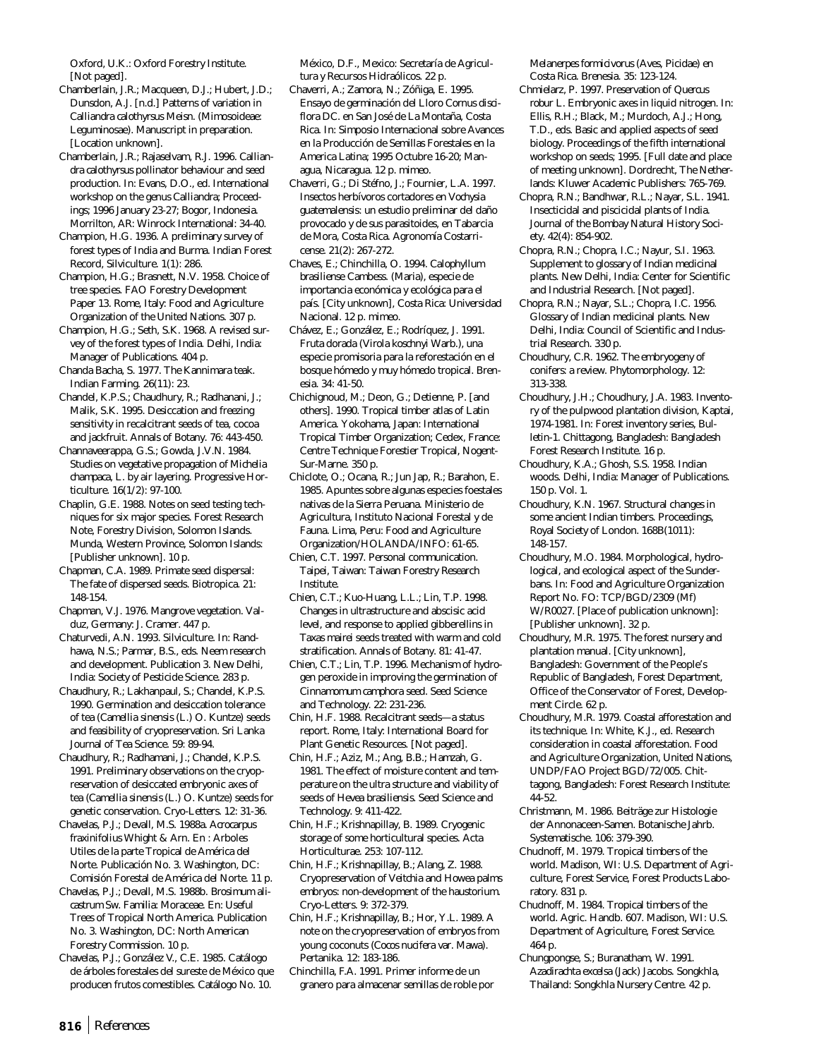Oxford, U.K.: Oxford Forestry Institute. [Not paged].

- Chamberlain, J.R.; Macqueen, D.J.; Hubert, J.D.; Dunsdon, A.J. [n.d.] Patterns of variation in *Calliandra calothyrsus* Meisn. (Mimosoideae: Leguminosae). Manuscript in preparation. [Location unknown].
- Chamberlain, J.R.; Rajaselvam, R.J. 1996. *Calliandra calothyrsus* pollinator behaviour and seed production. In: Evans, D.O., ed. International workshop on the genus *Calliandra;* Proceedings; 1996 January 23-27; Bogor, Indonesia. Morrilton, AR: Winrock International: 34-40.
- Champion, H.G. 1936. A preliminary survey of forest types of India and Burma. Indian Forest Record, Silviculture. 1(1): 286.
- Champion, H.G.; Brasnett, N.V. 1958. Choice of tree species. FAO Forestry Development Paper 13. Rome, Italy: Food and Agriculture Organization of the United Nations. 307 p.
- Champion, H.G.; Seth, S.K. 1968. A revised survey of the forest types of India. Delhi, India: Manager of Publications. 404 p.
- Chanda Bacha, S. 1977. The Kannimara teak. Indian Farming. 26(11): 23.
- Chandel, K.P.S.; Chaudhury, R.; Radhanani, J.; Malik, S.K. 1995. Desiccation and freezing sensitivity in recalcitrant seeds of tea, cocoa and jackfruit. Annals of Botany. 76: 443-450.
- Channaveerappa, G.S.; Gowda, J.V.N. 1984. Studies on vegetative propagation of *Michelia champaca*, L. by air layering. Progressive Horticulture. 16(1/2): 97-100.
- Chaplin, G.E. 1988. Notes on seed testing techniques for six major species. Forest Research Note, Forestry Division, Solomon Islands. Munda, Western Province, Solomon Islands: [Publisher unknown]. 10 p.
- Chapman, C.A. 1989. Primate seed dispersal: The fate of dispersed seeds. Biotropica. 21: 148-154.
- Chapman, V.J. 1976. Mangrove vegetation. Valduz, Germany: J. Cramer. 447 p.
- Chaturvedi, A.N. 1993. Silviculture. In: Randhawa, N.S.; Parmar, B.S., eds. Neem research and development. Publication 3. New Delhi, India: Society of Pesticide Science. 283 p.
- Chaudhury, R.; Lakhanpaul, S.; Chandel, K.P.S. 1990. Germination and desiccation tolerance of tea (*Camellia sinensis* (L.) O. Kuntze) seeds and feasibility of cryopreservation. Sri Lanka Journal of Tea Science. 59: 89-94.
- Chaudhury, R.; Radhamani, J.; Chandel, K.P.S. 1991. Preliminary observations on the cryopreservation of desiccated embryonic axes of tea (*Camellia sinensis* (L.) O. Kuntze) seeds for genetic conservation. Cryo-Letters. 12: 31-36.
- Chavelas, P.J.; Devall, M.S. 1988a. *Acrocarpus fraxinifolius* Whight & Arn. En : Arboles Utiles de la parte Tropical de América del Norte. Publicación No. 3. Washington, DC: Comisión Forestal de América del Norte. 11 p.
- Chavelas, P.J.; Devall, M.S. 1988b. *Brosimum alicastrum* Sw. Familia: Moraceae. En: Useful Trees of Tropical North America. Publication No. 3. Washington, DC: North American Forestry Commission. 10 p.
- Chavelas, P.J.; González V., C.E. 1985. Catálogo de árboles forestales del sureste de México que producen frutos comestibles. Catálogo No. 10.

México, D.F., Mexico: Secretaría de Agricultura y Recursos Hidraólicos. 22 p.

- Chaverri, A.; Zamora, N.; Zóñiga, E. 1995. Ensayo de germinación del Lloro *Cornus disciflora* DC. en San José de La Montaña, Costa Rica. In: Simposio Internacional sobre Avances en la Producción de Semillas Forestales en la America Latina; 1995 Octubre 16-20; Managua, Nicaragua. 12 p. mimeo.
- Chaverri, G.; Di Stéfno, J.; Fournier, L.A. 1997. Insectos herbívoros cortadores en *Vochysia guatemalensis*: un estudio preliminar del daño provocado y de sus parasitoides, en Tabarcia de Mora, Costa Rica. Agronomía Costarricense. 21(2): 267-272.
- Chaves, E.; Chinchilla, O. 1994. *Calophyllum brasiliense* Cambess. (Maria), especie de importancia económica y ecológica para el país. [City unknown], Costa Rica: Universidad Nacional. 12 p. mimeo.
- Chávez, E.; González, E.; Rodríquez, J. 1991. Fruta dorada (*Virola koschnyi* Warb.), una especie promisoria para la reforestación en el bosque hómedo y muy hómedo tropical. Brenesia. 34: 41-50.
- Chichignoud, M.; Deon, G.; Detienne, P. [and others]. 1990. Tropical timber atlas of Latin America. Yokohama, Japan: International Tropical Timber Organization; Cedex, France: Centre Technique Forestier Tropical, Nogent-Sur-Marne. 350 p.
- Chiclote, O.; Ocana, R.; Jun Jap, R.; Barahon, E. 1985. Apuntes sobre algunas especies foestales nativas de la Sierra Peruana. Ministerio de Agricultura, Instituto Nacional Forestal y de Fauna. Lima, Peru: Food and Agriculture Organization/HOLANDA/INFO: 61-65.
- Chien, C.T. 1997. Personal communication. Taipei, Taiwan: Taiwan Forestry Research Institute.
- Chien, C.T.; Kuo-Huang, L.L.; Lin, T.P. 1998. Changes in ultrastructure and abscisic acid level, and response to applied gibberellins in *Taxas mairei* seeds treated with warm and cold stratification. Annals of Botany. 81: 41-47.
- Chien, C.T.; Lin, T.P. 1996. Mechanism of hydrogen peroxide in improving the germination of *Cinnamomum camphora* seed. Seed Science and Technology. 22: 231-236.
- Chin, H.F. 1988. Recalcitrant seeds—a status report. Rome, Italy: International Board for Plant Genetic Resources. [Not paged].
- Chin, H.F.; Aziz, M.; Ang, B.B.; Hamzah, G. 1981. The effect of moisture content and temperature on the ultra structure and viability of seeds of *Hevea brasiliensis*. Seed Science and Technology. 9: 411-422.
- Chin, H.F.; Krishnapillay, B. 1989. Cryogenic storage of some horticultural species. Acta Horticulturae. 253: 107-112.
- Chin, H.F.; Krishnapillay, B.; Alang, Z. 1988. Cryopreservation of *Veitchia* and *Howea* palms embryos: non-development of the haustorium. Cryo-Letters. 9: 372-379.
- Chin, H.F.; Krishnapillay, B.; Hor, Y.L. 1989. A note on the cryopreservation of embryos from young coconuts (*Cocos nucifera* var. Mawa). Pertanika. 12: 183-186.
- Chinchilla, F.A. 1991. Primer informe de un granero para almacenar semillas de roble por

*Melanerpes formicivorus* (Aves, Picidae) en Costa Rica. Brenesia. 35: 123-124.

- Chmielarz, P. 1997. Preservation of *Quercus robur* L. Embryonic axes in liquid nitrogen. In: Ellis, R.H.; Black, M.; Murdoch, A.J.; Hong, T.D., eds. Basic and applied aspects of seed biology. Proceedings of the fifth international workshop on seeds; 1995. [Full date and place of meeting unknown]. Dordrecht, The Netherlands: Kluwer Academic Publishers: 765-769.
- Chopra, R.N.; Bandhwar, R.L.; Nayar, S.L. 1941. Insecticidal and piscicidal plants of India. Journal of the Bombay Natural History Society. 42(4): 854-902.
- Chopra, R.N.; Chopra, I.C.; Nayur, S.I. 1963. Supplement to glossary of Indian medicinal plants. New Delhi, India: Center for Scientific and Industrial Research. [Not paged].
- Chopra, R.N.; Nayar, S.L.; Chopra, I.C. 1956. Glossary of Indian medicinal plants. New Delhi, India: Council of Scientific and Industrial Research. 330 p.
- Choudhury, C.R. 1962. The embryogeny of conifers: a review. Phytomorphology. 12: 313-338.
- Choudhury, J.H.; Choudhury, J.A. 1983. Inventory of the pulpwood plantation division, Kaptai, 1974-1981. In: Forest inventory series, Bulletin-1. Chittagong, Bangladesh: Bangladesh Forest Research Institute. 16 p.
- Choudhury, K.A.; Ghosh, S.S. 1958. Indian woods. Delhi, India: Manager of Publications. 150 p. Vol. 1.
- Choudhury, K.N. 1967. Structural changes in some ancient Indian timbers. Proceedings, Royal Society of London. 168B(1011): 148-157.
- Choudhury, M.O. 1984. Morphological, hydrological, and ecological aspect of the Sunderbans. In: Food and Agriculture Organization Report No. FO: TCP/BGD/2309 (Mf) W/R0027. [Place of publication unknown]: [Publisher unknown]. 32 p.
- Choudhury, M.R. 1975. The forest nursery and plantation manual. [City unknown], Bangladesh: Government of the People's Republic of Bangladesh, Forest Department, Office of the Conservator of Forest, Development Circle. 62 p.
- Choudhury, M.R. 1979. Coastal afforestation and its technique. In: White, K.J., ed. Research consideration in coastal afforestation. Food and Agriculture Organization, United Nations, UNDP/FAO Project BGD/72/005. Chittagong, Bangladesh: Forest Research Institute: 44-52.
- Christmann, M. 1986. Beiträge zur Histologie der Annonaceen-Samen. Botanische Jahrb. Systematische. 106: 379-390.
- Chudnoff, M. 1979. Tropical timbers of the world. Madison, WI: U.S. Department of Agriculture, Forest Service, Forest Products Laboratory. 831 p.
- Chudnoff, M. 1984. Tropical timbers of the world. Agric. Handb. 607. Madison, WI: U.S. Department of Agriculture, Forest Service. 464 p.
- Chungpongse, S.; Buranatham, W. 1991. *Azadirachta excelsa* (Jack) Jacobs. Songkhla, Thailand: Songkhla Nursery Centre. 42 p.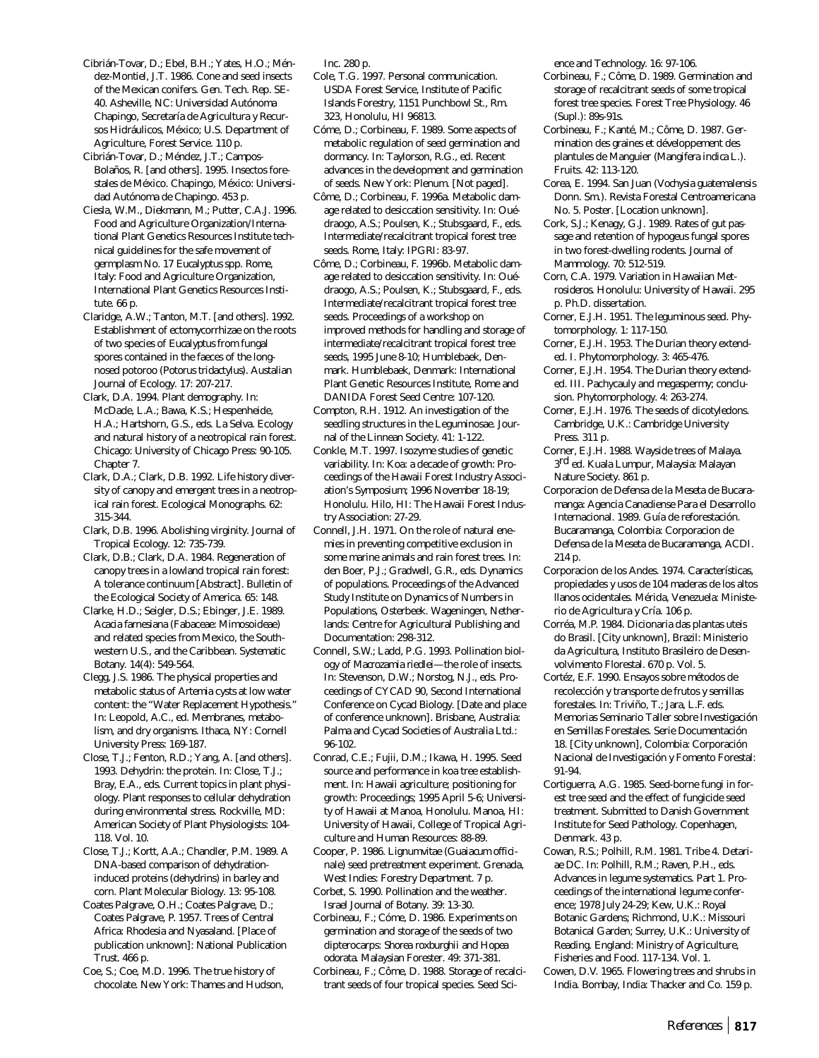Cibrián-Tovar, D.; Ebel, B.H.; Yates, H.O.; Méndez-Montiel, J.T. 1986. Cone and seed insects of the Mexican conifers. Gen. Tech. Rep. SE-40. Asheville, NC: Universidad Autónoma Chapingo, Secretaría de Agricultura y Recursos Hidráulicos, México; U.S. Department of Agriculture, Forest Service. 110 p.

Cibrián-Tovar, D.; Méndez, J.T.; Campos-Bolaños, R. [and others]. 1995. Insectos forestales de México. Chapingo, México: Universidad Autónoma de Chapingo. 453 p.

Ciesla, W.M., Diekmann, M.; Putter, C.A.J. 1996. Food and Agriculture Organization/International Plant Genetics Resources Institute technical guidelines for the safe movement of germplasm No. 17 *Eucalyptus* spp. Rome, Italy: Food and Agriculture Organization, International Plant Genetics Resources Institute. 66 p.

Claridge, A.W.; Tanton, M.T. [and others]. 1992. Establishment of ectomycorrhizae on the roots of two species of *Eucalyptus* from fungal spores contained in the faeces of the longnosed potoroo (*Potorus tridactylus*). Austalian Journal of Ecology. 17: 207-217.

Clark, D.A. 1994. Plant demography. In: McDade, L.A.; Bawa, K.S.; Hespenheide, H.A.; Hartshorn, G.S., eds. La Selva. Ecology and natural history of a neotropical rain forest. Chicago: University of Chicago Press: 90-105. Chapter 7.

Clark, D.A.; Clark, D.B. 1992. Life history diversity of canopy and emergent trees in a neotropical rain forest. Ecological Monographs. 62: 315-344.

Clark, D.B. 1996. Abolishing virginity. Journal of Tropical Ecology. 12: 735-739.

Clark, D.B.; Clark, D.A. 1984. Regeneration of canopy trees in a lowland tropical rain forest: A tolerance continuum [Abstract]. Bulletin of the Ecological Society of America. 65: 148.

Clarke, H.D.; Seigler, D.S.; Ebinger, J.E. 1989. *Acacia farnesiana* (Fabaceae: Mimosoideae) and related species from Mexico, the Southwestern U.S., and the Caribbean. Systematic Botany. 14(4): 549-564.

Clegg, J.S. 1986. The physical properties and metabolic status of *Artemia* cysts at low water content: the "Water Replacement Hypothesis." In: Leopold, A.C., ed. Membranes, metabolism, and dry organisms. Ithaca, NY: Cornell University Press: 169-187.

Close, T.J.; Fenton, R.D.; Yang, A. [and others]. 1993. Dehydrin: the protein. In: Close, T.J.; Bray, E.A., eds. Current topics in plant physiology. Plant responses to cellular dehydration during environmental stress. Rockville, MD: American Society of Plant Physiologists: 104- 118. Vol. 10.

Close, T.J.; Kortt, A.A.; Chandler, P.M. 1989. A DNA-based comparison of dehydrationinduced proteins (dehydrins) in barley and corn. Plant Molecular Biology. 13: 95-108.

Coates Palgrave, O.H.; Coates Palgrave, D.; Coates Palgrave, P. 1957. Trees of Central Africa: Rhodesia and Nyasaland. [Place of publication unknown]: National Publication Trust. 466 p.

Coe, S.; Coe, M.D. 1996. The true history of chocolate. New York: Thames and Hudson, Inc. 280 p.

Cole, T.G. 1997. Personal communication. USDA Forest Service, Institute of Pacific Islands Forestry, 1151 Punchbowl St., Rm. 323, Honolulu, HI 96813.

Cóme, D.; Corbineau, F. 1989. Some aspects of metabolic regulation of seed germination and dormancy. In: Taylorson, R.G., ed. Recent advances in the development and germination of seeds. New York: Plenum. [Not paged].

Côme, D.; Corbineau, F. 1996a. Metabolic damage related to desiccation sensitivity. In: Ouédraogo, A.S.; Poulsen, K.; Stubsgaard, F., eds. Intermediate/recalcitrant tropical forest tree seeds. Rome, Italy: IPGRI: 83-97.

Côme, D.; Corbineau, F. 1996b. Metabolic damage related to desiccation sensitivity. In: Ouédraogo, A.S.; Poulsen, K.; Stubsgaard, F., eds. Intermediate/recalcitrant tropical forest tree seeds. Proceedings of a workshop on improved methods for handling and storage of intermediate/recalcitrant tropical forest tree seeds, 1995 June 8-10; Humblebaek, Denmark. Humblebaek, Denmark: International Plant Genetic Resources Institute, Rome and DANIDA Forest Seed Centre: 107-120.

Compton, R.H. 1912. An investigation of the seedling structures in the Leguminosae. Journal of the Linnean Society. 41: 1-122.

Conkle, M.T. 1997. Isozyme studies of genetic variability. In: Koa: a decade of growth: Proceedings of the Hawaii Forest Industry Association's Symposium; 1996 November 18-19; Honolulu. Hilo, HI: The Hawaii Forest Industry Association: 27-29.

Connell, J.H. 1971. On the role of natural enemies in preventing competitive exclusion in some marine animals and rain forest trees. In: den Boer, P.J.; Gradwell, G.R., eds. Dynamics of populations. Proceedings of the Advanced Study Institute on Dynamics of Numbers in Populations, Osterbeek. Wageningen, Netherlands: Centre for Agricultural Publishing and Documentation: 298-312.

Connell, S.W.; Ladd, P.G. 1993. Pollination biology of *Macrozamia riedlei—*the role of insects. In: Stevenson, D.W.; Norstog, N.J., eds. Proceedings of CYCAD 90, Second International Conference on Cycad Biology. [Date and place of conference unknown]. Brisbane, Australia: Palma and Cycad Societies of Australia Ltd.: 96-102.

Conrad, C.E.; Fujii, D.M.; Ikawa, H. 1995. Seed source and performance in koa tree establishment. In: Hawaii agriculture; positioning for growth: Proceedings; 1995 April 5-6; University of Hawaii at Manoa, Honolulu. Manoa, HI: University of Hawaii, College of Tropical Agriculture and Human Resources: 88-89.

Cooper, P. 1986. Lignumvitae (*Guaiacum officinale*) seed pretreatment experiment. Grenada, West Indies: Forestry Department. 7 p.

Corbet, S. 1990. Pollination and the weather. Israel Journal of Botany. 39: 13-30.

Corbineau, F.; Cóme, D. 1986. Experiments on germination and storage of the seeds of two dipterocarps: *Shorea roxburghii* and *Hopea odorata*. Malaysian Forester. 49: 371-381.

Corbineau, F.; Côme, D. 1988. Storage of recalcitrant seeds of four tropical species. Seed Science and Technology. 16: 97-106.

Corbineau, F.; Côme, D. 1989. Germination and storage of recalcitrant seeds of some tropical forest tree species. Forest Tree Physiology. 46 (Supl.): 89s-91s.

Corbineau, F.; Kanté, M.; Côme, D. 1987. Germination des graines et développement des plantules de Manguier (*Mangifera indica* L.). Fruits. 42: 113-120.

Corea, E. 1994. San Juan (*Vochysia guatemalensis* Donn. Sm.). Revista Forestal Centroamericana No. 5. Poster. [Location unknown].

Cork, S.J.; Kenagy, G.J. 1989. Rates of gut passage and retention of hypogeus fungal spores in two forest-dwelling rodents. Journal of Mammology. 70: 512-519.

Corn, C.A. 1979. Variation in Hawaiian *Metrosideros*. Honolulu: University of Hawaii. 295 p. Ph.D. dissertation.

Corner, E.J.H. 1951. The leguminous seed. Phytomorphology. 1: 117-150.

Corner, E.J.H. 1953. The Durian theory extended. I. Phytomorphology. 3: 465-476.

Corner, E.J.H. 1954. The Durian theory extended. III. Pachycauly and megaspermy; conclusion. Phytomorphology. 4: 263-274.

Corner, E.J.H. 1976. The seeds of dicotyledons. Cambridge, U.K.: Cambridge University Press. 311 p.

Corner, E.J.H. 1988. Wayside trees of Malaya. 3<sup>rd</sup> ed. Kuala Lumpur, Malaysia: Malayan Nature Society. 861 p.

Corporacion de Defensa de la Meseta de Bucaramanga: Agencia Canadiense Para el Desarrollo Internacional. 1989. Guía de reforestación. Bucaramanga, Colombia: Corporacion de Defensa de la Meseta de Bucaramanga, ACDI. 214 p.

Corporacion de los Andes. 1974. Características, propiedades y usos de 104 maderas de los altos llanos ocidentales. Mérida, Venezuela: Ministerio de Agricultura y Cría. 106 p.

Corréa, M.P. 1984. Dicionaria das plantas uteis do Brasil. [City unknown], Brazil: Ministerio da Agricultura, Instituto Brasileiro de Desenvolvimento Florestal. 670 p. Vol. 5.

Cortéz, E.F. 1990. Ensayos sobre métodos de recolección y transporte de frutos y semillas forestales. In: Triviño, T.; Jara, L.F. eds. Memorias Seminario Taller sobre Investigación en Semillas Forestales. Serie Documentación 18. [City unknown], Colombia: Corporación Nacional de Investigación y Fomento Forestal: 91-94.

Cortiguerra, A.G. 1985. Seed-borne fungi in forest tree seed and the effect of fungicide seed treatment. Submitted to Danish Government Institute for Seed Pathology. Copenhagen, Denmark. 43 p.

Cowan, R.S.; Polhill, R.M. 1981. Tribe 4. Detariae DC. In: Polhill, R.M.; Raven, P.H., eds. Advances in legume systematics. Part 1. Proceedings of the international legume conference; 1978 July 24-29; Kew, U.K.: Royal Botanic Gardens; Richmond, U.K.: Missouri Botanical Garden; Surrey, U.K.: University of Reading. England: Ministry of Agriculture, Fisheries and Food. 117-134. Vol. 1.

Cowen, D.V. 1965. Flowering trees and shrubs in India. Bombay, India: Thacker and Co. 159 p.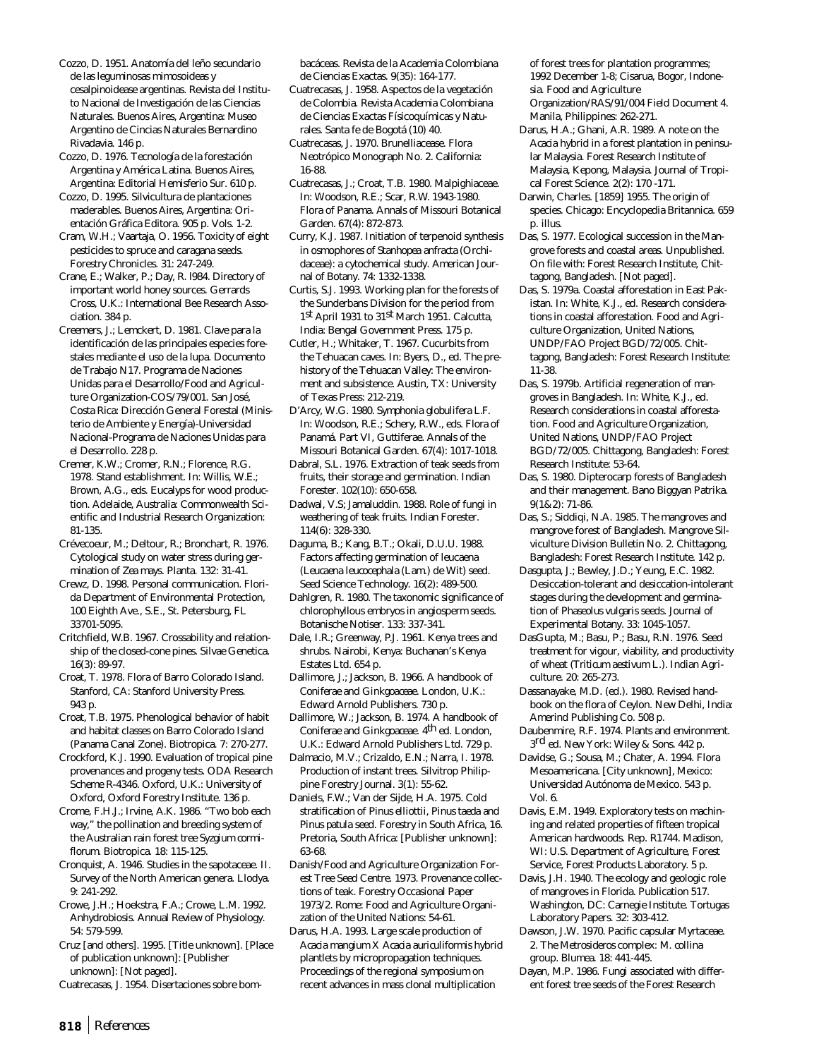Cozzo, D. 1951. Anatomía del leño secundario de las leguminosas mimosoideas y cesalpinoidease argentinas. Revista del Instituto Nacional de Investigación de las Ciencias Naturales. Buenos Aires, Argentina: Museo Argentino de Cincias Naturales Bernardino Rivadavia. 146 p.

Cozzo, D. 1976. Tecnología de la forestación Argentina y América Latina. Buenos Aires, Argentina: Editorial Hemisferio Sur. 610 p.

Cozzo, D. 1995. Silvicultura de plantaciones maderables. Buenos Aires, Argentina: Orientación Gráfica Editora. 905 p. Vols. 1-2.

Cram, W.H.; Vaartaja, O. 1956. Toxicity of eight pesticides to spruce and caragana seeds. Forestry Chronicles. 31: 247-249.

Crane, E.; Walker, P.; Day, R. l984. Directory of important world honey sources. Gerrards Cross, U.K.: International Bee Research Association. 384 p.

Creemers, J.; Lemckert, D. 1981. Clave para la identificación de las principales especies forestales mediante el uso de la lupa. Documento de Trabajo N17. Programa de Naciones Unidas para el Desarrollo/Food and Agriculture Organization-COS/79/001. San José, Costa Rica: Dirección General Forestal (Ministerio de Ambiente y Energía)-Universidad Nacional-Programa de Naciones Unidas para el Desarrollo. 228 p.

Cremer, K.W.; Cromer, R.N.; Florence, R.G. 1978. Stand establishment. In: Willis, W.E.; Brown, A.G., eds. Eucalyps for wood production. Adelaide, Australia: Commonwealth Scientific and Industrial Research Organization: 81-135.

Crévecoeur, M.; Deltour, R.; Bronchart, R. 1976. Cytological study on water stress during germination of *Zea mays*. Planta. 132: 31-41.

Crewz, D. 1998. Personal communication. Florida Department of Environmental Protection, 100 Eighth Ave., S.E., St. Petersburg, FL 33701-5095.

Critchfield, W.B. 1967. Crossability and relationship of the closed-cone pines. Silvae Genetica. 16(3): 89-97.

Croat, T. 1978. Flora of Barro Colorado Island. Stanford, CA: Stanford University Press. 943 p.

Croat, T.B. 1975. Phenological behavior of habit and habitat classes on Barro Colorado Island (Panama Canal Zone). Biotropica. 7: 270-277.

Crockford, K.J. 1990. Evaluation of tropical pine provenances and progeny tests. ODA Research Scheme R-4346. Oxford, U.K.: University of Oxford, Oxford Forestry Institute. 136 p.

Crome, F.H.J.; Irvine, A.K. 1986. "Two bob each way," the pollination and breeding system of the Australian rain forest tree *Syzgium cormiflorum*. Biotropica. 18: 115-125.

Cronquist, A. 1946. Studies in the sapotaceae. II. Survey of the North American genera. Llodya. 9: 241-292.

Crowe, J.H.; Hoekstra, F.A.; Crowe, L.M. 1992. Anhydrobiosis. Annual Review of Physiology. 54: 579-599.

Cruz [and others]. 1995. [Title unknown]. [Place of publication unknown]: [Publisher unknown]: [Not paged].

Cuatrecasas, J. 1954. Disertaciones sobre bom-

bacáceas. Revista de la Academia Colombiana de Ciencias Exactas. 9(35): 164-177.

Cuatrecasas, J. 1958. Aspectos de la vegetación de Colombia. Revista Academia Colombiana de Ciencias Exactas Físicoquímicas y Naturales. Santa fe de Bogotá (10) 40.

Cuatrecasas, J. 1970. Brunelliacease. Flora Neotrópico Monograph No. 2. California: 16-88.

Cuatrecasas, J.; Croat, T.B. 1980. Malpighiaceae. In: Woodson, R.E.; Scar, R.W. 1943-1980. Flora of Panama. Annals of Missouri Botanical Garden. 67(4): 872-873.

Curry, K.J. 1987. Initiation of terpenoid synthesis in osmophores of *Stanhopea anfracta* (Orchidaceae): a cytochemical study. American Journal of Botany. 74: 1332-1338.

Curtis, S.J. 1993. Working plan for the forests of the Sunderbans Division for the period from 1st April 1931 to 31st March 1951. Calcutta, India: Bengal Government Press. 175 p.

Cutler, H.; Whitaker, T. 1967. Cucurbits from the Tehuacan caves. In: Byers, D., ed. The prehistory of the Tehuacan Valley: The environment and subsistence. Austin, TX: University of Texas Press: 212-219.

D'Arcy, W.G. 1980. *Symphonia globulifera* L.F. In: Woodson, R.E.; Schery, R.W., eds. Flora of Panamá. Part VI, Guttiferae. Annals of the Missouri Botanical Garden. 67(4): 1017-1018.

Dabral, S.L. 1976. Extraction of teak seeds from fruits, their storage and germination. Indian Forester. 102(10): 650-658.

Dadwal, V.S; Jamaluddin. 1988. Role of fungi in weathering of teak fruits. Indian Forester. 114(6): 328-330.

Daguma, B.; Kang, B.T.; Okali, D.U.U. 1988. Factors affecting germination of leucaena (*Leucaena leucocephala* (Lam.) de Wit) seed. Seed Science Technology. 16(2): 489-500.

Dahlgren, R. 1980. The taxonomic significance of chlorophyllous embryos in angiosperm seeds. Botanische Notiser. 133: 337-341.

Dale, I.R.; Greenway, P.J. 1961. Kenya trees and shrubs. Nairobi, Kenya: Buchanan's Kenya Estates Ltd. 654 p.

Dallimore, J.; Jackson, B. 1966. A handbook of *Coniferae* and *Ginkgoaceae*. London, U.K.: Edward Arnold Publishers. 730 p.

Dallimore, W.; Jackson, B. 1974. A handbook of *Coniferae* and G*inkgoaceae*. 4th ed. London, U.K.: Edward Arnold Publishers Ltd. 729 p.

Dalmacio, M.V.; Crizaldo, E.N.; Narra, I. 1978. Production of instant trees. Silvitrop Philippine Forestry Journal. 3(1): 55-62.

Daniels, F.W.; Van der Sijde, H.A. 1975. Cold stratification of *Pinus elliottii, Pinus taeda* and *Pinus patula* seed. Forestry in South Africa, 16. Pretoria, South Africa: [Publisher unknown]: 63-68.

Danish/Food and Agriculture Organization Forest Tree Seed Centre. 1973. Provenance collections of teak. Forestry Occasional Paper 1973/2. Rome: Food and Agriculture Organization of the United Nations: 54-61.

Darus, H.A. 1993. Large scale production of *Acacia mangium* X *Acacia auriculiformis* hybrid plantlets by micropropagation techniques. Proceedings of the regional symposium on recent advances in mass clonal multiplication

of forest trees for plantation programmes; 1992 December 1-8; Cisarua, Bogor, Indonesia. Food and Agriculture

Organization/RAS/91/004 Field Document 4. Manila, Philippines: 262-271.

Darus, H.A.; Ghani, A.R. 1989. A note on the *Acacia* hybrid in a forest plantation in peninsular Malaysia. Forest Research Institute of Malaysia, Kepong, Malaysia. Journal of Tropical Forest Science. 2(2): 170 -171.

Darwin, Charles. [1859] 1955. The origin of species. Chicago: Encyclopedia Britannica. 659 p. illus.

Das, S. 1977. Ecological succession in the Mangrove forests and coastal areas. Unpublished. On file with: Forest Research Institute, Chittagong, Bangladesh. [Not paged].

Das, S. 1979a. Coastal afforestation in East Pakistan. In: White, K.J., ed. Research considerations in coastal afforestation. Food and Agriculture Organization, United Nations, UNDP/FAO Project BGD/72/005. Chittagong, Bangladesh: Forest Research Institute: 11-38.

Das, S. 1979b. Artificial regeneration of mangroves in Bangladesh. In: White, K.J., ed. Research considerations in coastal afforestation. Food and Agriculture Organization, United Nations, UNDP/FAO Project BGD/72/005. Chittagong, Bangladesh: Forest Research Institute: 53-64.

Das, S. 1980. Dipterocarp forests of Bangladesh and their management. Bano Biggyan Patrika. 9(1&2): 71-86.

Das, S.; Siddiqi, N.A. 1985. The mangroves and mangrove forest of Bangladesh. Mangrove Silviculture Division Bulletin No. 2. Chittagong, Bangladesh: Forest Research Institute. 142 p.

Dasgupta, J.; Bewley, J.D.; Yeung, E.C. 1982. Desiccation-tolerant and desiccation-intolerant stages during the development and germination of *Phaseolus vulgaris* seeds. Journal of Experimental Botany. 33: 1045-1057.

DasGupta, M.; Basu, P.; Basu, R.N. 1976. Seed treatment for vigour, viability, and productivity of wheat (*Triticum aestivum* L.). Indian Agriculture. 20: 265-273.

Dassanayake, M.D. (ed.). 1980. Revised handbook on the flora of Ceylon. New Delhi, India: Amerind Publishing Co. 508 p.

Daubenmire, R.F. 1974. Plants and environment.  $\rm 3^{rd}$  ed. New York: Wiley & Sons. 442 p.

Davidse, G.; Sousa, M.; Chater, A. 1994. Flora Mesoamericana. [City unknown], Mexico: Universidad Autónoma de Mexico. 543 p. Vol. 6.

Davis, E.M. 1949. Exploratory tests on machining and related properties of fifteen tropical American hardwoods. Rep. R1744. Madison, WI: U.S. Department of Agriculture, Forest Service, Forest Products Laboratory. 5 p.

Davis, J.H. 1940. The ecology and geologic role of mangroves in Florida. Publication 517. Washington, DC: Carnegie Institute. Tortugas Laboratory Papers. 32: 303-412.

Dawson, J.W. 1970. Pacific capsular Myrtaceae. 2. The *Metrosideros* complex: *M. collina* group. Blumea. 18: 441-445.

Dayan, M.P. 1986. Fungi associated with different forest tree seeds of the Forest Research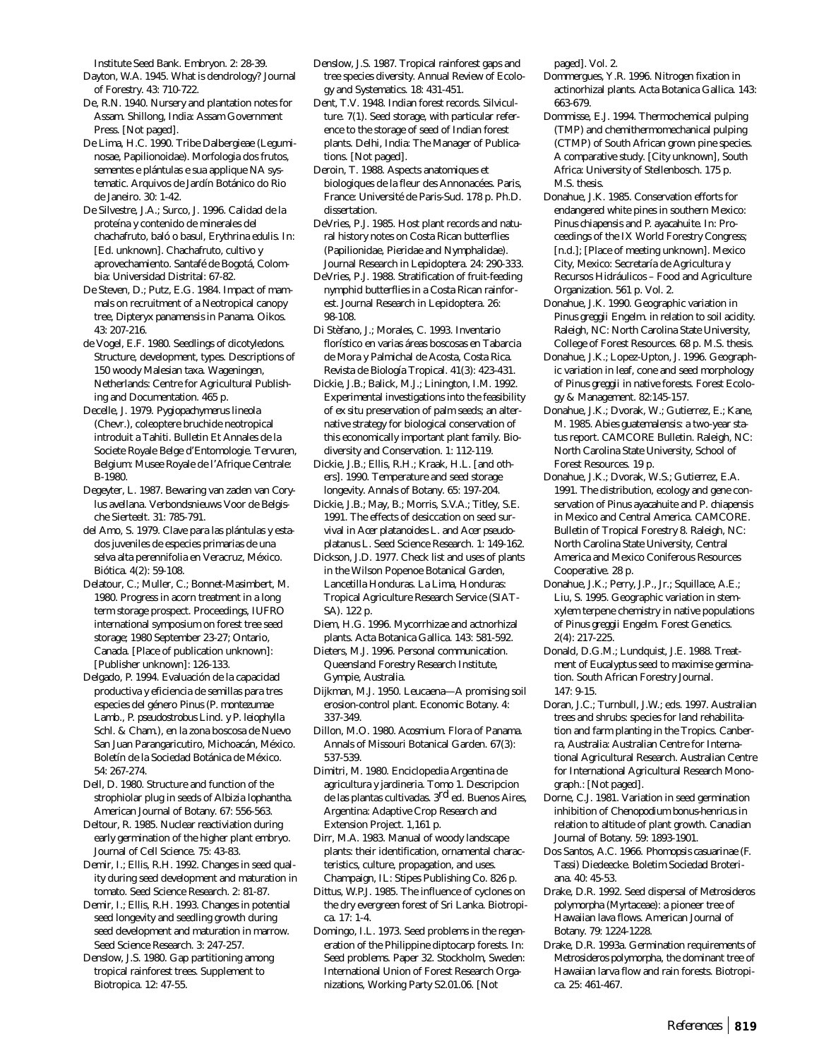Institute Seed Bank. Embryon. 2: 28-39.

- Dayton, W.A. 1945. What is dendrology? Journal of Forestry. 43: 710-722.
- De, R.N. 1940. Nursery and plantation notes for Assam. Shillong, India: Assam Government Press. [Not paged].
- De Lima, H.C. 1990. Tribe Dalbergieae (Leguminosae, Papilionoidae). Morfologia dos frutos, sementes e plántulas e sua applique NA systematic. Arquivos de Jardín Botánico do Rio de Janeiro. 30: 1-42.

De Silvestre, J.A.; Surco, J. 1996. Calidad de la proteína y contenido de minerales del chachafruto, baló o basul, *Erythrina edulis*. In: [Ed. unknown]. Chachafruto, cultivo y aprovechamiento. Santafé de Bogotá, Colombia: Universidad Distrital: 67-82.

De Steven, D.; Putz, E.G. 1984. Impact of mammals on recruitment of a Neotropical canopy tree, *Dipteryx panamensis* in Panama. Oikos. 43: 207-216.

de Vogel, E.F. 1980. Seedlings of dicotyledons. Structure, development, types. Descriptions of 150 woody Malesian taxa. Wageningen, Netherlands: Centre for Agricultural Publishing and Documentation. 465 p.

Decelle, J. 1979. *Pygiopachymerus lineola* (Chevr.), coleoptere bruchide neotropical introduit a Tahiti. Bulletin Et Annales de la Societe Royale Belge d'Entomologie. Tervuren, Belgium: Musee Royale de l'Afrique Centrale: B-1980.

Degeyter, L. 1987. Bewaring van zaden van *Corylus avellana*. Verbondsnieuws Voor de Belgische Sierteelt. 31: 785-791.

del Amo, S. 1979. Clave para las plántulas y estados juveniles de especies primarias de una selva alta perennifolia en Veracruz, México. Biótica. 4(2): 59-108.

Delatour, C.; Muller, C.; Bonnet-Masimbert, M. 1980. Progress in acorn treatment in a long term storage prospect. Proceedings, IUFRO international symposium on forest tree seed storage; 1980 September 23-27; Ontario, Canada. [Place of publication unknown]: [Publisher unknown]: 126-133.

Delgado, P. 1994. Evaluación de la capacidad productiva y eficiencia de semillas para tres especies del género *Pinus* (*P. montezumae* Lamb., *P. pseudostrobus* Lind. y *P. leiophylla* Schl. & Cham.), en la zona boscosa de Nuevo San Juan Parangaricutiro, Michoacán, México. Boletín de la Sociedad Botánica de México. 54: 267-274.

Dell, D. 1980. Structure and function of the strophiolar plug in seeds of *Albizia lophantha*. American Journal of Botany. 67: 556-563.

Deltour, R. 1985. Nuclear reactiviation during early germination of the higher plant embryo. Journal of Cell Science. 75: 43-83.

Demir, I.; Ellis, R.H. 1992. Changes in seed quality during seed development and maturation in tomato. Seed Science Research. 2: 81-87.

Demir, I.; Ellis, R.H. 1993. Changes in potential seed longevity and seedling growth during seed development and maturation in marrow. Seed Science Research. 3: 247-257.

Denslow, J.S. 1980. Gap partitioning among tropical rainforest trees. Supplement to Biotropica. 12: 47-55.

- Denslow, J.S. 1987. Tropical rainforest gaps and tree species diversity. Annual Review of Ecology and Systematics. 18: 431-451.
- Dent, T.V. 1948. Indian forest records. Silviculture. 7(1). Seed storage, with particular reference to the storage of seed of Indian forest plants. Delhi, India: The Manager of Publications. [Not paged].
- Deroin, T. 1988. Aspects anatomiques et biologiques de la fleur des Annonacées. Paris, France: Université de Paris-Sud. 178 p. Ph.D. dissertation.
- DeVries, P.J. 1985. Host plant records and natural history notes on Costa Rican butterflies (Papilionidae, Pieridae and Nymphalidae). Journal Research in Lepidoptera. 24: 290-333.
- DeVries, P.J. 1988. Stratification of fruit-feeding nymphid butterflies in a Costa Rican rainforest. Journal Research in Lepidoptera. 26: 98-108.
- Di Stèfano, J.; Morales, C. 1993. Inventario florístico en varias áreas boscosas en Tabarcia de Mora y Palmichal de Acosta, Costa Rica. Revista de Biología Tropical. 41(3): 423-431.

Dickie, J.B.; Balick, M.J.; Linington, I.M. 1992. Experimental investigations into the feasibility of *ex situ* preservation of palm seeds; an alternative strategy for biological conservation of this economically important plant family. Biodiversity and Conservation. 1: 112-119.

Dickie, J.B.; Ellis, R.H.; Kraak, H.L. [and others]. 1990. Temperature and seed storage longevity. Annals of Botany. 65: 197-204.

Dickie, J.B.; May, B.; Morris, S.V.A.; Titley, S.E. 1991. The effects of desiccation on seed survival in *Acer platanoides* L. and *Acer pseudoplatanus* L. Seed Science Research. 1: 149-162.

Dickson, J.D. 1977. Check list and uses of plants in the Wilson Popenoe Botanical Garden, Lancetilla Honduras. La Lima, Honduras: Tropical Agriculture Research Service (SIAT-SA). 122 p.

Diem, H.G. 1996. Mycorrhizae and actnorhizal plants. Acta Botanica Gallica. 143: 581-592.

Dieters, M.J. 1996. Personal communication. Queensland Forestry Research Institute, Gympie, Australia.

- Dijkman, M.J. 1950. Leucaena—A promising soil erosion-control plant. Economic Botany. 4: 337-349.
- Dillon, M.O. 1980. *Acosmium*. Flora of Panama. Annals of Missouri Botanical Garden. 67(3): 537-539.

Dimitri, M. 1980. Enciclopedia Argentina de agricultura y jardineria. Tomo 1. Descripcion de las plantas cultivadas. 3rd ed. Buenos Aires, Argentina: Adaptive Crop Research and Extension Project. 1,161 p.

Dirr, M.A. 1983. Manual of woody landscape plants: their identification, ornamental characteristics, culture, propagation, and uses. Champaign, IL: Stipes Publishing Co. 826 p.

Dittus, W.P.J. 1985. The influence of cyclones on the dry evergreen forest of Sri Lanka. Biotropica. 17: 1-4.

Domingo, I.L. 1973. Seed problems in the regeneration of the Philippine diptocarp forests. In: Seed problems. Paper 32. Stockholm, Sweden: International Union of Forest Research Organizations, Working Party S2.01.06. [Not

paged]. Vol. 2.

- Dommergues, Y.R. 1996. Nitrogen fixation in actinorhizal plants. Acta Botanica Gallica. 143: 663-679.
- Dommisse, E.J. 1994. Thermochemical pulping (TMP) and chemithermomechanical pulping (CTMP) of South African grown pine species. A comparative study. [City unknown], South Africa: University of Stellenbosch. 175 p. M.S. thesis.
- Donahue, J.K. 1985. Conservation efforts for endangered white pines in southern Mexico: *Pinus chiapensis* and *P. ayacahuite*. In: Proceedings of the IX World Forestry Congress; [n.d.]; [Place of meeting unknown]. Mexico City, Mexico: Secretaría de Agricultura y Recursos Hidráulicos – Food and Agriculture Organization. 561 p. Vol. 2.
- Donahue, J.K. 1990. Geographic variation in *Pinus greggii* Engelm. in relation to soil acidity. Raleigh, NC: North Carolina State University, College of Forest Resources. 68 p. M.S. thesis.
- Donahue, J.K.; Lopez-Upton, J. 1996. Geographic variation in leaf, cone and seed morphology of *Pinus greggii* in native forests. Forest Ecology & Management. 82:145-157.
- Donahue, J.K.; Dvorak, W.; Gutierrez, E.; Kane, M. 1985. *Abies guatemalensis*: a two-year status report. CAMCORE Bulletin. Raleigh, NC: North Carolina State University, School of Forest Resources. 19 p.
- Donahue, J.K.; Dvorak, W.S.; Gutierrez, E.A. 1991. The distribution, ecology and gene conservation of *Pinus ayacahuite* and *P. chiapensis* in Mexico and Central America. CAMCORE. Bulletin of Tropical Forestry 8. Raleigh, NC: North Carolina State University, Central America and Mexico Coniferous Resources Cooperative. 28 p.
- Donahue, J.K.; Perry, J.P., Jr.; Squillace, A.E.; Liu, S. 1995. Geographic variation in stemxylem terpene chemistry in native populations of *Pinus greggii* Engelm. Forest Genetics. 2(4): 217-225.
- Donald, D.G.M.; Lundquist, J.E. 1988. Treatment of *Eucalyptus* seed to maximise germination. South African Forestry Journal. 147: 9-15.
- Doran, J.C.; Turnbull, J.W.; eds. 1997. Australian trees and shrubs: species for land rehabilitation and farm planting in the Tropics. Canberra, Australia: Australian Centre for International Agricultural Research. Australian Centre for International Agricultural Research Monograph.: [Not paged].
- Dorne, C.J. 1981. Variation in seed germination inhibition of *Chenopodium bonus-henricus* in relation to altitude of plant growth. Canadian Journal of Botany. 59: 1893-1901.
- Dos Santos, A.C. 1966. *Phomopsis casuarinae* (F. Tassi) Diedeecke. Boletim Sociedad Broteriana. 40: 45-53.
- Drake, D.R. 1992. Seed dispersal of *Metrosideros polymorpha* (Myrtaceae): a pioneer tree of Hawaiian lava flows. American Journal of Botany. 79: 1224-1228.
- Drake, D.R. 1993a. Germination requirements of *Metrosideros polymorpha*, the dominant tree of Hawaiian larva flow and rain forests. Biotropica. 25: 461-467.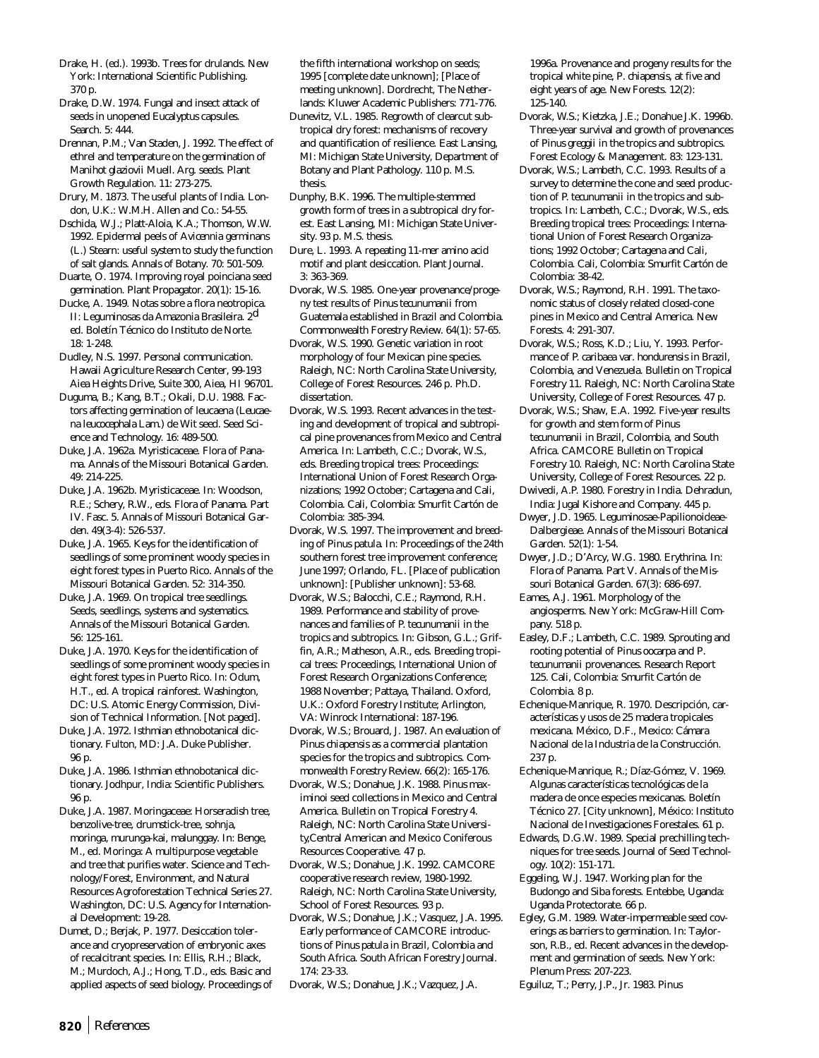- Drake, H. (ed.). 1993b. Trees for drulands. New York: International Scientific Publishing. 370 p.
- Drake, D.W. 1974. Fungal and insect attack of seeds in unopened *Eucalyptus* capsules. Search. 5: 444.
- Drennan, P.M.; Van Staden, J. 1992. The effect of ethrel and temperature on the germination of *Manihot glaziovii* Muell. Arg. seeds. Plant Growth Regulation. 11: 273-275.
- Drury, M. 1873. The useful plants of India. London, U.K.: W.M.H. Allen and Co.: 54-55.
- Dschida, W.J.; Platt-Aloia, K.A.; Thomson, W.W. 1992. Epidermal peels of *Avicennia germinans* (L.) Stearn: useful system to study the function of salt glands. Annals of Botany. 70: 501-509.
- Duarte, O. 1974. Improving royal poinciana seed germination. Plant Propagator. 20(1): 15-16.
- Ducke, A. 1949. Notas sobre a flora neotropica. II: Leguminosas da Amazonia Brasileira. 2d ed. Boletín Técnico do Instituto de Norte. 18: 1-248.

Dudley, N.S. 1997. Personal communication. Hawaii Agriculture Research Center, 99-193 Aiea Heights Drive, Suite 300, Aiea, HI 96701.

Duguma, B.; Kang, B.T.; Okali, D.U. 1988. Factors affecting germination of leucaena (*Leucaena leucocephala* Lam.) de Wit seed. Seed Science and Technology. 16: 489-500.

Duke, J.A. 1962a. Myristicaceae. Flora of Panama. Annals of the Missouri Botanical Garden. 49: 214-225.

Duke, J.A. 1962b. Myristicaceae. In: Woodson, R.E.; Schery, R.W., eds. Flora of Panama. Part IV. Fasc. 5. Annals of Missouri Botanical Garden. 49(3-4): 526-537.

Duke, J.A. 1965. Keys for the identification of seedlings of some prominent woody species in eight forest types in Puerto Rico. Annals of the Missouri Botanical Garden. 52: 314-350.

Duke, J.A. 1969. On tropical tree seedlings. Seeds, seedlings, systems and systematics. Annals of the Missouri Botanical Garden. 56: 125-161.

Duke, J.A. 1970. Keys for the identification of seedlings of some prominent woody species in eight forest types in Puerto Rico. In: Odum, H.T., ed. A tropical rainforest. Washington, DC: U.S. Atomic Energy Commission, Division of Technical Information. [Not paged].

- Duke, J.A. 1972. Isthmian ethnobotanical dictionary. Fulton, MD: J.A. Duke Publisher. 96 p.
- Duke, J.A. 1986. Isthmian ethnobotanical dictionary. Jodhpur, India: Scientific Publishers. 96 p.
- Duke, J.A. 1987. Moringaceae: Horseradish tree, benzolive-tree, drumstick-tree, sohnja, moringa, murunga-kai, malunggay. In: Benge, M., ed. Moringa: A multipurpose vegetable and tree that purifies water. Science and Technology/Forest, Environment, and Natural Resources Agroforestation Technical Series 27. Washington, DC: U.S. Agency for International Development: 19-28.
- Dumet, D.; Berjak, P. 1977. Desiccation tolerance and cryopreservation of embryonic axes of recalcitrant species. In: Ellis, R.H.; Black, M.; Murdoch, A.J.; Hong, T.D., eds. Basic and applied aspects of seed biology. Proceedings of

the fifth international workshop on seeds; 1995 [complete date unknown]; [Place of meeting unknown]. Dordrecht, The Netherlands: Kluwer Academic Publishers: 771-776.

- Dunevitz, V.L. 1985. Regrowth of clearcut subtropical dry forest: mechanisms of recovery and quantification of resilience. East Lansing, MI: Michigan State University, Department of Botany and Plant Pathology. 110 p. M.S. thesis.
- Dunphy, B.K. 1996. The multiple-stemmed growth form of trees in a subtropical dry forest. East Lansing, MI: Michigan State University. 93 p. M.S. thesis.
- Dure, L. 1993. A repeating 11-mer amino acid motif and plant desiccation. Plant Journal. 3: 363-369.
- Dvorak, W.S. 1985. One-year provenance/progeny test results of *Pinus tecunumanii* from Guatemala established in Brazil and Colombia. Commonwealth Forestry Review. 64(1): 57-65.
- Dvorak, W.S. 1990. Genetic variation in root morphology of four Mexican pine species. Raleigh, NC: North Carolina State University, College of Forest Resources. 246 p. Ph.D. dissertation.
- Dvorak, W.S. 1993. Recent advances in the testing and development of tropical and subtropical pine provenances from Mexico and Central America. In: Lambeth, C.C.; Dvorak, W.S., eds. Breeding tropical trees: Proceedings: International Union of Forest Research Organizations; 1992 October; Cartagena and Cali, Colombia. Cali, Colombia: Smurfit Cartón de Colombia: 385-394.

Dvorak, W.S. 1997. The improvement and breeding of *Pinus patula*. In: Proceedings of the 24th southern forest tree improvement conference; June 1997; Orlando, FL. [Place of publication unknown]: [Publisher unknown]: 53-68.

Dvorak, W.S.; Balocchi, C.E.; Raymond, R.H. 1989. Performance and stability of provenances and families of *P. tecunumanii* in the tropics and subtropics. In: Gibson, G.L.; Griffin, A.R.; Matheson, A.R., eds. Breeding tropical trees: Proceedings, International Union of Forest Research Organizations Conference; 1988 November; Pattaya, Thailand. Oxford, U.K.: Oxford Forestry Institute; Arlington, VA: Winrock International: 187-196.

Dvorak, W.S.; Brouard, J. 1987. An evaluation of *Pinus chiapensis* as a commercial plantation species for the tropics and subtropics. Commonwealth Forestry Review. 66(2): 165-176.

Dvorak, W.S.; Donahue, J.K. 1988. *Pinus maximinoi* seed collections in Mexico and Central America. Bulletin on Tropical Forestry 4. Raleigh, NC: North Carolina State University,Central American and Mexico Coniferous Resources Cooperative. 47 p.

Dvorak, W.S.; Donahue, J.K. 1992. CAMCORE cooperative research review, 1980-1992. Raleigh, NC: North Carolina State University, School of Forest Resources. 93 p.

Dvorak, W.S.; Donahue, J.K.; Vasquez, J.A. 1995. Early performance of CAMCORE introductions of *Pinus patula* in Brazil, Colombia and South Africa. South African Forestry Journal. 174: 23-33.

Dvorak, W.S.; Donahue, J.K.; Vazquez, J.A.

1996a. Provenance and progeny results for the tropical white pine, *P. chiapensis,* at five and eight years of age. New Forests. 12(2): 125-140.

- Dvorak, W.S.; Kietzka, J.E.; Donahue J.K. 1996b. Three-year survival and growth of provenances of *Pinus greggii* in the tropics and subtropics. Forest Ecology & Management. 83: 123-131.
- Dvorak, W.S.; Lambeth, C.C. 1993. Results of a survey to determine the cone and seed production of *P. tecunumanii* in the tropics and subtropics. In: Lambeth, C.C.; Dvorak, W.S., eds. Breeding tropical trees: Proceedings: International Union of Forest Research Organizations; 1992 October; Cartagena and Cali, Colombia. Cali, Colombia: Smurfit Cartón de Colombia: 38-42.
- Dvorak, W.S.; Raymond, R.H. 1991. The taxonomic status of closely related closed-cone pines in Mexico and Central America. New Forests. 4: 291-307.
- Dvorak, W.S.; Ross, K.D.; Liu, Y. 1993. Performance of *P. caribaea* var. *hondurensis* in Brazil, Colombia, and Venezuela. Bulletin on Tropical Forestry 11. Raleigh, NC: North Carolina State University, College of Forest Resources. 47 p.
- Dvorak, W.S.; Shaw, E.A. 1992. Five-year results for growth and stem form of *Pinus tecunumanii* in Brazil, Colombia, and South Africa. CAMCORE Bulletin on Tropical Forestry 10. Raleigh, NC: North Carolina State University, College of Forest Resources. 22 p.
- Dwivedi, A.P. 1980. Forestry in India. Dehradun, India: Jugal Kishore and Company. 445 p.
- Dwyer, J.D. 1965. Leguminosae-Papilionoideae-Dalbergieae. Annals of the Missouri Botanical Garden. 52(1): 1-54.
- Dwyer, J.D.; D'Arcy, W.G. 1980. Erythrina. In: Flora of Panama. Part V. Annals of the Missouri Botanical Garden. 67(3): 686-697.
- Eames, A.J. 1961. Morphology of the angiosperms. New York: McGraw-Hill Company. 518 p.
- Easley, D.F.; Lambeth, C.C. 1989. Sprouting and rooting potential of *Pinus oocarpa* and *P*. *tecunumanii* provenances. Research Report 125. Cali, Colombia: Smurfit Cartón de Colombia. 8 p.
- Echenique-Manrique, R. 1970. Descripción, características y usos de 25 madera tropicales mexicana. México, D.F., Mexico: Cámara Nacional de la Industria de la Construcción. 237 p.
- Echenique-Manrique, R.; Díaz-Gómez, V. 1969. Algunas características tecnológicas de la madera de once especies mexicanas. Boletín Técnico 27. [City unknown], México: Instituto Nacional de Investigaciones Forestales. 61 p.
- Edwards, D.G.W. 1989. Special prechilling techniques for tree seeds. Journal of Seed Technology. 10(2): 151-171.
- Eggeling, W.J. 1947. Working plan for the Budongo and Siba forests. Entebbe, Uganda: Uganda Protectorate. 66 p.
- Egley, G.M. 1989. Water-impermeable seed coverings as barriers to germination. In: Taylorson, R.B., ed. Recent advances in the development and germination of seeds. New York: Plenum Press: 207-223.

Eguiluz, T.; Perry, J.P., Jr. 1983. *Pinus*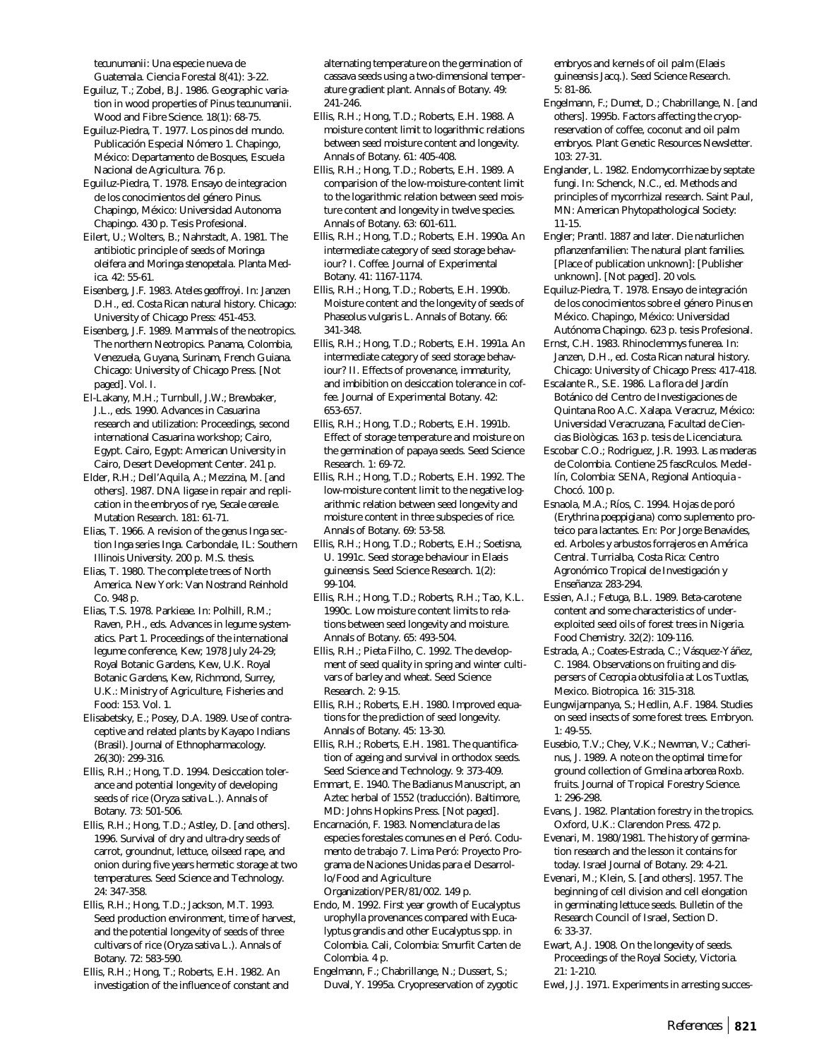*tecunumanii*: Una especie nueva de Guatemala. Ciencia Forestal 8(41): 3-22.

Eguiluz, T.; Zobel, B.J. 1986. Geographic variation in wood properties of *Pinus tecunumanii*. Wood and Fibre Science. 18(1): 68-75.

Eguiluz-Piedra, T. 1977. Los pinos del mundo. Publicación Especial Nómero 1. Chapingo, México: Departamento de Bosques, Escuela Nacional de Agricultura. 76 p.

Eguiluz-Piedra, T. 1978. Ensayo de integracion de los conocimientos del género *Pinus.* Chapingo, México: Universidad Autonoma Chapingo. 430 p. Tesis Profesional.

Eilert, U.; Wolters, B.; Nahrstadt, A. 1981. The antibiotic principle of seeds of *Moringa oleifera* and *Moringa stenopetala*. Planta Medica. 42: 55-61.

Eisenberg, J.F. 1983. *Ateles geoffroyi*. In: Janzen D.H., ed. Costa Rican natural history. Chicago: University of Chicago Press: 451-453.

Eisenberg, J.F. 1989. Mammals of the neotropics. The northern Neotropics. Panama, Colombia, Venezuela, Guyana, Surinam, French Guiana. Chicago: University of Chicago Press. [Not paged]. Vol. I.

El-Lakany, M.H.; Turnbull, J.W.; Brewbaker, J.L., eds. 1990. Advances in *Casuarina* research and utilization: Proceedings, second international *Casuarina* workshop; Cairo, Egypt. Cairo, Egypt: American University in Cairo, Desert Development Center. 241 p.

Elder, R.H.; Dell'Aquila, A.; Mezzina, M. [and others]. 1987. DNA ligase in repair and replication in the embryos of rye, *Secale cereale*. Mutation Research. 181: 61-71.

Elias, T. 1966. A revision of the genus *Inga* section *Inga* series *Inga*. Carbondale, IL: Southern Illinois University. 200 p. M.S. thesis.

Elias, T. 1980. The complete trees of North America. New York: Van Nostrand Reinhold Co. 948 p.

Elias, T.S. 1978. Parkieae. In: Polhill, R.M.; Raven, P.H., eds. Advances in legume systematics. Part 1. Proceedings of the international legume conference, Kew; 1978 July 24-29; Royal Botanic Gardens, Kew, U.K. Royal Botanic Gardens, Kew, Richmond, Surrey, U.K.: Ministry of Agriculture, Fisheries and Food: 153. Vol. 1.

Elisabetsky, E.; Posey, D.A. 1989. Use of contraceptive and related plants by Kayapo Indians (Brasil). Journal of Ethnopharmacology. 26(30): 299-316.

Ellis, R.H.; Hong, T.D. 1994. Desiccation tolerance and potential longevity of developing seeds of rice (*Oryza sativa* L.). Annals of Botany. 73: 501-506.

Ellis, R.H.; Hong, T.D.; Astley, D. [and others]. 1996. Survival of dry and ultra-dry seeds of carrot, groundnut, lettuce, oilseed rape, and onion during five years hermetic storage at two temperatures. Seed Science and Technology. 24: 347-358.

Ellis, R.H.; Hong, T.D.; Jackson, M.T. 1993. Seed production environment, time of harvest, and the potential longevity of seeds of three cultivars of rice (*Oryza sativa* L.). Annals of Botany. 72: 583-590.

Ellis, R.H.; Hong, T.; Roberts, E.H. 1982. An investigation of the influence of constant and alternating temperature on the germination of cassava seeds using a two-dimensional temperature gradient plant. Annals of Botany. 49: 241-246.

Ellis, R.H.; Hong, T.D.; Roberts, E.H. 1988. A moisture content limit to logarithmic relations between seed moisture content and longevity. Annals of Botany. 61: 405-408.

Ellis, R.H.; Hong, T.D.; Roberts, E.H. 1989. A comparision of the low-moisture-content limit to the logarithmic relation between seed moisture content and longevity in twelve species. Annals of Botany. 63: 601-611.

Ellis, R.H.; Hong, T.D.; Roberts, E.H. 1990a. An intermediate category of seed storage behaviour? I. Coffee. Journal of Experimental Botany. 41: 1167-1174.

Ellis, R.H.; Hong, T.D.; Roberts, E.H. 1990b. Moisture content and the longevity of seeds of *Phaseolus vulgaris* L. Annals of Botany. 66: 341-348.

Ellis, R.H.; Hong, T.D.; Roberts, E.H. 1991a. An intermediate category of seed storage behaviour? II. Effects of provenance, immaturity, and imbibition on desiccation tolerance in coffee. Journal of Experimental Botany. 42: 653-657.

Ellis, R.H.; Hong, T.D.; Roberts, E.H. 1991b. Effect of storage temperature and moisture on the germination of papaya seeds. Seed Science Research. 1: 69-72.

Ellis, R.H.; Hong, T.D.; Roberts, E.H. 1992. The low-moisture content limit to the negative logarithmic relation between seed longevity and moisture content in three subspecies of rice. Annals of Botany. 69: 53-58.

Ellis, R.H.; Hong, T.D.; Roberts, E.H.; Soetisna, U. 1991c. Seed storage behaviour in *Elaeis guineensis*. Seed Science Research. 1(2): 99-104.

Ellis, R.H.; Hong, T.D.; Roberts, R.H.; Tao, K.L. 1990c. Low moisture content limits to relations between seed longevity and moisture. Annals of Botany. 65: 493-504.

Ellis, R.H.; Pieta Filho, C. 1992. The development of seed quality in spring and winter cultivars of barley and wheat. Seed Science Research. 2: 9-15.

Ellis, R.H.; Roberts, E.H. 1980. Improved equations for the prediction of seed longevity. Annals of Botany. 45: 13-30.

Ellis, R.H.; Roberts, E.H. 1981. The quantification of ageing and survival in orthodox seeds. Seed Science and Technology. 9: 373-409.

Emmart, E. 1940. The Badianus Manuscript, an Aztec herbal of 1552 (traducción). Baltimore, MD: Johns Hopkins Press. [Not paged].

Encarnación, F. 1983. Nomenclatura de las especies forestales comunes en el Peró. Codumento de trabajo 7. Lima Peró: Proyecto Programa de Naciones Unidas para el Desarrollo/Food and Agriculture Organization/PER/81/002. 149 p.

Endo, M. 1992. First year growth of Eucalyptus urophylla provenances compared with Eucalyptus grandis and other Eucalyptus spp. in Colombia. Cali, Colombia: Smurfit Carten de Colombia. 4 p.

Engelmann, F.; Chabrillange, N.; Dussert, S.; Duval, Y. 1995a. Cryopreservation of zygotic embryos and kernels of oil palm (*Elaeis guineensis* Jacq.). Seed Science Research. 5: 81-86.

- Engelmann, F.; Dumet, D.; Chabrillange, N. [and others]. 1995b. Factors affecting the cryopreservation of coffee, coconut and oil palm embryos. Plant Genetic Resources Newsletter. 103: 27-31.
- Englander, L. 1982. Endomycorrhizae by septate fungi. In: Schenck, N.C., ed. Methods and principles of mycorrhizal research. Saint Paul, MN: American Phytopathological Society: 11-15.

Engler; Prantl. 1887 and later. Die naturlichen pflanzenfamilien: The natural plant families. [Place of publication unknown]: [Publisher unknown]. [Not paged]. 20 vols.

Equiluz-Piedra, T. 1978. Ensayo de integración de los conocimientos sobre el género *Pinus* en México. Chapingo, México: Universidad Autónoma Chapingo. 623 p. tesis Profesional.

Ernst, C.H. 1983. Rhinoclemmys funerea. In: Janzen, D.H., ed. Costa Rican natural history. Chicago: University of Chicago Press: 417-418.

Escalante R., S.E. 1986. La flora del Jardín Botánico del Centro de Investigaciones de Quintana Roo A.C. Xalapa. Veracruz, México: Universidad Veracruzana, Facultad de Ciencias Biològicas. 163 p. tesis de Licenciatura.

Escobar C.O.; Rodriguez, J.R. 1993. Las maderas de Colombia. Contiene 25 fascRculos. Medellín, Colombia: SENA, Regional Antioquia - Chocó. 100 p.

Esnaola, M.A.; Ríos, C. 1994. Hojas de poró (*Erythrina poeppigiana*) como suplemento proteico para lactantes. En: Por Jorge Benavides, ed. Arboles y arbustos forrajeros en América Central. Turrialba, Costa Rica: Centro Agronómico Tropical de Investigación y Enseñanza: 283-294.

Essien, A.I.; Fetuga, B.L. 1989. Beta-carotene content and some characteristics of underexploited seed oils of forest trees in Nigeria. Food Chemistry. 32(2): 109-116.

Estrada, A.; Coates-Estrada, C.; Vásquez-Yáñez, C. 1984. Observations on fruiting and dispersers of *Cecropia obtusifolia* at Los Tuxtlas, Mexico. Biotropica. 16: 315-318.

Eungwijarnpanya, S.; Hedlin, A.F. 1984. Studies on seed insects of some forest trees. Embryon. 1: 49-55.

Eusebio, T.V.; Chey, V.K.; Newman, V.; Catherinus, J. 1989. A note on the optimal time for ground collection of *Gmelina arborea* Roxb. fruits. Journal of Tropical Forestry Science. 1: 296-298.

Evans, J. 1982. Plantation forestry in the tropics. Oxford, U.K.: Clarendon Press. 472 p.

Evenari, M. 1980/1981. The history of germination research and the lesson it contains for today. Israel Journal of Botany. 29: 4-21.

Evenari, M.; Klein, S. [and others]. 1957. The beginning of cell division and cell elongation in germinating lettuce seeds. Bulletin of the Research Council of Israel, Section D. 6: 33-37.

Ewart, A.J. 1908. On the longevity of seeds. Proceedings of the Royal Society, Victoria. 21: 1-210.

Ewel, J.J. 1971. Experiments in arresting succes-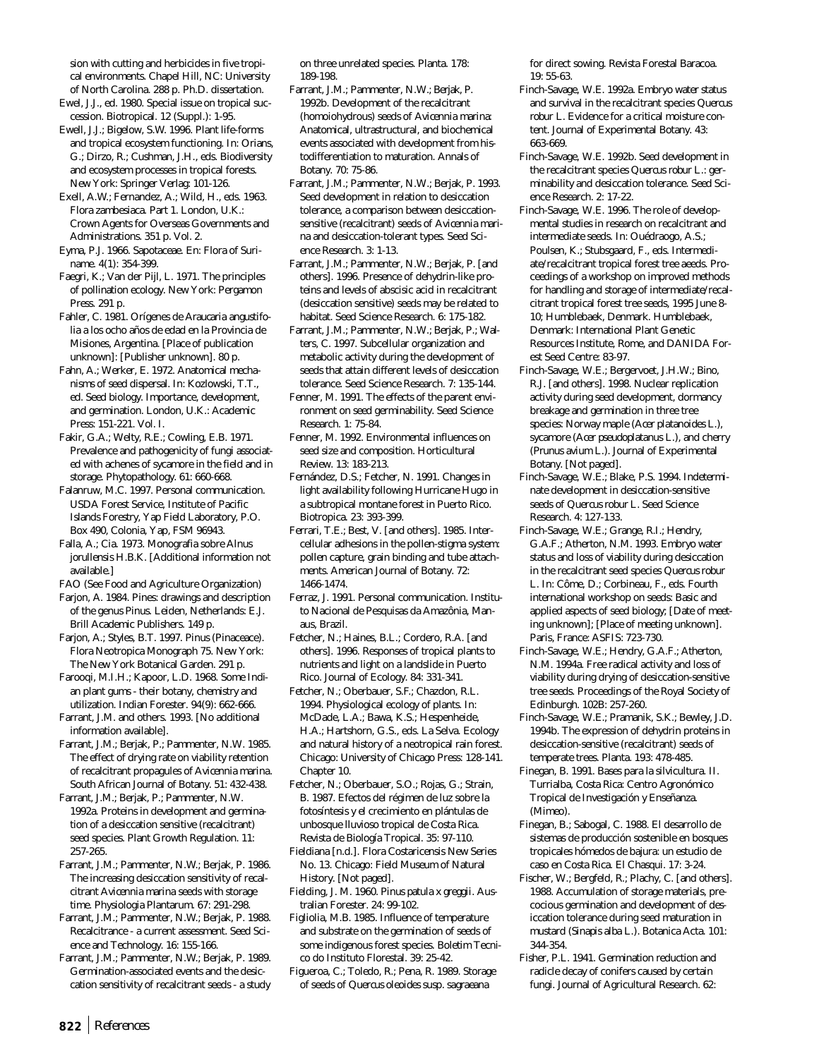sion with cutting and herbicides in five tropical environments. Chapel Hill, NC: University

- of North Carolina. 288 p. Ph.D. dissertation. Ewel, J.J., ed. 1980. Special issue on tropical succession. Biotropical. 12 (Suppl.): 1-95.
- Ewell, J.J.; Bigelow, S.W. 1996. Plant life-forms and tropical ecosystem functioning. In: Orians, G.; Dirzo, R.; Cushman, J.H., eds. Biodiversity and ecosystem processes in tropical forests. New York: Springer Verlag: 101-126.

Exell, A.W.; Fernandez, A.; Wild, H., eds. 1963. Flora zambesiaca. Part 1. London, U.K.: Crown Agents for Overseas Governments and Administrations. 351 p. Vol. 2.

- Eyma, P.J. 1966. Sapotaceae. En: Flora of Suriname. 4(1): 354-399.
- Faegri, K.; Van der Pijl, L. 1971. The principles of pollination ecology. New York: Pergamon Press. 291 p.

Fahler, C. 1981. Orígenes de *Araucaria angustifolia* a los ocho años de edad en la Provincia de Misiones, Argentina. [Place of publication unknown]: [Publisher unknown]. 80 p.

Fahn, A.; Werker, E. 1972. Anatomical mechanisms of seed dispersal. In: Kozlowski, T.T., ed. Seed biology. Importance, development, and germination. London, U.K.: Academic Press: 151-221. Vol. I.

Fakir, G.A.; Welty, R.E.; Cowling, E.B. 1971. Prevalence and pathogenicity of fungi associated with achenes of sycamore in the field and in storage. Phytopathology. 61: 660-668.

Falanruw, M.C. 1997. Personal communication. USDA Forest Service, Institute of Pacific Islands Forestry, Yap Field Laboratory, P.O. Box 490, Colonia, Yap, FSM 96943.

Falla, A.; Cia. 1973. Monografia sobre *Alnus jorullensis* H.B.K. [Additional information not available.]

FAO (See Food and Agriculture Organization)

- Farjon, A. 1984. Pines: drawings and description of the genus *Pinus*. Leiden, Netherlands: E.J. Brill Academic Publishers. 149 p.
- Farjon, A.; Styles, B.T. 1997. *Pinus* (Pinaceace). Flora Neotropica Monograph 75. New York: The New York Botanical Garden. 291 p.
- Farooqi, M.I.H.; Kapoor, L.D. 1968. Some Indian plant gums - their botany, chemistry and utilization. Indian Forester. 94(9): 662-666.
- Farrant, J.M. and others. 1993. [No additional information available].

Farrant, J.M.; Berjak, P.; Pammenter, N.W. 1985. The effect of drying rate on viability retention of recalcitrant propagules of *Avicennia marina*. South African Journal of Botany. 51: 432-438.

Farrant, J.M.; Berjak, P.; Pammenter, N.W. 1992a. Proteins in development and germination of a desiccation sensitive (recalcitrant) seed species. Plant Growth Regulation. 11: 257-265.

Farrant, J.M.; Pammenter, N.W.; Berjak, P. 1986. The increasing desiccation sensitivity of recalcitrant *Avicennia marina* seeds with storage time. Physiologia Plantarum. 67: 291-298.

Farrant, J.M.; Pammenter, N.W.; Berjak, P. 1988. Recalcitrance - a current assessment. Seed Science and Technology. 16: 155-166.

Farrant, J.M.; Pammenter, N.W.; Berjak, P. 1989. Germination-associated events and the desiccation sensitivity of recalcitrant seeds - a study

on three unrelated species. Planta. 178: 189-198.

- Farrant, J.M.; Pammenter, N.W.; Berjak, P. 1992b. Development of the recalcitrant (homoiohydrous) seeds of *Avicennia marina*: Anatomical, ultrastructural, and biochemical events associated with development from histodifferentiation to maturation. Annals of Botany. 70: 75-86.
- Farrant, J.M.; Pammenter, N.W.; Berjak, P. 1993. Seed development in relation to desiccation tolerance, a comparison between desiccationsensitive (recalcitrant) seeds of *Avicennia marina* and desiccation-tolerant types. Seed Science Research. 3: 1-13.
- Farrant, J.M.; Pammenter, N.W.; Berjak, P. [and others]. 1996. Presence of dehydrin-like proteins and levels of abscisic acid in recalcitrant (desiccation sensitive) seeds may be related to habitat. Seed Science Research. 6: 175-182.

Farrant, J.M.; Pammenter, N.W.; Berjak, P.; Walters, C. 1997. Subcellular organization and metabolic activity during the development of seeds that attain different levels of desiccation tolerance. Seed Science Research. 7: 135-144.

- Fenner, M. 1991. The effects of the parent environment on seed germinability. Seed Science Research. 1: 75-84.
- Fenner, M. 1992. Environmental influences on seed size and composition. Horticultural Review. 13: 183-213.

Fernández, D.S.; Fetcher, N. 1991. Changes in light availability following Hurricane Hugo in a subtropical montane forest in Puerto Rico. Biotropica. 23: 393-399.

Ferrari, T.E.; Best, V. [and others]. 1985. Intercellular adhesions in the pollen-stigma system: pollen capture, grain binding and tube attachments. American Journal of Botany. 72: 1466-1474.

- Ferraz, J. 1991. Personal communication. Instituto Nacional de Pesquisas da Amazônia, Manaus, Brazil.
- Fetcher, N.; Haines, B.L.; Cordero, R.A. [and others]. 1996. Responses of tropical plants to nutrients and light on a landslide in Puerto Rico. Journal of Ecology. 84: 331-341.

Fetcher, N.; Oberbauer, S.F.; Chazdon, R.L. 1994. Physiological ecology of plants. In: McDade, L.A.; Bawa, K.S.; Hespenheide, H.A.; Hartshorn, G.S., eds. La Selva. Ecology and natural history of a neotropical rain forest. Chicago: University of Chicago Press: 128-141. Chapter 10.

Fetcher, N.; Oberbauer, S.O.; Rojas, G.; Strain, B. 1987. Efectos del régimen de luz sobre la fotosíntesis y el crecimiento en plántulas de unbosque lluvioso tropical de Costa Rica. Revista de Biología Tropical. 35: 97-110.

Fieldiana [n.d.]. Flora Costaricensis New Series No. 13. Chicago: Field Museum of Natural History. [Not paged].

Fielding, J. M. 1960. *Pinus patula x greggii*. Australian Forester. 24: 99-102.

Figliolia, M.B. 1985. Influence of temperature and substrate on the germination of seeds of some indigenous forest species. Boletim Tecnico do Instituto Florestal. 39: 25-42.

Figueroa, C.; Toledo, R.; Pena, R. 1989. Storage of seeds of *Quercus oleoides* susp. sa*graeana*

for direct sowing. Revista Forestal Baracoa. 19: 55-63.

- Finch-Savage, W.E. 1992a. Embryo water status and survival in the recalcitrant species *Quercus robur* L. Evidence for a critical moisture content. Journal of Experimental Botany. 43: 663-669.
- Finch-Savage, W.E. 1992b. Seed development in the recalcitrant species *Quercus robur* L.: germinability and desiccation tolerance. Seed Science Research. 2: 17-22.
- Finch-Savage, W.E. 1996. The role of developmental studies in research on recalcitrant and intermediate seeds. In: Ouédraogo, A.S.; Poulsen, K.; Stubsgaard, F., eds. Intermediate/recalcitrant tropical forest tree aeeds. Proceedings of a workshop on improved methods for handling and storage of intermediate/recalcitrant tropical forest tree seeds, 1995 June 8- 10; Humblebaek, Denmark. Humblebaek, Denmark: International Plant Genetic Resources Institute, Rome, and DANIDA Forest Seed Centre: 83-97.
- Finch-Savage, W.E.; Bergervoet, J.H.W.; Bino, R.J. [and others]. 1998. Nuclear replication activity during seed development, dormancy breakage and germination in three tree species: Norway maple (*Acer platanoides* L.), sycamore (*Acer pseudoplatanus* L.), and cherry (*Prunus avium* L.). Journal of Experimental Botany. [Not paged].
- Finch-Savage, W.E.; Blake, P.S. 1994. Indeterminate development in desiccation-sensitive seeds of *Quercus robur* L. Seed Science Research. 4: 127-133.
- Finch-Savage, W.E.; Grange, R.I.; Hendry, G.A.F.; Atherton, N.M. 1993. Embryo water status and loss of viability during desiccation in the recalcitrant seed species *Quercus robur* L. In: Côme, D.; Corbineau, F., eds. Fourth international workshop on seeds: Basic and applied aspects of seed biology; [Date of meeting unknown]; [Place of meeting unknown]. Paris, France: ASFIS: 723-730.
- Finch-Savage, W.E.; Hendry, G.A.F.; Atherton, N.M. 1994a. Free radical activity and loss of viability during drying of desiccation-sensitive tree seeds. Proceedings of the Royal Society of Edinburgh. 102B: 257-260.
- Finch-Savage, W.E.; Pramanik, S.K.; Bewley, J.D. 1994b. The expression of dehydrin proteins in desiccation-sensitive (recalcitrant) seeds of temperate trees. Planta. 193: 478-485.
- Finegan, B. 1991. Bases para la silvicultura. II. Turrialba, Costa Rica: Centro Agronómico Tropical de Investigación y Enseñanza. (Mimeo).
- Finegan, B.; Sabogal, C. 1988. El desarrollo de sistemas de producción sostenible en bosques tropicales hómedos de bajura: un estudio de caso en Costa Rica. El Chasqui. 17: 3-24.
- Fischer, W.; Bergfeld, R.; Plachy, C. [and others]. 1988. Accumulation of storage materials, precocious germination and development of desiccation tolerance during seed maturation in mustard (*Sinapis alba* L.). Botanica Acta. 101: 344-354.
- Fisher, P.L. 1941. Germination reduction and radicle decay of conifers caused by certain fungi. Journal of Agricultural Research. 62: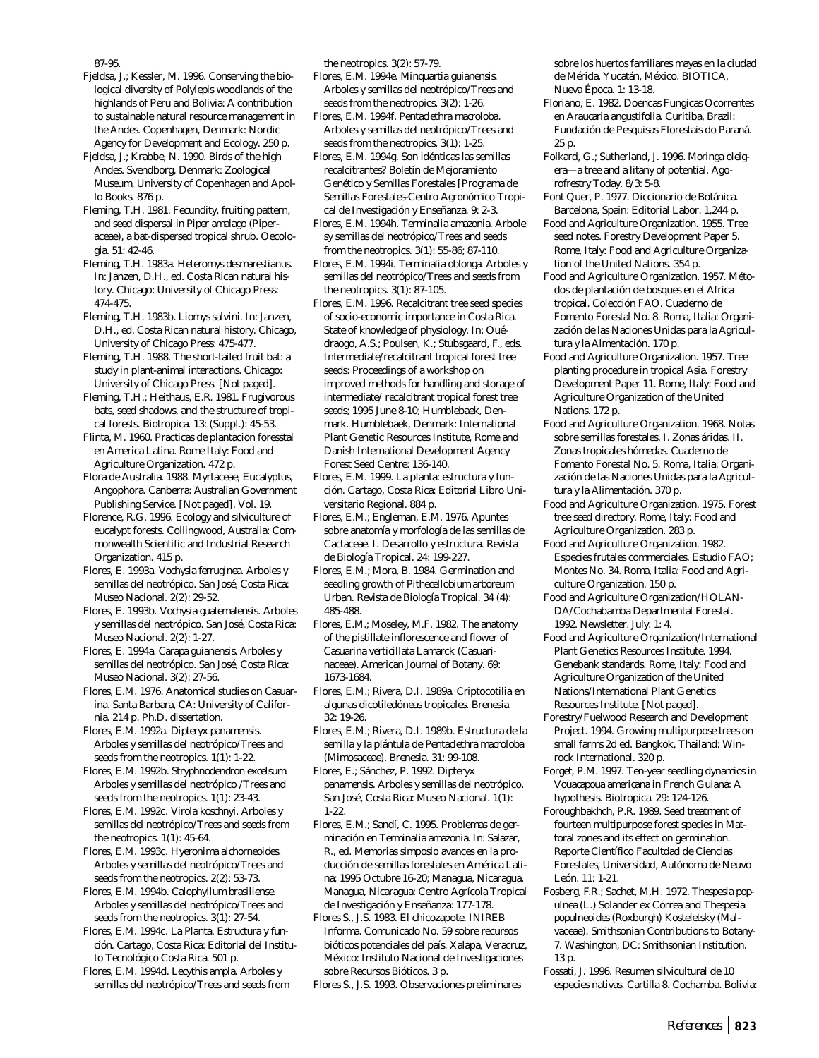87-95.

- Fjeldsa, J.; Kessler, M. 1996. Conserving the biological diversity of *Polylepis* woodlands of the highlands of Peru and Bolivia: A contribution to sustainable natural resource management in the Andes. Copenhagen, Denmark: Nordic Agency for Development and Ecology. 250 p.
- Fjeldsa, J.; Krabbe, N. 1990. Birds of the high Andes. Svendborg, Denmark: Zoological Museum, University of Copenhagen and Apollo Books. 876 p.
- Fleming, T.H. 1981. Fecundity, fruiting pattern, and seed dispersal in *Piper amalago* (Piperaceae), a bat-dispersed tropical shrub. Oecologia. 51: 42-46.
- Fleming, T.H. 1983a. *Heteromys desmarestianus*. In: Janzen, D.H., ed. Costa Rican natural history. Chicago: University of Chicago Press: 474-475.
- Fleming, T.H. 1983b. *Liomys salvini*. In: Janzen, D.H., ed. Costa Rican natural history. Chicago, University of Chicago Press: 475-477.
- Fleming, T.H. 1988. The short-tailed fruit bat: a study in plant-animal interactions. Chicago: University of Chicago Press. [Not paged].
- Fleming, T.H.; Heithaus, E.R. 1981. Frugivorous bats, seed shadows, and the structure of tropical forests. Biotropica. 13: (Suppl.): 45-53.
- Flinta, M. 1960. Practicas de plantacion foresstal en America Latina. Rome Italy: Food and Agriculture Organization. 472 p.
- Flora de Australia. 1988. Myrtaceae, Eucalyptus, Angophora. Canberra: Australian Government Publishing Service. [Not paged]. Vol. 19.
- Florence, R.G. 1996. Ecology and silviculture of eucalypt forests. Collingwood, Australia: Commonwealth Scientific and Industrial Research Organization. 415 p.
- Flores, E. 1993a. *Vochysia ferruginea*. Arboles y semillas del neotrópico. San José, Costa Rica: Museo Nacional. 2(2): 29-52.
- Flores, E. 1993b. *Vochysia guatemalensis*. Arboles y semillas del neotrópico. San José, Costa Rica: Museo Nacional. 2(2): 1-27.
- Flores, E. 1994a. *Carapa guianensis*. Arboles y semillas del neotrópico. San José, Costa Rica: Museo Nacional. 3(2): 27-56.
- Flores, E.M. 1976. Anatomical studies on *Casuarina*. Santa Barbara, CA: University of California. 214 p. Ph.D. dissertation.
- Flores, E.M. 1992a. *Dipteryx panamensis*. Arboles y semillas del neotrópico/Trees and seeds from the neotropics. 1(1): 1-22.
- Flores, E.M. 1992b. *Stryphnodendron excelsum*. Arboles y semillas del neotrópico /Trees and seeds from the neotropics. 1(1): 23-43.
- Flores, E.M. 1992c. *Virola koschnyi*. Arboles y semillas del neotrópico/Trees and seeds from the neotropics. 1(1): 45-64.
- Flores, E.M. 1993c. *Hyeronima alchorneoides*. Arboles y semillas del neotrópico/Trees and seeds from the neotropics. 2(2): 53-73.
- Flores, E.M. 1994b. *Calophyllum brasiliense*. Arboles y semillas del neotrópico/Trees and seeds from the neotropics. 3(1): 27-54.
- Flores, E.M. 1994c. *La Planta. Estructura y función*. Cartago, Costa Rica: Editorial del Instituto Tecnológico Costa Rica. 501 p.
- Flores, E.M. 1994d. *Lecythis ampla*. Arboles y semillas del neotrópico/Trees and seeds from

the neotropics. 3(2): 57-79.

- Flores, E.M. 1994e. *Minquartia guianensis*. Arboles y semillas del neotrópico/Trees and seeds from the neotropics. 3(2): 1-26.
- Flores, E.M. 1994f. *Pentaclethra macroloba*. Arboles y semillas del neotrópico/Trees and seeds from the neotropics. 3(1): 1-25.
- Flores, E.M. 1994g. Son idénticas las semillas recalcitrantes? Boletín de Mejoramiento Genético y Semillas Forestales [Programa de Semillas Forestales-Centro Agronómico Tropical de Investigación y Enseñanza. 9: 2-3.
- Flores, E.M. 1994h. *Terminalia amazonia*. Arbole sy semillas del neotrópico/Trees and seeds from the neotropics. 3(1): 55-86; 87-110.
- Flores, E.M. 1994i. *Terminalia oblonga*. Arboles y semillas del neotrópico/Trees and seeds from the neotropics. 3(1): 87-105.
- Flores, E.M. 1996. Recalcitrant tree seed species of socio-economic importance in Costa Rica. State of knowledge of physiology. In: Ouédraogo, A.S.; Poulsen, K.; Stubsgaard, F., eds. Intermediate/recalcitrant tropical forest tree seeds: Proceedings of a workshop on improved methods for handling and storage of intermediate/ recalcitrant tropical forest tree seeds; 1995 June 8-10; Humblebaek, Denmark. Humblebaek, Denmark: International Plant Genetic Resources Institute, Rome and Danish International Development Agency Forest Seed Centre: 136-140.
- Flores, E.M. 1999. La planta: estructura y función. Cartago, Costa Rica: Editorial Libro Universitario Regional. 884 p.
- Flores, E.M.; Engleman, E.M. 1976. Apuntes sobre anatomía y morfología de las semillas de Cactaceae. I. Desarrollo y estructura. Revista de Biología Tropical. 24: 199-227.
- Flores, E.M.; Mora, B. 1984. Germination and seedling growth of *Pithecellobium arboreum* Urban. Revista de Biología Tropical. 34 (4): 485-488.
- Flores, E.M.; Moseley, M.F. 1982. The anatomy of the pistillate inflorescence and flower of *Casuarina verticillata* Lamarck (Casuarinaceae). American Journal of Botany. 69: 1673-1684.
- Flores, E.M.; Rivera, D.I. 1989a. Criptocotilia en algunas dicotiledóneas tropicales. Brenesia. 32: 19-26.
- Flores, E.M.; Rivera, D.I. 1989b. Estructura de la semilla y la plántula de *Pentaclethra macroloba* (Mimosaceae). Brenesia. 31: 99-108.
- Flores, E.; Sánchez, P. 1992. *Dipteryx panamensis*. Arboles y semillas del neotrópico. San José, Costa Rica: Museo Nacional. 1(1): 1-22.
- Flores, E.M.; Sandí, C. 1995. Problemas de germinación en *Terminalia amazonia*. In: Salazar, R., ed. Memorias simposio avances en la producción de semillas forestales en América Latina; 1995 Octubre 16-20; Managua, Nicaragua. Managua, Nicaragua: Centro Agrícola Tropical de Investigación y Enseñanza: 177-178.
- Flores S., J.S. 1983. El chicozapote. INIREB Informa. Comunicado No. 59 sobre recursos bióticos potenciales del país. Xalapa, Veracruz, México: Instituto Nacional de Investigaciones sobre Recursos Bióticos. 3 p.

Flores S., J.S. 1993. Observaciones preliminares

sobre los huertos familiares mayas en la ciudad de Mérida, Yucatán, México. BIOTICA, Nueva Época. 1: 13-18.

- Floriano, E. 1982. Doencas Fungicas Ocorrentes en *Araucaria angustifolia*. Curitiba, Brazil: Fundación de Pesquisas Florestais do Paraná. 25 p.
- Folkard, G.; Sutherland, J. 1996. *Moringa oleigera—*a tree and a litany of potential. Agorofrestry Today. 8/3: 5-8.
- Font Quer, P. 1977. Diccionario de Botánica. Barcelona, Spain: Editorial Labor. 1,244 p.
- Food and Agriculture Organization. 1955. Tree seed notes. Forestry Development Paper 5. Rome, Italy: Food and Agriculture Organization of the United Nations. 354 p.
- Food and Agriculture Organization. 1957. Métodos de plantación de bosques en el Africa tropical. Colección FAO. Cuaderno de Fomento Forestal No. 8. Roma, Italia: Organización de las Naciones Unidas para la Agricultura y la Almentación. 170 p.
- Food and Agriculture Organization. 1957. Tree planting procedure in tropical Asia. Forestry Development Paper 11. Rome, Italy: Food and Agriculture Organization of the United Nations. 172 p.
- Food and Agriculture Organization. 1968. Notas sobre semillas forestales. I. Zonas áridas. II. Zonas tropicales hómedas. Cuaderno de Fomento Forestal No. 5. Roma, Italia: Organización de las Naciones Unidas para la Agricultura y la Alimentación. 370 p.
- Food and Agriculture Organization. 1975. Forest tree seed directory. Rome, Italy: Food and Agriculture Organization. 283 p.
- Food and Agriculture Organization. 1982. Especies frutales commerciales. Estudio FAO; Montes No. 34. Roma, Italia: Food and Agriculture Organization. 150 p.
- Food and Agriculture Organization/HOLAN-DA/Cochabamba Departmental Forestal. 1992. Newsletter. July. 1: 4.
- Food and Agriculture Organization/International Plant Genetics Resources Institute. 1994. Genebank standards. Rome, Italy: Food and Agriculture Organization of the United Nations/International Plant Genetics Resources Institute. [Not paged].
- Forestry/Fuelwood Research and Development Project. 1994. Growing multipurpose trees on small farms 2d ed. Bangkok, Thailand: Winrock International. 320 p.
- Forget, P.M. 1997. Ten-year seedling dynamics in *Vouacapoua americana* in French Guiana: A hypothesis. Biotropica. 29: 124-126.
- Foroughbakhch, P.R. 1989. Seed treatment of fourteen multipurpose forest species in Mattoral zones and its effect on germination. Reporte Científico Facultdad de Ciencias Forestales, Universidad, Autónoma de Neuvo León. 11: 1-21.
- Fosberg, F.R.; Sachet, M.H. 1972. *Thespesia populnea* (L.) Solander ex Correa and *Thespesia populneoides* (Roxburgh) Kosteletsky (Malvaceae). Smithsonian Contributions to Botany-7. Washington, DC: Smithsonian Institution. 13 p.
- Fossati, J. 1996. Resumen silvicultural de 10 especies nativas. Cartilla 8. Cochamba. Bolivia: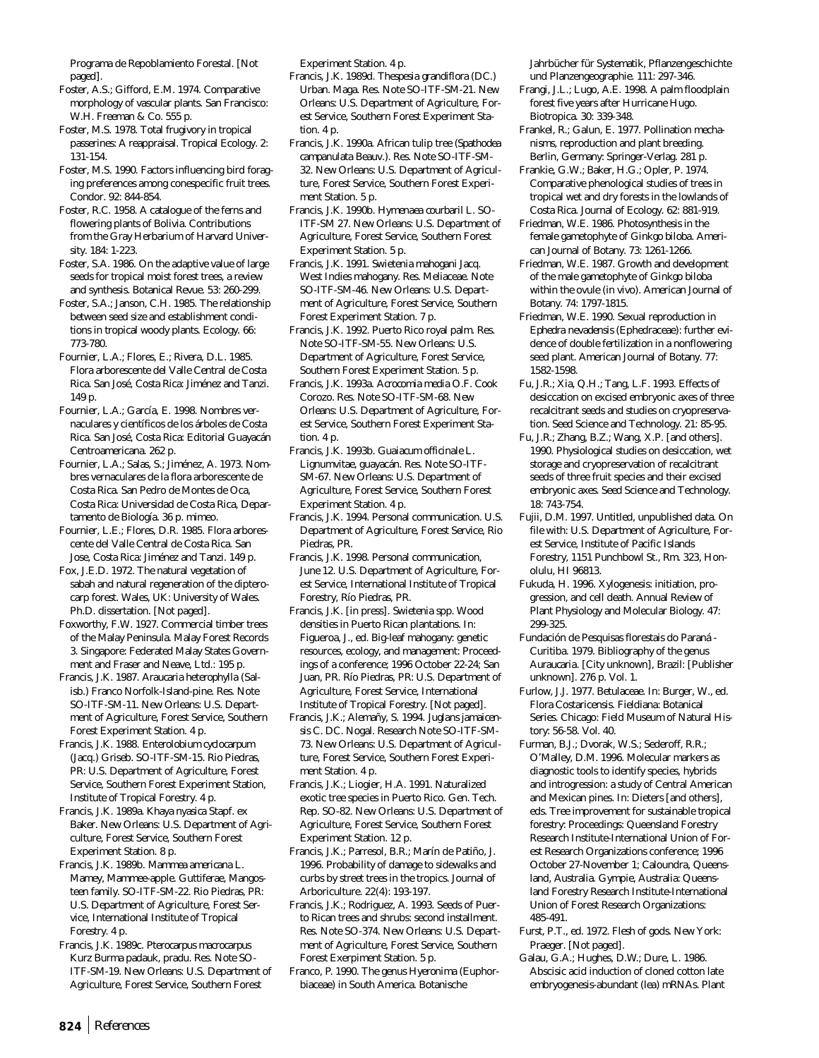Programa de Repoblamiento Forestal. [Not paged].

Foster, A.S.; Gifford, E.M. 1974. Comparative morphology of vascular plants. San Francisco: W.H. Freeman & Co. 555 p.

Foster, M.S. 1978. Total frugivory in tropical passerines: A reappraisal. Tropical Ecology. 2: 131-154.

Foster, M.S. 1990. Factors influencing bird foraging preferences among conespecific fruit trees. Condor. 92: 844-854.

Foster, R.C. 1958. A catalogue of the ferns and flowering plants of Bolivia. Contributions from the Gray Herbarium of Harvard University. 184: 1-223.

Foster, S.A. 1986. On the adaptive value of large seeds for tropical moist forest trees, a review and synthesis. Botanical Revue. 53: 260-299.

Foster, S.A.; Janson, C.H. 1985. The relationship between seed size and establishment conditions in tropical woody plants. Ecology. 66: 773-780.

Fournier, L.A.; Flores, E.; Rivera, D.L. 1985. Flora arborescente del Valle Central de Costa Rica. San José, Costa Rica: Jiménez and Tanzi. 149 p.

Fournier, L.A.; García, E. 1998. Nombres vernaculares y científicos de los árboles de Costa Rica. San José, Costa Rica: Editorial Guayacán Centroamericana. 262 p.

Fournier, L.A.; Salas, S.; Jiménez, A. 1973. Nombres vernaculares de la flora arborescente de Costa Rica. San Pedro de Montes de Oca, Costa Rica: Universidad de Costa Rica, Departamento de Biología. 36 p. mimeo.

Fournier, L.E.; Flores, D.R. 1985. Flora arborescente del Valle Central de Costa Rica. San Jose, Costa Rica: Jiménez and Tanzi. 149 p.

Fox, J.E.D. 1972. The natural vegetation of sabah and natural regeneration of the dipterocarp forest. Wales, UK: University of Wales. Ph.D. dissertation. [Not paged].

Foxworthy, F.W. 1927. Commercial timber trees of the Malay Peninsula. Malay Forest Records 3. Singapore: Federated Malay States Government and Fraser and Neave, Ltd.: 195 p.

Francis, J.K. 1987. *Araucaria heterophylla* (Salisb.) Franco Norfolk-Island-pine. Res. Note SO-ITF-SM-11. New Orleans: U.S. Department of Agriculture, Forest Service, Southern Forest Experiment Station. 4 p.

Francis, J.K. 1988. *Enterolobium cyclocarpum* (Jacq.) Griseb. SO-ITF-SM-15. Rio Piedras, PR: U.S. Department of Agriculture, Forest Service, Southern Forest Experiment Station, Institute of Tropical Forestry. 4 p.

Francis, J.K. 1989a. *Khaya nyasica* Stapf. ex Baker. New Orleans: U.S. Department of Agriculture, Forest Service, Southern Forest Experiment Station. 8 p.

Francis, J.K. 1989b. *Mammea americana* L. Mamey, Mammee-apple. Guttiferae, Mangosteen family. SO-ITF-SM-22. Rio Piedras, PR: U.S. Department of Agriculture, Forest Service, International Institute of Tropical Forestry. 4 p.

Francis, J.K. 1989c. *Pterocarpus macrocarpus* Kurz Burma padauk, pradu. Res. Note SO-ITF-SM-19. New Orleans: U.S. Department of Agriculture, Forest Service, Southern Forest

Experiment Station. 4 p.

- Francis, J.K. 1989d. *Thespesia grandiflora* (DC.) Urban. Maga. Res. Note SO-ITF-SM-21. New Orleans: U.S. Department of Agriculture, Forest Service, Southern Forest Experiment Station. 4 p.
- Francis, J.K. 1990a. African tulip tree (*Spathodea campanulata* Beauv.). Res. Note SO-ITF-SM-32. New Orleans: U.S. Department of Agriculture, Forest Service, Southern Forest Experiment Station. 5 p.

Francis, J.K. 1990b. *Hymenaea courbaril* L. SO-ITF-SM 27. New Orleans: U.S. Department of Agriculture, Forest Service, Southern Forest Experiment Station. 5 p.

Francis, J.K. 1991. *Swietenia mahogani* Jacq. West Indies mahogany. Res. Meliaceae. Note SO-ITF-SM-46. New Orleans: U.S. Department of Agriculture, Forest Service, Southern Forest Experiment Station. 7 p.

Francis, J.K. 1992. Puerto Rico royal palm. Res. Note SO-ITF-SM-55. New Orleans: U.S. Department of Agriculture, Forest Service, Southern Forest Experiment Station. 5 p.

Francis, J.K. 1993a. *Acrocomia media* O.F. Cook Corozo. Res. Note SO-ITF-SM-68. New Orleans: U.S. Department of Agriculture, Forest Service, Southern Forest Experiment Station. 4 p.

Francis, J.K. 1993b. *Guaiacum officinale* L. Lignumvitae, guayacán. Res. Note SO-ITF-SM-67. New Orleans: U.S. Department of Agriculture, Forest Service, Southern Forest Experiment Station. 4 p.

Francis, J.K. 1994. Personal communication. U.S. Department of Agriculture, Forest Service, Rio Piedras, PR.

Francis, J.K. 1998. Personal communication, June 12. U.S. Department of Agriculture, Forest Service, International Institute of Tropical Forestry, Río Piedras, PR.

Francis, J.K. [in press]. *Swietenia* spp. Wood densities in Puerto Rican plantations. In: Figueroa, J., ed. Big-leaf mahogany: genetic resources, ecology, and management: Proceedings of a conference; 1996 October 22-24; San Juan, PR. Río Piedras, PR: U.S. Department of Agriculture, Forest Service, International Institute of Tropical Forestry. [Not paged].

Francis, J.K.; Alemañy, S. 1994. *Juglans jamaicensis* C. DC. Nogal. Research Note SO-ITF-SM-73. New Orleans: U.S. Department of Agriculture, Forest Service, Southern Forest Experiment Station. 4 p.

Francis, J.K.; Liogier, H.A. 1991. Naturalized exotic tree species in Puerto Rico. Gen. Tech. Rep. SO-82. New Orleans: U.S. Department of Agriculture, Forest Service, Southern Forest Experiment Station. 12 p.

Francis, J.K.; Parresol, B.R.; Marín de Patiño, J. 1996. Probability of damage to sidewalks and curbs by street trees in the tropics. Journal of Arboriculture. 22(4): 193-197.

Francis, J.K.; Rodriguez, A. 1993. Seeds of Puerto Rican trees and shrubs: second installment. Res. Note SO-374. New Orleans: U.S. Department of Agriculture, Forest Service, Southern Forest Exerpiment Station. 5 p.

Franco, P. 1990. The genus *Hyeronima* (Euphorbiaceae) in South America. Botanische

Jahrbücher für Systematik, Pflanzengeschichte und Planzengeographie. 111: 297-346.

Frangi, J.L.; Lugo, A.E. 1998. A palm floodplain forest five years after Hurricane Hugo. Biotropica. 30: 339-348.

Frankel, R.; Galun, E. 1977. Pollination mechanisms, reproduction and plant breeding. Berlin, Germany: Springer-Verlag. 281 p.

- Frankie, G.W.; Baker, H.G.; Opler, P. 1974. Comparative phenological studies of trees in tropical wet and dry forests in the lowlands of Costa Rica. Journal of Ecology. 62: 881-919.
- Friedman, W.E. 1986. Photosynthesis in the female gametophyte of *Ginkgo biloba*. American Journal of Botany. 73: 1261-1266.
- Friedman, W.E. 1987. Growth and development of the male gametophyte of *Ginkgo biloba* within the ovule (in vivo). American Journal of Botany. 74: 1797-1815.
- Friedman, W.E. 1990. Sexual reproduction in *Ephedra nevadensis* (Ephedraceae): further evidence of double fertilization in a nonflowering seed plant. American Journal of Botany. 77: 1582-1598.
- Fu, J.R.; Xia, Q.H.; Tang, L.F. 1993. Effects of desiccation on excised embryonic axes of three recalcitrant seeds and studies on cryopreservation. Seed Science and Technology. 21: 85-95.
- Fu, J.R.; Zhang, B.Z.; Wang, X.P. [and others]. 1990. Physiological studies on desiccation, wet storage and cryopreservation of recalcitrant seeds of three fruit species and their excised embryonic axes. Seed Science and Technology. 18: 743-754.
- Fujii, D.M. 1997. Untitled, unpublished data. On file with: U.S. Department of Agriculture, Forest Service, Institute of Pacific Islands Forestry, 1151 Punchbowl St., Rm. 323, Honolulu, HI 96813.
- Fukuda, H. 1996. Xylogenesis: initiation, progression, and cell death. Annual Review of Plant Physiology and Molecular Biology. 47: 299-325.
- Fundación de Pesquisas florestais do Paraná Curitiba. 1979. Bibliography of the genus *Auraucaria*. [City unknown], Brazil: [Publisher unknown]. 276 p. Vol. 1.
- Furlow, J.J. 1977. Betulaceae. In: Burger, W., ed. Flora Costaricensis. Fieldiana: Botanical Series. Chicago: Field Museum of Natural History: 56-58. Vol. 40.
- Furman, B.J.; Dvorak, W.S.; Sederoff, R.R.; O'Malley, D.M. 1996. Molecular markers as diagnostic tools to identify species, hybrids and introgression: a study of Central American and Mexican pines. In: Dieters [and others], eds. Tree improvement for sustainable tropical forestry: Proceedings: Queensland Forestry Research Institute-International Union of Forest Research Organizations conference; 1996 October 27-November 1; Caloundra, Queensland, Australia. Gympie, Australia: Queensland Forestry Research Institute-International Union of Forest Research Organizations: 485-491.
- Furst, P.T., ed. 1972. Flesh of gods. New York: Praeger. [Not paged].
- Galau, G.A.; Hughes, D.W.; Dure, L. 1986. Abscisic acid induction of cloned cotton late embryogenesis-abundant (*lea*) mRNAs. Plant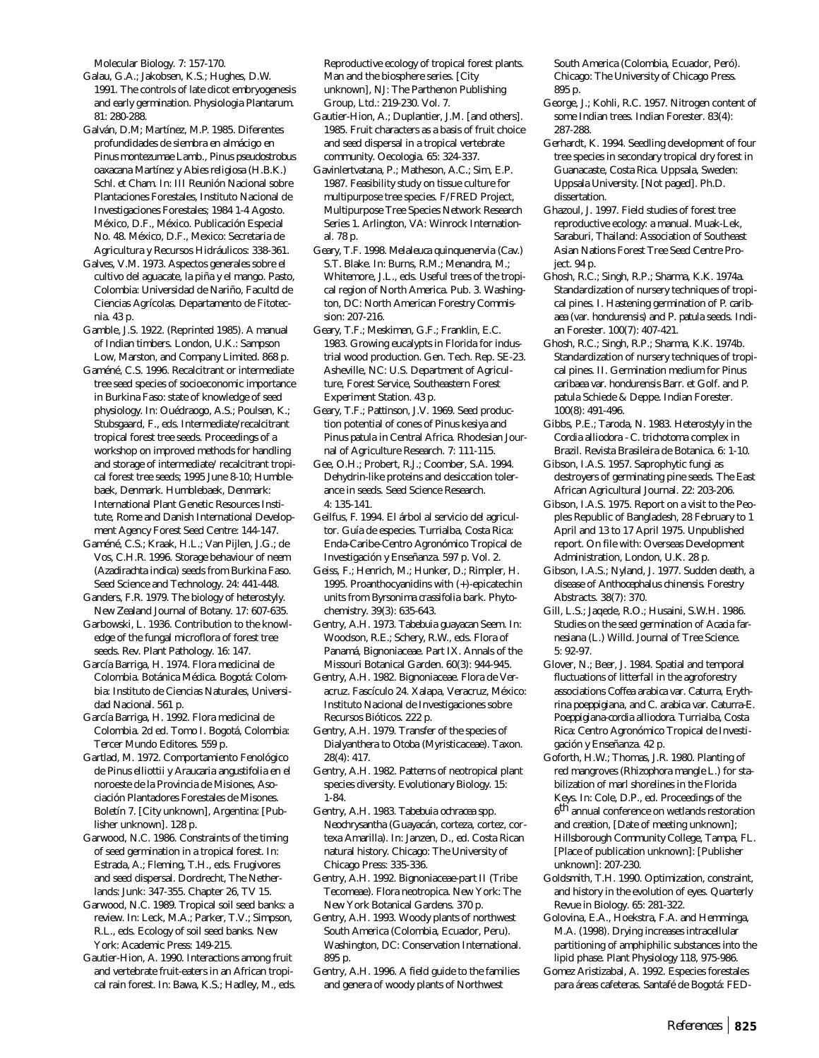Molecular Biology. 7: 157-170.

Galau, G.A.; Jakobsen, K.S.; Hughes, D.W. 1991. The controls of late dicot embryogenesis and early germination. Physiologia Plantarum. 81: 280-288.

Galván, D.M; Martínez, M.P. 1985. Diferentes profundidades de siembra en almácigo en *Pinus montezumae* Lamb., *Pinus pseudostrobus oaxacana* Martínez y *Abies religiosa* (H.B.K.) Schl. *et* Cham. In: III Reunión Nacional sobre Plantaciones Forestales, Instituto Nacional de Investigaciones Forestales; 1984 1-4 Agosto. México, D.F., México. Publicación Especial No. 48. México, D.F., Mexico: Secretaria de Agricultura y Recursos Hidráulicos: 338-361.

Galves, V.M. 1973. Aspectos generales sobre el cultivo del aguacate, la piña y el mango. Pasto, Colombia: Universidad de Nariño, Facultd de Ciencias Agrícolas. Departamento de Fitotecnia. 43 p.

Gamble, J.S. 1922. (Reprinted 1985). A manual of Indian timbers. London, U.K.: Sampson Low, Marston, and Company Limited. 868 p.

Gaméné, C.S. 1996. Recalcitrant or intermediate tree seed species of socioeconomic importance in Burkina Faso: state of knowledge of seed physiology. In: Ouédraogo, A.S.; Poulsen, K.; Stubsgaard, F., eds. Intermediate/recalcitrant tropical forest tree seeds. Proceedings of a workshop on improved methods for handling and storage of intermediate/ recalcitrant tropical forest tree seeds; 1995 June 8-10; Humblebaek, Denmark. Humblebaek, Denmark: International Plant Genetic Resources Institute, Rome and Danish International Development Agency Forest Seed Centre: 144-147.

Gaméné, C.S.; Kraak, H.L.; Van Pijlen, J.G.; de Vos, C.H.R. 1996. Storage behaviour of neem (*Azadirachta indica*) seeds from Burkina Faso. Seed Science and Technology. 24: 441-448.

Ganders, F.R. 1979. The biology of heterostyly. New Zealand Journal of Botany. 17: 607-635.

Garbowski, L. 1936. Contribution to the knowledge of the fungal microflora of forest tree seeds. Rev. Plant Pathology. 16: 147.

García Barriga, H. 1974. Flora medicinal de Colombia. Botánica Médica. Bogotá: Colombia: Instituto de Ciencias Naturales, Universidad Nacional. 561 p.

García Barriga, H. 1992. Flora medicinal de Colombia. 2d ed. Tomo I. Bogotá, Colombia: Tercer Mundo Editores. 559 p.

Gartlad, M. 1972. Comportamiento Fenológico de *Pinus elliottii* y *Araucaria angustifolia* en el noroeste de la Provincia de Misiones, Asociación Plantadores Forestales de Misones. Boletín 7. [City unknown], Argentina: [Publisher unknown]. 128 p.

Garwood, N.C. 1986. Constraints of the timing of seed germination in a tropical forest. In: Estrada, A.; Fleming, T.H., eds. Frugivores and seed dispersal. Dordrecht, The Netherlands: Junk: 347-355. Chapter 26, TV 15.

Garwood, N.C. 1989. Tropical soil seed banks: a review. In: Leck, M.A.; Parker, T.V.; Simpson, R.L., eds. Ecology of soil seed banks. New York: Academic Press: 149-215.

Gautier-Hion, A. 1990. Interactions among fruit and vertebrate fruit-eaters in an African tropical rain forest. In: Bawa, K.S.; Hadley, M., eds.

Reproductive ecology of tropical forest plants. Man and the biosphere series. [City unknown], NJ: The Parthenon Publishing Group, Ltd.: 219-230. Vol. 7.

Gautier-Hion, A.; Duplantier, J.M. [and others]. 1985. Fruit characters as a basis of fruit choice and seed dispersal in a tropical vertebrate community. Oecologia. 65: 324-337.

Gavinlertvatana, P.; Matheson, A.C.; Sim, E.P. 1987. Feasibility study on tissue culture for multipurpose tree species. F/FRED Project, Multipurpose Tree Species Network Research Series 1. Arlington, VA: Winrock International. 78 p.

Geary, T.F. 1998. *Melaleuca quinquenervia* (Cav.) S.T. Blake. In: Burns, R.M.; Menandra, M.; Whitemore, J.L., eds. Useful trees of the tropical region of North America. Pub. 3. Washington, DC: North American Forestry Commission: 207-216.

Geary, T.F.; Meskimen, G.F.; Franklin, E.C. 1983. Growing eucalypts in Florida for industrial wood production. Gen. Tech. Rep. SE-23. Asheville, NC: U.S. Department of Agriculture, Forest Service, Southeastern Forest Experiment Station. 43 p.

Geary, T.F.; Pattinson, J.V. 1969. Seed production potential of cones of *Pinus kesiya* and *Pinus patula* in Central Africa. Rhodesian Journal of Agriculture Research. 7: 111-115.

Gee, O.H.; Probert, R.J.; Coomber, S.A. 1994. Dehydrin-like proteins and desiccation tolerance in seeds. Seed Science Research. 4: 135-141.

Geilfus, F. 1994. El árbol al servicio del agricultor. Guía de especies. Turrialba, Costa Rica: Enda-Caribe-Centro Agronómico Tropical de Investigación y Enseñanza. 597 p. Vol. 2.

Geiss, F.; Henrich, M.; Hunker, D.; Rimpler, H. 1995. Proanthocyanidins with (+)-epicatechin units from *Byrsonima crassifolia* bark. Phytochemistry. 39(3): 635-643.

Gentry, A.H. 1973. *Tabebuia guayacan* Seem. In: Woodson, R.E.; Schery, R.W., eds. Flora of Panamá, Bignoniaceae. Part IX. Annals of the Missouri Botanical Garden. 60(3): 944-945.

Gentry, A.H. 1982. Bignoniaceae. Flora de Veracruz. Fascículo 24. Xalapa, Veracruz, México: Instituto Nacional de Investigaciones sobre Recursos Bióticos. 222 p.

Gentry, A.H. 1979. Transfer of the species of *Dialyanthera* to *Otoba* (Myristicaceae). Taxon. 28(4): 417.

Gentry, A.H. 1982. Patterns of neotropical plant species diversity. Evolutionary Biology. 15: 1-84.

Gentry, A.H. 1983. *Tabebuia ochracea* spp. *Neochrysantha* (Guayacán, corteza, cortez, cortexa Amarilla). In: Janzen, D., ed. Costa Rican natural history. Chicago: The University of Chicago Press: 335-336.

Gentry, A.H. 1992. Bignoniaceae-part II (Tribe Tecomeae). Flora neotropica. New York: The New York Botanical Gardens. 370 p.

Gentry, A.H. 1993. Woody plants of northwest South America (Colombia, Ecuador, Peru). Washington, DC: Conservation International. 895 p.

Gentry, A.H. 1996. A field guide to the families and genera of woody plants of Northwest

South America (Colombia, Ecuador, Peró). Chicago: The University of Chicago Press. 895 p.

George, J.; Kohli, R.C. 1957. Nitrogen content of some Indian trees. Indian Forester. 83(4): 287-288.

Gerhardt, K. 1994. Seedling development of four tree species in secondary tropical dry forest in Guanacaste, Costa Rica. Uppsala, Sweden: Uppsala University. [Not paged]. Ph.D. dissertation.

Ghazoul, J. 1997. Field studies of forest tree reproductive ecology: a manual. Muak-Lek, Saraburi, Thailand: Association of Southeast Asian Nations Forest Tree Seed Centre Project. 94 p.

Ghosh, R.C.; Singh, R.P.; Sharma, K.K. 1974a. Standardization of nursery techniques of tropical pines. I. Hastening germination of *P. caribaea* (var. *hondurensis*) and *P. patula* seeds. Indian Forester. 100(7): 407-421.

Ghosh, R.C.; Singh, R.P.; Sharma, K.K. 1974b. Standardization of nursery techniques of tropical pines. II. Germination medium for *Pinus caribaea* var. *hondurensis* Barr. et Golf. and *P. patula* Schiede & Deppe. Indian Forester. 100(8): 491-496.

Gibbs, P.E.; Taroda, N. 1983. Heterostyly in the *Cordia alliodora - C. trichotoma* complex in Brazil. Revista Brasileira de Botanica. 6: 1-10.

Gibson, I.A.S. 1957. Saprophytic fungi as destroyers of germinating pine seeds. The East African Agricultural Journal. 22: 203-206.

Gibson, I.A.S. 1975. Report on a visit to the Peoples Republic of Bangladesh, 28 February to 1 April and 13 to 17 April 1975. Unpublished report. On file with: Overseas Development Administration, London, U.K. 28 p.

Gibson, I.A.S.; Nyland, J. 1977. Sudden death, a disease of *Anthocephalus chinensis*. Forestry Abstracts. 38(7): 370.

Gill, L.S.; Jaqede, R.O.; Husaini, S.W.H. 1986. Studies on the seed germination of *Acacia farnesiana* (L.) Willd. Journal of Tree Science. 5: 92-97.

Glover, N.; Beer, J. 1984. Spatial and temporal fluctuations of litterfall in the agroforestry associations *Coffea arabica var. Caturra, Erythrina poeppigiana*, and *C. arabica var. Caturra-E. Poeppigiana-cordia alliodora*. Turrialba, Costa Rica: Centro Agronómico Tropical de Investigación y Enseñanza. 42 p.

Goforth, H.W.; Thomas, J.R. 1980. Planting of red mangroves (*Rhizophora mangle* L.) for stabilization of marl shorelines in the Florida Keys. In: Cole, D.P., ed. Proceedings of the  $6^{\rm th}$  annual conference on wetlands restoration and creation, [Date of meeting unknown]; Hillsborough Community College, Tampa, FL. [Place of publication unknown]: [Publisher unknown]: 207-230.

Goldsmith, T.H. 1990. Optimization, constraint, and history in the evolution of eyes. Quarterly Revue in Biology. 65: 281-322.

Golovina, E.A., Hoekstra, F.A. and Hemminga, M.A. (1998). Drying increases intracellular partitioning of amphiphilic substances into the lipid phase. *Plant Physiology* 118, 975-986.

Gomez Aristizabal, A. 1992. Especies forestales para áreas cafeteras. Santafé de Bogotá: FED-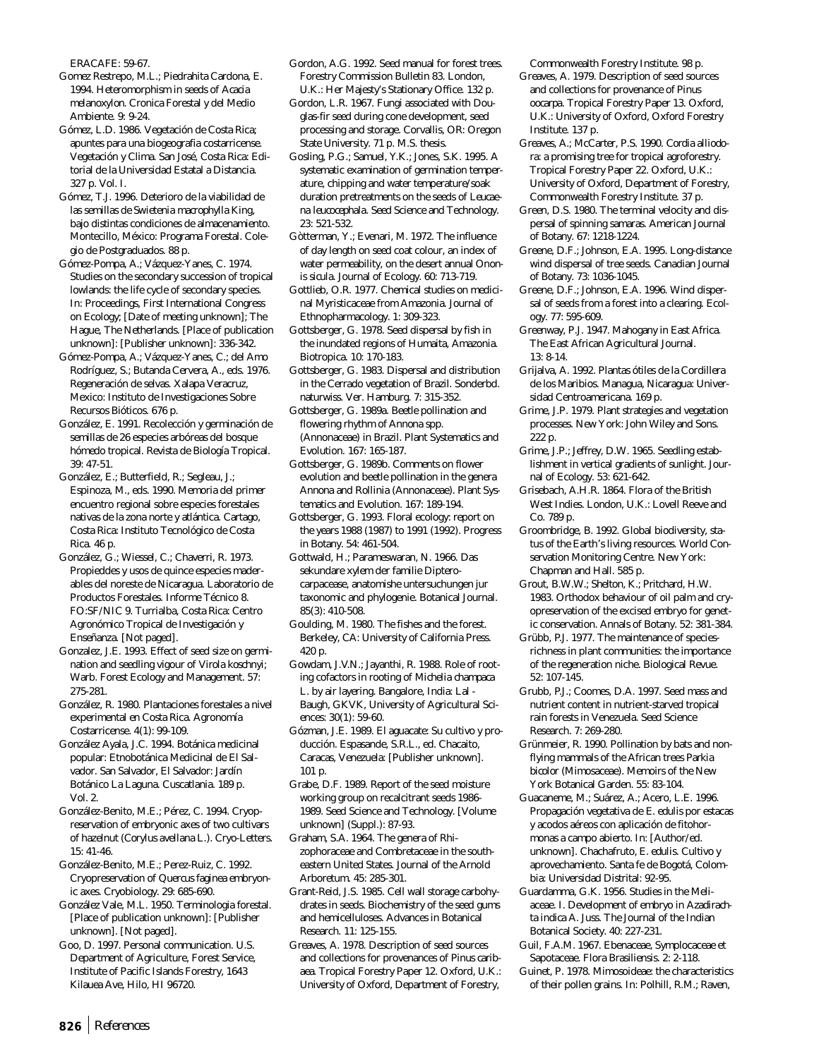ERACAFE: 59-67.

Gomez Restrepo, M.L.; Piedrahita Cardona, E. 1994. Heteromorphism in seeds of *Acacia melanoxylon*. Cronica Forestal y del Medio Ambiente. 9: 9-24.

Gómez, L.D. 1986. Vegetación de Costa Rica; apuntes para una biogeografia costarricense. Vegetación y Clima. San José, Costa Rica: Editorial de la Universidad Estatal a Distancia. 327 p. Vol. I.

Gómez, T.J. 1996. Deterioro de la viabilidad de las semillas de *Swietenia macrophylla* King, bajo distintas condiciones de almacenamiento. Montecillo, México: Programa Forestal. Colegio de Postgraduados. 88 p.

Gómez-Pompa, A.; Vázquez-Yanes, C. 1974. Studies on the secondary succession of tropical lowlands: the life cycle of secondary species. In: Proceedings, First International Congress on Ecology; [Date of meeting unknown]; The Hague, The Netherlands. [Place of publication unknown]: [Publisher unknown]: 336-342.

Gómez-Pompa, A.; Vázquez-Yanes, C.; del Amo Rodríguez, S.; Butanda Cervera, A., eds. 1976. Regeneración de selvas. Xalapa Veracruz, Mexico: Instituto de Investigaciones Sobre Recursos Bióticos. 676 p.

González, E. 1991. Recolección y germinación de semillas de 26 especies arbóreas del bosque hómedo tropical. Revista de Biología Tropical. 39: 47-51.

González, E.; Butterfield, R.; Segleau, J.; Espinoza, M., eds. 1990. Memoria del primer encuentro regional sobre especies forestales nativas de la zona norte y atlántica. Cartago, Costa Rica: Instituto Tecnológico de Costa Rica. 46 p.

González, G.; Wiessel, C.; Chaverri, R. 1973. Propieddes y usos de quince especies maderables del noreste de Nicaragua. Laboratorio de Productos Forestales. Informe Técnico 8. FO:SF/NIC 9. Turrialba, Costa Rica: Centro Agronómico Tropical de Investigación y Enseñanza. [Not paged].

Gonzalez, J.E. 1993. Effect of seed size on germination and seedling vigour of *Virola koschnyi*; Warb. Forest Ecology and Management. 57: 275-281.

González, R. 1980. Plantaciones forestales a nivel experimental en Costa Rica. Agronomía Costarricense. 4(1): 99-109.

González Ayala, J.C. 1994. Botánica medicinal popular: Etnobotánica Medicinal de El Salvador. San Salvador, El Salvador: Jardín Botánico La Laguna. Cuscatlania. 189 p. Vol. 2.

González-Benito, M.E.; Pérez, C. 1994. Cryopreservation of embryonic axes of two cultivars of hazelnut (*Corylus avellana* L.). Cryo-Letters.  $15: 41-46$ 

González-Benito, M.E.; Perez-Ruiz, C. 1992. Cryopreservation of *Quercus faginea* embryonic axes. Cryobiology. 29: 685-690.

González Vale, M.L. 1950. Terminologia forestal. [Place of publication unknown]: [Publisher unknown]. [Not paged].

Goo, D. 1997. Personal communication. U.S. Department of Agriculture, Forest Service, Institute of Pacific Islands Forestry, 1643 Kilauea Ave, Hilo, HI 96720.

Gordon, A.G. 1992. Seed manual for forest trees. Forestry Commission Bulletin 83. London, U.K.: Her Majesty's Stationary Office. 132 p.

Gordon, L.R. 1967. Fungi associated with Douglas-fir seed during cone development, seed processing and storage. Corvallis, OR: Oregon State University. 71 p. M.S. thesis.

Gosling, P.G.; Samuel, Y.K.; Jones, S.K. 1995. A systematic examination of germination temperature, chipping and water temperature/soak duration pretreatments on the seeds of *Leucaena leucocephala*. Seed Science and Technology. 23: 521-532.

Gòtterman, Y.; Evenari, M. 1972. The influence of day length on seed coat colour, an index of water permeability, on the desert annual *Ononis sicula*. Journal of Ecology. 60: 713-719.

Gottlieb, O.R. 1977. Chemical studies on medicinal Myristicaceae from Amazonia. Journal of Ethnopharmacology. 1: 309-323.

Gottsberger, G. 1978. Seed dispersal by fish in the inundated regions of Humaita, Amazonia. Biotropica. 10: 170-183.

Gottsberger, G. 1983. Dispersal and distribution in the Cerrado vegetation of Brazil. Sonderbd. naturwiss. Ver. Hamburg. 7: 315-352.

Gottsberger, G. 1989a. Beetle pollination and flowering rhythm of *Annona* spp. (Annonaceae) in Brazil. Plant Systematics and Evolution. 167: 165-187.

Gottsberger, G. 1989b. Comments on flower evolution and beetle pollination in the genera *Annona* and *Rollinia* (Annonaceae). Plant Systematics and Evolution. 167: 189-194.

Gottsberger, G. 1993. Floral ecology: report on the years 1988 (1987) to 1991 (1992). Progress in Botany. 54: 461-504.

Gottwald, H.; Parameswaran, N. 1966. Das sekundare xylem der familie Dipterocarpacease, anatomishe untersuchungen jur taxonomic and phylogenie. Botanical Journal. 85(3): 410-508.

Goulding, M. 1980. The fishes and the forest. Berkeley, CA: University of California Press. 420 p.

Gowdam, J.V.N.; Jayanthi, R. 1988. Role of rooting cofactors in rooting of *Michelia champaca* L. by air layering. Bangalore, India: Lal - Baugh, GKVK, University of Agricultural Sciences: 30(1): 59-60.

Gózman, J.E. 1989. El aguacate: Su cultivo y producción. Espasande, S.R.L., ed. Chacaito, Caracas, Venezuela: [Publisher unknown]. 101 p.

Grabe, D.F. 1989. Report of the seed moisture working group on recalcitrant seeds 1986- 1989. Seed Science and Technology. [Volume unknown] (Suppl.): 87-93.

Graham, S.A. 1964. The genera of Rhizophoraceae and Combretaceae in the southeastern United States. Journal of the Arnold Arboretum. 45: 285-301.

Grant-Reid, J.S. 1985. Cell wall storage carbohydrates in seeds. Biochemistry of the seed gums and hemicelluloses. Advances in Botanical Research. 11: 125-155.

Greaves, A. 1978. Description of seed sources and collections for provenances of *Pinus caribaea*. Tropical Forestry Paper 12. Oxford, U.K.: University of Oxford, Department of Forestry,

Commonwealth Forestry Institute. 98 p. Greaves, A. 1979. Description of seed sources and collections for provenance of *Pinus oocarpa*. Tropical Forestry Paper 13. Oxford, U.K.: University of Oxford, Oxford Forestry Institute. 137 p.

Greaves, A.; McCarter, P.S. 1990. *Cordia alliodora*: a promising tree for tropical agroforestry. Tropical Forestry Paper 22. Oxford, U.K.: University of Oxford, Department of Forestry, Commonwealth Forestry Institute. 37 p.

Green, D.S. 1980. The terminal velocity and dispersal of spinning samaras. American Journal of Botany. 67: 1218-1224.

Greene, D.F.; Johnson, E.A. 1995. Long-distance wind dispersal of tree seeds. Canadian Journal of Botany. 73: 1036-1045.

Greene, D.F.; Johnson, E.A. 1996. Wind dispersal of seeds from a forest into a clearing. Ecology. 77: 595-609.

Greenway, P.J. 1947. Mahogany in East Africa. The East African Agricultural Journal. 13: 8-14.

Grijalva, A. 1992. Plantas ótiles de la Cordillera de los Maribios. Managua, Nicaragua: Universidad Centroamericana. 169 p.

Grime, J.P. 1979. Plant strategies and vegetation processes. New York: John Wiley and Sons. 222 p.

Grime, J.P.; Jeffrey, D.W. 1965. Seedling establishment in vertical gradients of sunlight. Journal of Ecology. 53: 621-642.

Grisebach, A.H.R. 1864. Flora of the British West Indies. London, U.K.: Lovell Reeve and Co. 789 p.

Groombridge, B. 1992. Global biodiversity, status of the Earth's living resources. World Conservation Monitoring Centre. New York: Chapman and Hall. 585 p.

Grout, B.W.W.; Shelton, K.; Pritchard, H.W. 1983. Orthodox behaviour of oil palm and cryopreservation of the excised embryo for genetic conservation. Annals of Botany. 52: 381-384.

Grübb, P.J. 1977. The maintenance of speciesrichness in plant communities: the importance of the regeneration niche. Biological Revue. 52: 107-145.

Grubb, P.J.; Coomes, D.A. 1997. Seed mass and nutrient content in nutrient-starved tropical rain forests in Venezuela. Seed Science Research. 7: 269-280.

Grünmeier, R. 1990. Pollination by bats and nonflying mammals of the African trees *Parkia bicolor* (Mimosaceae). Memoirs of the New York Botanical Garden. 55: 83-104.

Guacaneme, M.; Suárez, A.; Acero, L.E. 1996. Propagación vegetativa de *E. edulis* por estacas y acodos aéreos con aplicación de fitohormonas a campo abierto. In: [Author/ed. unknown]. Chachafruto, *E. edulis*. Cultivo y aprovechamiento. Santa fe de Bogotá, Colombia: Universidad Distrital: 92-95.

Guardamma, G.K. 1956. Studies in the Meliaceae. I. Development of embryo in *Azadirachta indica* A. Juss. The Journal of the Indian Botanical Society. 40: 227-231.

Guil, F.A.M. 1967. Ebenaceae, Symplocaceae et Sapotaceae. Flora Brasiliensis. 2: 2-118.

Guinet, P. 1978. Mimosoideae: the characteristics of their pollen grains. In: Polhill, R.M.; Raven,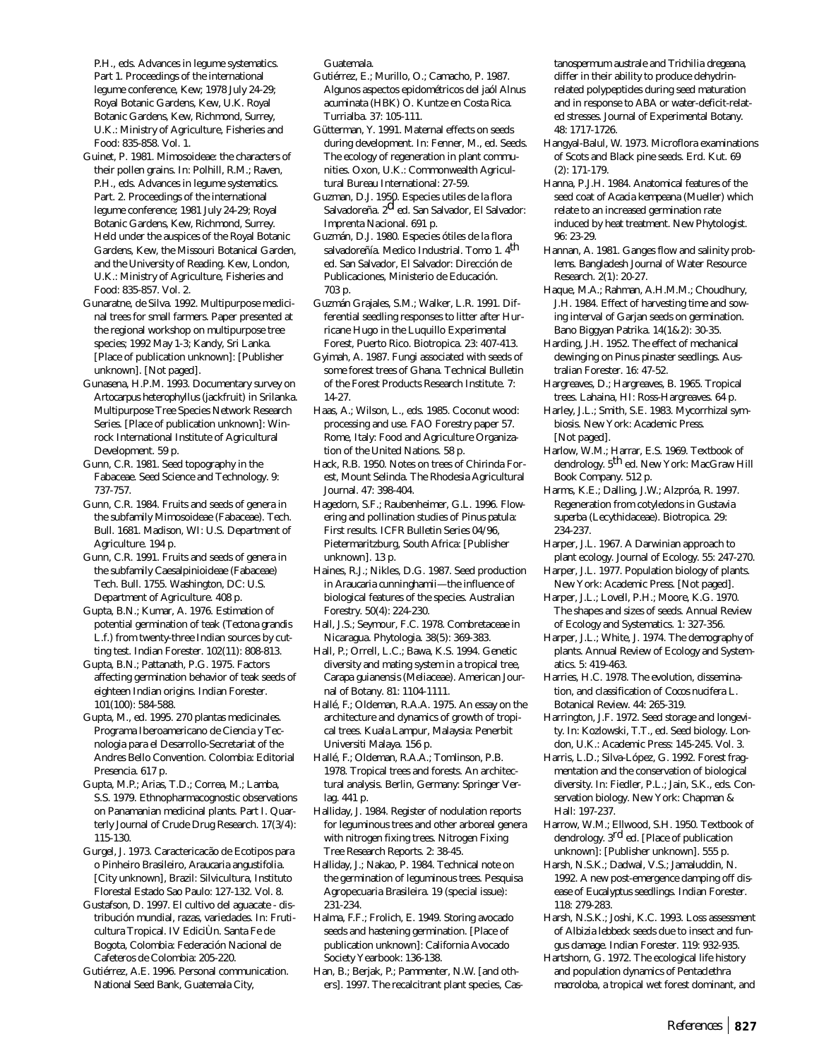P.H., eds. Advances in legume systematics. Part 1. Proceedings of the international legume conference, Kew; 1978 July 24-29; Royal Botanic Gardens, Kew, U.K. Royal Botanic Gardens, Kew, Richmond, Surrey, U.K.: Ministry of Agriculture, Fisheries and Food: 835-858. Vol. 1.

- Guinet, P. 1981. Mimosoideae: the characters of their pollen grains. In: Polhill, R.M.; Raven, P.H., eds. Advances in legume systematics. Part. 2. Proceedings of the international legume conference; 1981 July 24-29; Royal Botanic Gardens, Kew, Richmond, Surrey. Held under the auspices of the Royal Botanic Gardens, Kew, the Missouri Botanical Garden, and the University of Reading. Kew, London, U.K.: Ministry of Agriculture, Fisheries and Food: 835-857. Vol. 2.
- Gunaratne, de Silva. 1992. Multipurpose medicinal trees for small farmers. Paper presented at the regional workshop on multipurpose tree species; 1992 May 1-3; Kandy, Sri Lanka. [Place of publication unknown]: [Publisher unknown]. [Not paged].
- Gunasena, H.P.M. 1993. Documentary survey on *Artocarpus heterophyllus* (jackfruit) in Srilanka. Multipurpose Tree Species Network Research Series. [Place of publication unknown]: Winrock International Institute of Agricultural Development. 59 p.
- Gunn, C.R. 1981. Seed topography in the Fabaceae. Seed Science and Technology. 9: 737-757.
- Gunn, C.R. 1984. Fruits and seeds of genera in the subfamily Mimosoideae (Fabaceae). Tech. Bull. 1681. Madison, WI: U.S. Department of Agriculture. 194 p.
- Gunn, C.R. 1991. Fruits and seeds of genera in the subfamily Caesalpinioideae (Fabaceae) Tech. Bull. 1755. Washington, DC: U.S. Department of Agriculture. 408 p.
- Gupta, B.N.; Kumar, A. 1976. Estimation of potential germination of teak (*Tectona grandis* L.f.) from twenty-three Indian sources by cutting test. Indian Forester. 102(11): 808-813.

Gupta, B.N.; Pattanath, P.G. 1975. Factors affecting germination behavior of teak seeds of eighteen Indian origins. Indian Forester. 101(100): 584-588.

- Gupta, M., ed. 1995. 270 plantas medicinales. Programa Iberoamericano de Ciencia y Tecnologia para el Desarrollo-Secretariat of the Andres Bello Convention. Colombia: Editorial Presencia. 617 p.
- Gupta, M.P.; Arias, T.D.; Correa, M.; Lamba, S.S. 1979. Ethnopharmacognostic observations on Panamanian medicinal plants. Part I. Quarterly Journal of Crude Drug Research. 17(3/4): 115-130.
- Gurgel, J. 1973. Caractericacão de Ecotipos para o Pinheiro Brasileiro, *Araucaria angustifolia*. [City unknown], Brazil: Silvicultura, Instituto Florestal Estado Sao Paulo: 127-132. Vol. 8.
- Gustafson, D. 1997. El cultivo del aguacate distribución mundial, razas, variedades. In: Fruticultura Tropical. IV EdiciÙn. Santa Fe de Bogota, Colombia: Federación Nacional de Cafeteros de Colombia: 205-220.
- Gutiérrez, A.E. 1996. Personal communication. National Seed Bank, Guatemala City,

Guatemala.

- Gutiérrez, E.; Murillo, O.; Camacho, P. 1987. Algunos aspectos epidométricos del jaól *Alnus acuminata* (HBK) O. Kuntze en Costa Rica. Turrialba. 37: 105-111.
- Gütterman, Y. 1991. Maternal effects on seeds during development. In: Fenner, M., ed. Seeds. The ecology of regeneration in plant communities. Oxon, U.K.: Commonwealth Agricultural Bureau International: 27-59.
- Guzman, D.J. 1950. Especies utiles de la flora Salvadoreña. 2d ed. San Salvador, El Salvador: Imprenta Nacional. 691 p.
- Guzmán, D.J. 1980. Especies ótiles de la flora salvadoreñía. Medico Industrial. Tomo 1. 4th ed. San Salvador, El Salvador: Dirección de Publicaciones, Ministerio de Educación. 703 p.
- Guzmán Grajales, S.M.; Walker, L.R. 1991. Differential seedling responses to litter after Hurricane Hugo in the Luquillo Experimental Forest, Puerto Rico. Biotropica. 23: 407-413.
- Gyimah, A. 1987. Fungi associated with seeds of some forest trees of Ghana. Technical Bulletin of the Forest Products Research Institute. 7: 14-27.
- Haas, A.; Wilson, L., eds. 1985. Coconut wood: processing and use. FAO Forestry paper 57. Rome, Italy: Food and Agriculture Organization of the United Nations. 58 p.
- Hack, R.B. 1950. Notes on trees of Chirinda Forest, Mount Selinda. The Rhodesia Agricultural Journal. 47: 398-404.
- Hagedorn, S.F.; Raubenheimer, G.L. 1996. Flowering and pollination studies of *Pinus patula*: First results. ICFR Bulletin Series 04/96, Pietermaritzburg, South Africa: [Publisher unknown]. 13 p.
- Haines, R.J.; Nikles, D.G. 1987. Seed production in *Araucaria cunninghamii—*the influence of biological features of the species. Australian Forestry. 50(4): 224-230.
- Hall, J.S.; Seymour, F.C. 1978. Combretaceae in Nicaragua. Phytologia. 38(5): 369-383.
- Hall, P.; Orrell, L.C.; Bawa, K.S. 1994. Genetic diversity and mating system in a tropical tree, *Carapa guianensis* (Meliaceae). American Journal of Botany. 81: 1104-1111.
- Hallé, F.; Oldeman, R.A.A. 1975. An essay on the architecture and dynamics of growth of tropical trees. Kuala Lampur, Malaysia: Penerbit Universiti Malaya. 156 p.
- Hallé, F.; Oldeman, R.A.A.; Tomlinson, P.B. 1978. Tropical trees and forests. An architectural analysis. Berlin, Germany: Springer Verlag. 441 p.
- Halliday, J. 1984. Register of nodulation reports for leguminous trees and other arboreal genera with nitrogen fixing trees. Nitrogen Fixing Tree Research Reports. 2: 38-45.
- Halliday, J.; Nakao, P. 1984. Technical note on the germination of leguminous trees. Pesquisa Agropecuaria Brasileira. 19 (special issue): 231-234.
- Halma, F.F.; Frolich, E. 1949. Storing avocado seeds and hastening germination. [Place of publication unknown]: California Avocado Society Yearbook: 136-138.
- Han, B.; Berjak, P.; Pammenter, N.W. [and others]. 1997. The recalcitrant plant species, *Cas-*

*tanospermum australe* and *Trichilia dregeana*, differ in their ability to produce dehydrinrelated polypeptides during seed maturation and in response to ABA or water-deficit-related stresses. Journal of Experimental Botany. 48: 1717-1726.

- Hangyal-Balul, W. 1973. Microflora examinations of Scots and Black pine seeds. Erd. Kut. 69 (2): 171-179.
- Hanna, P.J.H. 1984. Anatomical features of the seed coat of *Acacia kempeana* (Mueller) which relate to an increased germination rate induced by heat treatment. New Phytologist. 96: 23-29.
- Hannan, A. 1981. Ganges flow and salinity problems. Bangladesh Journal of Water Resource Research. 2(1): 20-27.
- Haque, M.A.; Rahman, A.H.M.M.; Choudhury, J.H. 1984. Effect of harvesting time and sowing interval of Garjan seeds on germination. Bano Biggyan Patrika. 14(1&2): 30-35.
- Harding, J.H. 1952. The effect of mechanical dewinging on *Pinus pinaster* seedlings. Australian Forester. 16: 47-52.
- Hargreaves, D.; Hargreaves, B. 1965. Tropical trees. Lahaina, HI: Ross-Hargreaves. 64 p.
- Harley, J.L.; Smith, S.E. 1983. Mycorrhizal symbiosis. New York: Academic Press. [Not paged].
- Harlow, W.M.; Harrar, E.S. 1969. Textbook of dendrology. 5<sup>th</sup> ed. New York: MacGraw Hill Book Company. 512 p.
- Harms, K.E.; Dalling, J.W.; Alzpróa, R. 1997. Regeneration from cotyledons in *Gustavia superba* (Lecythidaceae). Biotropica. 29: 234-237.
- Harper, J.L. 1967. A Darwinian approach to plant ecology. Journal of Ecology. 55: 247-270.
- Harper, J.L. 1977. Population biology of plants. New York: Academic Press. [Not paged].
- Harper, J.L.; Lovell, P.H.; Moore, K.G. 1970. The shapes and sizes of seeds. Annual Review of Ecology and Systematics. 1: 327-356.
- Harper, J.L.; White, J. 1974. The demography of plants. Annual Review of Ecology and Systematics. 5: 419-463.
- Harries, H.C. 1978. The evolution, dissemination, and classification of *Cocos nucifera* L. Botanical Review. 44: 265-319.
- Harrington, J.F. 1972. Seed storage and longevity. In: Kozlowski, T.T., ed. Seed biology. London, U.K.: Academic Press: 145-245. Vol. 3.
- Harris, L.D.; Silva-López, G. 1992. Forest fragmentation and the conservation of biological diversity. In: Fiedler, P.L.; Jain, S.K., eds. Conservation biology. New York: Chapman & Hall: 197-237.
- Harrow, W.M.; Ellwood, S.H. 1950. Textbook of dendrology. 3rd ed. [Place of publication unknown]: [Publisher unknown]. 555 p.
- Harsh, N.S.K.; Dadwal, V.S.; Jamaluddin, N. 1992. A new post-emergence damping off disease of *Eucalyptus* seedlings. Indian Forester. 118: 279-283.
- Harsh, N.S.K.; Joshi, K.C. 1993. Loss assessment of *Albizia lebbeck* seeds due to insect and fungus damage. Indian Forester. 119: 932-935.
- Hartshorn, G. 1972. The ecological life history and population dynamics of *Pentaclethra macroloba*, a tropical wet forest dominant, and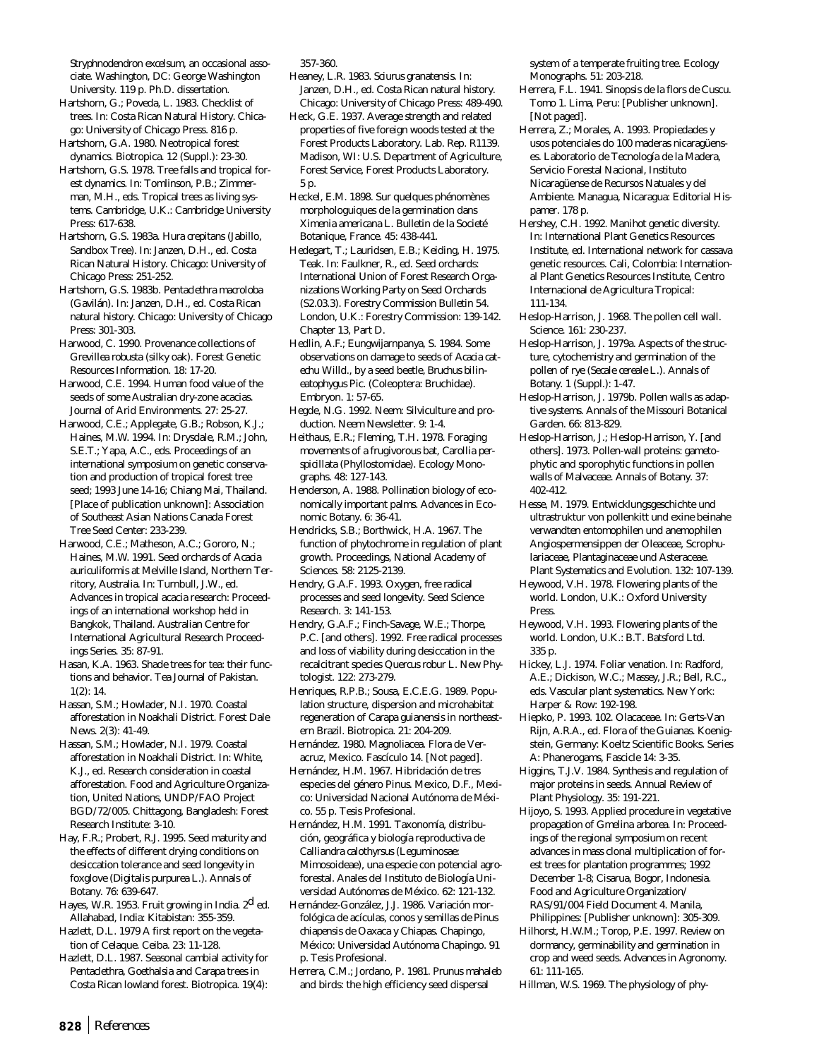*Stryphnodendron excelsum*, an occasional associate. Washington, DC: George Washington University. 119 p. Ph.D. dissertation.

Hartshorn, G.; Poveda, L. 1983. Checklist of trees. In: Costa Rican Natural History. Chicago: University of Chicago Press. 816 p.

Hartshorn, G.A. 1980. Neotropical forest dynamics. Biotropica. 12 (Suppl.): 23-30. Hartshorn, G.S. 1978. Tree falls and tropical for-

est dynamics. In: Tomlinson, P.B.; Zimmerman, M.H., eds. Tropical trees as living systems. Cambridge, U.K.: Cambridge University Press: 617-638.

Hartshorn, G.S. 1983a. *Hura crepitans* (Jabillo, Sandbox Tree). In: Janzen, D.H., ed. Costa Rican Natural History. Chicago: University of Chicago Press: 251-252.

Hartshorn, G.S. 1983b. *Pentaclethra macroloba* (Gavilán). In: Janzen, D.H., ed. Costa Rican natural history. Chicago: University of Chicago Press: 301-303.

Harwood, C. 1990. Provenance collections of *Grevillea robusta* (silky oak). Forest Genetic Resources Information. 18: 17-20.

Harwood, C.E. 1994. Human food value of the seeds of some Australian dry-zone acacias. Journal of Arid Environments. 27: 25-27.

Harwood, C.E.; Applegate, G.B.; Robson, K.J.; Haines, M.W. 1994. In: Drysdale, R.M.; John, S.E.T.; Yapa, A.C., eds. Proceedings of an international symposium on genetic conservation and production of tropical forest tree seed; 1993 June 14-16; Chiang Mai, Thailand. [Place of publication unknown]: Association of Southeast Asian Nations Canada Forest Tree Seed Center: 233-239.

Harwood, C.E.; Matheson, A.C.; Gororo, N.; Haines, M.W. 1991. Seed orchards of *Acacia auriculiformis* at Melville Island, Northern Territory, Australia. In: Turnbull, J.W., ed. Advances in tropical acacia research: Proceedings of an international workshop held in Bangkok, Thailand. Australian Centre for International Agricultural Research Proceedings Series. 35: 87-91.

Hasan, K.A. 1963. Shade trees for tea: their functions and behavior. Tea Journal of Pakistan. 1(2): 14.

Hassan, S.M.; Howlader, N.I. 1970. Coastal afforestation in Noakhali District. Forest Dale News. 2(3): 41-49.

Hassan, S.M.; Howlader, N.I. 1979. Coastal afforestation in Noakhali District. In: White, K.J., ed. Research consideration in coastal afforestation. Food and Agriculture Organization, United Nations, UNDP/FAO Project BGD/72/005. Chittagong, Bangladesh: Forest Research Institute: 3-10.

Hay, F.R.; Probert, R.J. 1995. Seed maturity and the effects of different drying conditions on desiccation tolerance and seed longevity in foxglove (*Digitalis purpurea* L.). Annals of Botany. 76: 639-647.

Hayes, W.R. 1953. Fruit growing in India. 2<sup>d</sup> ed. Allahabad, India: Kitabistan: 355-359.

Hazlett, D.L. 1979 A first report on the vegetation of Celaque. Ceiba. 23: 11-128.

Hazlett, D.L. 1987. Seasonal cambial activity for *Pentaclethra*, *Goethalsia* and *Carapa* trees in Costa Rican lowland forest. Biotropica. 19(4): 357-360.

Heaney, L.R. 1983. *Sciurus granatensis*. In: Janzen, D.H., ed. Costa Rican natural history. Chicago: University of Chicago Press: 489-490.

Heck, G.E. 1937. Average strength and related properties of five foreign woods tested at the Forest Products Laboratory. Lab. Rep. R1139. Madison, WI: U.S. Department of Agriculture, Forest Service, Forest Products Laboratory. 5 p.

Heckel, E.M. 1898. Sur quelques phénomènes morphologuiques de la germination dans *Ximenia americana* L. Bulletin de la Societé Botanique, France. 45: 438-441.

Hedegart, T.; Lauridsen, E.B.; Keiding, H. 1975. Teak. In: Faulkner, R., ed. Seed orchards: International Union of Forest Research Organizations Working Party on Seed Orchards (S2.03.3). Forestry Commission Bulletin 54. London, U.K.: Forestry Commission: 139-142. Chapter 13, Part D.

Hedlin, A.F.; Eungwijarnpanya, S. 1984. Some observations on damage to seeds of *Acacia catechu* Willd., by a seed beetle, *Bruchus bilineatophygus* Pic. (Coleoptera: Bruchidae). Embryon. 1: 57-65.

Hegde, N.G. 1992. Neem: Silviculture and production. Neem Newsletter. 9: 1-4.

Heithaus, E.R.; Fleming, T.H. 1978. Foraging movements of a frugivorous bat, *Carollia perspicillata* (Phyllostomidae). Ecology Monographs. 48: 127-143.

Henderson, A. 1988. Pollination biology of economically important palms. Advances in Economic Botany. 6: 36-41.

Hendricks, S.B.; Borthwick, H.A. 1967. The function of phytochrome in regulation of plant growth. Proceedings, National Academy of Sciences. 58: 2125-2139.

Hendry, G.A.F. 1993. Oxygen, free radical processes and seed longevity. Seed Science Research. 3: 141-153.

Hendry, G.A.F.; Finch-Savage, W.E.; Thorpe, P.C. [and others]. 1992. Free radical processes and loss of viability during desiccation in the recalcitrant species *Quercus robur* L. New Phytologist. 122: 273-279.

Henriques, R.P.B.; Sousa, E.C.E.G. 1989. Population structure, dispersion and microhabitat regeneration of *Carapa guianensis* in northeastern Brazil. Biotropica. 21: 204-209.

Hernández. 1980. Magnoliacea. Flora de Veracruz, Mexico. Fascículo 14. [Not paged].

Hernández, H.M. 1967. Hibridación de tres especies del género *Pinus*. Mexico, D.F., Mexico: Universidad Nacional Autónoma de México. 55 p. Tesis Profesional.

Hernández, H.M. 1991. Taxonomía, distribución, geográfica y biología reproductiva de *Calliandra calothyrsus* (Leguminosae: Mimosoideae), una especie con potencial agroforestal. Anales del Instituto de Biología Universidad Autónomas de México. 62: 121-132.

Hernández-González, J.J. 1986. Variación morfológica de acículas, conos y semillas de *Pinus chiapensis* de Oaxaca y Chiapas. Chapingo, México: Universidad Autónoma Chapingo. 91 p. Tesis Profesional.

Herrera, C.M.; Jordano, P. 1981. *Prunus mahaleb* and birds: the high efficiency seed dispersal

system of a temperate fruiting tree. Ecology Monographs. 51: 203-218.

Herrera, F.L. 1941. Sinopsis de la flors de Cuscu. Tomo 1. Lima, Peru: [Publisher unknown]. [Not paged].

Herrera, Z.; Morales, A. 1993. Propiedades y usos potenciales do 100 maderas nicaragüenses. Laboratorio de Tecnología de la Madera, Servicio Forestal Nacional, Instituto Nicaragüense de Recursos Natuales y del Ambiente. Managua, Nicaragua: Editorial Hispamer. 178 p.

Hershey, C.H. 1992. *Manihot* genetic diversity. In: International Plant Genetics Resources Institute, ed. International network for cassava genetic resources. Cali, Colombia: International Plant Genetics Resources Institute, Centro Internacional de Agricultura Tropical: 111-134.

Heslop-Harrison, J. 1968. The pollen cell wall. Science. 161: 230-237.

Heslop-Harrison, J. 1979a. Aspects of the structure, cytochemistry and germination of the pollen of rye (*Secale cereale* L.). Annals of Botany. 1 (Suppl.): 1-47.

Heslop-Harrison, J. 1979b. Pollen walls as adaptive systems. Annals of the Missouri Botanical Garden. 66: 813-829.

Heslop-Harrison, J.; Heslop-Harrison, Y. [and others]. 1973. Pollen-wall proteins: gametophytic and sporophytic functions in pollen walls of Malvaceae. Annals of Botany. 37: 402-412.

Hesse, M. 1979. Entwicklungsgeschichte und ultrastruktur von pollenkitt und exine beinahe verwandten entomophilen und anemophilen Angiospermensippen der Oleaceae, Scrophulariaceae, Plantaginaceae und Asteraceae. Plant Systematics and Evolution. 132: 107-139.

Heywood, V.H. 1978. Flowering plants of the world. London, U.K.: Oxford University Press.

Heywood, V.H. 1993. Flowering plants of the world. London, U.K.: B.T. Batsford Ltd. 335 p.

Hickey, L.J. 1974. Foliar venation. In: Radford, A.E.; Dickison, W.C.; Massey, J.R.; Bell, R.C., eds. Vascular plant systematics. New York: Harper & Row: 192-198.

Hiepko, P. 1993. 102. Olacaceae. In: Gerts-Van Rijn, A.R.A., ed. Flora of the Guianas. Koenigstein, Germany: Koeltz Scientific Books. Series A: Phanerogams, Fascicle 14: 3-35.

Higgins, T.J.V. 1984. Synthesis and regulation of major proteins in seeds. Annual Review of Plant Physiology. 35: 191-221.

Hijoyo, S. 1993. Applied procedure in vegetative propagation of *Gmelina arborea*. In: Proceedings of the regional symposium on recent advances in mass clonal multiplication of forest trees for plantation programmes; 1992 December 1-8; Cisarua, Bogor, Indonesia. Food and Agriculture Organization/ RAS/91/004 Field Document 4. Manila, Philippines: [Publisher unknown]: 305-309.

Hilhorst, H.W.M.; Torop, P.E. 1997. Review on dormancy, germinability and germination in crop and weed seeds. Advances in Agronomy. 61: 111-165.

Hillman, W.S. 1969. The physiology of phy-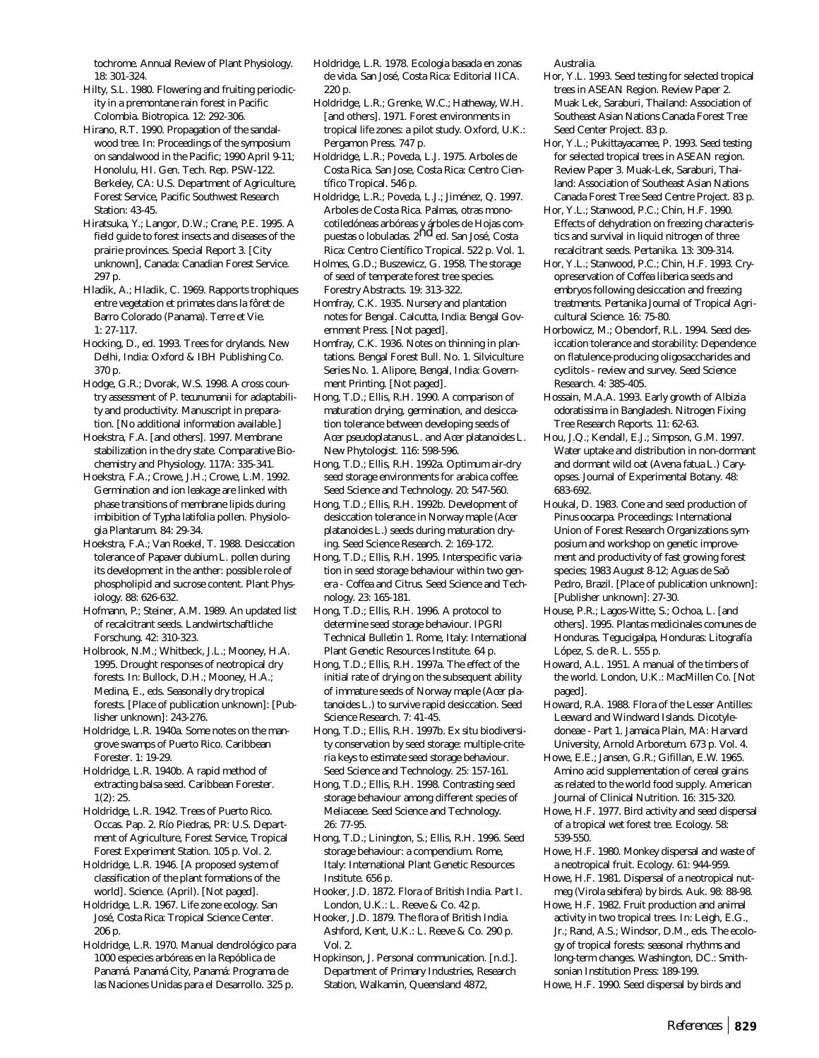tochrome. Annual Review of Plant Physiology. 18: 301-324.

- Hilty, S.L. 1980. Flowering and fruiting periodicity in a premontane rain forest in Pacific Colombia. Biotropica. 12: 292-306.
- Hirano, R.T. 1990. Propagation of the sandalwood tree. In: Proceedings of the symposium on sandalwood in the Pacific; 1990 April 9-11; Honolulu, HI. Gen. Tech. Rep. PSW-122. Berkeley, CA: U.S. Department of Agriculture, Forest Service, Pacific Southwest Research Station: 43-45.
- Hiratsuka, Y.; Langor, D.W.; Crane, P.E. 1995. A field guide to forest insects and diseases of the prairie provinces. Special Report 3. [City unknown], Canada: Canadian Forest Service. 297 p.
- Hladik, A.; Hladik, C. 1969. Rapports trophiques entre vegetation et primates dans la fôret de Barro Colorado (Panama). Terre et Vie. 1: 27-117.
- Hocking, D., ed. 1993. Trees for drylands. New Delhi, India: Oxford & IBH Publishing Co. 370 p.
- Hodge, G.R.; Dvorak, W.S. 1998. A cross country assessment of *P. tecunumanii* for adaptability and productivity. Manuscript in preparation. [No additional information available.]
- Hoekstra, F.A. [and others]. 1997. Membrane stabilization in the dry state. Comparative Biochemistry and Physiology. 117A: 335-341.
- Hoekstra, F.A.; Crowe, J.H.; Crowe, L.M. 1992. Germination and ion leakage are linked with phase transitions of membrane lipids during imbibition of *Typha latifolia* pollen. Physiologia Plantarum. 84: 29-34.
- Hoekstra, F.A.; Van Roekel, T. 1988. Desiccation tolerance of *Papaver dubium* L. pollen during its development in the anther: possible role of phospholipid and sucrose content. Plant Physiology. 88: 626-632.
- Hofmann, P.; Steiner, A.M. 1989. An updated list of recalcitrant seeds. Landwirtschaftliche Forschung. 42: 310-323.
- Holbrook, N.M.; Whitbeck, J.L.; Mooney, H.A. 1995. Drought responses of neotropical dry forests. In: Bullock, D.H.; Mooney, H.A.; Medina, E., eds. Seasonally dry tropical forests. [Place of publication unknown]: [Publisher unknown]: 243-276.
- Holdridge, L.R. 1940a. Some notes on the mangrove swamps of Puerto Rico. Caribbean Forester. 1: 19-29.
- Holdridge, L.R. 1940b. A rapid method of extracting balsa seed. Caribbean Forester.  $1(2): 25.$
- Holdridge, L.R. 1942. Trees of Puerto Rico. Occas. Pap. 2. Río Piedras, PR: U.S. Department of Agriculture, Forest Service, Tropical Forest Experiment Station. 105 p. Vol. 2.
- Holdridge, L.R. 1946. [A proposed system of classification of the plant formations of the world]. Science. (April). [Not paged].
- Holdridge, L.R. 1967. Life zone ecology. San José, Costa Rica: Tropical Science Center. 206 p.
- Holdridge, L.R. 1970. Manual dendrológico para 1000 especies arbóreas en la Repóblica de Panamá. Panamá City, Panamá: Programa de las Naciones Unidas para el Desarrollo. 325 p.
- Holdridge, L.R. 1978. Ecologia basada en zonas de vida. San José, Costa Rica: Editorial IICA. 220 p.
- Holdridge, L.R.; Grenke, W.C.; Hatheway, W.H. [and others]. 1971. Forest environments in tropical life zones: a pilot study. Oxford, U.K.: Pergamon Press. 747 p.
- Holdridge, L.R.; Poveda, L.J. 1975. Arboles de Costa Rica. San Jose, Costa Rica: Centro Científico Tropical. 546 p.
- Holdridge, L.R.; Poveda, L.J.; Jiménez, Q. 1997. Arboles de Costa Rica. Palmas, otras monocotiledóneas arbóreas y árboles de Hojas com-<br>puestas o lobuladas. 2<sup>nd</sup> ed. San José, Costa Rica: Centro Científico Tropical. 522 p. Vol. 1.
- Holmes, G.D.; Buszewicz, G. 1958. The storage of seed of temperate forest tree species. Forestry Abstracts. 19: 313-322.
- Homfray, C.K. 1935. Nursery and plantation notes for Bengal. Calcutta, India: Bengal Government Press. [Not paged].
- Homfray, C.K. 1936. Notes on thinning in plantations. Bengal Forest Bull. No. 1. Silviculture Series No. 1. Alipore, Bengal, India: Government Printing. [Not paged].
- Hong, T.D.; Ellis, R.H. 1990. A comparison of maturation drying, germination, and desiccation tolerance between developing seeds of *Acer pseudoplatanus* L. and *Acer platanoides* L. New Phytologist. 116: 598-596.
- Hong, T.D.; Ellis, R.H. 1992a. Optimum air-dry seed storage environments for arabica coffee. Seed Science and Technology. 20: 547-560.
- Hong, T.D.; Ellis, R.H. 1992b. Development of desiccation tolerance in Norway maple (*Acer platanoides* L.) seeds during maturation drying. Seed Science Research. 2: 169-172.
- Hong, T.D.; Ellis, R.H. 1995. Interspecific variation in seed storage behaviour within two genera - *Coffea* and *Citrus*. Seed Science and Technology. 23: 165-181.
- Hong, T.D.; Ellis, R.H. 1996. A protocol to determine seed storage behaviour. IPGRI Technical Bulletin 1. Rome, Italy: International Plant Genetic Resources Institute. 64 p.
- Hong, T.D.; Ellis, R.H. 1997a. The effect of the initial rate of drying on the subsequent ability of immature seeds of Norway maple (*Acer platanoides* L.) to survive rapid desiccation. Seed Science Research. 7: 41-45.
- Hong, T.D.; Ellis, R.H. 1997b. *Ex situ* biodiversity conservation by seed storage: multiple-criteria keys to estimate seed storage behaviour. Seed Science and Technology. 25: 157-161.
- Hong, T.D.; Ellis, R.H. 1998. Contrasting seed storage behaviour among different species of Meliaceae. Seed Science and Technology. 26: 77-95.
- Hong, T.D.; Linington, S.; Ellis, R.H. 1996. Seed storage behaviour: a compendium. Rome, Italy: International Plant Genetic Resources Institute. 656 p.
- Hooker, J.D. 1872. Flora of British India. Part I. London, U.K.: L. Reeve & Co. 42 p.
- Hooker, J.D. 1879. The flora of British India. Ashford, Kent, U.K.: L. Reeve & Co. 290 p. Vol. 2.
- Hopkinson, J. Personal communication. [n.d.]. Department of Primary Industries, Research Station, Walkamin, Queensland 4872,

Australia.

- Hor, Y.L. 1993. Seed testing for selected tropical trees in ASEAN Region. Review Paper 2. Muak Lek, Saraburi, Thailand: Association of Southeast Asian Nations Canada Forest Tree Seed Center Project. 83 p.
- Hor, Y.L.; Pukittayacamee, P. 1993. Seed testing for selected tropical trees in ASEAN region. Review Paper 3. Muak-Lek, Saraburi, Thailand: Association of Southeast Asian Nations Canada Forest Tree Seed Centre Project. 83 p.
- Hor, Y.L.; Stanwood, P.C.; Chin, H.F. 1990. Effects of dehydration on freezing characteristics and survival in liquid nitrogen of three recalcitrant seeds. Pertanika. 13: 309-314.
- Hor, Y.L.; Stanwood, P.C.; Chin, H.F. 1993. Cryopreservation of *Coffea liberica* seeds and embryos following desiccation and freezing treatments. Pertanika Journal of Tropical Agricultural Science. 16: 75-80.
- Horbowicz, M.; Obendorf, R.L. 1994. Seed desiccation tolerance and storability: Dependence on flatulence-producing oligosaccharides and cyclitols - review and survey. Seed Science Research. 4: 385-405.
- Hossain, M.A.A. 1993. Early growth of *Albizia odoratissima* in Bangladesh. Nitrogen Fixing Tree Research Reports. 11: 62-63.
- Hou, J.Q.; Kendall, E.J.; Simpson, G.M. 1997. Water uptake and distribution in non-dormant and dormant wild oat (*Avena fatua* L.) Caryopses. Journal of Experimental Botany. 48: 683-692.
- Houkal, D. 1983. Cone and seed production of *Pinus oocarpa*. Proceedings: International Union of Forest Research Organizations symposium and workshop on genetic improvement and productivity of fast growing forest species; 1983 August 8-12; Aguas de Saõ Pedro, Brazil. [Place of publication unknown]: [Publisher unknown]: 27-30.
- House, P.R.; Lagos-Witte, S.; Ochoa, L. [and others]. 1995. Plantas medicinales comunes de Honduras. Tegucigalpa, Honduras: Litografía López, S. de R. L. 555 p.
- Howard, A.L. 1951. A manual of the timbers of the world. London, U.K.: MacMillen Co. [Not paged].
- Howard, R.A. 1988. Flora of the Lesser Antilles: Leeward and Windward Islands. Dicotyledoneae - Part 1. Jamaica Plain, MA: Harvard University, Arnold Arboretum. 673 p. Vol. 4.
- Howe, E.E.; Jansen, G.R.; Gifillan, E.W. 1965. Amino acid supplementation of cereal grains as related to the world food supply. American Journal of Clinical Nutrition. 16: 315-320.
- Howe, H.F. 1977. Bird activity and seed dispersal of a tropical wet forest tree. Ecology. 58: 539-550.
- Howe, H.F. 1980. Monkey dispersal and waste of a neotropical fruit. Ecology. 61: 944-959.
- Howe, H.F. 1981. Dispersal of a neotropical nutmeg (*Virola sebifera*) by birds. Auk. 98: 88-98.
- Howe, H.F. 1982. Fruit production and animal activity in two tropical trees. In: Leigh, E.G., Jr.; Rand, A.S.; Windsor, D.M., eds. The ecology of tropical forests: seasonal rhythms and long-term changes. Washington, DC.: Smithsonian Institution Press: 189-199.
- Howe, H.F. 1990. Seed dispersal by birds and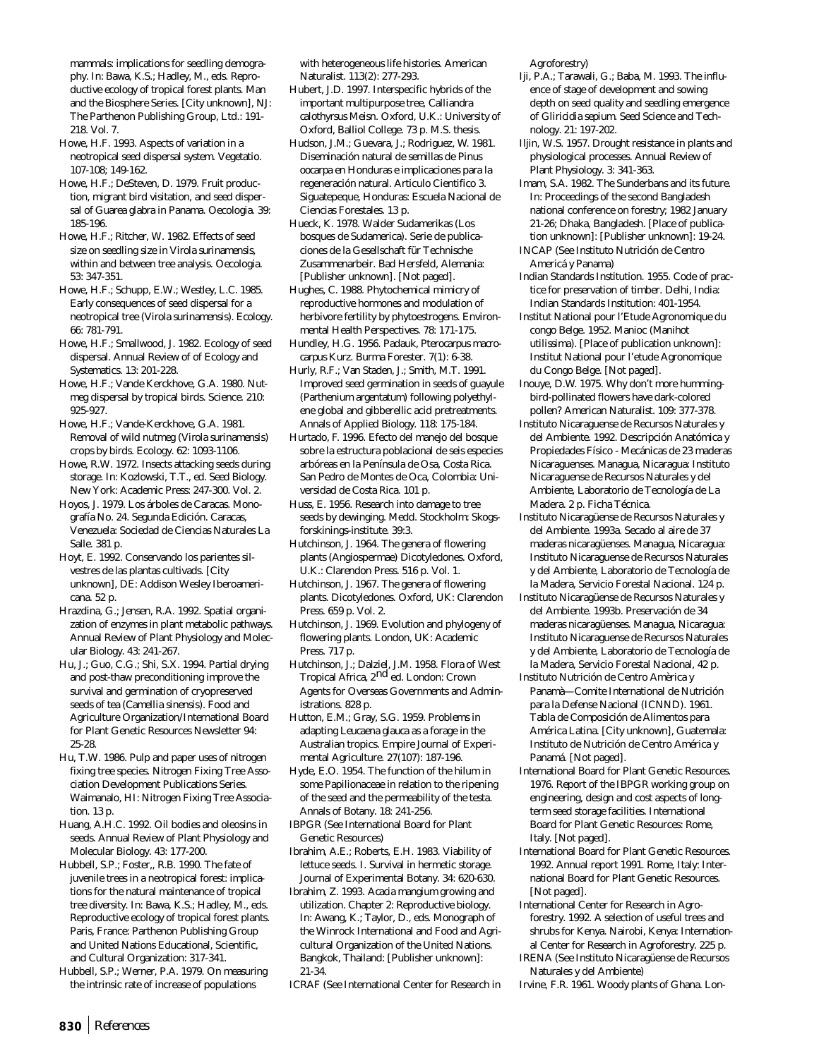mammals: implications for seedling demography. In: Bawa, K.S.; Hadley, M., eds. Reproductive ecology of tropical forest plants. Man and the Biosphere Series. [City unknown], NJ: The Parthenon Publishing Group, Ltd.: 191- 218. Vol. 7.

- Howe, H.F. 1993. Aspects of variation in a neotropical seed dispersal system. Vegetatio. 107-108; 149-162.
- Howe, H.F.; DeSteven, D. 1979. Fruit production, migrant bird visitation, and seed dispersal of *Guarea glabra* in Panama. Oecologia. 39: 185-196.
- Howe, H.F.; Ritcher, W. 1982. Effects of seed size on seedling size in *Virola surinamensis*, within and between tree analysis. Oecologia. 53: 347-351.
- Howe, H.F.; Schupp, E.W.; Westley, L.C. 1985. Early consequences of seed dispersal for a neotropical tree (*Virola surinamensis*). Ecology. 66: 781-791.
- Howe, H.F.; Smallwood, J. 1982. Ecology of seed dispersal. Annual Review of of Ecology and Systematics. 13: 201-228.
- Howe, H.F.; Vande Kerckhove, G.A. 1980. Nutmeg dispersal by tropical birds. Science. 210: 925-927.
- Howe, H.F.; Vande-Kerckhove, G.A. 1981. Removal of wild nutmeg (*Virola surinamensis*) crops by birds. Ecology. 62: 1093-1106.
- Howe, R.W. 1972. Insects attacking seeds during storage. In: Kozlowski, T.T., ed. Seed Biology. New York: Academic Press: 247-300. Vol. 2.
- Hoyos, J. 1979. Los árboles de Caracas. Monografía No. 24. Segunda Edición. Caracas, Venezuela: Sociedad de Ciencias Naturales La Salle. 381 p.
- Hoyt, E. 1992. Conservando los parientes silvestres de las plantas cultivads. [City unknown], DE: Addison Wesley Iberoamericana. 52 p.
- Hrazdina, G.; Jensen, R.A. 1992. Spatial organization of enzymes in plant metabolic pathways. Annual Review of Plant Physiology and Molecular Biology. 43: 241-267.
- Hu, J.; Guo, C.G.; Shi, S.X. 1994. Partial drying and post-thaw preconditioning improve the survival and germination of cryopreserved seeds of tea (*Camellia sinensis*). Food and Agriculture Organization/International Board for Plant Genetic Resources Newsletter 94: 25-28.
- Hu, T.W. 1986. Pulp and paper uses of nitrogen fixing tree species. Nitrogen Fixing Tree Association Development Publications Series. Waimanalo, HI: Nitrogen Fixing Tree Association. 13 p.
- Huang, A.H.C. 1992. Oil bodies and oleosins in seeds. Annual Review of Plant Physiology and Molecular Biology. 43: 177-200.
- Hubbell, S.P.; Foster,, R.B. 1990. The fate of juvenile trees in a neotropical forest: implications for the natural maintenance of tropical tree diversity. In: Bawa, K.S.; Hadley, M., eds. Reproductive ecology of tropical forest plants. Paris, France: Parthenon Publishing Group and United Nations Educational, Scientific, and Cultural Organization: 317-341.
- Hubbell, S.P.; Werner, P.A. 1979. On measuring the intrinsic rate of increase of populations

with heterogeneous life histories. American Naturalist. 113(2): 277-293.

- Hubert, J.D. 1997. Interspecific hybrids of the important multipurpose tree, *Calliandra calothyrsus* Meisn. Oxford, U.K.: University of Oxford, Balliol College. 73 p. M.S. thesis.
- Hudson, J.M.; Guevara, J.; Rodriguez, W. 1981. Diseminación natural de semillas de *Pinus oocarpa* en Honduras e implicaciones para la regeneración natural. Articulo Cientifico 3. Siguatepeque, Honduras: Escuela Nacional de Ciencias Forestales. 13 p.
- Hueck, K. 1978. Walder Sudamerikas (Los bosques de Sudamerica). Serie de publicaciones de la Gesellschaft für Technische Zusammenarbeir. Bad Hersfeld, Alemania: [Publisher unknown]. [Not paged].
- Hughes, C. 1988. Phytochemical mimicry of reproductive hormones and modulation of herbivore fertility by phytoestrogens. Environmental Health Perspectives. 78: 171-175.
- Hundley, H.G. 1956. Padauk, *Pterocarpus macrocarpus* Kurz. Burma Forester. 7(1): 6-38.
- Hurly, R.F.; Van Staden, J.; Smith, M.T. 1991. Improved seed germination in seeds of guayule (*Parthenium argentatum*) following polyethylene global and gibberellic acid pretreatments. Annals of Applied Biology. 118: 175-184.
- Hurtado, F. 1996. Efecto del manejo del bosque sobre la estructura poblacional de seis especies arbóreas en la Península de Osa, Costa Rica. San Pedro de Montes de Oca, Colombia: Universidad de Costa Rica. 101 p.

Huss, E. 1956. Research into damage to tree seeds by dewinging. Medd. Stockholm: Skogsforskinings-institute. 39:3.

Hutchinson, J. 1964. The genera of flowering plants (Angiospermae) Dicotyledones. Oxford, U.K.: Clarendon Press. 516 p. Vol. 1.

- Hutchinson, J. 1967. The genera of flowering plants. Dicotyledones. Oxford, UK: Clarendon Press. 659 p. Vol. 2.
- Hutchinson, J. 1969. Evolution and phylogeny of flowering plants. London, UK: Academic Press. 717 p.
- Hutchinson, J.; Dalziel, J.M. 1958. Flora of West Tropical Africa, 2nd ed. London: Crown Agents for Overseas Governments and Administrations. 828 p.
- Hutton, E.M.; Gray, S.G. 1959. Problems in adapting *Leucaena glauca* as a forage in the Australian tropics. Empire Journal of Experimental Agriculture. 27(107): 187-196.
- Hyde, E.O. 1954. The function of the hilum in some Papilionaceae in relation to the ripening of the seed and the permeability of the testa. Annals of Botany. 18: 241-256.
- IBPGR (See International Board for Plant Genetic Resources)
- Ibrahim, A.E.; Roberts, E.H. 1983. Viability of lettuce seeds. I. Survival in hermetic storage. Journal of Experimental Botany. 34: 620-630.
- Ibrahim, Z. 1993. *Acacia mangium* growing and utilization. Chapter 2: Reproductive biology. In: Awang, K.; Taylor, D., eds. Monograph of the Winrock International and Food and Agricultural Organization of the United Nations. Bangkok, Thailand: [Publisher unknown]: 21-34.
- ICRAF (See International Center for Research in

Agroforestry)

- Iji, P.A.; Tarawali, G.; Baba, M. 1993. The influence of stage of development and sowing depth on seed quality and seedling emergence of *Gliricidia sepium*. Seed Science and Technology. 21: 197-202.
- Iljin, W.S. 1957. Drought resistance in plants and physiological processes. Annual Review of Plant Physiology. 3: 341-363.
- Imam, S.A. 1982. The Sunderbans and its future. In: Proceedings of the second Bangladesh national conference on forestry; 1982 January 21-26; Dhaka, Bangladesh. [Place of publication unknown]: [Publisher unknown]: 19-24.
- INCAP (See Instituto Nutrición de Centro Americá y Panama)
- Indian Standards Institution. 1955. Code of practice for preservation of timber. Delhi, India: Indian Standards Institution: 401-1954.
- Institut National pour l'Etude Agronomique du congo Belge. 1952. Manioc (*Manihot utilissima*). [Place of publication unknown]: Institut National pour l'etude Agronomique du Congo Belge. [Not paged].
- Inouye, D.W. 1975. Why don't more hummingbird-pollinated flowers have dark-colored pollen? American Naturalist. 109: 377-378.
- Instituto Nicaraguense de Recursos Naturales y del Ambiente. 1992. Descripción Anatómica y Propiedades Físico - Mecánicas de 23 maderas Nicaraguenses. Managua, Nicaragua: Instituto Nicaraguense de Recursos Naturales y del Ambiente, Laboratorio de Tecnología de La Madera. 2 p. Ficha Técnica.
- Instituto Nicaragüense de Recursos Naturales y del Ambiente. 1993a. Secado al aire de 37 maderas nicaragüenses. Managua, Nicaragua: Instituto Nicaraguense de Recursos Naturales y del Ambiente, Laboratorio de Tecnología de la Madera, Servicio Forestal Nacional. 124 p.
- Instituto Nicaragüense de Recursos Naturales y del Ambiente. 1993b. Preservación de 34 maderas nicaragüenses. Managua, Nicaragua: Instituto Nicaraguense de Recursos Naturales y del Ambiente, Laboratorio de Tecnología de la Madera, Servicio Forestal Nacional, 42 p.
- Instituto Nutrición de Centro Amèrica y Panamà—Comite International de Nutrición para la Defense Nacional (ICNND). 1961. Tabla de Composición de Alimentos para América Latina. [City unknown], Guatemala: Instituto de Nutrición de Centro América y Panamá. [Not paged].
- International Board for Plant Genetic Resources. 1976. Report of the IBPGR working group on engineering, design and cost aspects of longterm seed storage facilities. International Board for Plant Genetic Resources: Rome, Italy. [Not paged].
- International Board for Plant Genetic Resources. 1992. Annual report 1991. Rome, Italy: International Board for Plant Genetic Resources. [Not paged].
- International Center for Research in Agroforestry. 1992. A selection of useful trees and shrubs for Kenya. Nairobi, Kenya: International Center for Research in Agroforestry. 225 p.
- IRENA (See Instituto Nicaragüense de Recursos Naturales y del Ambiente)
- Irvine, F.R. 1961. Woody plants of Ghana. Lon-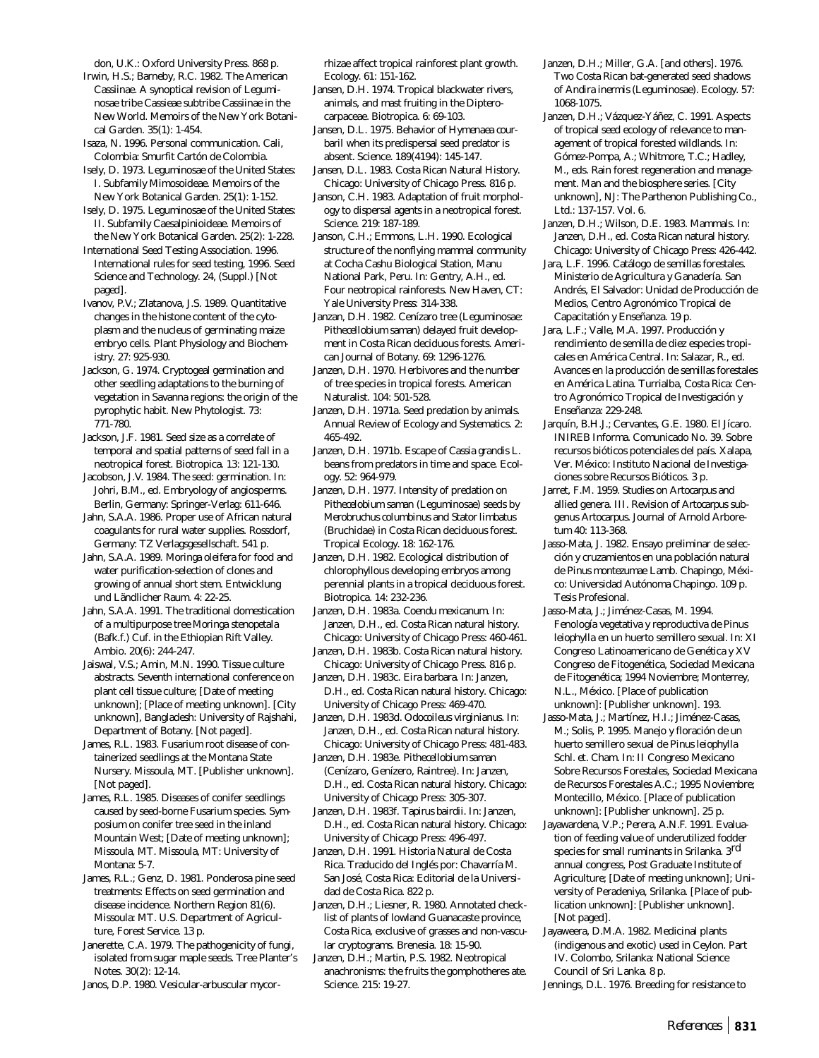don, U.K.: Oxford University Press. 868 p. Irwin, H.S.; Barneby, R.C. 1982. The American Cassiinae. A synoptical revision of Leguminosae tribe Cassieae subtribe Cassiinae in the New World. Memoirs of the New York Botanical Garden. 35(1): 1-454.

Isaza, N. 1996. Personal communication. Cali, Colombia: Smurfit Cartón de Colombia.

Isely, D. 1973. Leguminosae of the United States: I. Subfamily Mimosoideae. Memoirs of the New York Botanical Garden. 25(1): 1-152.

Isely, D. 1975. Leguminosae of the United States: II. Subfamily Caesalpinioideae. Memoirs of the New York Botanical Garden. 25(2): 1-228.

International Seed Testing Association. 1996. International rules for seed testing, 1996. Seed Science and Technology. 24, (Suppl.) [Not paged].

Ivanov, P.V.; Zlatanova, J.S. 1989. Quantitative changes in the histone content of the cytoplasm and the nucleus of germinating maize embryo cells. Plant Physiology and Biochemistry. 27: 925-930.

Jackson, G. 1974. Cryptogeal germination and other seedling adaptations to the burning of vegetation in Savanna regions: the origin of the pyrophytic habit. New Phytologist. 73: 771-780.

Jackson, J.F. 1981. Seed size as a correlate of temporal and spatial patterns of seed fall in a neotropical forest. Biotropica. 13: 121-130.

Jacobson, J.V. 1984. The seed: germination. In: Johri, B.M., ed. Embryology of angiosperms. Berlin, Germany: Springer-Verlag: 611-646.

Jahn, S.A.A. 1986. Proper use of African natural coagulants for rural water supplies. Rossdorf, Germany: TZ Verlagsgesellschaft. 541 p.

Jahn, S.A.A. 1989. *Moringa oleifera* for food and water purification-selection of clones and growing of annual short stem. Entwicklung und Ländlicher Raum. 4: 22-25.

Jahn, S.A.A. 1991. The traditional domestication of a multipurpose tree *Moringa stenopetala* (Bafk.f.) Cuf. in the Ethiopian Rift Valley. Ambio. 20(6): 244-247.

Jaiswal, V.S.; Amin, M.N. 1990. Tissue culture abstracts. Seventh international conference on plant cell tissue culture; [Date of meeting unknown]; [Place of meeting unknown]. [City unknown], Bangladesh: University of Rajshahi, Department of Botany. [Not paged].

James, R.L. 1983. Fusarium root disease of containerized seedlings at the Montana State Nursery. Missoula, MT. [Publisher unknown]. [Not paged].

James, R.L. 1985. Diseases of conifer seedlings caused by seed-borne Fusarium species. Symposium on conifer tree seed in the inland Mountain West; [Date of meeting unknown]; Missoula, MT. Missoula, MT: University of Montana: 5-7.

James, R.L.; Genz, D. 1981. Ponderosa pine seed treatments: Effects on seed germination and disease incidence. Northern Region 81(6). Missoula: MT. U.S. Department of Agriculture, Forest Service. 13 p.

Janerette, C.A. 1979. The pathogenicity of fungi, isolated from sugar maple seeds. Tree Planter's Notes. 30(2): 12-14.

Janos, D.P. 1980. Vesicular-arbuscular mycor-

rhizae affect tropical rainforest plant growth. Ecology. 61: 151-162.

Jansen, D.H. 1974. Tropical blackwater rivers, animals, and mast fruiting in the Dipterocarpaceae. Biotropica. 6: 69-103.

Jansen, D.L. 1975. Behavior of *Hymenaea courbaril* when its predispersal seed predator is absent. Science. 189(4194): 145-147.

Jansen, D.L. 1983. Costa Rican Natural History. Chicago: University of Chicago Press. 816 p.

Janson, C.H. 1983. Adaptation of fruit morphology to dispersal agents in a neotropical forest. Science. 219: 187-189.

Janson, C.H.; Emmons, L.H. 1990. Ecological structure of the nonflying mammal community at Cocha Cashu Biological Station, Manu National Park, Peru. In: Gentry, A.H., ed. Four neotropical rainforests. New Haven, CT: Yale University Press: 314-338.

Janzan, D.H. 1982. Cenízaro tree (Leguminosae: *Pithecellobium saman*) delayed fruit development in Costa Rican deciduous forests. American Journal of Botany. 69: 1296-1276.

Janzen, D.H. 1970. Herbivores and the number of tree species in tropical forests. American Naturalist. 104: 501-528.

Janzen, D.H. 1971a. Seed predation by animals. Annual Review of Ecology and Systematics. 2: 465-492.

Janzen, D.H. 1971b. Escape of *Cassia grandis* L. beans from predators in time and space. Ecology. 52: 964-979.

Janzen, D.H. 1977. Intensity of predation on *Pithecelobium saman* (Leguminosae) seeds by *Merobruchus columbinus* and *Stator limbatus* (Bruchidae) in Costa Rican deciduous forest. Tropical Ecology. 18: 162-176.

Janzen, D.H. 1982. Ecological distribution of chlorophyllous developing embryos among perennial plants in a tropical deciduous forest. Biotropica. 14: 232-236.

Janzen, D.H. 1983a. *Coendu mexicanum*. In: Janzen, D.H., ed. Costa Rican natural history. Chicago: University of Chicago Press: 460-461.

Janzen, D.H. 1983b. Costa Rican natural history. Chicago: University of Chicago Press. 816 p.

Janzen, D.H. 1983c. *Eira barbara*. In: Janzen, D.H., ed. Costa Rican natural history. Chicago: University of Chicago Press: 469-470.

Janzen, D.H. 1983d. *Odocoileus virginianus*. In: Janzen, D.H., ed. Costa Rican natural history. Chicago: University of Chicago Press: 481-483.

Janzen, D.H. 1983e. *Pithecellobium saman* (Cenízaro, Genízero, Raintree). In: Janzen, D.H., ed. Costa Rican natural history. Chicago: University of Chicago Press: 305-307.

Janzen, D.H. 1983f. *Tapirus bairdii*. In: Janzen, D.H., ed. Costa Rican natural history. Chicago: University of Chicago Press: 496-497.

Janzen, D.H. 1991. Historia Natural de Costa Rica. Traducido del Inglés por: Chavarría M. San José, Costa Rica: Editorial de la Universidad de Costa Rica. 822 p.

Janzen, D.H.; Liesner, R. 1980. Annotated checklist of plants of lowland Guanacaste province, Costa Rica, exclusive of grasses and non-vascular cryptograms. Brenesia. 18: 15-90.

Janzen, D.H.; Martin, P.S. 1982. Neotropical anachronisms: the fruits the gomphotheres ate. Science. 215: 19-27.

Janzen, D.H.; Miller, G.A. [and others]. 1976. Two Costa Rican bat-generated seed shadows of *Andira inermis* (Leguminosae). Ecology. 57: 1068-1075.

Janzen, D.H.; Vázquez-Yáñez, C. 1991. Aspects of tropical seed ecology of relevance to management of tropical forested wildlands. In: Gómez-Pompa, A.; Whitmore, T.C.; Hadley, M., eds. Rain forest regeneration and management. Man and the biosphere series. [City unknown], NJ: The Parthenon Publishing Co., Ltd.: 137-157. Vol. 6.

Janzen, D.H.; Wilson, D.E. 1983. Mammals. In: Janzen, D.H., ed. Costa Rican natural history. Chicago: University of Chicago Press: 426-442.

Jara, L.F. 1996. Catálogo de semillas forestales. Ministerio de Agricultura y Ganadería. San Andrés, El Salvador: Unidad de Producción de Medios, Centro Agronómico Tropical de Capacitatión y Enseñanza. 19 p.

Jara, L.F.; Valle, M.A. 1997. Producción y rendimiento de semilla de diez especies tropicales en América Central. In: Salazar, R., ed. Avances en la producción de semillas forestales en América Latina. Turrialba, Costa Rica: Centro Agronómico Tropical de Investigación y Enseñanza: 229-248.

Jarquín, B.H.J.; Cervantes, G.E. 1980. El Jícaro. INIREB Informa. Comunicado No. 39. Sobre recursos bióticos potenciales del país. Xalapa, Ver. México: Instituto Nacional de Investigaciones sobre Recursos Bióticos. 3 p.

Jarret, F.M. 1959. Studies on *Artocarpus* and allied genera. III. Revision of *Artocarpus* subgenus *Artocarpus.* Journal of Arnold Arboretum 40: 113-368.

Jasso-Mata, J. 1982. Ensayo preliminar de selección y cruzamientos en una población natural de *Pinus montezumae* Lamb. Chapingo, México: Universidad Autónoma Chapingo. 109 p. Tesis Profesional.

Jasso-Mata, J.; Jiménez-Casas, M. 1994. Fenología vegetativa y reproductiva de *Pinus leiophylla* en un huerto semillero sexual. In: XI Congreso Latinoamericano de Genética y XV Congreso de Fitogenética, Sociedad Mexicana de Fitogenética; 1994 Noviembre; Monterrey, N.L., México. [Place of publication unknown]: [Publisher unknown]. 193.

Jasso-Mata, J.; Martínez, H.I.; Jiménez-Casas, M.; Solis, P. 1995. Manejo y floración de un huerto semillero sexual de *Pinus leiophylla* Schl. *et*. Cham. In: II Congreso Mexicano Sobre Recursos Forestales, Sociedad Mexicana de Recursos Forestales A.C.; 1995 Noviembre; Montecillo, México. [Place of publication unknown]: [Publisher unknown]. 25 p.

Jayawardena, V.P.; Perera, A.N.F. 1991. Evaluation of feeding value of underutilized fodder species for small ruminants in Srilanka. 3<sup>rd</sup> annual congress, Post Graduate Institute of Agriculture; [Date of meeting unknown]; University of Peradeniya, Srilanka. [Place of publication unknown]: [Publisher unknown]. [Not paged].

Jayaweera, D.M.A. 1982. Medicinal plants (indigenous and exotic) used in Ceylon. Part IV. Colombo, Srilanka: National Science Council of Sri Lanka. 8 p.

Jennings, D.L. 1976. Breeding for resistance to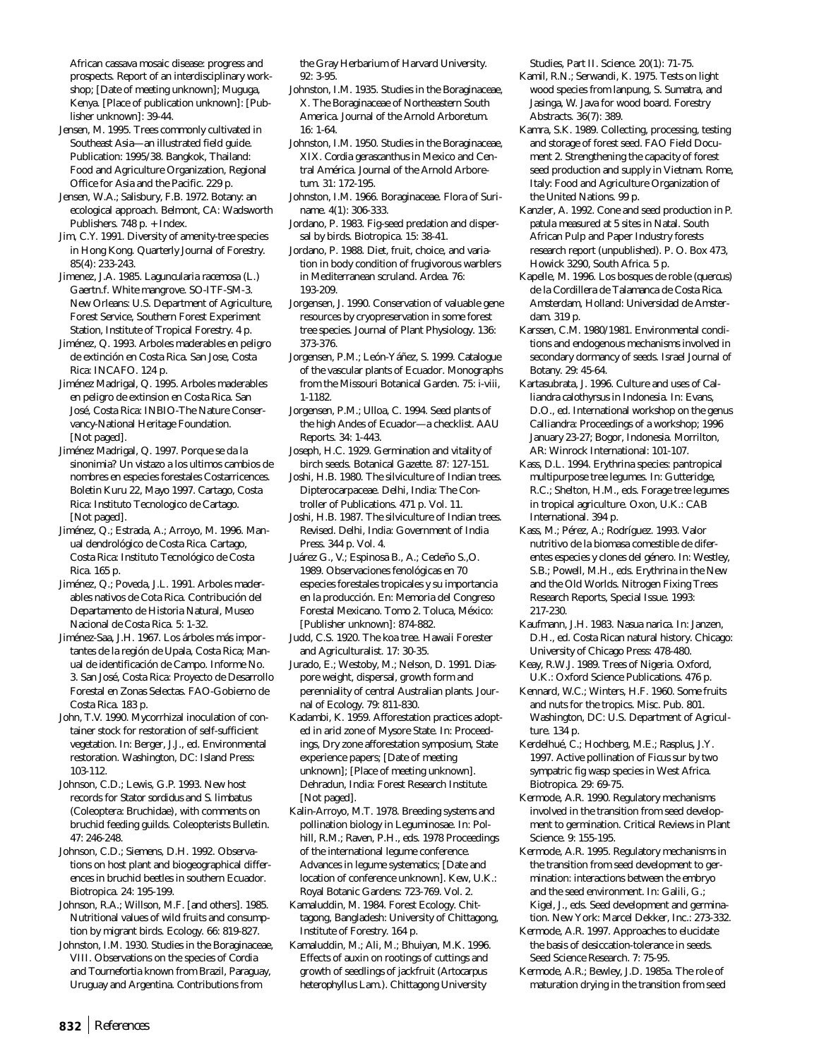African cassava mosaic disease: progress and prospects. Report of an interdisciplinary workshop; [Date of meeting unknown]; Muguga, Kenya. [Place of publication unknown]: [Publisher unknown]: 39-44.

Jensen, M. 1995. Trees commonly cultivated in Southeast Asia—an illustrated field guide. Publication: 1995/38. Bangkok, Thailand: Food and Agriculture Organization, Regional Office for Asia and the Pacific. 229 p.

Jensen, W.A.; Salisbury, F.B. 1972. Botany: an ecological approach. Belmont, CA: Wadsworth Publishers. 748 p. + Index.

Jim, C.Y. 1991. Diversity of amenity-tree species in Hong Kong. Quarterly Journal of Forestry. 85(4): 233-243.

Jimenez, J.A. 1985. *Laguncularia racemosa* (L.) Gaertn.f. White mangrove. SO-ITF-SM-3. New Orleans: U.S. Department of Agriculture, Forest Service, Southern Forest Experiment Station, Institute of Tropical Forestry. 4 p.

Jiménez, Q. 1993. Arboles maderables en peligro de extinción en Costa Rica. San Jose, Costa Rica: INCAFO. 124 p.

Jiménez Madrigal, Q. 1995. Arboles maderables en peligro de extinsion en Costa Rica. San José, Costa Rica: INBIO-The Nature Conservancy-National Heritage Foundation. [Not paged].

Jiménez Madrigal, Q. 1997. Porque se da la sinonimia? Un vistazo a los ultimos cambios de nombres en especies forestales Costarricences. Boletin Kuru 22, Mayo 1997. Cartago, Costa Rica: Instituto Tecnologico de Cartago. [Not paged].

Jiménez, Q.; Estrada, A.; Arroyo, M. 1996. Manual dendrológico de Costa Rica. Cartago, Costa Rica: Instituto Tecnológico de Costa Rica. 165 p.

Jiménez, Q.; Poveda, J.L. 1991. Arboles maderables nativos de Cota Rica. Contribución del Departamento de Historia Natural, Museo Nacional de Costa Rica. 5: 1-32.

Jiménez-Saa, J.H. 1967. Los árboles más importantes de la región de Upala, Costa Rica; Manual de identificación de Campo. Informe No. 3. San José, Costa Rica: Proyecto de Desarrollo Forestal en Zonas Selectas. FAO-Gobierno de Costa Rica. 183 p.

John, T.V. 1990. Mycorrhizal inoculation of container stock for restoration of self-sufficient vegetation. In: Berger, J.J., ed. Environmental restoration. Washington, DC: Island Press: 103-112.

Johnson, C.D.; Lewis, G.P. 1993. New host records for *Stator sordidus* and *S. limbatus* (Coleoptera: Bruchidae)*,* with comments on bruchid feeding guilds. Coleopterists Bulletin. 47: 246-248.

Johnson, C.D.; Siemens, D.H. 1992. Observations on host plant and biogeographical differences in bruchid beetles in southern Ecuador. Biotropica. 24: 195-199.

Johnson, R.A.; Willson, M.F. [and others]. 1985. Nutritional values of wild fruits and consumption by migrant birds. Ecology. 66: 819-827.

Johnston, I.M. 1930. Studies in the Boraginaceae, VIII. Observations on the species of *Cordia* and *Tournefortia* known from Brazil, Paraguay, Uruguay and Argentina. Contributions from

the Gray Herbarium of Harvard University. 92: 3-95.

Johnston, I.M. 1935. Studies in the Boraginaceae, X. The Boraginaceae of Northeastern South America. Journal of the Arnold Arboretum. 16: 1-64.

Johnston, I.M. 1950. Studies in the Boraginaceae, XIX. *Cordia gerascanthus* in Mexico and Central América. Journal of the Arnold Arboretum. 31: 172-195.

Johnston, I.M. 1966. Boraginaceae. Flora of Suriname. 4(1): 306-333.

Jordano, P. 1983. Fig-seed predation and dispersal by birds. Biotropica. 15: 38-41.

Jordano, P. 1988. Diet, fruit, choice, and variation in body condition of frugivorous warblers in Mediterranean scruland. Ardea. 76: 193-209.

Jorgensen, J. 1990. Conservation of valuable gene resources by cryopreservation in some forest tree species. Journal of Plant Physiology. 136: 373-376.

Jorgensen, P.M.; León-Yáñez, S. 1999. Catalogue of the vascular plants of Ecuador. Monographs from the Missouri Botanical Garden. 75: i-viii, 1-1182.

Jorgensen, P.M.; Ulloa, C. 1994. Seed plants of the high Andes of Ecuador—a checklist. AAU Reports. 34: 1-443.

Joseph, H.C. 1929. Germination and vitality of birch seeds. Botanical Gazette. 87: 127-151.

Joshi, H.B. 1980. The silviculture of Indian trees. Dipterocarpaceae. Delhi, India: The Controller of Publications. 471 p. Vol. 11.

Joshi, H.B. 1987. The silviculture of Indian trees. Revised. Delhi, India: Government of India Press. 344 p. Vol. 4.

Juárez G., V.; Espinosa B., A.; Cedeño S.,O. 1989. Observaciones fenológicas en 70 especies forestales tropicales y su importancia en la producción. En: Memoria del Congreso Forestal Mexicano. Tomo 2. Toluca, México: [Publisher unknown]: 874-882.

Judd, C.S. 1920. The koa tree. Hawaii Forester and Agriculturalist. 17: 30-35.

Jurado, E.; Westoby, M.; Nelson, D. 1991. Diaspore weight, dispersal, growth form and perenniality of central Australian plants. Journal of Ecology. 79: 811-830.

Kadambi, K. 1959. Afforestation practices adopted in arid zone of Mysore State. In: Proceedings, Dry zone afforestation symposium, State experience papers; [Date of meeting unknown]; [Place of meeting unknown]. Dehradun, India: Forest Research Institute. [Not paged].

Kalin-Arroyo, M.T. 1978. Breeding systems and pollination biology in Leguminosae. In: Polhill, R.M.; Raven, P.H., eds. 1978 Proceedings of the international legume conference. Advances in legume systematics; [Date and location of conference unknown]. Kew, U.K.: Royal Botanic Gardens: 723-769. Vol. 2.

Kamaluddin, M. 1984. Forest Ecology. Chittagong, Bangladesh: University of Chittagong, Institute of Forestry. 164 p.

Kamaluddin, M.; Ali, M.; Bhuiyan, M.K. 1996. Effects of auxin on rootings of cuttings and growth of seedlings of jackfruit (*Artocarpus heterophyllus* Lam.). Chittagong University

Studies, Part II. Science. 20(1): 71-75.

- Kamil, R.N.; Serwandi, K. 1975. Tests on light wood species from lanpung, S. Sumatra, and Jasinga, W. Java for wood board. Forestry Abstracts. 36(7): 389.
- Kamra, S.K. 1989. Collecting, processing, testing and storage of forest seed. FAO Field Document 2. Strengthening the capacity of forest seed production and supply in Vietnam. Rome, Italy: Food and Agriculture Organization of the United Nations. 99 p.

Kanzler, A. 1992. Cone and seed production in *P. patula* measured at 5 sites in Natal. South African Pulp and Paper Industry forests research report (unpublished). P. O. Box 473, Howick 3290, South Africa. 5 p.

- Kapelle, M. 1996. Los bosques de roble (*quercus*) de la Cordillera de Talamanca de Costa Rica. Amsterdam, Holland: Universidad de Amsterdam. 319 p.
- Karssen, C.M. 1980/1981. Environmental conditions and endogenous mechanisms involved in secondary dormancy of seeds. Israel Journal of Botany. 29: 45-64.
- Kartasubrata, J. 1996. Culture and uses of *Calliandra calothyrsus* in Indonesia. In: Evans, D.O., ed. International workshop on the genus *Calliandra:* Proceedings of a workshop; 1996 January 23-27; Bogor, Indonesia. Morrilton, AR: Winrock International: 101-107.
- Kass, D.L. 1994. *Erythrina* species: pantropical multipurpose tree legumes. In: Gutteridge, R.C.; Shelton, H.M., eds. Forage tree legumes in tropical agriculture. Oxon, U.K.: CAB International. 394 p.
- Kass, M.; Pérez, A.; Rodríguez. 1993. Valor nutritivo de la biomasa comestible de diferentes especies y clones del género. In: Westley, S.B.; Powell, M.H., eds. *Erythrina* in the New and the Old Worlds. Nitrogen Fixing Trees Research Reports, Special Issue. 1993: 217-230.
- Kaufmann, J.H. 1983. *Nasua narica*. In: Janzen, D.H., ed. Costa Rican natural history. Chicago: University of Chicago Press: 478-480.
- Keay, R.W.J. 1989. Trees of Nigeria. Oxford, U.K.: Oxford Science Publications. 476 p.

Kennard, W.C.; Winters, H.F. 1960. Some fruits and nuts for the tropics. Misc. Pub. 801. Washington, DC: U.S. Department of Agriculture. 134 p.

- Kerdelhué, C.; Hochberg, M.E.; Rasplus, J.Y. 1997. Active pollination of *Ficus* sur by two sympatric fig wasp species in West Africa. Biotropica. 29: 69-75.
- Kermode, A.R. 1990. Regulatory mechanisms involved in the transition from seed development to germination. Critical Reviews in Plant Science. 9: 155-195.
- Kermode, A.R. 1995. Regulatory mechanisms in the transition from seed development to germination: interactions between the embryo and the seed environment. In: Galili, G.; Kigel, J., eds. Seed development and germination. New York: Marcel Dekker, Inc.: 273-332.
- Kermode, A.R. 1997. Approaches to elucidate the basis of desiccation-tolerance in seeds. Seed Science Research. 7: 75-95.
- Kermode, A.R.; Bewley, J.D. 1985a. The role of maturation drying in the transition from seed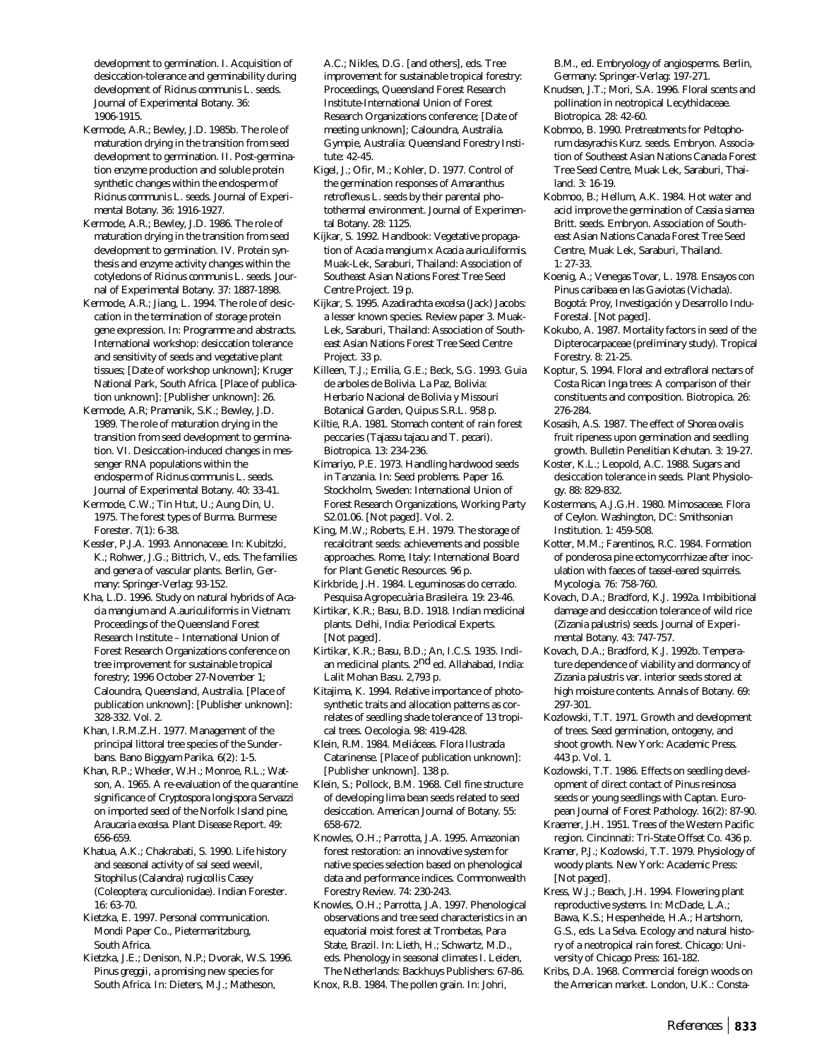development to germination. I. Acquisition of desiccation-tolerance and germinability during development of *Ricinus communis* L. seeds. Journal of Experimental Botany. 36: 1906-1915.

- Kermode, A.R.; Bewley, J.D. 1985b. The role of maturation drying in the transition from seed development to germination. II. Post-germination enzyme production and soluble protein synthetic changes within the endosperm of *Ricinus communis* L. seeds. Journal of Experimental Botany. 36: 1916-1927.
- Kermode, A.R.; Bewley, J.D. 1986. The role of maturation drying in the transition from seed development to germination. IV. Protein synthesis and enzyme activity changes within the cotyledons of *Ricinus communis* L. seeds. Journal of Experimental Botany. 37: 1887-1898.
- Kermode, A.R.; Jiang, L. 1994. The role of desiccation in the termination of storage protein gene expression. In: Programme and abstracts. International workshop: desiccation tolerance and sensitivity of seeds and vegetative plant tissues; [Date of workshop unknown]; Kruger National Park, South Africa. [Place of publication unknown]: [Publisher unknown]: 26.
- Kermode, A.R; Pramanik, S.K.; Bewley, J.D. 1989. The role of maturation drying in the transition from seed development to germination. VI. Desiccation-induced changes in messenger RNA populations within the endosperm of *Ricinus communis* L. seeds. Journal of Experimental Botany. 40: 33-41.
- Kermode, C.W.; Tin Htut, U.; Aung Din, U. 1975. The forest types of Burma. Burmese Forester. 7(1): 6-38.
- Kessler, P.J.A. 1993. Annonaceae. In: Kubitzki, K.; Rohwer, J.G.; Bittrich, V., eds. The families and genera of vascular plants. Berlin, Germany: Springer-Verlag: 93-152.
- Kha, L.D. 1996. Study on natural hybrids of *Acacia mangium* and *A.auriculiformis* in Vietnam: Proceedings of the Queensland Forest Research Institute – International Union of Forest Research Organizations conference on tree improvement for sustainable tropical forestry; 1996 October 27-November 1; Caloundra, Queensland, Australia. [Place of publication unknown]: [Publisher unknown]: 328-332. Vol. 2.
- Khan, I.R.M.Z.H. 1977. Management of the principal littoral tree species of the Sunderbans. Bano Biggyam Parika. 6(2): 1-5.
- Khan, R.P.; Wheeler, W.H.; Monroe, R.L.; Watson, A. 1965. A re-evaluation of the quarantine significance of *Cryptospora longispora* Servazzi on imported seed of the Norfolk Island pine, *Araucaria excelsa*. Plant Disease Report. 49: 656-659.
- Khatua, A.K.; Chakrabati, S. 1990. Life history and seasonal activity of sal seed weevil, *Sitophilus (Calandra) rugicollis* Casey (Coleoptera; curculionidae). Indian Forester. 16: 63-70.
- Kietzka, E. 1997. Personal communication. Mondi Paper Co., Pietermaritzburg, South Africa.
- Kietzka, J.E.; Denison, N.P.; Dvorak, W.S. 1996. *Pinus greggii,* a promising new species for South Africa. In: Dieters, M.J.; Matheson,

A.C.; Nikles, D.G. [and others], eds. Tree improvement for sustainable tropical forestry: Proceedings, Queensland Forest Research Institute-International Union of Forest Research Organizations conference; [Date of meeting unknown]; Caloundra, Australia. Gympie, Australia: Queensland Forestry Institute: 42-45.

- Kigel, J.; Ofir, M.; Kohler, D. 1977. Control of the germination responses of *Amaranthus retroflexus* L. seeds by their parental photothermal environment. Journal of Experimental Botany. 28: 1125.
- Kijkar, S. 1992. Handbook: Vegetative propagation of *Acacia mangium* x *Acacia auriculiformis*. Muak-Lek, Saraburi, Thailand: Association of Southeast Asian Nations Forest Tree Seed Centre Project. 19 p.
- Kijkar, S. 1995. *Azadirachta excelsa* (Jack) Jacobs: a lesser known species. Review paper 3. Muak-Lek, Saraburi, Thailand: Association of Southeast Asian Nations Forest Tree Seed Centre Project. 33 p.
- Killeen, T.J.; Emilia, G.E.; Beck, S.G. 1993. Guia de arboles de Bolivia. La Paz, Bolivia: Herbario Nacional de Bolivia y Missouri Botanical Garden, Quipus S.R.L. 958 p.
- Kiltie, R.A. 1981. Stomach content of rain forest peccaries (*Tajassu tajacu* and *T*. *pecari*). Biotropica. 13: 234-236.
- Kimariyo, P.E. 1973. Handling hardwood seeds in Tanzania. In: Seed problems. Paper 16. Stockholm, Sweden: International Union of Forest Research Organizations, Working Party S2.01.06. [Not paged]. Vol. 2.
- King, M.W.; Roberts, E.H. 1979. The storage of recalcitrant seeds: achievements and possible approaches. Rome, Italy: International Board for Plant Genetic Resources. 96 p.
- Kirkbride, J.H. 1984. Leguminosas do cerrado. Pesquisa Agropecuària Brasileira. 19: 23-46.
- Kirtikar, K.R.; Basu, B.D. 1918. Indian medicinal plants. Delhi, India: Periodical Experts. [Not paged].
- Kirtikar, K.R.; Basu, B.D.; An, I.C.S. 1935. Indian medicinal plants. 2<sup>nd</sup> ed. Allahabad, India: Lalit Mohan Basu. 2,793 p.
- Kitajima, K. 1994. Relative importance of photosynthetic traits and allocation patterns as correlates of seedling shade tolerance of 13 tropical trees. Oecologia. 98: 419-428.
- Klein, R.M. 1984. Meliáceas. Flora Ilustrada Catarinense. [Place of publication unknown]: [Publisher unknown]. 138 p.
- Klein, S.; Pollock, B.M. 1968. Cell fine structure of developing lima bean seeds related to seed desiccation. American Journal of Botany. 55: 658-672.
- Knowles, O.H.; Parrotta, J.A. 1995. Amazonian forest restoration: an innovative system for native species selection based on phenological data and performance indices. Commonwealth Forestry Review. 74: 230-243.
- Knowles, O.H.; Parrotta, J.A. 1997. Phenological observations and tree seed characteristics in an equatorial moist forest at Trombetas, Para State, Brazil. In: Lieth, H.; Schwartz, M.D., eds. Phenology in seasonal climates I. Leiden, The Netherlands: Backhuys Publishers: 67-86.
- Knox, R.B. 1984. The pollen grain. In: Johri,

B.M., ed. Embryology of angiosperms. Berlin, Germany: Springer-Verlag: 197-271.

- Knudsen, J.T.; Mori, S.A. 1996. Floral scents and pollination in neotropical Lecythidaceae. Biotropica. 28: 42-60.
- Kobmoo, B. 1990. Pretreatments for *Peltophorum dasyrachis Kurz*. seeds. Embryon. Association of Southeast Asian Nations Canada Forest Tree Seed Centre, Muak Lek, Saraburi, Thailand. 3: 16-19.
- Kobmoo, B.; Hellum, A.K. 1984. Hot water and acid improve the germination of *Cassia siamea* Britt. seeds. Embryon. Association of Southeast Asian Nations Canada Forest Tree Seed Centre, Muak Lek, Saraburi, Thailand. 1: 27-33.
- Koenig, A.; Venegas Tovar, L. 1978. Ensayos con Pinus caribaea en las Gaviotas (Vichada). Bogotá: Proy, Investigación y Desarrollo Indu-Forestal. [Not paged].
- Kokubo, A. 1987. Mortality factors in seed of the Dipterocarpaceae (preliminary study). Tropical Forestry. 8: 21-25.
- Koptur, S. 1994. Floral and extrafloral nectars of Costa Rican *Inga* trees: A comparison of their constituents and composition. Biotropica. 26: 276-284.
- Kosasih, A.S. 1987. The effect of *Shorea ovalis* fruit ripeness upon germination and seedling growth. Bulletin Penelitian Kehutan. 3: 19-27.
- Koster, K.L.; Leopold, A.C. 1988. Sugars and desiccation tolerance in seeds. Plant Physiology. 88: 829-832.
- Kostermans, A.J.G.H. 1980. Mimosaceae. Flora of Ceylon. Washington, DC: Smithsonian Institution. 1: 459-508.
- Kotter, M.M.; Farentinos, R.C. 1984. Formation of ponderosa pine ectomycorrhizae after inoculation with faeces of tassel-eared squirrels. Mycologia. 76: 758-760.
- Kovach, D.A.; Bradford, K.J. 1992a. Imbibitional damage and desiccation tolerance of wild rice (*Zizania palustris*) seeds. Journal of Experimental Botany. 43: 747-757.
- Kovach, D.A.; Bradford, K.J. 1992b. Temperature dependence of viability and dormancy of *Zizania palustris* var. *interior* seeds stored at high moisture contents. Annals of Botany. 69: 297-301.
- Kozlowski, T.T. 1971. Growth and development of trees. Seed germination, ontogeny, and shoot growth. New York: Academic Press. 443 p. Vol. 1.
- Kozlowski, T.T. 1986. Effects on seedling development of direct contact of *Pinus resinosa* seeds or young seedlings with Captan. European Journal of Forest Pathology. 16(2): 87-90.
- Kraemer, J.H. 1951. Trees of the Western Pacific region. Cincinnati: Tri-State Offset Co. 436 p.
- Kramer, P.J.; Kozlowski, T.T. 1979. Physiology of woody plants. New York: Academic Press: [Not paged].
- Kress, W.J.; Beach, J.H. 1994. Flowering plant reproductive systems. In: McDade, L.A.; Bawa, K.S.; Hespenheide, H.A.; Hartshorn, G.S., eds. La Selva. Ecology and natural history of a neotropical rain forest. Chicago: University of Chicago Press: 161-182.
- Kribs, D.A. 1968. Commercial foreign woods on the American market. London, U.K.: Consta-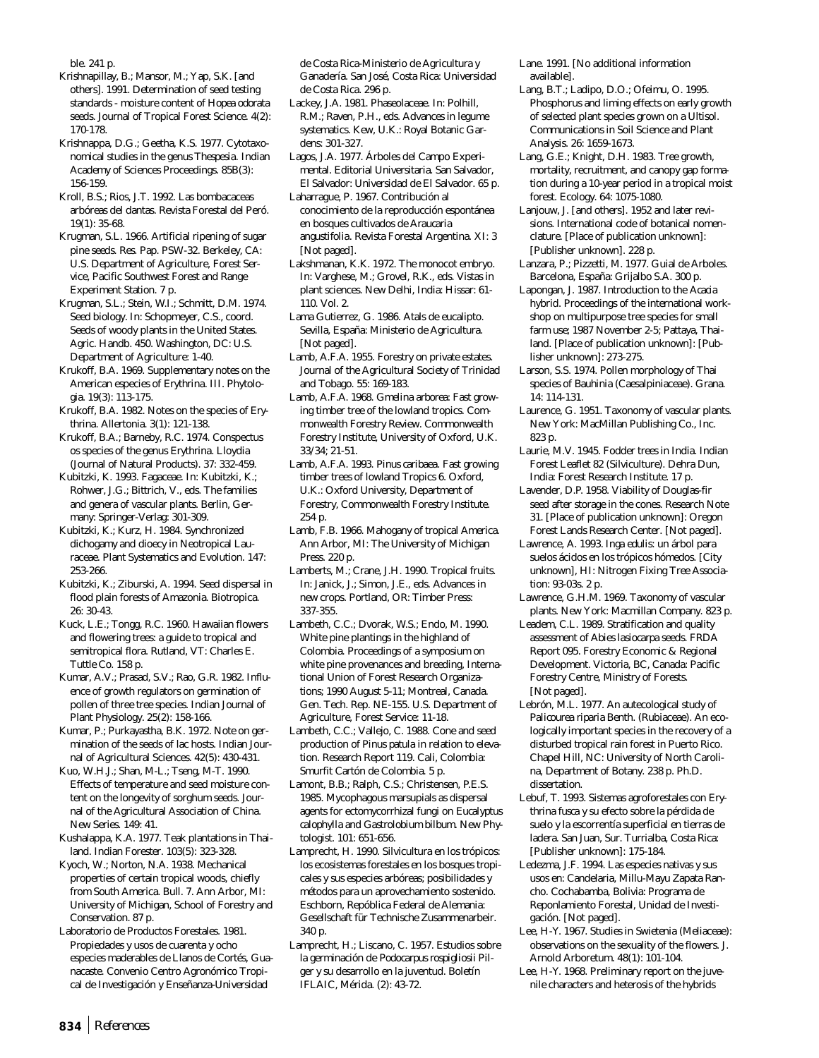ble. 241 p.

Krishnapillay, B.; Mansor, M.; Yap, S.K. [and others]. 1991. Determination of seed testing standards - moisture content of *Hopea odorata* seeds. Journal of Tropical Forest Science. 4(2): 170-178.

Krishnappa, D.G.; Geetha, K.S. 1977. Cytotaxonomical studies in the genus *Thespesia*. Indian Academy of Sciences Proceedings. 85B(3): 156-159.

Kroll, B.S.; Rios, J.T. 1992. Las bombacaceas arbóreas del dantas. Revista Forestal del Peró. 19(1): 35-68.

Krugman, S.L. 1966. Artificial ripening of sugar pine seeds. Res. Pap. PSW-32. Berkeley, CA: U.S. Department of Agriculture, Forest Service, Pacific Southwest Forest and Range Experiment Station. 7 p.

Krugman, S.L.; Stein, W.I.; Schmitt, D.M. 1974. Seed biology. In: Schopmeyer, C.S., coord. Seeds of woody plants in the United States. Agric. Handb. 450. Washington, DC: U.S. Department of Agriculture: 1-40.

Krukoff, B.A. 1969. Supplementary notes on the American especies of *Erythrina*. III. Phytologia. 19(3): 113-175.

Krukoff, B.A. 1982. Notes on the species of *Erythrina*. Allertonia. 3(1): 121-138.

Krukoff, B.A.; Barneby, R.C. 1974. Conspectus os species of the genus *Erythrina*. Lloydia (Journal of Natural Products). 37: 332-459.

Kubitzki, K. 1993. Fagaceae. In: Kubitzki, K.; Rohwer, J.G.; Bittrich, V., eds. The families and genera of vascular plants. Berlin, Germany: Springer-Verlag: 301-309.

Kubitzki, K.; Kurz, H. 1984. Synchronized dichogamy and dioecy in Neotropical Lauraceae. Plant Systematics and Evolution. 147: 253-266.

Kubitzki, K.; Ziburski, A. 1994. Seed dispersal in flood plain forests of Amazonia. Biotropica. 26: 30-43.

Kuck, L.E.; Tongg, R.C. 1960. Hawaiian flowers and flowering trees: a guide to tropical and semitropical flora. Rutland, VT: Charles E. Tuttle Co. 158 p.

Kumar, A.V.; Prasad, S.V.; Rao, G.R. 1982. Influence of growth regulators on germination of pollen of three tree species. Indian Journal of Plant Physiology. 25(2): 158-166.

Kumar, P.; Purkayastha, B.K. 1972. Note on germination of the seeds of lac hosts. Indian Journal of Agricultural Sciences. 42(5): 430-431.

Kuo, W.H.J.; Shan, M-L.; Tseng, M-T. 1990. Effects of temperature and seed moisture content on the longevity of sorghum seeds. Journal of the Agricultural Association of China. New Series. 149: 41.

Kushalappa, K.A. 1977. Teak plantations in Thailand. Indian Forester. 103(5): 323-328.

Kyoch, W.; Norton, N.A. 1938. Mechanical properties of certain tropical woods, chiefly from South America. Bull. 7. Ann Arbor, MI: University of Michigan, School of Forestry and Conservation. 87 p.

Laboratorio de Productos Forestales. 1981. Propiedades y usos de cuarenta y ocho especies maderables de Llanos de Cortés, Guanacaste. Convenio Centro Agronómico Tropical de Investigación y Enseñanza-Universidad

de Costa Rica-Ministerio de Agricultura y Ganadería. San José, Costa Rica: Universidad de Costa Rica. 296 p.

Lackey, J.A. 1981. Phaseolaceae. In: Polhill, R.M.; Raven, P.H., eds. Advances in legume systematics. Kew, U.K.: Royal Botanic Gardens: 301-327.

Lagos, J.A. 1977. Árboles del Campo Experimental. Editorial Universitaria. San Salvador, El Salvador: Universidad de El Salvador. 65 p.

Laharrague, P. 1967. Contribución al conocimiento de la reproducción espontánea en bosques cultivados de *Araucaria angustifolia*. Revista Forestal Argentina. XI: 3 [Not paged].

Lakshmanan, K.K. 1972. The monocot embryo. In: Varghese, M.; Grovel, R.K., eds. Vistas in plant sciences. New Delhi, India: Hissar: 61- 110. Vol. 2.

Lama Gutierrez, G. 1986. Atals de eucalipto. Sevilla, España: Ministerio de Agricultura. [Not paged].

Lamb, A.F.A. 1955. Forestry on private estates. Journal of the Agricultural Society of Trinidad and Tobago. 55: 169-183.

Lamb, A.F.A. 1968. *Gmelina arborea*: Fast growing timber tree of the lowland tropics. Commonwealth Forestry Review. Commonwealth Forestry Institute, University of Oxford, U.K. 33/34; 21-51.

Lamb, A.F.A. 1993. *Pinus caribaea*. Fast growing timber trees of lowland Tropics 6. Oxford, U.K.: Oxford University, Department of Forestry, Commonwealth Forestry Institute. 254 p.

Lamb, F.B. 1966. Mahogany of tropical America. Ann Arbor, MI: The University of Michigan Press. 220 p.

Lamberts, M.; Crane, J.H. 1990. Tropical fruits. In: Janick, J.; Simon, J.E., eds. Advances in new crops. Portland, OR: Timber Press: 337-355.

Lambeth, C.C.; Dvorak, W.S.; Endo, M. 1990. White pine plantings in the highland of Colombia. Proceedings of a symposium on white pine provenances and breeding, International Union of Forest Research Organizations; 1990 August 5-11; Montreal, Canada. Gen. Tech. Rep. NE-155. U.S. Department of Agriculture, Forest Service: 11-18.

Lambeth, C.C.; Vallejo, C. 1988. Cone and seed production of *Pinus patula* in relation to elevation. Research Report 119. Cali, Colombia: Smurfit Cartón de Colombia. 5 p.

Lamont, B.B.; Ralph, C.S.; Christensen, P.E.S. 1985. Mycophagous marsupials as dispersal agents for ectomycorrhizal fungi on *Eucalyptus calophylla* and *Gastrolobium bilbum*. New Phytologist. 101: 651-656.

Lamprecht, H. 1990. Silvicultura en los trópicos: los ecosistemas forestales en los bosques tropicales y sus especies arbóreas; posibilidades y métodos para un aprovechamiento sostenido. Eschborn, Repóblica Federal de Alemania: Gesellschaft für Technische Zusammenarbeir. 340 p.

Lamprecht, H.; Liscano, C. 1957. Estudios sobre la germinación de *Podocarpus rospigliosii* Pilger y su desarrollo en la juventud. Boletín IFLAIC, Mérida. (2): 43-72.

Lane. 1991. [No additional information available].

Lang, B.T.; Ladipo, D.O.; Ofeimu, O. 1995. Phosphorus and liming effects on early growth of selected plant species grown on a Ultisol. Communications in Soil Science and Plant Analysis. 26: 1659-1673.

Lang, G.E.; Knight, D.H. 1983. Tree growth, mortality, recruitment, and canopy gap formation during a 10-year period in a tropical moist forest. Ecology. 64: 1075-1080.

Lanjouw, J. [and others]. 1952 and later revisions. International code of botanical nomenclature. [Place of publication unknown]: [Publisher unknown]. 228 p.

Lanzara, P.; Pizzetti, M. 1977. Guial de Arboles. Barcelona, España: Grijalbo S.A. 300 p.

Lapongan, J. 1987. Introduction to the *Acacia* hybrid. Proceedings of the international workshop on multipurpose tree species for small farm use; 1987 November 2-5; Pattaya, Thailand. [Place of publication unknown]: [Publisher unknown]: 273-275.

Larson, S.S. 1974. Pollen morphology of Thai species of *Bauhinia* (Caesalpiniaceae). Grana. 14: 114-131.

Laurence, G. 1951. Taxonomy of vascular plants. New York: MacMillan Publishing Co., Inc. 823 p.

Laurie, M.V. 1945. Fodder trees in India. Indian Forest Leaflet 82 (Silviculture). Dehra Dun, India: Forest Research Institute. 17 p.

Lavender, D.P. 1958. Viability of Douglas-fir seed after storage in the cones. Research Note 31. [Place of publication unknown]: Oregon Forest Lands Research Center. [Not paged].

Lawrence, A. 1993. *Inga edulis*: un árbol para suelos ácidos en los trópicos hómedos. [City unknown], HI: Nitrogen Fixing Tree Association: 93-03s. 2 p.

Lawrence, G.H.M. 1969. Taxonomy of vascular plants. New York: Macmillan Company. 823 p.

Leadem, C.L. 1989. Stratification and quality assessment of *Abies lasiocarpa* seeds. FRDA Report 095. Forestry Economic & Regional Development. Victoria, BC, Canada: Pacific Forestry Centre, Ministry of Forests. [Not paged].

Lebrón, M.L. 1977. An autecological study of *Palicourea riparia* Benth. (Rubiaceae). An ecologically important species in the recovery of a disturbed tropical rain forest in Puerto Rico. Chapel Hill, NC: University of North Carolina, Department of Botany. 238 p. Ph.D. dissertation.

Lebuf, T. 1993. Sistemas agroforestales con *Erythrina fusca* y su efecto sobre la pérdida de suelo y la escorrentía superficial en tierras de ladera. San Juan, Sur. Turrialba, Costa Rica: [Publisher unknown]: 175-184.

Ledezma, J.F. 1994. Las especies nativas y sus usos en: Candelaria, Millu-Mayu Zapata Rancho. Cochabamba, Bolivia: Programa de Reponlamiento Forestal, Unidad de Investigación. [Not paged].

Lee, H-Y. 1967. Studies in *Swietenia* (Meliaceae): observations on the sexuality of the flowers. J. Arnold Arboretum. 48(1): 101-104.

Lee, H-Y. 1968. Preliminary report on the juvenile characters and heterosis of the hybrids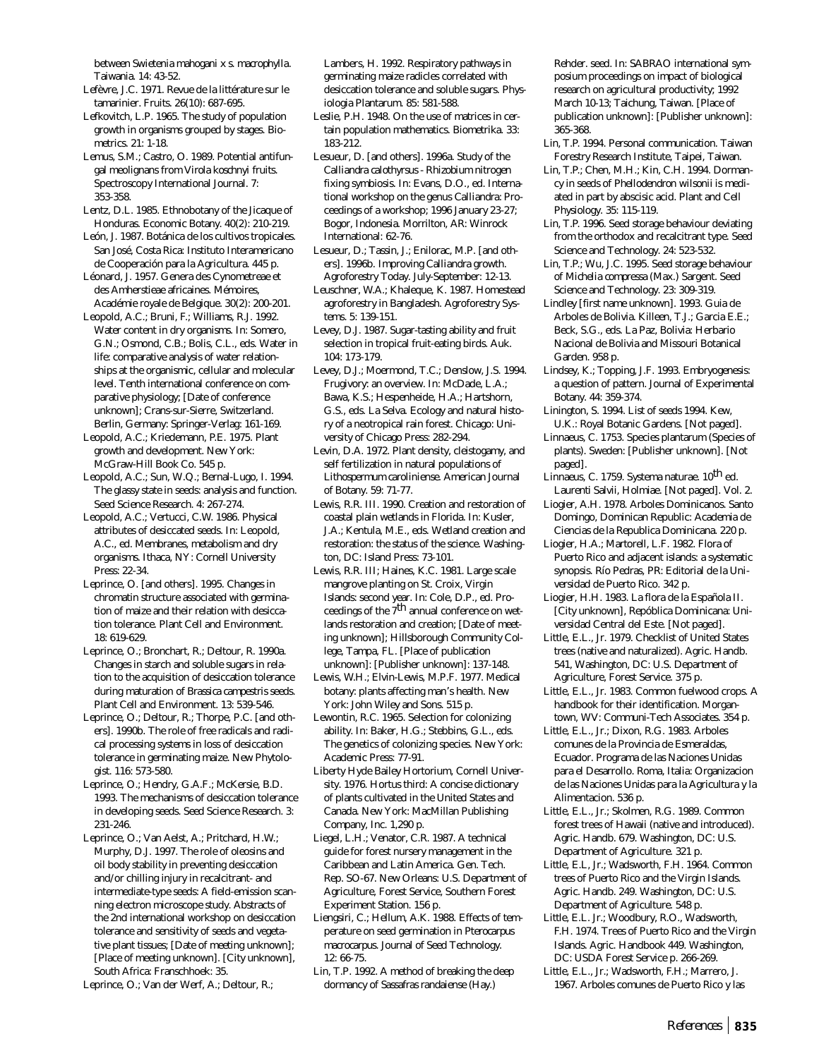between *Swietenia mahogani* x *s. macrophylla*. Taiwania. 14: 43-52.

- Lefèvre, J.C. 1971. Revue de la littérature sur le tamarinier. Fruits. 26(10): 687-695.
- Lefkovitch, L.P. 1965. The study of population growth in organisms grouped by stages. Biometrics. 21: 1-18.
- Lemus, S.M.; Castro, O. 1989. Potential antifungal meolignans from *Virola koschnyi* fruits. Spectroscopy International Journal. 7: 353-358.
- Lentz, D.L. 1985. Ethnobotany of the Jicaque of Honduras. Economic Botany. 40(2): 210-219.
- León, J. 1987. Botánica de los cultivos tropicales. San José, Costa Rica: Instituto Interamericano de Cooperación para la Agricultura. 445 p.
- Léonard, J. 1957. Genera des Cynometreae et des Amherstieae africaines. Mémoires, Académie royale de Belgique. 30(2): 200-201.
- Leopold, A.C.; Bruni, F.; Williams, R.J. 1992. Water content in dry organisms. In: Somero, G.N.; Osmond, C.B.; Bolis, C.L., eds. Water in life: comparative analysis of water relationships at the organismic, cellular and molecular level. Tenth international conference on comparative physiology; [Date of conference unknown]; Crans-sur-Sierre, Switzerland. Berlin, Germany: Springer-Verlag: 161-169.
- Leopold, A.C.; Kriedemann, P.E. 1975. Plant growth and development. New York: McGraw-Hill Book Co. 545 p.
- Leopold, A.C.; Sun, W.Q.; Bernal-Lugo, I. 1994. The glassy state in seeds: analysis and function. Seed Science Research. 4: 267-274.
- Leopold, A.C.; Vertucci, C.W. 1986. Physical attributes of desiccated seeds. In: Leopold, A.C., ed. Membranes, metabolism and dry organisms. Ithaca, NY: Cornell University Press: 22-34.
- Leprince, O. [and others]. 1995. Changes in chromatin structure associated with germination of maize and their relation with desiccation tolerance. Plant Cell and Environment. 18: 619-629.
- Leprince, O.; Bronchart, R.; Deltour, R. 1990a. Changes in starch and soluble sugars in relation to the acquisition of desiccation tolerance during maturation of *Brassica campestris* seeds. Plant Cell and Environment. 13: 539-546.
- Leprince, O.; Deltour, R.; Thorpe, P.C. [and others]. 1990b. The role of free radicals and radical processing systems in loss of desiccation tolerance in germinating maize. New Phytologist. 116: 573-580.
- Leprince, O.; Hendry, G.A.F.; McKersie, B.D. 1993. The mechanisms of desiccation tolerance in developing seeds. Seed Science Research. 3: 231-246.
- Leprince, O.; Van Aelst, A.; Pritchard, H.W.; Murphy, D.J. 1997. The role of oleosins and oil body stability in preventing desiccation and/or chilling injury in recalcitrant- and intermediate-type seeds: A field-emission scanning electron microscope study. Abstracts of the 2nd international workshop on desiccation tolerance and sensitivity of seeds and vegetative plant tissues; [Date of meeting unknown]; [Place of meeting unknown]. [City unknown], South Africa: Franschhoek: 35.
- Leprince, O.; Van der Werf, A.; Deltour, R.;

Lambers, H. 1992. Respiratory pathways in germinating maize radicles correlated with desiccation tolerance and soluble sugars. Physiologia Plantarum. 85: 581-588.

- Leslie, P.H. 1948. On the use of matrices in certain population mathematics. Biometrika. 33: 183-212.
- Lesueur, D. [and others]. 1996a. Study of the *Calliandra calothyrsus - Rhizobium* nitrogen fixing symbiosis. In: Evans, D.O., ed. International workshop on the genus *Calliandra:* Proceedings of a workshop; 1996 January 23-27; Bogor, Indonesia. Morrilton, AR: Winrock International: 62-76.
- Lesueur, D.; Tassin, J.; Enilorac, M.P. [and others]. 1996b. Improving *Calliandra* growth. Agroforestry Today. July-September: 12-13.
- Leuschner, W.A.; Khaleque, K. 1987. Homestead agroforestry in Bangladesh. Agroforestry Systems. 5: 139-151.
- Levey, D.J. 1987. Sugar-tasting ability and fruit selection in tropical fruit-eating birds. Auk. 104: 173-179.
- Levey, D.J.; Moermond, T.C.; Denslow, J.S. 1994. Frugivory: an overview. In: McDade, L.A.; Bawa, K.S.; Hespenheide, H.A.; Hartshorn, G.S., eds. La Selva. Ecology and natural history of a neotropical rain forest. Chicago: University of Chicago Press: 282-294.
- Levin, D.A. 1972. Plant density, cleistogamy, and self fertilization in natural populations of *Lithospermum caroliniense*. American Journal of Botany. 59: 71-77.
- Lewis, R.R. III. 1990. Creation and restoration of coastal plain wetlands in Florida. In: Kusler, J.A.; Kentula, M.E., eds. Wetland creation and restoration: the status of the science. Washington, DC: Island Press: 73-101.
- Lewis, R.R. III; Haines, K.C. 1981. Large scale mangrove planting on St. Croix, Virgin Islands: second year. In: Cole, D.P., ed. Proceedings of the  $7<sup>th</sup>$  annual conference on wetlands restoration and creation; [Date of meeting unknown]; Hillsborough Community College, Tampa, FL. [Place of publication unknown]: [Publisher unknown]: 137-148.
- Lewis, W.H.; Elvin-Lewis, M.P.F. 1977. Medical botany: plants affecting man's health. New York: John Wiley and Sons. 515 p.
- Lewontin, R.C. 1965. Selection for colonizing ability. In: Baker, H.G.; Stebbins, G.L., eds. The genetics of colonizing species. New York: Academic Press: 77-91.
- Liberty Hyde Bailey Hortorium, Cornell University. 1976. Hortus third: A concise dictionary of plants cultivated in the United States and Canada. New York: MacMillan Publishing Company, Inc. 1,290 p.
- Liegel, L.H.; Venator, C.R. 1987. A technical guide for forest nursery management in the Caribbean and Latin America. Gen. Tech. Rep. SO-67. New Orleans: U.S. Department of Agriculture, Forest Service, Southern Forest Experiment Station. 156 p.
- Liengsiri, C.; Hellum, A.K. 1988. Effects of temperature on seed germination in *Pterocarpus macrocarpus*. Journal of Seed Technology. 12: 66-75.
- Lin, T.P. 1992. A method of breaking the deep dormancy of *Sassafras randaiense* (Hay.)

Rehder. seed. In: SABRAO international symposium proceedings on impact of biological research on agricultural productivity; 1992 March 10-13; Taichung, Taiwan. [Place of publication unknown]: [Publisher unknown]: 365-368.

- Lin, T.P. 1994. Personal communication. Taiwan Forestry Research Institute, Taipei, Taiwan.
- Lin, T.P.; Chen, M.H.; Kin, C.H. 1994. Dormancy in seeds of *Phellodendron wilsonii* is mediated in part by abscisic acid. Plant and Cell Physiology. 35: 115-119.
- Lin, T.P. 1996. Seed storage behaviour deviating from the orthodox and recalcitrant type. Seed Science and Technology. 24: 523-532.
- Lin, T.P.; Wu, J.C. 1995. Seed storage behaviour of *Michelia compressa* (Max.) Sargent. Seed Science and Technology. 23: 309-319.
- Lindley [first name unknown]. 1993. Guia de Arboles de Bolivia. Killeen, T.J.; Garcia E.E.; Beck, S.G., eds. La Paz, Bolivia: Herbario Nacional de Bolivia and Missouri Botanical Garden. 958 p.
- Lindsey, K.; Topping, J.F. 1993. Embryogenesis: a question of pattern. Journal of Experimental Botany. 44: 359-374.
- Linington, S. 1994. List of seeds 1994. Kew, U.K.: Royal Botanic Gardens. [Not paged].
- Linnaeus, C. 1753. Species plantarum (Species of plants). Sweden: [Publisher unknown]. [Not paged].
- Linnaeus, C. 1759. Systema naturae. 10<sup>th</sup> ed. Laurenti Salvii, Holmiae. [Not paged]. Vol. 2.
- Liogier, A.H. 1978. Arboles Dominicanos. Santo Domingo, Dominican Republic: Academia de Ciencias de la Republica Dominicana. 220 p.
- Liogier, H.A.; Martorell, L.F. 1982. Flora of Puerto Rico and adjacent islands: a systematic synopsis. Río Pedras, PR: Editorial de la Universidad de Puerto Rico. 342 p.
- Liogier, H.H. 1983. La flora de la Española II. [City unknown], Repóblica Dominicana: Universidad Central del Este. [Not paged].
- Little, E.L., Jr. 1979. Checklist of United States trees (native and naturalized). Agric. Handb. 541, Washington, DC: U.S. Department of Agriculture, Forest Service. 375 p.
- Little, E.L., Jr. 1983. Common fuelwood crops. A handbook for their identification. Morgantown, WV: Communi-Tech Associates. 354 p.
- Little, E.L., Jr.; Dixon, R.G. 1983. Arboles comunes de la Provincia de Esmeraldas, Ecuador. Programa de las Naciones Unidas para el Desarrollo. Roma, Italia: Organizacion de las Naciones Unidas para la Agricultura y la Alimentacion. 536 p.
- Little, E.L., Jr.; Skolmen, R.G. 1989. Common forest trees of Hawaii (native and introduced). Agric. Handb. 679. Washington, DC: U.S. Department of Agriculture. 321 p.
- Little, E.L, Jr.; Wadsworth, F.H. 1964. Common trees of Puerto Rico and the Virgin Islands. Agric. Handb. 249. Washington, DC: U.S. Department of Agriculture. 548 p.
- Little, E.L. Jr.; Woodbury, R.O., Wadsworth, F.H. 1974. Trees of Puerto Rico and the Virgin Islands. Agric. Handbook 449. Washington, DC: USDA Forest Service p. 266-269.
- Little, E.L., Jr.; Wadsworth, F.H.; Marrero, J. 1967. Arboles comunes de Puerto Rico y las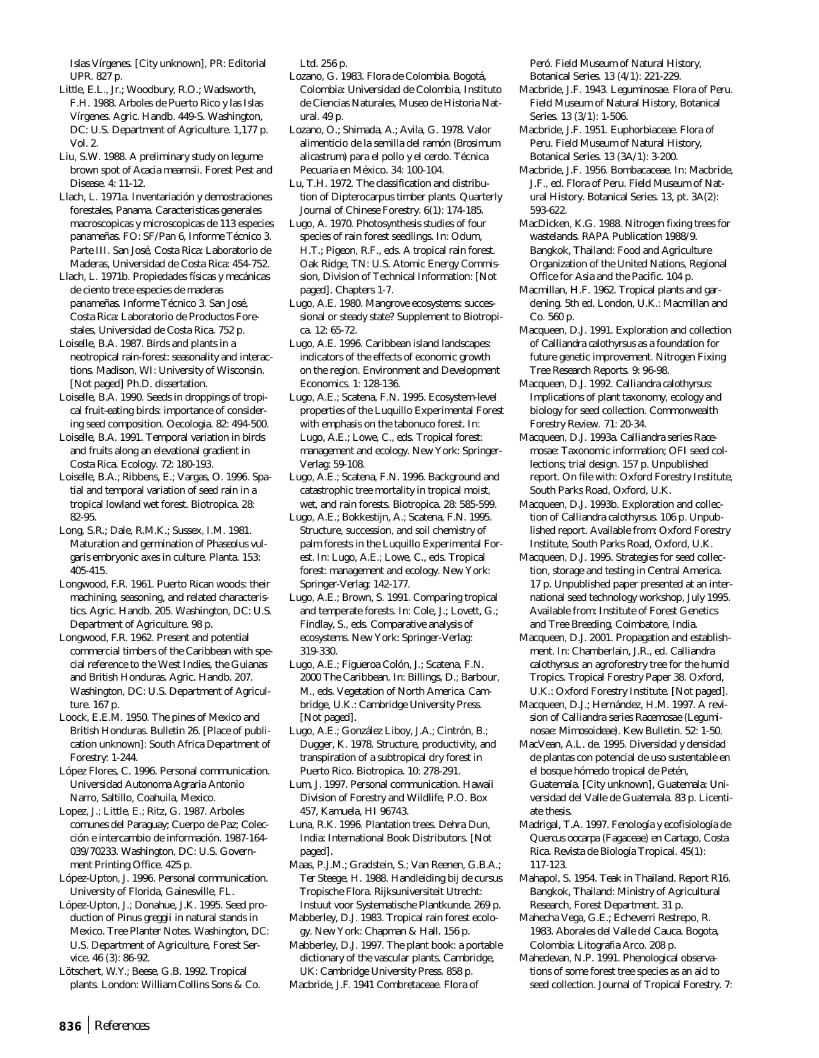Islas Vírgenes. [City unknown], PR: Editorial UPR. 827 p.

- Little, E.L., Jr.; Woodbury, R.O.; Wadsworth, F.H. 1988. Arboles de Puerto Rico y las Islas Vírgenes. Agric. Handb. 449-S. Washington, DC: U.S. Department of Agriculture. 1,177 p. Vol. 2.
- Liu, S.W. 1988. A preliminary study on legume brown spot of *Acacia mearnsii*. Forest Pest and Disease. 4: 11-12.
- Llach, L. 1971a. Inventariación y demostraciones forestales, Panama. Caracteristicas generales macroscopicas y microscopicas de 113 especies panameñas. FO: SF/Pan 6, Informe Técnico 3. Parte III. San José, Costa Rica: Laboratorio de Maderas, Universidad de Costa Rica: 454-752.
- Llach, L. 1971b. Propiedades físicas y mecánicas de ciento trece especies de maderas panameñas. Informe Técnico 3. San José, Costa Rica: Laboratorio de Productos Forestales, Universidad de Costa Rica. 752 p.
- Loiselle, B.A. 1987. Birds and plants in a neotropical rain-forest: seasonality and interactions. Madison, WI: University of Wisconsin. [Not paged] Ph.D. dissertation.
- Loiselle, B.A. 1990. Seeds in droppings of tropical fruit-eating birds: importance of considering seed composition. Oecologia. 82: 494-500.
- Loiselle, B.A. 1991. Temporal variation in birds and fruits along an elevational gradient in Costa Rica. Ecology. 72: 180-193.
- Loiselle, B.A.; Ribbens, E.; Vargas, O. 1996. Spatial and temporal variation of seed rain in a tropical lowland wet forest. Biotropica. 28: 82-95.
- Long, S.R.; Dale, R.M.K.; Sussex, I.M. 1981. Maturation and germination of *Phaseolus vulgaris* embryonic axes in culture. Planta. 153: 405-415.
- Longwood, F.R. 1961. Puerto Rican woods: their machining, seasoning, and related characteristics. Agric. Handb. 205. Washington, DC: U.S. Department of Agriculture. 98 p.
- Longwood, F.R. 1962. Present and potential commercial timbers of the Caribbean with special reference to the West Indies, the Guianas and British Honduras. Agric. Handb. 207. Washington, DC: U.S. Department of Agriculture. 167 p.
- Loock, E.E.M. 1950. The pines of Mexico and British Honduras. Bulletin 26. [Place of publication unknown]: South Africa Department of Forestry: 1-244.
- López Flores, C. 1996. Personal communication. Universidad Autonoma Agraria Antonio Narro, Saltillo, Coahuila, Mexico.
- Lopez, J.; Little, E.; Ritz, G. 1987. Arboles comunes del Paraguay; Cuerpo de Paz; Colección e intercambio de información. 1987-164- 039/70233. Washington, DC: U.S. Government Printing Office. 425 p.
- López-Upton, J. 1996. Personal communication. University of Florida, Gainesville, FL.
- López-Upton, J.; Donahue, J.K. 1995. Seed production of *Pinus greggii* in natural stands in Mexico. Tree Planter Notes. Washington, DC: U.S. Department of Agriculture, Forest Service. 46 (3): 86-92.
- Lötschert, W.Y.; Beese, G.B. 1992. Tropical plants. London: William Collins Sons & Co.

Ltd. 256 p.

- Lozano, G. 1983. Flora de Colombia. Bogotá, Colombia: Universidad de Colombia, Instituto de Ciencias Naturales, Museo de Historia Natural. 49 p.
- Lozano, O.; Shimada, A.; Avila, G. 1978. Valor alimenticio de la semilla del ramón (*Brosimum alicastrum*) para el pollo y el cerdo. Técnica Pecuaria en México. 34: 100-104.
- Lu, T.H. 1972. The classification and distribution of Dipterocarpus timber plants. Quarterly Journal of Chinese Forestry. 6(1): 174-185.
- Lugo, A. 1970. Photosynthesis studies of four species of rain forest seedlings. In: Odum, H.T.; Pigeon, R.F., eds. A tropical rain forest. Oak Ridge, TN: U.S. Atomic Energy Commission, Division of Technical Information: [Not paged]. Chapters 1-7.
- Lugo, A.E. 1980. Mangrove ecosystems: successional or steady state? Supplement to Biotropica. 12: 65-72.
- Lugo, A.E. 1996. Caribbean island landscapes: indicators of the effects of economic growth on the region. Environment and Development Economics. 1: 128-136.
- Lugo, A.E.; Scatena, F.N. 1995. Ecosystem-level properties of the Luquillo Experimental Forest with emphasis on the tabonuco forest. In: Lugo, A.E.; Lowe, C., eds. Tropical forest: management and ecology. New York: Springer-Verlag: 59-108.
- Lugo, A.E.; Scatena, F.N. 1996. Background and catastrophic tree mortality in tropical moist, wet, and rain forests. Biotropica. 28: 585-599.
- Lugo, A.E.; Bokkestijn, A.; Scatena, F.N. 1995. Structure, succession, and soil chemistry of palm forests in the Luquillo Experimental Forest. In: Lugo, A.E.; Lowe, C., eds. Tropical forest: management and ecology. New York: Springer-Verlag: 142-177.
- Lugo, A.E.; Brown, S. 1991. Comparing tropical and temperate forests. In: Cole, J.; Lovett, G.; Findlay, S., eds. Comparative analysis of ecosystems. New York: Springer-Verlag: 319-330.
- Lugo, A.E.; Figueroa Colón, J.; Scatena, F.N. 2000 The Caribbean. In: Billings, D.; Barbour, M., eds. Vegetation of North America. Cambridge, U.K.: Cambridge University Press. [Not paged].
- Lugo, A.E.; González Liboy, J.A.; Cintrón, B.; Dugger, K. 1978. Structure, productivity, and transpiration of a subtropical dry forest in Puerto Rico. Biotropica. 10: 278-291.
- Lum, J. 1997. Personal communication. Hawaii Division of Forestry and Wildlife, P.O. Box 457, Kamuela, HI 96743.
- Luna, R.K. 1996. Plantation trees. Dehra Dun, India: International Book Distributors. [Not paged].
- Maas, P.J.M.; Gradstein, S.; Van Reenen, G.B.A.; Ter Steege, H. 1988. Handleiding bij de cursus Tropische Flora. Rijksuniversiteit Utrecht: Instuut voor Systematische Plantkunde. 269 p.
- Mabberley, D.J. 1983. Tropical rain forest ecology. New York: Chapman & Hall. 156 p.
- Mabberley, D.J. 1997. The plant book: a portable dictionary of the vascular plants. Cambridge, UK: Cambridge University Press. 858 p. Macbride, J.F. 1941 Combretaceae. Flora of

Peró. Field Museum of Natural History, Botanical Series. 13 (4/1): 221-229.

- Macbride, J.F. 1943. Leguminosae. Flora of Peru. Field Museum of Natural History, Botanical Series. 13 (3/1): 1-506.
- Macbride, J.F. 1951. Euphorbiaceae. Flora of Peru. Field Museum of Natural History, Botanical Series. 13 (3A/1): 3-200.
- Macbride, J.F. 1956. Bombacaceae. In: Macbride, J.F., ed. Flora of Peru. Field Museum of Natural History. Botanical Series. 13, pt. 3A(2): 593-622.
- MacDicken, K.G. 1988. Nitrogen fixing trees for wastelands. RAPA Publication 1988/9. Bangkok, Thailand: Food and Agriculture Organization of the United Nations, Regional Office for Asia and the Pacific. 104 p.
- Macmillan, H.F. 1962. Tropical plants and gardening. 5th ed. London, U.K.: Macmillan and Co. 560 p.
- Macqueen, D.J. 1991. Exploration and collection of *Calliandra calothyrsus* as a foundation for future genetic improvement. Nitrogen Fixing Tree Research Reports. 9: 96-98.
- Macqueen, D.J. 1992. *Calliandra calothyrsus*: Implications of plant taxonomy, ecology and biology for seed collection. Commonwealth Forestry Review. 71: 20-34.
- Macqueen, D.J. 1993a. *Calliandra* series *Racemosae*: Taxonomic information; OFI seed collections; trial design. 157 p. Unpublished report. On file with: Oxford Forestry Institute, South Parks Road, Oxford, U.K.
- Macqueen, D.J. 1993b. Exploration and collection of *Calliandra calothyrsus*. 106 p. Unpublished report. Available from: Oxford Forestry Institute, South Parks Road, Oxford, U.K.
- Macqueen, D.J. 1995. Strategies for seed collection, storage and testing in Central America. 17 p. Unpublished paper presented at an international seed technology workshop, July 1995. Available from: Institute of Forest Genetics and Tree Breeding, Coimbatore, India.
- Macqueen, D.J. 2001. Propagation and establishment. In: Chamberlain, J.R., ed. *Calliandra calothyrsus*: an agroforestry tree for the humid Tropics. Tropical Forestry Paper 38. Oxford, U.K.: Oxford Forestry Institute. [Not paged].
- Macqueen, D.J.; Hernández, H.M. 1997. A revision of *Calliandra* series *Racemosae* (*Leguminosae: Mimosoideae*). Kew Bulletin. 52: 1-50.
- MacVean, A.L. de. 1995. Diversidad y densidad de plantas con potencial de uso sustentable en el bosque hómedo tropical de Petén, Guatemala. [City unknown], Guatemala: Universidad del Valle de Guatemala. 83 p. Licentiate thesis.
- Madrigal, T.A. 1997. Fenología y ecofisiología de *Quercus oocarpa* (Fagaceae) en Cartago, Costa Rica. Revista de Biología Tropical. 45(1): 117-123.
- Mahapol, S. 1954. Teak in Thailand. Report R16. Bangkok, Thailand: Ministry of Agricultural Research, Forest Department. 31 p.
- Mahecha Vega, G.E.; Echeverri Restrepo, R. 1983. Aborales del Valle del Cauca. Bogota, Colombia: Litografia Arco. 208 p.
- Mahedevan, N.P. 1991. Phenological observations of some forest tree species as an aid to seed collection. Journal of Tropical Forestry. 7: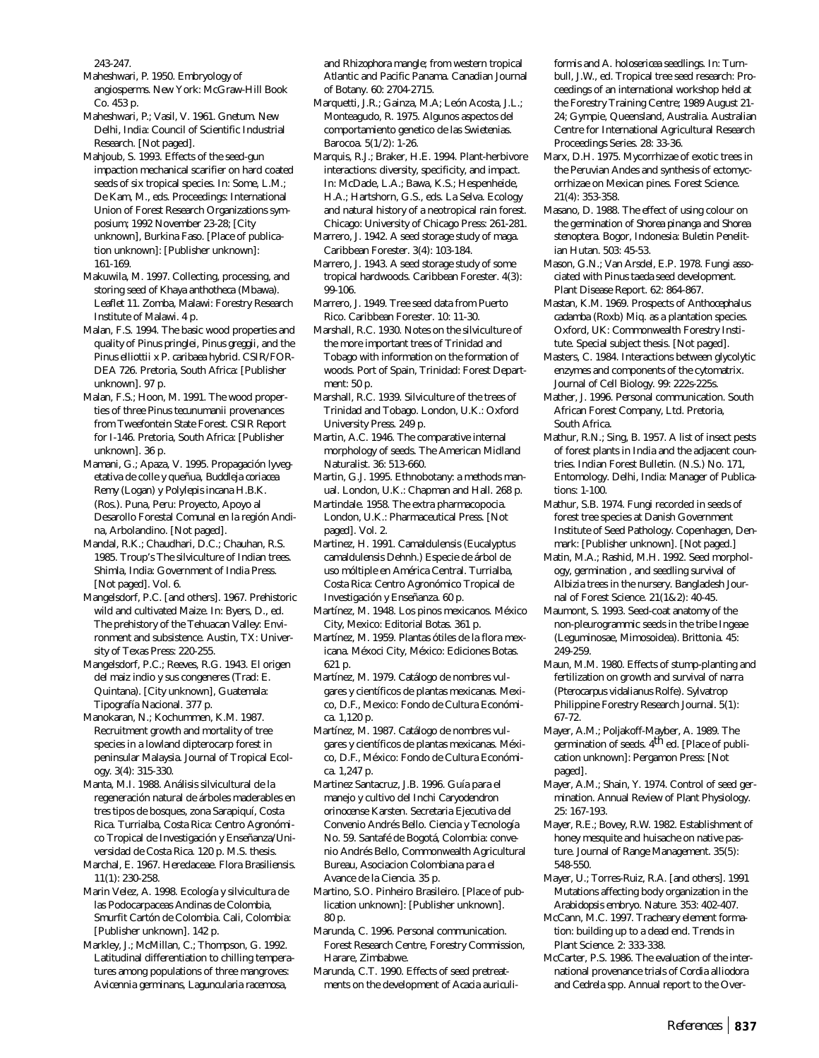243-247.

- Maheshwari, P. 1950. Embryology of angiosperms. New York: McGraw-Hill Book Co. 453 p.
- Maheshwari, P.; Vasil, V. 1961. *Gnetum*. New Delhi, India: Council of Scientific Industrial Research. [Not paged].
- Mahjoub, S. 1993. Effects of the seed-gun impaction mechanical scarifier on hard coated seeds of six tropical species. In: Some, L.M.; De Kam, M., eds. Proceedings: International Union of Forest Research Organizations symposium; 1992 November 23-28; [City unknown], Burkina Faso. [Place of publication unknown]: [Publisher unknown]: 161-169.
- Makuwila, M. 1997. Collecting, processing, and storing seed of *Khaya anthotheca* (Mbawa). Leaflet 11. Zomba, Malawi: Forestry Research Institute of Malawi. 4 p.
- Malan, F.S. 1994. The basic wood properties and quality of *Pinus pringlei, Pinus greggii,* and the *Pinus elliottii x P. caribaea* hybrid. CSIR/FOR-DEA 726. Pretoria, South Africa: [Publisher unknown]. 97 p.
- Malan, F.S.; Hoon, M. 1991. The wood properties of three *Pinus tecunumanii* provenances from Tweefontein State Forest. CSIR Report for I-146. Pretoria, South Africa: [Publisher unknown]. 36 p.
- Mamani, G.; Apaza, V. 1995. Propagación lyvegetativa de colle y queñua, *Buddleja coriacea* Remy (Logan) y *Polylepis incana* H.B.K. (Ros.). Puna, Peru: Proyecto, Apoyo al Desarollo Forestal Comunal en la región Andina, Arbolandino. [Not paged].
- Mandal, R.K.; Chaudhari, D.C.; Chauhan, R.S. 1985. Troup's The silviculture of Indian trees. Shimla, India: Government of India Press. [Not paged]. Vol. 6.
- Mangelsdorf, P.C. [and others]. 1967. Prehistoric wild and cultivated Maize. In: Byers, D., ed. The prehistory of the Tehuacan Valley: Environment and subsistence. Austin, TX: University of Texas Press: 220-255.
- Mangelsdorf, P.C.; Reeves, R.G. 1943. El origen del maiz indio y sus congeneres (Trad: E. Quintana). [City unknown], Guatemala: Tipografía Nacional. 377 p.
- Manokaran, N.; Kochummen, K.M. 1987. Recruitment growth and mortality of tree species in a lowland dipterocarp forest in peninsular Malaysia. Journal of Tropical Ecology. 3(4): 315-330.
- Manta, M.I. 1988. Análisis silvicultural de la regeneración natural de árboles maderables en tres tipos de bosques, zona Sarapiquí, Costa Rica. Turrialba, Costa Rica: Centro Agronómico Tropical de Investigación y Enseñanza/Universidad de Costa Rica. 120 p. M.S. thesis.
- Marchal, E. 1967. Heredaceae. Flora Brasiliensis. 11(1): 230-258.
- Marin Velez, A. 1998. Ecología y silvicultura de las Podocarpaceas Andinas de Colombia, Smurfit Cartón de Colombia. Cali, Colombia: [Publisher unknown]. 142 p.
- Markley, J.; McMillan, C.; Thompson, G. 1992. Latitudinal differentiation to chilling temperatures among populations of three mangroves: *Avicennia germinans, Laguncularia racemosa,*

and *Rhizophora mangle*; from western tropical Atlantic and Pacific Panama. Canadian Journal of Botany. 60: 2704-2715.

Marquetti, J.R.; Gainza, M.A; León Acosta, J.L.; Monteagudo, R. 1975. Algunos aspectos del comportamiento genetico de las *Swietenias*. Barocoa. 5(1/2): 1-26.

Marquis, R.J.; Braker, H.E. 1994. Plant-herbivore interactions: diversity, specificity, and impact. In: McDade, L.A.; Bawa, K.S.; Hespenheide, H.A.; Hartshorn, G.S., eds. La Selva. Ecology and natural history of a neotropical rain forest. Chicago: University of Chicago Press: 261-281.

- Marrero, J. 1942. A seed storage study of maga. Caribbean Forester. 3(4): 103-184.
- Marrero, J. 1943. A seed storage study of some tropical hardwoods. Caribbean Forester. 4(3): 99-106.
- Marrero, J. 1949. Tree seed data from Puerto Rico. Caribbean Forester. 10: 11-30.
- Marshall, R.C. 1930. Notes on the silviculture of the more important trees of Trinidad and Tobago with information on the formation of woods. Port of Spain, Trinidad: Forest Department: 50 p.
- Marshall, R.C. 1939. Silviculture of the trees of Trinidad and Tobago. London, U.K.: Oxford University Press. 249 p.
- Martin, A.C. 1946. The comparative internal morphology of seeds. The American Midland Naturalist. 36: 513-660.
- Martin, G.J. 1995. Ethnobotany: a methods manual. London, U.K.: Chapman and Hall. 268 p.
- Martindale. 1958. The extra pharmacopocia. London, U.K.: Pharmaceutical Press. [Not paged]. Vol. 2.
- Martinez, H. 1991. Camaldulensis (Eucalyptus camaldulensis Dehnh.) Especie de árbol de uso móltiple en América Central. Turrialba, Costa Rica: Centro Agronómico Tropical de Investigación y Enseñanza. 60 p.
- Martínez, M. 1948. Los pinos mexicanos. México City, Mexico: Editorial Botas. 361 p.
- Martínez, M. 1959. Plantas ótiles de la flora mexicana. Méxoci City, México: Ediciones Botas. 621 p.
- Martínez, M. 1979. Catálogo de nombres vulgares y científicos de plantas mexicanas. Mexico, D.F., Mexico: Fondo de Cultura Económica. 1,120 p.
- Martínez, M. 1987. Catálogo de nombres vulgares y científicos de plantas mexicanas. México, D.F., México: Fondo de Cultura Económica. 1,247 p.
- Martinez Santacruz, J.B. 1996. Guía para el manejo y cultivo del Inchi *Caryodendron orinocense* Karsten. Secretaria Ejecutiva del Convenio Andrés Bello. Ciencia y Tecnología No. 59. Santafé de Bogotá, Colombia: convenio Andrés Bello, Commonwealth Agricultural Bureau, Asociacion Colombiana para el Avance de la Ciencia. 35 p.
- Martino, S.O. Pinheiro Brasileiro. [Place of publication unknown]: [Publisher unknown]. 80 p.
- Marunda, C. 1996. Personal communication. Forest Research Centre, Forestry Commission, Harare, Zimbabwe.
- Marunda, C.T. 1990. Effects of seed pretreatments on the development of *Acacia auriculi-*

*formis* and *A. holosericea* seedlings. In: Turnbull, J.W., ed. Tropical tree seed research: Proceedings of an international workshop held at the Forestry Training Centre; 1989 August 21- 24; Gympie, Queensland, Australia. Australian Centre for International Agricultural Research Proceedings Series. 28: 33-36.

- Marx, D.H. 1975. Mycorrhizae of exotic trees in the Peruvian Andes and synthesis of ectomycorrhizae on Mexican pines. Forest Science. 21(4): 353-358.
- Masano, D. 1988. The effect of using colour on the germination of *Shorea pinanga* and *Shorea stenoptera*. Bogor, Indonesia: Buletin Penelitian Hutan. 503: 45-53.
- Mason, G.N.; Van Arsdel, E.P. 1978. Fungi associated with *Pinus taeda* seed development. Plant Disease Report. 62: 864-867.
- Mastan, K.M. 1969. Prospects of *Anthocephalus cadamba* (Roxb) Miq. as a plantation species. Oxford, UK: Commonwealth Forestry Institute. Special subject thesis. [Not paged].
- Masters, C. 1984. Interactions between glycolytic enzymes and components of the cytomatrix. Journal of Cell Biology. 99: 222s-225s.
- Mather, J. 1996. Personal communication. South African Forest Company, Ltd. Pretoria, South Africa.
- Mathur, R.N.; Sing, B. 1957. A list of insect pests of forest plants in India and the adjacent countries. Indian Forest Bulletin. (N.S.) No. 171, Entomology. Delhi, India: Manager of Publications: 1-100.
- Mathur, S.B. 1974. Fungi recorded in seeds of forest tree species at Danish Government Institute of Seed Pathology. Copenhagen, Denmark: [Publisher unknown]. [Not paged.]
- Matin, M.A.; Rashid, M.H. 1992. Seed morphology, germination , and seedling survival of *Albizia* trees in the nursery. Bangladesh Journal of Forest Science. 21(1&2): 40-45.
- Maumont, S. 1993. Seed-coat anatomy of the non-pleurogrammic seeds in the tribe Ingeae (Leguminosae, Mimosoidea). Brittonia. 45: 249-259.
- Maun, M.M. 1980. Effects of stump-planting and fertilization on growth and survival of narra (*Pterocarpus vidalianus* Rolfe). Sylvatrop Philippine Forestry Research Journal. 5(1): 67-72.
- Mayer, A.M.; Poljakoff-Mayber, A. 1989. The germination of seeds. 4<sup>th</sup> ed. [Place of publication unknown]: Pergamon Press: [Not paged].
- Mayer, A.M.; Shain, Y. 1974. Control of seed germination. Annual Review of Plant Physiology. 25: 167-193.
- Mayer, R.E.; Bovey, R.W. 1982. Establishment of honey mesquite and huisache on native pasture. Journal of Range Management. 35(5): 548-550.
- Mayer, U.; Torres-Ruiz, R.A. [and others]. 1991 Mutations affecting body organization in the *Arabidopsis* embryo. Nature. 353: 402-407.
- McCann, M.C. 1997. Tracheary element formation: building up to a dead end. Trends in Plant Science. 2: 333-338.
- McCarter, P.S. 1986. The evaluation of the international provenance trials of *Cordia alliodora* and *Cedrela* spp. Annual report to the Over-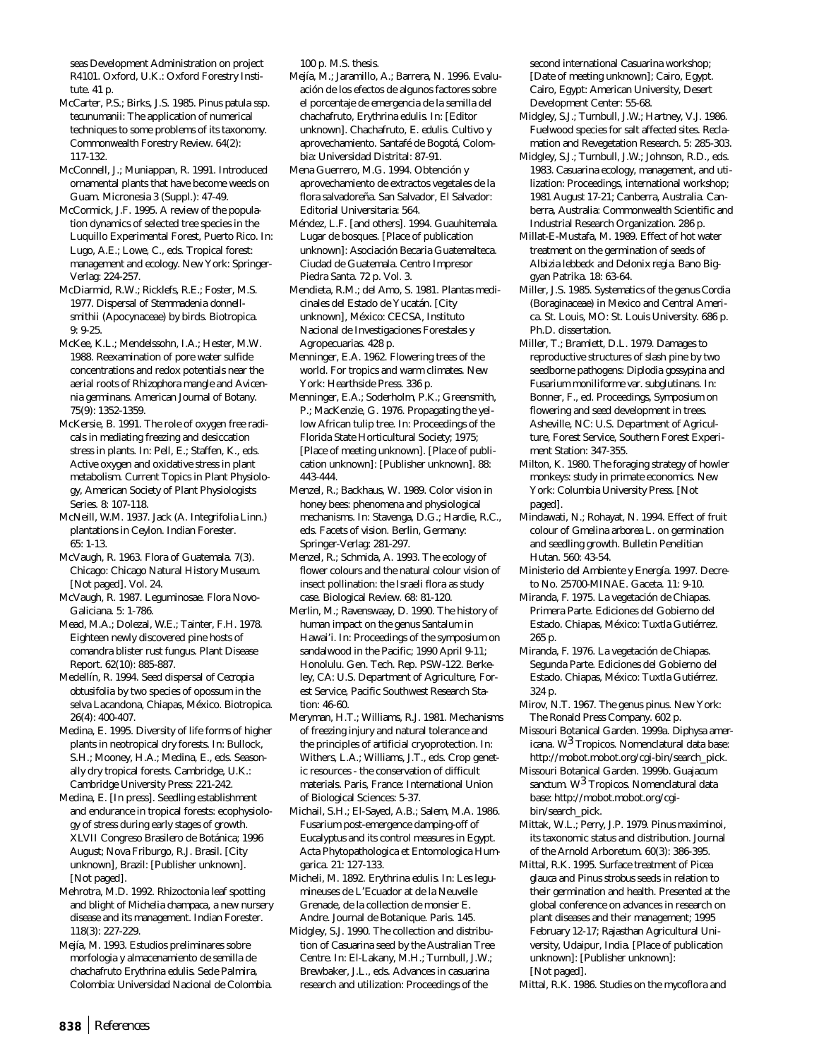seas Development Administration on project R4101. Oxford, U.K.: Oxford Forestry Institute. 41 p.

- McCarter, P.S.; Birks, J.S. 1985. *Pinus patula* ssp. *tecunumanii*: The application of numerical techniques to some problems of its taxonomy. Commonwealth Forestry Review. 64(2): 117-132.
- McConnell, J.; Muniappan, R. 1991. Introduced ornamental plants that have become weeds on Guam. Micronesia 3 (Suppl.): 47-49.

McCormick, J.F. 1995. A review of the population dynamics of selected tree species in the Luquillo Experimental Forest, Puerto Rico. In: Lugo, A.E.; Lowe, C., eds. Tropical forest: management and ecology. New York: Springer-Verlag: 224-257.

McDiarmid, R.W.; Ricklefs, R.E.; Foster, M.S. 1977. Dispersal of *Stemmadenia donnellsmithii* (Apocynaceae) by birds. Biotropica. 9: 9-25.

McKee, K.L.; Mendelssohn, I.A.; Hester, M.W. 1988. Reexamination of pore water sulfide concentrations and redox potentials near the aerial roots of *Rhizophora mangle* and *Avicennia germinans*. American Journal of Botany. 75(9): 1352-1359.

McKersie, B. 1991. The role of oxygen free radicals in mediating freezing and desiccation stress in plants. In: Pell, E.; Staffen, K., eds. Active oxygen and oxidative stress in plant metabolism. Current Topics in Plant Physiology, American Society of Plant Physiologists Series. 8: 107-118.

McNeill, W.M. 1937. Jack (*A. Integrifolia* Linn.) plantations in Ceylon. Indian Forester. 65: 1-13.

McVaugh, R. 1963. Flora of Guatemala. 7(3). Chicago: Chicago Natural History Museum. [Not paged]. Vol. 24.

- McVaugh, R. 1987. Leguminosae. Flora Novo-Galiciana. 5: 1-786.
- Mead, M.A.; Dolezal, W.E.; Tainter, F.H. 1978. Eighteen newly discovered pine hosts of comandra blister rust fungus. Plant Disease Report. 62(10): 885-887.

Medellín, R. 1994. Seed dispersal of *Cecropia obtusifolia* by two species of opossum in the selva Lacandona, Chiapas, México. Biotropica. 26(4): 400-407.

Medina, E. 1995. Diversity of life forms of higher plants in neotropical dry forests. In: Bullock, S.H.; Mooney, H.A.; Medina, E., eds. Seasonally dry tropical forests. Cambridge, U.K.: Cambridge University Press: 221-242.

Medina, E. [In press]. Seedling establishment and endurance in tropical forests: ecophysiology of stress during early stages of growth. XLVII Congreso Brasilero de Botánica; 1996 August; Nova Friburgo, R.J. Brasil. [City unknown], Brazil: [Publisher unknown]. [Not paged].

Mehrotra, M.D. 1992. Rhizoctonia leaf spotting and blight of *Michelia champaca*, a new nursery disease and its management. Indian Forester. 118(3): 227-229.

Mejía, M. 1993. Estudios preliminares sobre morfologia y almacenamiento de semilla de chachafruto *Erythrina edulis*. Sede Palmira, Colombia: Universidad Nacional de Colombia. 100 p. M.S. thesis.

- Mejía, M.; Jaramillo, A.; Barrera, N. 1996. Evaluación de los efectos de algunos factores sobre el porcentaje de emergencia de la semilla del chachafruto, *Erythrina edulis*. In: [Editor unknown]. Chachafruto, *E. edulis.* Cultivo y aprovechamiento. Santafé de Bogotá, Colombia: Universidad Distrital: 87-91.
- Mena Guerrero, M.G. 1994. Obtención y aprovechamiento de extractos vegetales de la flora salvadoreña. San Salvador, El Salvador: Editorial Universitaria: 564.

Méndez, L.F. [and others]. 1994. Guauhitemala. Lugar de bosques. [Place of publication unknown]: Asociación Becaria Guatemalteca. Ciudad de Guatemala. Centro Impresor Piedra Santa. 72 p. Vol. 3.

Mendieta, R.M.; del Amo, S. 1981. Plantas medicinales del Estado de Yucatán. [City unknown], México: CECSA, Instituto Nacional de Investigaciones Forestales y Agropecuarias. 428 p.

Menninger, E.A. 1962. Flowering trees of the world. For tropics and warm climates. New York: Hearthside Press. 336 p.

Menninger, E.A.; Soderholm, P.K.; Greensmith, P.; MacKenzie, G. 1976. Propagating the yellow African tulip tree. In: Proceedings of the Florida State Horticultural Society; 1975; [Place of meeting unknown]. [Place of publication unknown]: [Publisher unknown]. 88: 443-444.

Menzel, R.; Backhaus, W. 1989. Color vision in honey bees: phenomena and physiological mechanisms. In: Stavenga, D.G.; Hardie, R.C., eds. Facets of vision. Berlin, Germany: Springer-Verlag: 281-297.

Menzel, R.; Schmida, A. 1993. The ecology of flower colours and the natural colour vision of insect pollination: the Israeli flora as study case. Biological Review. 68: 81-120.

Merlin, M.; Ravenswaay, D. 1990. The history of human impact on the genus *Santalum* in Hawai'i. In: Proceedings of the symposium on sandalwood in the Pacific; 1990 April 9-11; Honolulu. Gen. Tech. Rep. PSW-122. Berkeley, CA: U.S. Department of Agriculture, Forest Service, Pacific Southwest Research Station: 46-60.

Meryman, H.T.; Williams, R.J. 1981. Mechanisms of freezing injury and natural tolerance and the principles of artificial cryoprotection. In: Withers, L.A.; Williams, J.T., eds. Crop genetic resources - the conservation of difficult materials. Paris, France: International Union of Biological Sciences: 5-37.

Michail, S.H.; El-Sayed, A.B.; Salem, M.A. 1986. Fusarium post-emergence damping-off of *Eucalyptus* and its control measures in Egypt. Acta Phytopathologica et Entomologica Humgarica. 21: 127-133.

Micheli, M. 1892. *Erythrina edulis*. In: Les legumineuses de L'Ecuador at de la Neuvelle Grenade, de la collection de monsier E. Andre. Journal de Botanique. Paris. 145.

Midgley, S.J. 1990. The collection and distribution of *Casuarina* seed by the Australian Tree Centre. In: El-Lakany, M.H.; Turnbull, J.W.; Brewbaker, J.L., eds. Advances in casuarina research and utilization: Proceedings of the

second international *Casuarina* workshop; [Date of meeting unknown]; Cairo, Egypt. Cairo, Egypt: American University, Desert Development Center: 55-68.

- Midgley, S.J.; Turnbull, J.W.; Hartney, V.J. 1986. Fuelwood species for salt affected sites. Reclamation and Revegetation Research. 5: 285-303.
- Midgley, S.J.; Turnbull, J.W.; Johnson, R.D., eds. 1983. *Casuarina* ecology, management, and utilization: Proceedings, international workshop; 1981 August 17-21; Canberra, Australia. Canberra, Australia: Commonwealth Scientific and Industrial Research Organization. 286 p.
- Millat-E-Mustafa, M. 1989. Effect of hot water treatment on the germination of seeds of *Albizia lebbeck* and *Delonix regia*. Bano Biggyan Patrika. 18: 63-64.
- Miller, J.S. 1985. Systematics of the genus *Cordia* (Boraginaceae) in Mexico and Central America. St. Louis, MO: St. Louis University. 686 p. Ph.D. dissertation.
- Miller, T.; Bramlett, D.L. 1979. Damages to reproductive structures of slash pine by two seedborne pathogens: *Diplodia gossypina* and *Fusarium moniliforme* var. *subglutinans*. In: Bonner, F., ed. Proceedings, Symposium on flowering and seed development in trees. Asheville, NC: U.S. Department of Agriculture, Forest Service, Southern Forest Experiment Station: 347-355.
- Milton, K. 1980. The foraging strategy of howler monkeys: study in primate economics. New York: Columbia University Press. [Not paged].
- Mindawati, N.; Rohayat, N. 1994. Effect of fruit colour of *Gmelina arborea* L. on germination and seedling growth. Bulletin Penelitian Hutan. 560: 43-54.
- Ministerio del Ambiente y Energía. 1997. Decreto No. 25700-MINAE. Gaceta. 11: 9-10.
- Miranda, F. 1975. La vegetación de Chiapas. Primera Parte. Ediciones del Gobierno del Estado. Chiapas, México: Tuxtla Gutiérrez. 265 p.
- Miranda, F. 1976. La vegetación de Chiapas. Segunda Parte. Ediciones del Gobierno del Estado. Chiapas, México: Tuxtla Gutiérrez. 324 p.
- Mirov, N.T. 1967. The genus pinus. New York: The Ronald Press Company. 602 p.
- Missouri Botanical Garden. 1999a. *Diphysa americana*. W3 Tropicos. Nomenclatural data base: http://mobot.mobot.org/cgi-bin/search\_pick.

Missouri Botanical Garden. 1999b. *Guajacum sanctum.* W3 Tropicos. Nomenclatural data base: http://mobot.mobot.org/cgibin/search\_pick.

- Mittak, W.L.; Perry, J.P. 1979. *Pinus maximinoi,* its taxonomic status and distribution. Journal of the Arnold Arboretum. 60(3): 386-395.
- Mittal, R.K. 1995. Surface treatment of *Picea glauca* and *Pinus strobus* seeds in relation to their germination and health. Presented at the global conference on advances in research on plant diseases and their management; 1995 February 12-17; Rajasthan Agricultural University, Udaipur, India. [Place of publication unknown]: [Publisher unknown]: [Not paged].

Mittal, R.K. 1986. Studies on the mycoflora and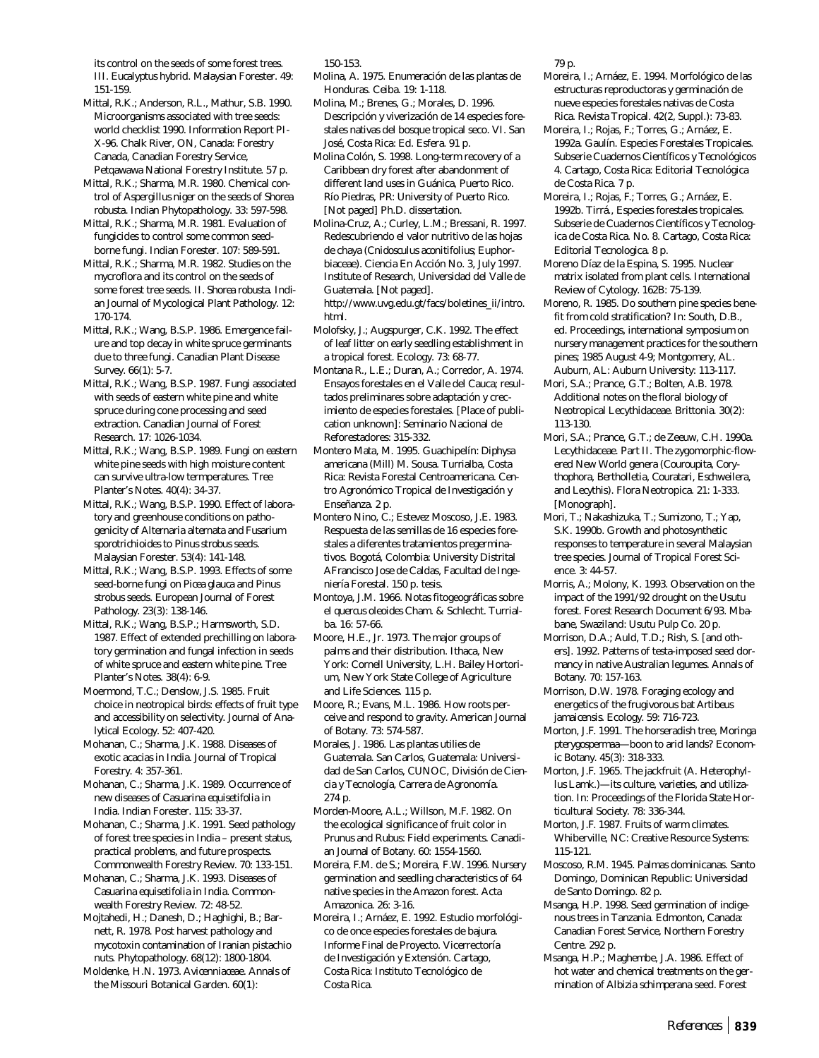its control on the seeds of some forest trees. III. *Eucalyptus* hybrid. Malaysian Forester. 49: 151-159.

Mittal, R.K.; Anderson, R.L., Mathur, S.B. 1990. Microorganisms associated with tree seeds: world checklist 1990. Information Report PI-X-96. Chalk River, ON, Canada: Forestry Canada, Canadian Forestry Service, Petqawawa National Forestry Institute. 57 p.

Mittal, R.K.; Sharma, M.R. 1980. Chemical control of *Aspergillus niger* on the seeds of *Shorea robusta*. Indian Phytopathology. 33: 597-598.

Mittal, R.K.; Sharma, M.R. 1981. Evaluation of fungicides to control some common seedborne fungi. Indian Forester. 107: 589-591.

Mittal, R.K.; Sharma, M.R. 1982. Studies on the mycroflora and its control on the seeds of some forest tree seeds. II. *Shorea robusta*. Indian Journal of Mycological Plant Pathology. 12: 170-174.

Mittal, R.K.; Wang, B.S.P. 1986. Emergence failure and top decay in white spruce germinants due to three fungi. Canadian Plant Disease Survey. 66(1): 5-7.

Mittal, R.K.; Wang, B.S.P. 1987. Fungi associated with seeds of eastern white pine and white spruce during cone processing and seed extraction. Canadian Journal of Forest Research. 17: 1026-1034.

Mittal, R.K.; Wang, B.S.P. 1989. Fungi on eastern white pine seeds with high moisture content can survive ultra-low termperatures. Tree Planter's Notes. 40(4): 34-37.

Mittal, R.K.; Wang, B.S.P. 1990. Effect of laboratory and greenhouse conditions on pathogenicity *of Alternaria alternata and Fusarium sporotrichioides* to *Pinus strobus* seeds. Malaysian Forester. 53(4): 141-148.

Mittal, R.K.; Wang, B.S.P. 1993. Effects of some seed-borne fungi on *Picea glauca* and *Pinus strobus* seeds. European Journal of Forest Pathology. 23(3): 138-146.

Mittal, R.K.; Wang, B.S.P.; Harmsworth, S.D. 1987. Effect of extended prechilling on laboratory germination and fungal infection in seeds of white spruce and eastern white pine. Tree Planter's Notes. 38(4): 6-9.

Moermond, T.C.; Denslow, J.S. 1985. Fruit choice in neotropical birds: effects of fruit type and accessibility on selectivity. Journal of Analytical Ecology. 52: 407-420.

Mohanan, C.; Sharma, J.K. 1988. Diseases of exotic acacias in India. Journal of Tropical Forestry. 4: 357-361.

Mohanan, C.; Sharma, J.K. 1989. Occurrence of new diseases of *Casuarina equisetifolia* in India. Indian Forester. 115: 33-37.

Mohanan, C.; Sharma, J.K. 1991. Seed pathology of forest tree species in India – present status, practical problems, and future prospects. Commonwealth Forestry Review. 70: 133-151.

Mohanan, C.; Sharma, J.K. 1993. Diseases of *Casuarina equisetifolia* in India. Commonwealth Forestry Review. 72: 48-52.

Mojtahedi, H.; Danesh, D.; Haghighi, B.; Barnett, R. 1978. Post harvest pathology and mycotoxin contamination of Iranian pistachio nuts. Phytopathology. 68(12): 1800-1804.

Moldenke, H.N. 1973. *Avicenniaceae*. Annals of the Missouri Botanical Garden. 60(1):

150-153.

Molina, A. 1975. Enumeración de las plantas de Honduras. Ceiba. 19: 1-118.

Molina, M.; Brenes, G.; Morales, D. 1996. Descripción y viverización de 14 especies forestales nativas del bosque tropical seco. VI. San José, Costa Rica: Ed. Esfera. 91 p.

Molina Colón, S. 1998. Long-term recovery of a Caribbean dry forest after abandonment of different land uses in Guánica, Puerto Rico. Río Piedras, PR: University of Puerto Rico. [Not paged] Ph.D. dissertation.

Molina-Cruz, A.; Curley, L.M.; Bressani, R. 1997. Redescubriendo el valor nutritivo de las hojas de chaya (*Cnidosculus aconitifolius*; Euphorbiaceae). Ciencia En Acción No. 3, July 1997. Institute of Research, Universidad del Valle de Guatemala. [Not paged].

http://www.uvg.edu.gt/facs/boletines\_ii/intro. html.

Molofsky, J.; Augspurger, C.K. 1992. The effect of leaf litter on early seedling establishment in a tropical forest. Ecology. 73: 68-77.

Montana R., L.E.; Duran, A.; Corredor, A. 1974. Ensayos forestales en el Valle del Cauca; resultados preliminares sobre adaptación y crecimiento de especies forestales. [Place of publication unknown]: Seminario Nacional de Reforestadores: 315-332.

Montero Mata, M. 1995. Guachipelín: *Diphysa americana* (Mill) M. Sousa. Turrialba, Costa Rica: Revista Forestal Centroamericana. Centro Agronómico Tropical de Investigación y Enseñanza. 2 p.

Montero Nino, C.; Estevez Moscoso, J.E. 1983. Respuesta de las semillas de 16 especies forestales a diferentes tratamientos pregerminativos. Bogotá, Colombia: University Distrital AFrancisco Jose de Caldas, Facultad de Ingeniería Forestal. 150 p. tesis.

Montoya, J.M. 1966. Notas fitogeográficas sobre el *quercus oleoides* Cham. & Schlecht. Turrialba. 16: 57-66.

Moore, H.E., Jr. 1973. The major groups of palms and their distribution. Ithaca, New York: Cornell University, L.H. Bailey Hortorium, New York State College of Agriculture and Life Sciences. 115 p.

Moore, R.; Evans, M.L. 1986. How roots perceive and respond to gravity. American Journal of Botany. 73: 574-587.

Morales, J. 1986. Las plantas utilies de Guatemala. San Carlos, Guatemala: Universidad de San Carlos, CUNOC, División de Ciencia y Tecnología, Carrera de Agronomía. 274 p.

Morden-Moore, A.L.; Willson, M.F. 1982. On the ecological significance of fruit color in *Prunus* and *Rubus*: Field experiments. Canadian Journal of Botany. 60: 1554-1560.

Moreira, F.M. de S.; Moreira, F.W. 1996. Nursery germination and seedling characteristics of 64 native species in the Amazon forest. Acta Amazonica. 26: 3-16.

Moreira, I.; Arnáez, E. 1992. Estudio morfológico de once especies forestales de bajura. Informe Final de Proyecto. Vicerrectoría de Investigación y Extensión. Cartago, Costa Rica: Instituto Tecnológico de Costa Rica.

79 p.

Moreira, I.; Arnáez, E. 1994. Morfológico de las estructuras reproductoras y germinación de nueve especies forestales nativas de Costa Rica. Revista Tropical. 42(2, Suppl.): 73-83.

Moreira, I.; Rojas, F.; Torres, G.; Arnáez, E. 1992a. Gaulín. Especies Forestales Tropicales. Subserie Cuadernos Científicos y Tecnológicos 4. Cartago, Costa Rica: Editorial Tecnológica de Costa Rica. 7 p.

Moreira, I.; Rojas, F.; Torres, G.; Arnáez, E. 1992b. Tirrá., Especies forestales tropicales. Subserie de Cuadernos Científicos y Tecnologica de Costa Rica. No. 8. Cartago, Costa Rica: Editorial Tecnologica. 8 p.

Moreno Díaz de la Espina, S. 1995. Nuclear matrix isolated from plant cells. International Review of Cytology. 162B: 75-139.

Moreno, R. 1985. Do southern pine species benefit from cold stratification? In: South, D.B., ed. Proceedings, international symposium on nursery management practices for the southern pines; 1985 August 4-9; Montgomery, AL. Auburn, AL: Auburn University: 113-117.

Mori, S.A.; Prance, G.T.; Bolten, A.B. 1978. Additional notes on the floral biology of Neotropical Lecythidaceae. Brittonia. 30(2): 113-130.

Mori, S.A.; Prance, G.T.; de Zeeuw, C.H. 1990a. Lecythidaceae. Part II. The zygomorphic-flowered New World genera (*Couroupita, Corythophora, Bertholletia, Couratari, Eschweilera,* and *Lecythis*). Flora Neotropica. 21: 1-333. [Monograph].

Mori, T.; Nakashizuka, T.; Sumizono, T.; Yap, S.K. 1990b. Growth and photosynthetic responses to temperature in several Malaysian tree species. Journal of Tropical Forest Science. 3: 44-57.

Morris, A.; Molony, K. 1993. Observation on the impact of the 1991/92 drought on the Usutu forest. Forest Research Document 6/93. Mbabane, Swaziland: Usutu Pulp Co. 20 p.

Morrison, D.A.; Auld, T.D.; Rish, S. [and others]. 1992. Patterns of testa-imposed seed dormancy in native Australian legumes. Annals of Botany. 70: 157-163.

Morrison, D.W. 1978. Foraging ecology and energetics of the frugivorous bat *Artibeus jamaicensis*. Ecology. 59: 716-723.

Morton, J.F. 1991. The horseradish tree, *Moringa pterygosperma*a—boon to arid lands? Economic Botany. 45(3): 318-333.

Morton, J.F. 1965. The jackfruit (*A. Heterophyllus* Lamk.)—its culture, varieties, and utilization. In: Proceedings of the Florida State Horticultural Society. 78: 336-344.

Morton, J.F. 1987. Fruits of warm climates. Whiberville, NC: Creative Resource Systems: 115-121.

Moscoso, R.M. 1945. Palmas dominicanas. Santo Domingo, Dominican Republic: Universidad de Santo Domingo. 82 p.

Msanga, H.P. 1998. Seed germination of indigenous trees in Tanzania. Edmonton, Canada: Canadian Forest Service, Northern Forestry Centre. 292 p.

Msanga, H.P.; Maghembe, J.A. 1986. Effect of hot water and chemical treatments on the germination of *Albizia schimperana* seed. Forest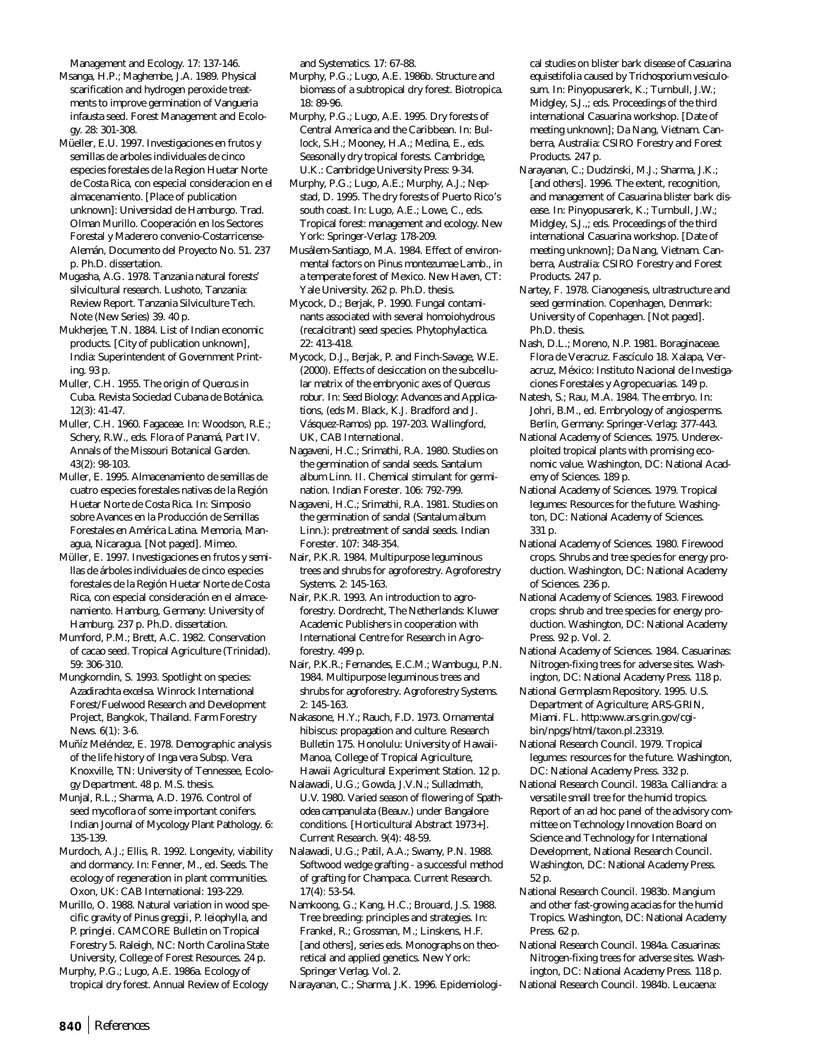Management and Ecology. 17: 137-146. Msanga, H.P.; Maghembe, J.A. 1989. Physical scarification and hydrogen peroxide treatments to improve germination of *Vangueria infausta* seed. Forest Management and Ecology. 28: 301-308.

Müeller, E.U. 1997. Investigaciones en frutos y semillas de arboles individuales de cinco especies forestales de la Region Huetar Norte de Costa Rica, con especial consideracion en el almacenamiento. [Place of publication unknown]: Universidad de Hamburgo. Trad. Olman Murillo. Cooperación en los Sectores Forestal y Maderero convenio-Costarricense-Alemán, Documento del Proyecto No. 51. 237 p. Ph.D. dissertation.

Mugasha, A.G. 1978. Tanzania natural forests' silvicultural research. Lushoto, Tanzania: Review Report. Tanzania Silviculture Tech. Note (New Series) 39. 40 p.

Mukherjee, T.N. 1884. List of Indian economic products. [City of publication unknown], India: Superintendent of Government Printing. 93 p.

Muller, C.H. 1955. The origin of *Quercus* in Cuba. Revista Sociedad Cubana de Botánica. 12(3): 41-47.

Muller, C.H. 1960. Fagaceae. In: Woodson, R.E.; Schery, R.W., eds. Flora of Panamá, Part IV. Annals of the Missouri Botanical Garden. 43(2): 98-103.

Muller, E. 1995. Almacenamiento de semillas de cuatro especies forestales nativas de la Región Huetar Norte de Costa Rica. In: Simposio sobre Avances en la Producción de Semillas Forestales en América Latina. Memoria, Managua, Nicaragua. [Not paged]. Mimeo.

Müller, E. 1997. Investigaciones en frutos y semillas de árboles individuales de cinco especies forestales de la Región Huetar Norte de Costa Rica, con especial consideración en el almacenamiento. Hamburg, Germany: University of Hamburg. 237 p. Ph.D. dissertation.

Mumford, P.M.; Brett, A.C. 1982. Conservation of cacao seed. Tropical Agriculture (Trinidad). 59: 306-310.

Mungkorndin, S. 1993. Spotlight on species: *Azadirachta excelsa*. Winrock International Forest/Fuelwood Research and Development Project, Bangkok, Thailand. Farm Forestry News. 6(1): 3-6.

Muñíz Meléndez, E. 1978. Demographic analysis of the life history of *Inga vera* Subsp. *Vera*. Knoxville, TN: University of Tennessee, Ecology Department. 48 p. M.S. thesis.

Munjal, R.L.; Sharma, A.D. 1976. Control of seed mycoflora of some important conifers. Indian Journal of Mycology Plant Pathology. 6: 135-139.

Murdoch, A.J.; Ellis, R. 1992. Longevity, viability and dormancy. In: Fenner, M., ed. Seeds. The ecology of regeneration in plant communities. Oxon, UK: CAB International: 193-229.

Murillo, O. 1988. Natural variation in wood specific gravity of *Pinus greggii*, *P. leiophylla,* and *P. pringlei.* CAMCORE Bulletin on Tropical Forestry 5. Raleigh, NC: North Carolina State University, College of Forest Resources. 24 p.

Murphy, P.G.; Lugo, A.E. 1986a. Ecology of tropical dry forest. Annual Review of Ecology and Systematics. 17: 67-88.

Murphy, P.G.; Lugo, A.E. 1986b. Structure and biomass of a subtropical dry forest. Biotropica. 18: 89-96.

Murphy, P.G.; Lugo, A.E. 1995. Dry forests of Central America and the Caribbean. In: Bullock, S.H.; Mooney, H.A.; Medina, E., eds. Seasonally dry tropical forests. Cambridge, U.K.: Cambridge University Press: 9-34.

Murphy, P.G.; Lugo, A.E.; Murphy, A.J.; Nepstad, D. 1995. The dry forests of Puerto Rico's south coast. In: Lugo, A.E.; Lowe, C., eds. Tropical forest: management and ecology. New York: Springer-Verlag: 178-209.

Musálem-Santiago, M.A. 1984. Effect of environmental factors on *Pinus montezumae* Lamb., in a temperate forest of Mexico. New Haven, CT: Yale University. 262 p. Ph.D. thesis.

Mycock, D.; Berjak, P. 1990. Fungal contaminants associated with several homoiohydrous (recalcitrant) seed species. Phytophylactica. 22: 413-418.

Mycock, D.J., Berjak, P. and Finch-Savage, W.E. (2000). Effects of desiccation on the subcellular matrix of the embryonic axes of *Quercus robur.* In: *Seed Biology: Advances and Applications*, (eds M. Black, K.J. Bradford and J. Vásquez-Ramos) pp. 197-203. Wallingford, UK, CAB International.

Nagaveni, H.C.; Srimathi, R.A. 1980. Studies on the germination of sandal seeds. *Santalum album* Linn. II. Chemical stimulant for germination. Indian Forester. 106: 792-799.

Nagaveni, H.C.; Srimathi, R.A. 1981. Studies on the germination of sandal (*Santalum album* Linn.): pretreatment of sandal seeds. Indian Forester. 107: 348-354.

Nair, P.K.R. 1984. Multipurpose leguminous trees and shrubs for agroforestry. Agroforestry Systems. 2: 145-163.

Nair, P.K.R. 1993. An introduction to agroforestry. Dordrecht, The Netherlands: Kluwer Academic Publishers in cooperation with International Centre for Research in Agroforestry. 499 p.

Nair, P.K.R.; Fernandes, E.C.M.; Wambugu, P.N. 1984. Multipurpose leguminous trees and shrubs for agroforestry. Agroforestry Systems. 2: 145-163.

Nakasone, H.Y.; Rauch, F.D. 1973. Ornamental hibiscus: propagation and culture. Research Bulletin 175. Honolulu: University of Hawaii-Manoa, College of Tropical Agriculture, Hawaii Agricultural Experiment Station. 12 p.

Nalawadi, U.G.; Gowda, J.V.N.; Sulladmath, U.V. 1980. Varied season of flowering of *Spathodea campanulata* (Beauv.) under Bangalore conditions. [Horticultural Abstract 1973+]. Current Research. 9(4): 48-59.

Nalawadi, U.G.; Patil, A.A.; Swamy, P.N. 1988. Softwood wedge grafting - a successful method of grafting for Champaca. Current Research. 17(4): 53-54.

Namkoong, G.; Kang, H.C.; Brouard, J.S. 1988. Tree breeding: principles and strategies. In: Frankel, R.; Grossman, M.; Linskens, H.F. [and others], series eds. Monographs on theoretical and applied genetics. New York: Springer Verlag. Vol. 2.

Narayanan, C.; Sharma, J.K. 1996. Epidemiologi-

cal studies on blister bark disease of *Casuarina equisetifolia* caused by *Trichosporium vesiculosum*. In: Pinyopusarerk, K.; Turnbull, J.W.; Midgley, S.J.,; eds. Proceedings of the third international Casuarina workshop. [Date of meeting unknown]; Da Nang, Vietnam. Canberra, Australia: CSIRO Forestry and Forest Products. 247 p.

Narayanan, C.; Dudzinski, M.J.; Sharma, J.K.; [and others]. 1996. The extent, recognition, and management of Casuarina blister bark disease. In: Pinyopusarerk, K.; Turnbull, J.W.; Midgley, S.J.,; eds. Proceedings of the third international Casuarina workshop. [Date of meeting unknown]; Da Nang, Vietnam. Canberra, Australia: CSIRO Forestry and Forest Products. 247 p.

Nartey, F. 1978. Cianogenesis, ultrastructure and seed germination. Copenhagen, Denmark: University of Copenhagen. [Not paged]. Ph.D. thesis.

Nash, D.L.; Moreno, N.P. 1981. Boraginaceae. Flora de Veracruz. Fascículo 18. Xalapa, Veracruz, México: Instituto Nacional de Investigaciones Forestales y Agropecuarias. 149 p.

Natesh, S.; Rau, M.A. 1984. The embryo. In: Johri, B.M., ed. Embryology of angiosperms. Berlin, Germany: Springer-Verlag: 377-443.

National Academy of Sciences. 1975. Underexploited tropical plants with promising economic value. Washington, DC: National Academy of Sciences. 189 p.

National Academy of Sciences. 1979. Tropical legumes: Resources for the future. Washington, DC: National Academy of Sciences. 331 p.

National Academy of Sciences. 1980. Firewood crops. Shrubs and tree species for energy production. Washington, DC: National Academy of Sciences. 236 p.

National Academy of Sciences. 1983. Firewood crops: shrub and tree species for energy production. Washington, DC: National Academy Press. 92 p. Vol. 2.

National Academy of Sciences. 1984. Casuarinas: Nitrogen-fixing trees for adverse sites. Washington, DC: National Academy Press. 118 p.

National Germplasm Repository. 1995. U.S. Department of Agriculture; ARS-GRIN, Miami. FL. http:www.ars.grin.gov/cgibin/npgs/html/taxon.pl.23319.

National Research Council. 1979. Tropical legumes: resources for the future. Washington, DC: National Academy Press. 332 p.

National Research Council. 1983a. *Calliandra*: a versatile small tree for the humid tropics. Report of an ad hoc panel of the advisory committee on Technology Innovation Board on Science and Technology for International Development, National Research Council. Washington, DC: National Academy Press. 52 p.

National Research Council. 1983b. Mangium and other fast-growing acacias for the humid Tropics. Washington, DC: National Academy Press. 62 p.

National Research Council. 1984a. Casuarinas: Nitrogen-fixing trees for adverse sites. Washington, DC: National Academy Press. 118 p.

National Research Council. 1984b. Leucaena: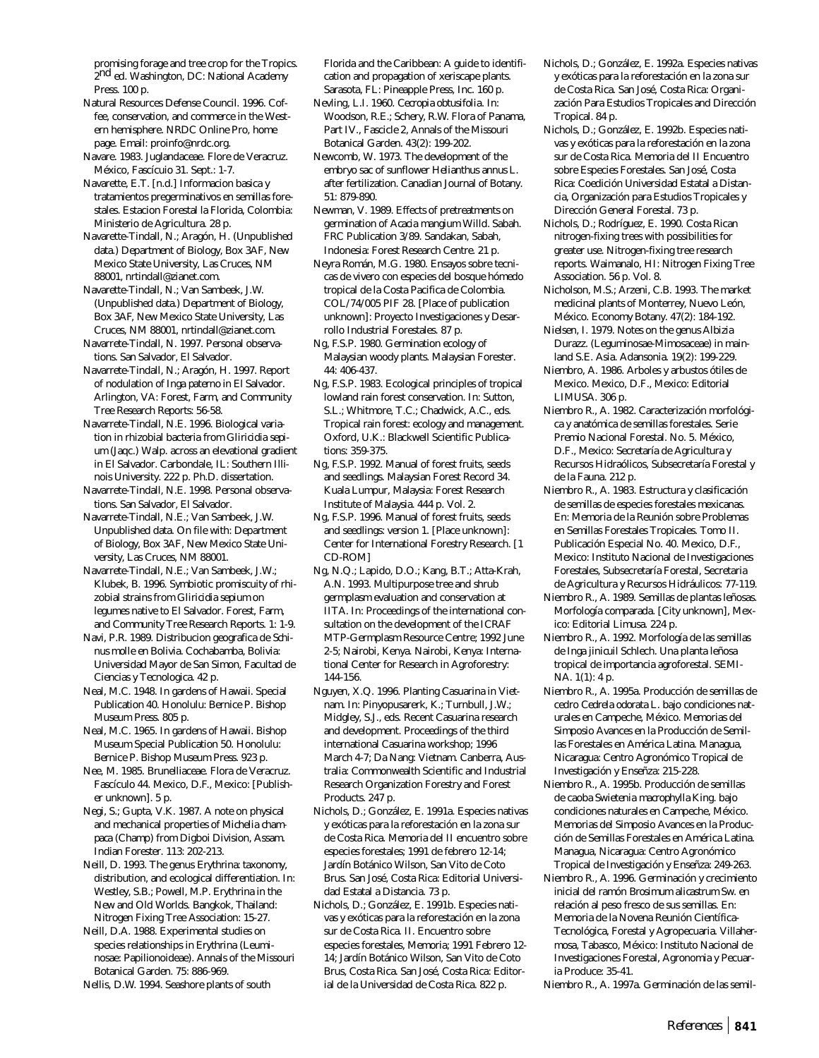promising forage and tree crop for the Tropics. 2nd ed. Washington, DC: National Academy Press. 100 p.

Natural Resources Defense Council. 1996. Coffee, conservation, and commerce in the Western hemisphere. NRDC Online Pro, home page. Email: proinfo@nrdc.org.

Navare. 1983. Juglandaceae. Flore de Veracruz. México, Fascícuio 31. Sept.: 1-7.

Navarette, E.T. [n.d.] Informacion basica y tratamientos pregerminativos en semillas forestales. Estacion Forestal la Florida, Colombia: Ministerio de Agricultura. 28 p.

Navarette-Tindall, N.; Aragón, H. (Unpublished data.) Department of Biology, Box 3AF, New Mexico State University, Las Cruces, NM 88001, nrtindall@zianet.com.

Navarette-Tindall, N.; Van Sambeek, J.W. (Unpublished data.) Department of Biology, Box 3AF, New Mexico State University, Las Cruces, NM 88001, nrtindall@zianet.com.

Navarrete-Tindall, N. 1997. Personal observations. San Salvador, El Salvador.

Navarrete-Tindall, N.; Aragón, H. 1997. Report of nodulation of *Inga paterno* in El Salvador. Arlington, VA: Forest, Farm, and Community Tree Research Reports: 56-58.

Navarrete-Tindall, N.E. 1996. Biological variation in rhizobial bacteria from *Gliricidia sepium* (Jaqc.) Walp. across an elevational gradient in El Salvador. Carbondale, IL: Southern Illinois University. 222 p. Ph.D. dissertation.

Navarrete-Tindall, N.E. 1998. Personal observations. San Salvador, El Salvador.

Navarrete-Tindall, N.E.; Van Sambeek, J.W. Unpublished data. On file with: Department of Biology, Box 3AF, New Mexico State University, Las Cruces, NM 88001.

Navarrete-Tindall, N.E.; Van Sambeek, J.W.; Klubek, B. 1996. Symbiotic promiscuity of rhizobial strains from *Gliricidia sepium* on legumes native to El Salvador. Forest, Farm, and Community Tree Research Reports. 1: 1-9.

Navi, P.R. 1989. Distribucion geografica de *Schinus molle* en Bolivia. Cochabamba, Bolivia: Universidad Mayor de San Simon, Facultad de Ciencias y Tecnologica. 42 p.

Neal, M.C. 1948. In gardens of Hawaii. Special Publication 40. Honolulu: Bernice P. Bishop Museum Press. 805 p.

Neal, M.C. 1965. In gardens of Hawaii. Bishop Museum Special Publication 50. Honolulu: Bernice P. Bishop Museum Press. 923 p.

Nee, M. 1985. Brunelliaceae. Flora de Veracruz. Fascículo 44. Mexico, D.F., Mexico: [Publisher unknown]. 5 p.

Negi, S.; Gupta, V.K. 1987. A note on physical and mechanical properties of *Michelia champaca* (Champ) from Digboi Division, Assam. Indian Forester. 113: 202-213.

Neill, D. 1993. The genus *Erythrina*: taxonomy, distribution, and ecological differentiation. In: Westley, S.B.; Powell, M.P. Erythrina in the New and Old Worlds. Bangkok, Thailand: Nitrogen Fixing Tree Association: 15-27.

Neill, D.A. 1988. Experimental studies on species relationships in *Erythrina* (Leuminosae: Papilionoideae). Annals of the Missouri Botanical Garden. 75: 886-969.

Nellis, D.W. 1994. Seashore plants of south

Florida and the Caribbean: A guide to identification and propagation of xeriscape plants. Sarasota, FL: Pineapple Press, Inc. 160 p.

Nevling, L.I. 1960. *Cecropia obtusifolia*. In: Woodson, R.E.; Schery, R.W. Flora of Panama, Part IV., Fascicle 2, Annals of the Missouri Botanical Garden. 43(2): 199-202.

Newcomb, W. 1973. The development of the embryo sac of sunflower *Helianthus annus* L. after fertilization. Canadian Journal of Botany. 51: 879-890.

Newman, V. 1989. Effects of pretreatments on germination of *Acacia mangium* Willd. Sabah. FRC Publication 3/89. Sandakan, Sabah, Indonesia: Forest Research Centre. 21 p.

Neyra Román, M.G. 1980. Ensayos sobre tecnicas de vivero con especies del bosque hómedo tropical de la Costa Pacifica de Colombia. COL/74/005 PIF 28. [Place of publication unknown]: Proyecto Investigaciones y Desarrollo Industrial Forestales. 87 p.

Ng, F.S.P. 1980. Germination ecology of Malaysian woody plants. Malaysian Forester. 44: 406-437.

Ng, F.S.P. 1983. Ecological principles of tropical lowland rain forest conservation. In: Sutton, S.L.; Whitmore, T.C.; Chadwick, A.C., eds. Tropical rain forest: ecology and management. Oxford, U.K.: Blackwell Scientific Publications: 359-375.

Ng, F.S.P. 1992. Manual of forest fruits, seeds and seedlings. Malaysian Forest Record 34. Kuala Lumpur, Malaysia: Forest Research Institute of Malaysia. 444 p. Vol. 2.

Ng, F.S.P. 1996. Manual of forest fruits, seeds and seedlings: version 1. [Place unknown]: Center for International Forestry Research. [1 CD-ROM]

Ng, N.Q.; Lapido, D.O.; Kang, B.T.; Atta-Krah, A.N. 1993. Multipurpose tree and shrub germplasm evaluation and conservation at IITA. In: Proceedings of the international consultation on the development of the ICRAF MTP-Germplasm Resource Centre; 1992 June 2-5; Nairobi, Kenya. Nairobi, Kenya: International Center for Research in Agroforestry: 144-156.

Nguyen, X.Q. 1996. Planting Casuarina in Vietnam. In: Pinyopusarerk, K.; Turnbull, J.W.; Midgley, S.J., eds. Recent Casuarina research and development. Proceedings of the third international Casuarina workshop; 1996 March 4-7; Da Nang: Vietnam. Canberra, Australia: Commonwealth Scientific and Industrial Research Organization Forestry and Forest Products. 247 p.

Nichols, D.; González, E. 1991a. Especies nativas y exóticas para la reforestación en la zona sur de Costa Rica. Memoria del II encuentro sobre especies forestales; 1991 de febrero 12-14; Jardín Botánico Wilson, San Vito de Coto Brus. San José, Costa Rica: Editorial Universidad Estatal a Distancia. 73 p.

Nichols, D.; González, E. 1991b. Especies nativas y exóticas para la reforestación en la zona sur de Costa Rica. II. Encuentro sobre especies forestales, Memoria; 1991 Febrero 12- 14; Jardín Botánico Wilson, San Vito de Coto Brus, Costa Rica. San José, Costa Rica: Editorial de la Universidad de Costa Rica. 822 p.

Nichols, D.; González, E. 1992a. Especies nativas y exóticas para la reforestación en la zona sur de Costa Rica. San José, Costa Rica: Organización Para Estudios Tropicales and Dirección Tropical. 84 p.

Nichols, D.; González, E. 1992b. Especies nativas y exóticas para la reforestación en la zona sur de Costa Rica. Memoria del II Encuentro sobre Especies Forestales. San José, Costa Rica: Coedición Universidad Estatal a Distancia, Organización para Estudios Tropicales y Dirección General Forestal. 73 p.

Nichols, D.; Rodríguez, E. 1990. Costa Rican nitrogen-fixing trees with possibilities for greater use. Nitrogen-fixing tree research reports. Waimanalo, HI: Nitrogen Fixing Tree Association. 56 p. Vol. 8.

Nicholson, M.S.; Arzeni, C.B. 1993. The market medicinal plants of Monterrey, Nuevo León, México. Economy Botany. 47(2): 184-192.

Nielsen, I. 1979. Notes on the genus *Albizia* Durazz. (Leguminosae-Mimosaceae) in mainland S.E. Asia. Adansonia. 19(2): 199-229.

Niembro, A. 1986. Arboles y arbustos ótiles de Mexico. Mexico, D.F., Mexico: Editorial LIMUSA. 306 p.

Niembro R., A. 1982. Caracterización morfológica y anatómica de semillas forestales. Serie Premio Nacional Forestal. No. 5. México, D.F., Mexico: Secretaría de Agricultura y Recursos Hidraólicos, Subsecretaría Forestal y de la Fauna. 212 p.

Niembro R., A. 1983. Estructura y clasificación de semillas de especies forestales mexicanas. En: Memoria de la Reunión sobre Problemas en Semillas Forestales Tropicales. Tomo II. Publicación Especial No. 40. Mexico, D.F., Mexico: Instituto Nacional de Investigaciones Forestales, Subsecretaría Forestal, Secretaria de Agricultura y Recursos Hidráulicos: 77-119.

Niembro R., A. 1989. Semillas de plantas leñosas. Morfología comparada. [City unknown], Mexico: Editorial Limusa. 224 p.

Niembro R., A. 1992. Morfología de las semillas de *Inga jinicuil* Schlech. Una planta leñosa tropical de importancia agroforestal. SEMI-NA. 1(1): 4 p.

Niembro R., A. 1995a. Producción de semillas de cedro *Cedrela odorata* L. bajo condiciones naturales en Campeche, México. Memorias del Simposio Avances en la Producción de Semillas Forestales en América Latina. Managua, Nicaragua: Centro Agronómico Tropical de Investigación y Enseñza: 215-228.

Niembro R., A. 1995b. Producción de semillas de caoba *Swietenia macrophylla* King. bajo condiciones naturales en Campeche, México. Memorias del Simposio Avances en la Producción de Semillas Forestales en América Latina. Managua, Nicaragua: Centro Agronómico Tropical de Investigación y Enseñza: 249-263.

Niembro R., A. 1996. Germinación y crecimiento inicial del ramón *Brosimum alicastrum* Sw. en relación al peso fresco de sus semillas. En: Memoria de la Novena Reunión Científica-Tecnológica, Forestal y Agropecuaria. Villahermosa, Tabasco, México: Instituto Nacional de Investigaciones Forestal, Agronomia y Pecuaria Produce: 35-41.

Niembro R., A. 1997a. Germinación de las semil-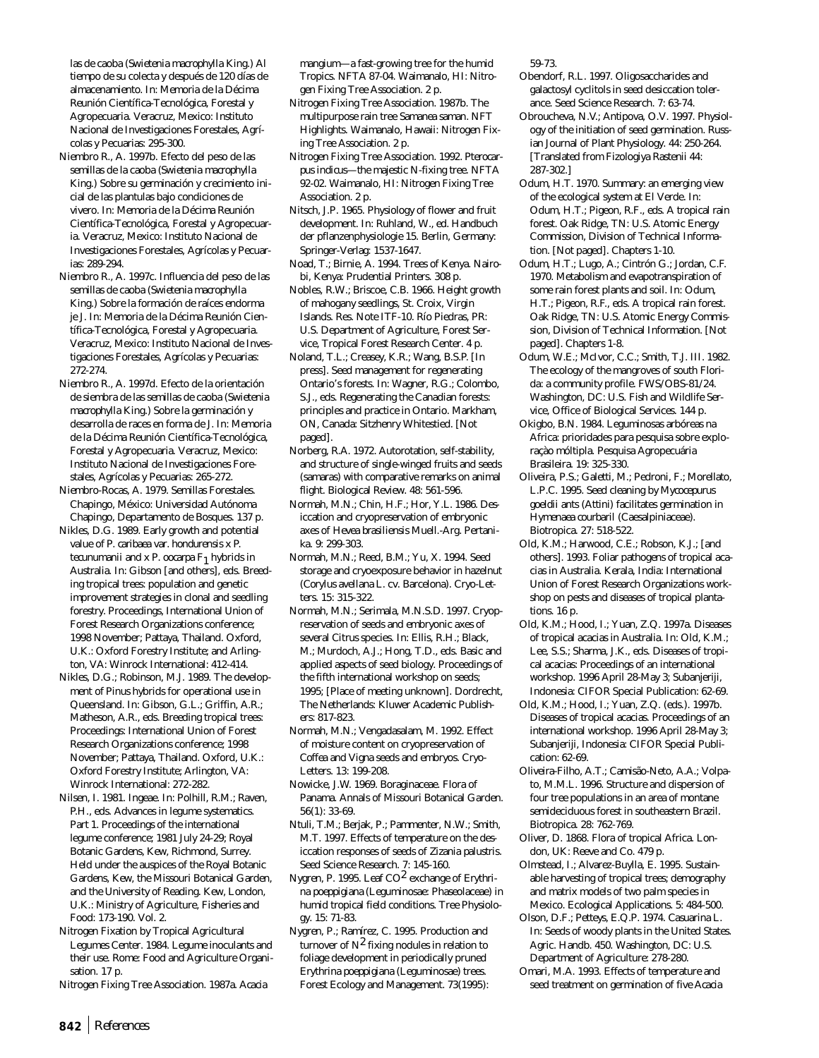las de caoba (*Swietenia macrophylla* King.) Al tiempo de su colecta y después de 120 días de almacenamiento. In: Memoria de la Décima Reunión Científica-Tecnológica, Forestal y Agropecuaria. Veracruz, Mexico: Instituto Nacional de Investigaciones Forestales, Agrícolas y Pecuarias: 295-300.

- Niembro R., A. 1997b. Efecto del peso de las semillas de la caoba (*Swietenia macrophylla* King.) Sobre su germinación y crecimiento inicial de las plantulas bajo condiciones de vivero. In: Memoria de la Décima Reunión Científica-Tecnológica, Forestal y Agropecuaria. Veracruz, Mexico: Instituto Nacional de Investigaciones Forestales, Agrícolas y Pecuarias: 289-294.
- Niembro R., A. 1997c. Influencia del peso de las semillas de caoba (*Swietenia macrophylla* King.) Sobre la formación de raíces endorma je J. In: Memoria de la Décima Reunión Científica-Tecnológica, Forestal y Agropecuaria. Veracruz, Mexico: Instituto Nacional de Investigaciones Forestales, Agrícolas y Pecuarias: 272-274.

Niembro R., A. 1997d. Efecto de la orientación de siembra de las semillas de caoba (*Swietenia macrophylla* King.) Sobre la germinación y desarrolla de races en forma de J. In: Memoria de la Décima Reunión Científica-Tecnológica, Forestal y Agropecuaria. Veracruz, Mexico: Instituto Nacional de Investigaciones Forestales, Agrícolas y Pecuarias: 265-272.

Niembro-Rocas, A. 1979. Semillas Forestales. Chapingo, México: Universidad Autónoma Chapingo, Departamento de Bosques. 137 p.

Nikles, D.G. 1989. Early growth and potential value of *P. caribaea* var. *hondurensis* x *P. tecunumanii* and x *P. oocarpa* F1 hybrids in Australia. In: Gibson [and others], eds. Breeding tropical trees: population and genetic improvement strategies in clonal and seedling forestry. Proceedings, International Union of Forest Research Organizations conference; 1998 November; Pattaya, Thailand. Oxford, U.K.: Oxford Forestry Institute; and Arlington, VA: Winrock International: 412-414.

Nikles, D.G.; Robinson, M.J. 1989. The development of *Pinus* hybrids for operational use in Queensland. In: Gibson, G.L.; Griffin, A.R.; Matheson, A.R., eds. Breeding tropical trees: Proceedings: International Union of Forest Research Organizations conference; 1998 November; Pattaya, Thailand. Oxford, U.K.: Oxford Forestry Institute; Arlington, VA: Winrock International: 272-282.

Nilsen, I. 1981. Ingeae. In: Polhill, R.M.; Raven, P.H., eds. Advances in legume systematics. Part 1. Proceedings of the international legume conference; 1981 July 24-29; Royal Botanic Gardens, Kew, Richmond, Surrey. Held under the auspices of the Royal Botanic Gardens, Kew, the Missouri Botanical Garden, and the University of Reading. Kew, London, U.K.: Ministry of Agriculture, Fisheries and Food: 173-190. Vol. 2.

Nitrogen Fixation by Tropical Agricultural Legumes Center. 1984. Legume inoculants and their use. Rome: Food and Agriculture Organisation. 17 p.

Nitrogen Fixing Tree Association. 1987a. *Acacia*

mangium—a fast-growing tree for the humid Tropics. NFTA 87-04. Waimanalo, HI: Nitrogen Fixing Tree Association. 2 p.

- Nitrogen Fixing Tree Association. 1987b. The multipurpose rain tree *Samanea saman*. NFT Highlights. Waimanalo, Hawaii: Nitrogen Fixing Tree Association. 2 p.
- Nitrogen Fixing Tree Association. 1992. *Pterocarpus indicus*—the majestic N-fixing tree. NFTA 92-02. Waimanalo, HI: Nitrogen Fixing Tree Association. 2 p.
- Nitsch, J.P. 1965. Physiology of flower and fruit development. In: Ruhland, W., ed. Handbuch der pflanzenphysiologie 15. Berlin, Germany: Springer-Verlag: 1537-1647.
- Noad, T.; Birnie, A. 1994. Trees of Kenya. Nairobi, Kenya: Prudential Printers. 308 p.

Nobles, R.W.; Briscoe, C.B. 1966. Height growth of mahogany seedlings, St. Croix, Virgin Islands. Res. Note ITF-10. Río Piedras, PR: U.S. Department of Agriculture, Forest Service, Tropical Forest Research Center. 4 p.

Noland, T.L.; Creasey, K.R.; Wang, B.S.P. [In press]. Seed management for regenerating Ontario's forests. In: Wagner, R.G.; Colombo, S.J., eds. Regenerating the Canadian forests: principles and practice in Ontario. Markham, ON, Canada: Sitzhenry Whitestied. [Not paged].

Norberg, R.A. 1972. Autorotation, self-stability, and structure of single-winged fruits and seeds (samaras) with comparative remarks on animal flight. Biological Review. 48: 561-596.

Normah, M.N.; Chin, H.F.; Hor, Y.L. 1986. Desiccation and cryopreservation of embryonic axes of *Hevea brasiliensis* Muell.-Arg. Pertanika. 9: 299-303.

Normah, M.N.; Reed, B.M.; Yu, X. 1994. Seed storage and cryoexposure behavior in hazelnut (*Corylus avellana* L. cv. Barcelona). Cryo-Letters. 15: 315-322.

- Normah, M.N.; Serimala, M.N.S.D. 1997. Cryopreservation of seeds and embryonic axes of several *Citrus* species. In: Ellis, R.H.; Black, M.; Murdoch, A.J.; Hong, T.D., eds. Basic and applied aspects of seed biology. Proceedings of the fifth international workshop on seeds; 1995; [Place of meeting unknown]. Dordrecht, The Netherlands: Kluwer Academic Publishers: 817-823.
- Normah, M.N.; Vengadasalam, M. 1992. Effect of moisture content on cryopreservation of *Coffea* and *Vigna* seeds and embryos. Cryo-Letters. 13: 199-208.
- Nowicke, J.W. 1969. Boraginaceae. Flora of Panama. Annals of Missouri Botanical Garden. 56(1): 33-69.
- Ntuli, T.M.; Berjak, P.; Pammenter, N.W.; Smith, M.T. 1997. Effects of temperature on the desiccation responses of seeds of *Zizania palustris*. Seed Science Research. 7: 145-160.
- Nygren, P. 1995. Leaf CO2 exchange of *Erythrina poeppigiana* (Leguminosae: Phaseolaceae) in humid tropical field conditions. Tree Physiology. 15: 71-83.

Nygren, P.; Ramírez, C. 1995. Production and turnover of  $N^2$  fixing nodules in relation to foliage development in periodically pruned E*rythrina poeppigiana* (Leguminosae) trees. Forest Ecology and Management. 73(1995): 59-73.

- Obendorf, R.L. 1997. Oligosaccharides and galactosyl cyclitols in seed desiccation tolerance. Seed Science Research. 7: 63-74.
- Obroucheva, N.V.; Antipova, O.V. 1997. Physiology of the initiation of seed germination. Russian Journal of Plant Physiology. 44: 250-264. [Translated from Fizologiya Rastenii 44: 287-302.]
- Odum, H.T. 1970. Summary: an emerging view of the ecological system at El Verde. In: Odum, H.T.; Pigeon, R.F., eds. A tropical rain forest. Oak Ridge, TN: U.S. Atomic Energy Commission, Division of Technical Information. [Not paged]. Chapters 1-10.
- Odum, H.T.; Lugo, A.; Cintrón G.; Jordan, C.F. 1970. Metabolism and evapotranspiration of some rain forest plants and soil. In: Odum, H.T.; Pigeon, R.F., eds. A tropical rain forest. Oak Ridge, TN: U.S. Atomic Energy Commission, Division of Technical Information. [Not paged]. Chapters 1-8.
- Odum, W.E.; McIvor, C.C.; Smith, T.J. III. 1982. The ecology of the mangroves of south Florida: a community profile. FWS/OBS-81/24. Washington, DC: U.S. Fish and Wildlife Service, Office of Biological Services. 144 p.
- Okigbo, B.N. 1984. Leguminosas arbóreas na Africa: prioridades para pesquisa sobre exploraçào móltipla. Pesquisa Agropecuária Brasileira. 19: 325-330.
- Oliveira, P.S.; Galetti, M.; Pedroni, F.; Morellato, L.P.C. 1995. Seed cleaning by *Mycocepurus goeldii* ants (Attini) facilitates germination in *Hymenaea courbaril* (Caesalpiniaceae). Biotropica. 27: 518-522.
- Old, K.M.; Harwood, C.E.; Robson, K.J.; [and others]. 1993. Foliar pathogens of tropical acacias in Australia. Kerala, India: International Union of Forest Research Organizations workshop on pests and diseases of tropical plantations. 16 p.
- Old, K.M.; Hood, I.; Yuan, Z.Q. 1997a. Diseases of tropical acacias in Australia. In: Old, K.M.; Lee, S.S.; Sharma, J.K., eds. Diseases of tropical acacias: Proceedings of an international workshop. 1996 April 28-May 3; Subanjeriji, Indonesia: CIFOR Special Publication: 62-69.
- Old, K.M.; Hood, I.; Yuan, Z.Q. (eds.). 1997b. Diseases of tropical acacias. Proceedings of an international workshop. 1996 April 28-May 3; Subanjeriji, Indonesia: CIFOR Special Publication: 62-69.
- Oliveira-Filho, A.T.; Camisão-Neto, A.A.; Volpato, M.M.L. 1996. Structure and dispersion of four tree populations in an area of montane semideciduous forest in southeastern Brazil. Biotropica. 28: 762-769.
- Oliver, D. 1868. Flora of tropical Africa. London, UK: Reeve and Co. 479 p.
- Olmstead, I.; Alvarez-Buylla, E. 1995. Sustainable harvesting of tropical trees; demography and matrix models of two palm species in Mexico. Ecological Applications. 5: 484-500.
- Olson, D.F.; Petteys, E.Q.P. 1974. *Casuarina* L. In: Seeds of woody plants in the United States. Agric. Handb. 450. Washington, DC: U.S. Department of Agriculture: 278-280.
- Omari, M.A. 1993. Effects of temperature and seed treatment on germination of five *Acacia*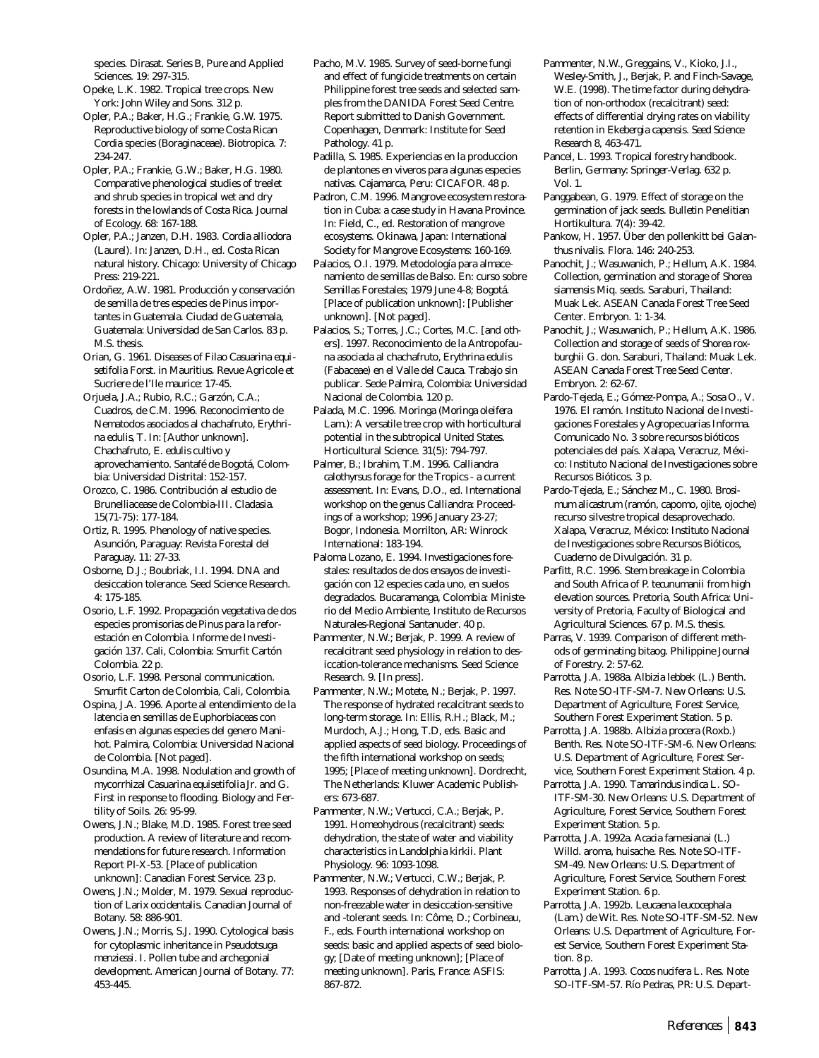species. Dirasat. Series B, Pure and Applied Sciences. 19: 297-315.

- Opeke, L.K. 1982. Tropical tree crops. New York: John Wiley and Sons. 312 p.
- Opler, P.A.; Baker, H.G.; Frankie, G.W. 1975. Reproductive biology of some Costa Rican *Cordia* species (Boraginaceae). Biotropica. 7: 234-247.
- Opler, P.A.; Frankie, G.W.; Baker, H.G. 1980. Comparative phenological studies of treelet and shrub species in tropical wet and dry forests in the lowlands of Costa Rica. Journal of Ecology. 68: 167-188.
- Opler, P.A.; Janzen, D.H. 1983. *Cordia alliodora* (Laurel). In: Janzen, D.H., ed. Costa Rican natural history. Chicago: University of Chicago Press: 219-221.
- Ordoñez, A.W. 1981. Producción y conservación de semilla de tres especies de Pinus importantes in Guatemala. Ciudad de Guatemala, Guatemala: Universidad de San Carlos. 83 p. M.S. thesis.
- Orian, G. 1961. Diseases of Filao *Casuarina equisetifolia* Forst. in Mauritius. Revue Agricole et Sucriere de l'Ile maurice: 17-45.
- Orjuela, J.A.; Rubio, R.C.; Garzón, C.A.; Cuadros, de C.M. 1996. Reconocimiento de Nematodos asociados al chachafruto, *Erythrina edulis*, T. In: [Author unknown]. Chachafruto, *E. edulis* cultivo y aprovechamiento. Santafé de Bogotá, Colombia: Universidad Distrital: 152-157.
- Orozco, C. 1986. Contribución al estudio de Brunelliacease de Colombia-III. Cladasia. 15(71-75): 177-184.
- Ortiz, R. 1995. Phenology of native species. Asunción, Paraguay: Revista Forestal del Paraguay. 11: 27-33.
- Osborne, D.J.; Boubriak, I.I. 1994. DNA and desiccation tolerance. Seed Science Research. 4: 175-185.
- Osorio, L.F. 1992. Propagación vegetativa de dos especies promisorias de *Pinus* para la reforestación en Colombia. Informe de Investigación 137. Cali, Colombia: Smurfit Cartón Colombia. 22 p.
- Osorio, L.F. 1998. Personal communication. Smurfit Carton de Colombia, Cali, Colombia.
- Ospina, J.A. 1996. Aporte al entendimiento de la latencia en semillas de Euphorbiaceas con enfasis en algunas especies del genero Manihot. Palmira, Colombia: Universidad Nacional de Colombia. [Not paged].
- Osundina, M.A. 1998. Nodulation and growth of mycorrhizal *Casuarina equisetifolia* Jr. and G. First in response to flooding. Biology and Fertility of Soils. 26: 95-99.
- Owens, J.N.; Blake, M.D. 1985. Forest tree seed production. A review of literature and recommendations for future research. Information Report Pl-X-53. [Place of publication unknown]: Canadian Forest Service. 23 p.
- Owens, J.N.; Molder, M. 1979. Sexual reproduction of *Larix occidentalis*. Canadian Journal of Botany. 58: 886-901.
- Owens, J.N.; Morris, S.J. 1990. Cytological basis for cytoplasmic inheritance in *Pseudotsuga menziessi*. I. Pollen tube and archegonial development. American Journal of Botany. 77: 453-445.
- Pacho, M.V. 1985. Survey of seed-borne fungi and effect of fungicide treatments on certain Philippine forest tree seeds and selected samples from the DANIDA Forest Seed Centre. Report submitted to Danish Government. Copenhagen, Denmark: Institute for Seed Pathology. 41 p.
- Padilla, S. 1985. Experiencias en la produccion de plantones en viveros para algunas especies nativas. Cajamarca, Peru: CICAFOR. 48 p.
- Padron, C.M. 1996. Mangrove ecosystem restoration in Cuba: a case study in Havana Province. In: Field, C., ed. Restoration of mangrove ecosystems. Okinawa, Japan: International Society for Mangrove Ecosystems: 160-169.
- Palacios, O.I. 1979. Metodología para almacenamiento de semillas de Balso. En: curso sobre Semillas Forestales; 1979 June 4-8; Bogotá. [Place of publication unknown]: [Publisher unknown]. [Not paged].
- Palacios, S.; Torres, J.C.; Cortes, M.C. [and others]. 1997. Reconocimiento de la Antropofauna asociada al chachafruto, *Erythrina edulis* (Fabaceae) en el Valle del Cauca. Trabajo sin publicar. Sede Palmira, Colombia: Universidad Nacional de Colombia. 120 p.
- Palada, M.C. 1996. Moringa (*Moringa oleifera* Lam.): A versatile tree crop with horticultural potential in the subtropical United States. Horticultural Science. 31(5): 794-797.
- Palmer, B.; Ibrahim, T.M. 1996. *Calliandra calothyrsus* forage for the Tropics - a current assessment. In: Evans, D.O., ed. International workshop on the genus *Calliandra*: Proceedings of a workshop; 1996 January 23-27; Bogor, Indonesia. Morrilton, AR: Winrock International: 183-194.
- Paloma Lozano, E. 1994. Investigaciones forestales: resultados de dos ensayos de investigación con 12 especies cada uno, en suelos degradados. Bucaramanga, Colombia: Ministerio del Medio Ambiente, Instituto de Recursos Naturales-Regional Santanuder. 40 p.
- Pammenter, N.W.; Berjak, P. 1999. A review of recalcitrant seed physiology in relation to desiccation-tolerance mechanisms. Seed Science Research. 9. [In press].
- Pammenter, N.W.; Motete, N.; Berjak, P. 1997. The response of hydrated recalcitrant seeds to long-term storage. In: Ellis, R.H.; Black, M.; Murdoch, A.J.; Hong, T.D, eds. Basic and applied aspects of seed biology. Proceedings of the fifth international workshop on seeds; 1995; [Place of meeting unknown]. Dordrecht, The Netherlands: Kluwer Academic Publishers: 673-687.
- Pammenter, N.W.; Vertucci, C.A.; Berjak, P. 1991. Homeohydrous (recalcitrant) seeds: dehydration, the state of water and viability characteristics in *Landolphia kirkii*. Plant Physiology. 96: 1093-1098.
- Pammenter, N.W.; Vertucci, C.W.; Berjak, P. 1993. Responses of dehydration in relation to non-freezable water in desiccation-sensitive and -tolerant seeds. In: Côme, D.; Corbineau, F., eds. Fourth international workshop on seeds: basic and applied aspects of seed biology; [Date of meeting unknown]; [Place of meeting unknown]. Paris, France: ASFIS: 867-872.
- Pammenter, N.W., Greggains, V., Kioko, J.I., Wesley-Smith, J., Berjak, P. and Finch-Savage, W.E. (1998). The time factor during dehydration of non-orthodox (recalcitrant) seed: effects of differential drying rates on viability retention in *Ekebergia capensis*. *Seed Science Research* 8, 463-471.
- Pancel, L. 1993. Tropical forestry handbook. Berlin, Germany: Springer-Verlag. 632 p. Vol. 1.
- Panggabean, G. 1979. Effect of storage on the germination of jack seeds. Bulletin Penelitian Hortikultura. 7(4): 39-42.
- Pankow, H. 1957. Über den pollenkitt bei *Galanthus nivalis*. Flora. 146: 240-253.
- Panochit, J.; Wasuwanich, P.; Hellum, A.K. 1984. Collection, germination and storage of *Shorea siamensis* Miq. seeds. Saraburi, Thailand: Muak Lek. ASEAN Canada Forest Tree Seed Center. Embryon. 1: 1-34.
- Panochit, J.; Wasuwanich, P.; Hellum, A.K. 1986. Collection and storage of seeds of *Shorea roxburghii* G. don. Saraburi, Thailand: Muak Lek. ASEAN Canada Forest Tree Seed Center. Embryon. 2: 62-67.
- Pardo-Tejeda, E.; Gómez-Pompa, A.; Sosa O., V. 1976. El ramón. Instituto Nacional de Investigaciones Forestales y Agropecuarias Informa. Comunicado No. 3 sobre recursos bióticos potenciales del país. Xalapa, Veracruz, México: Instituto Nacional de Investigaciones sobre Recursos Bióticos. 3 p.
- Pardo-Tejeda, E.; Sánchez M., C. 1980. *Brosimum alicastrum* (ramón, capomo, ojite, ojoche) recurso silvestre tropical desaprovechado. Xalapa, Veracruz, México: Instituto Nacional de Investigaciones sobre Recursos Bióticos, Cuaderno de Divulgación. 31 p.
- Parfitt, R.C. 1996. Stem breakage in Colombia and South Africa of *P. tecunumanii* from high elevation sources. Pretoria, South Africa: University of Pretoria, Faculty of Biological and Agricultural Sciences. 67 p. M.S. thesis.
- Parras, V. 1939. Comparison of different methods of germinating bitaog. Philippine Journal of Forestry. 2: 57-62.
- Parrotta, J.A. 1988a. *Albizia lebbek* (L.) Benth. Res. Note SO-ITF-SM-7. New Orleans: U.S. Department of Agriculture, Forest Service, Southern Forest Experiment Station. 5 p.
- Parrotta, J.A. 1988b. *Albizia procera* (Roxb.) Benth. Res. Note SO-ITF-SM-6. New Orleans: U.S. Department of Agriculture, Forest Service, Southern Forest Experiment Station. 4 p.
- Parrotta, J.A. 1990. *Tamarindus indica* L. SO-ITF-SM-30. New Orleans: U.S. Department of Agriculture, Forest Service, Southern Forest Experiment Station. 5 p.
- Parrotta, J.A. 1992a. *Acacia farnesianai* (L.) Willd. aroma, huisache. Res. Note SO-ITF-SM-49. New Orleans: U.S. Department of Agriculture, Forest Service, Southern Forest Experiment Station. 6 p.
- Parrotta, J.A. 1992b. *Leucaena leucocephala* (Lam.) de Wit. Res. Note SO-ITF-SM-52. New Orleans: U.S. Department of Agriculture, Forest Service, Southern Forest Experiment Station. 8 p.
- Parrotta, J.A. 1993. *Cocos nucifera* L. Res. Note SO-ITF-SM-57. Río Pedras, PR: U.S. Depart-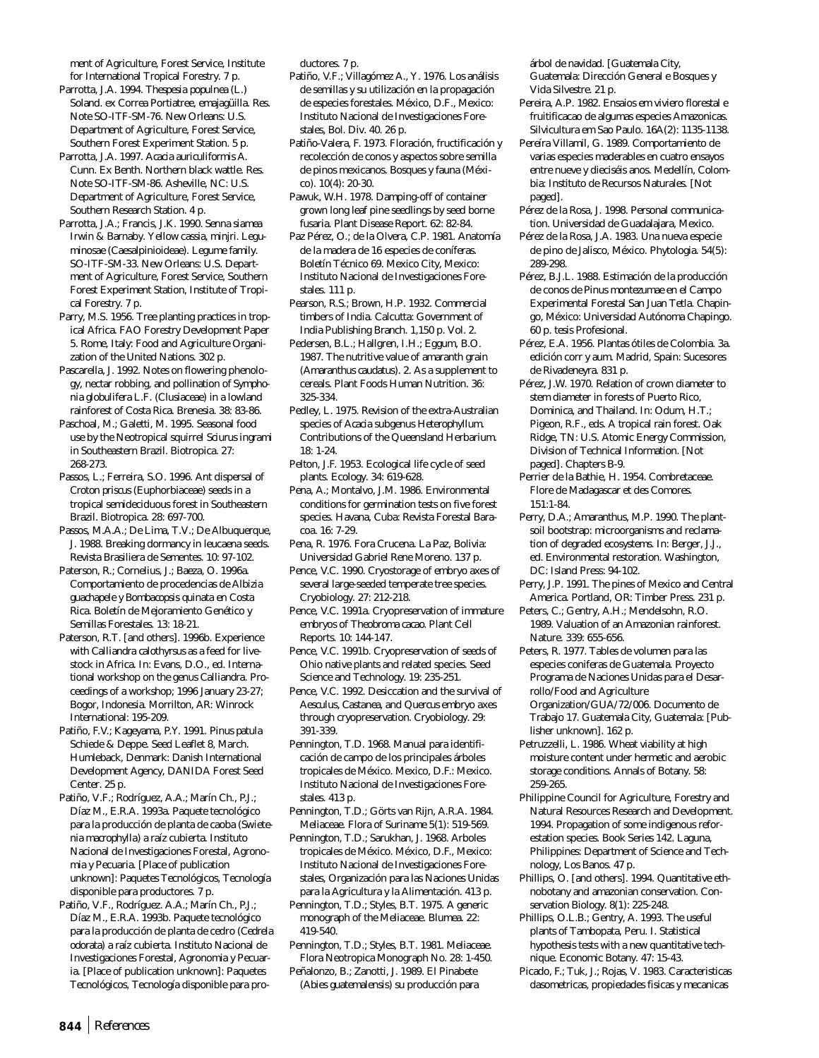ment of Agriculture, Forest Service, Institute for International Tropical Forestry. 7 p.

Parrotta, J.A. 1994. *Thespesia populnea* (L.) Soland. ex Correa Portiatree, emajagüilla. Res. Note SO-ITF-SM-76. New Orleans: U.S. Department of Agriculture, Forest Service, Southern Forest Experiment Station. 5 p.

Parrotta, J.A. 1997. *Acacia auriculiformis* A. Cunn. Ex Benth. Northern black wattle. Res. Note SO-ITF-SM-86. Asheville, NC: U.S. Department of Agriculture, Forest Service, Southern Research Station. 4 p.

Parrotta, J.A.; Francis, J.K. 1990. *Senna siamea* Irwin & Barnaby. Yellow cassia, minjri. Leguminosae (Caesalpinioideae). Legume family. SO-ITF-SM-33. New Orleans: U.S. Department of Agriculture, Forest Service, Southern Forest Experiment Station, Institute of Tropical Forestry. 7 p.

Parry, M.S. 1956. Tree planting practices in tropical Africa. FAO Forestry Development Paper 5. Rome, Italy: Food and Agriculture Organization of the United Nations. 302 p.

Pascarella, J. 1992. Notes on flowering phenology, nectar robbing, and pollination of *Symphonia globulifera* L.F. (Clusiaceae) in a lowland rainforest of Costa Rica. Brenesia. 38: 83-86.

Paschoal, M.; Galetti, M. 1995. Seasonal food use by the Neotropical squirrel *Sciurus ingrami* in Southeastern Brazil. Biotropica. 27: 268-273.

Passos, L.; Ferreira, S.O. 1996. Ant dispersal of *Croton priscus* (Euphorbiaceae) seeds in a tropical semideciduous forest in Southeastern Brazil. Biotropica. 28: 697-700.

Passos, M.A.A.; De Lima, T.V.; De Albuquerque, J. 1988. Breaking dormancy in leucaena seeds. Revista Brasiliera de Sementes. 10: 97-102.

Paterson, R.; Cornelius, J.; Baeza, O. 1996a. Comportamiento de procedencias de *Albizia guachapele* y *Bombacopsis quinata* en Costa Rica. Boletín de Mejoramiento Genético y Semillas Forestales. 13: 18-21.

Paterson, R.T. [and others]. 1996b. Experience with *Calliandra calothyrsus* as a feed for livestock in Africa. In: Evans, D.O., ed. International workshop on the genus *Calliandra*. Proceedings of a workshop; 1996 January 23-27; Bogor, Indonesia. Morrilton, AR: Winrock International: 195-209.

Patiño, F.V.; Kageyama, P.Y. 1991. *Pinus patula* Schiede & Deppe. Seed Leaflet 8, March. Humleback, Denmark: Danish International Development Agency, DANIDA Forest Seed Center. 25 p.

Patiño, V.F.; Rodríguez, A.A.; Marín Ch., P.J.; Díaz M., E.R.A. 1993a. Paquete tecnológico para la producción de planta de caoba (*Swietenia macrophylla*) a raíz cubierta. Instituto Nacional de Investigaciones Forestal, Agronomia y Pecuaria. [Place of publication unknown]: Paquetes Tecnológicos, Tecnología disponible para productores. 7 p.

Patiño, V.F., Rodríguez. A.A.; Marín Ch., P.J.; Díaz M., E.R.A. 1993b. Paquete tecnológico para la producción de planta de cedro (*Cedrela odorata*) a raíz cubierta. Instituto Nacional de Investigaciones Forestal, Agronomia y Pecuaria. [Place of publication unknown]: Paquetes Tecnológicos, Tecnología disponible para productores. 7 p.

Patiño, V.F.; Villagómez A., Y. 1976. Los análisis de semillas y su utilización en la propagación de especies forestales. México, D.F., Mexico: Instituto Nacional de Investigaciones Forestales, Bol. Div. 40. 26 p.

Patiño-Valera, F. 1973. Floración, fructificación y recolección de conos y aspectos sobre semilla de pinos mexicanos. Bosques y fauna (México). 10(4): 20-30.

Pawuk, W.H. 1978. Damping-off of container grown long leaf pine seedlings by seed borne fusaria. Plant Disease Report. 62: 82-84.

Paz Pérez, O.; de la Olvera, C.P. 1981. Anatomía de la madera de 16 especies de coníferas. Boletín Técnico 69. Mexico City, Mexico: Instituto Nacional de Investigaciones Forestales. 111 p.

Pearson, R.S.; Brown, H.P. 1932. Commercial timbers of India. Calcutta: Government of India Publishing Branch. 1,150 p. Vol. 2.

Pedersen, B.L.; Hallgren, I.H.; Eggum, B.O. 1987. The nutritive value of amaranth grain (*Amaranthus caudatus*). 2. As a supplement to cereals. Plant Foods Human Nutrition. 36: 325-334.

Pedley, L. 1975. Revision of the extra-Australian species of *Acacia* subgenus *Heterophyllum*. Contributions of the Queensland Herbarium. 18: 1-24.

Pelton, J.F. 1953. Ecological life cycle of seed plants. Ecology. 34: 619-628.

Pena, A.; Montalvo, J.M. 1986. Environmental conditions for germination tests on five forest species. Havana, Cuba: Revista Forestal Baracoa. 16: 7-29.

Pena, R. 1976. Fora Crucena. La Paz, Bolivia: Universidad Gabriel Rene Moreno. 137 p.

Pence, V.C. 1990. Cryostorage of embryo axes of several large-seeded temperate tree species. Cryobiology. 27: 212-218.

Pence, V.C. 1991a. Cryopreservation of immature embryos of *Theobroma cacao*. Plant Cell Reports. 10: 144-147.

Pence, V.C. 1991b. Cryopreservation of seeds of Ohio native plants and related species. Seed Science and Technology. 19: 235-251.

Pence, V.C. 1992. Desiccation and the survival of *Aesculus*, *Castanea*, and *Quercus* embryo axes through cryopreservation. Cryobiology. 29: 391-339.

Pennington, T.D. 1968. Manual para identificación de campo de los principales árboles tropicales de México. Mexico, D.F.: Mexico. Instituto Nacional de Investigaciones Forestales. 413 p.

Pennington, T.D.; Görts van Rijn, A.R.A. 1984. Meliaceae. Flora of Suriname 5(1): 519-569.

Pennington, T.D.; Sarukhan, J. 1968. Arboles tropicales de México. México, D.F., Mexico: Instituto Nacional de Investigaciones Forestales, Organización para las Naciones Unidas para la Agricultura y la Alimentación. 413 p.

Pennington, T.D.; Styles, B.T. 1975. A generic monograph of the Meliaceae. Blumea. 22: 419-540.

Pennington, T.D.; Styles, B.T. 1981. Meliaceae. Flora Neotropica Monograph No. 28: 1-450. Peñalonzo, B.; Zanotti, J. 1989. El Pinabete (*Abies guatemalensis*) su producción para

árbol de navidad. [Guatemala City, Guatemala: Dirección General e Bosques y Vida Silvestre. 21 p.

- Pereira, A.P. 1982. Ensaios em viviero florestal e fruitificacao de algumas especies Amazonicas. Silvicultura em Sao Paulo. 16A(2): 1135-1138.
- Pereíra Villamil, G. 1989. Comportamiento de varias especies maderables en cuatro ensayos entre nueve y dieciséis anos. Medellín, Colombia: Instituto de Recursos Naturales. [Not paged].
- Pérez de la Rosa, J. 1998. Personal communication. Universidad de Guadalajara, Mexico.
- Pérez de la Rosa, J.A. 1983. Una nueva especie de pino de Jalisco, México. Phytologia. 54(5): 289-298.
- Pérez, B.J.L. 1988. Estimación de la producción de conos de *Pinus montezumae* en el Campo Experimental Forestal San Juan Tetla. Chapingo, México: Universidad Autónoma Chapingo. 60 p. tesis Profesional.
- Pérez, E.A. 1956. Plantas ótiles de Colombia. 3a. edición corr y aum. Madrid, Spain: Sucesores de Rivadeneyra. 831 p.
- Pérez, J.W. 1970. Relation of crown diameter to stem diameter in forests of Puerto Rico, Dominica, and Thailand. In: Odum, H.T.; Pigeon, R.F., eds. A tropical rain forest. Oak Ridge, TN: U.S. Atomic Energy Commission, Division of Technical Information. [Not paged]. Chapters B-9.
- Perrier de la Bathie, H. 1954. Combretaceae. Flore de Madagascar et des Comores. 151:1-84.
- Perry, D.A.; Amaranthus, M.P. 1990. The plantsoil bootstrap: microorganisms and reclamation of degraded ecosystems. In: Berger, J.J., ed. Environmental restoration. Washington, DC: Island Press: 94-102.
- Perry, J.P. 1991. The pines of Mexico and Central America. Portland, OR: Timber Press. 231 p.
- Peters, C.; Gentry, A.H.; Mendelsohn, R.O. 1989. Valuation of an Amazonian rainforest. Nature. 339: 655-656.
- Peters, R. 1977. Tables de volumen para las especies coniferas de Guatemala. Proyecto Programa de Naciones Unidas para el Desarrollo/Food and Agriculture Organization/GUA/72/006. Documento de Trabajo 17. Guatemala City, Guatemala: [Publisher unknown]. 162 p.
- Petruzzelli, L. 1986. Wheat viability at high moisture content under hermetic and aerobic storage conditions. Annals of Botany. 58: 259-265.
- Philippine Council for Agriculture, Forestry and Natural Resources Research and Development. 1994. Propagation of some indigenous reforestation species. Book Series 142. Laguna, Philippines: Department of Science and Technology, Los Banos. 47 p.
- Phillips, O. [and others]. 1994. Quantitative ethnobotany and amazonian conservation. Conservation Biology. 8(1): 225-248.
- Phillips, O.L.B.; Gentry, A. 1993. The useful plants of Tambopata, Peru. I. Statistical hypothesis tests with a new quantitative technique. Economic Botany. 47: 15-43.
- Picado, F.; Tuk, J.; Rojas, V. 1983. Caracteristicas dasometricas, propiedades fisicas y mecanicas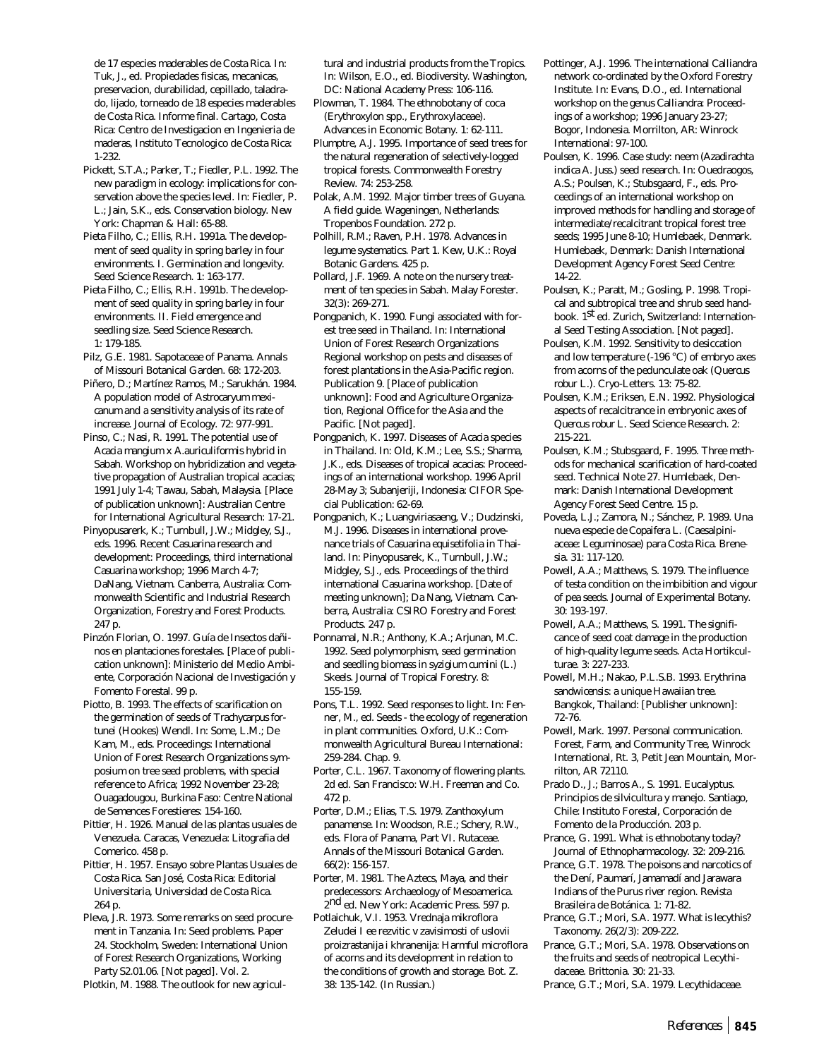de 17 especies maderables de Costa Rica. In: Tuk, J., ed. Propiedades fisicas, mecanicas, preservacion, durabilidad, cepillado, taladrado, lijado, torneado de 18 especies maderables de Costa Rica. Informe final. Cartago, Costa Rica: Centro de Investigacion en Ingenieria de maderas, Instituto Tecnologico de Costa Rica: 1-232.

- Pickett, S.T.A.; Parker, T.; Fiedler, P.L. 1992. The new paradigm in ecology: implications for conservation above the species level. In: Fiedler, P. L.; Jain, S.K., eds. Conservation biology. New York: Chapman & Hall: 65-88.
- Pieta Filho, C.; Ellis, R.H. 1991a. The development of seed quality in spring barley in four environments. I. Germination and longevity. Seed Science Research. 1: 163-177.
- Pieta Filho, C.; Ellis, R.H. 1991b. The development of seed quality in spring barley in four environments. II. Field emergence and seedling size. Seed Science Research. 1: 179-185.
- Pilz, G.E. 1981. Sapotaceae of Panama. Annals of Missouri Botanical Garden. 68: 172-203.
- Piñero, D.; Martínez Ramos, M.; Sarukhán. 1984. A population model of *Astrocaryum mexicanum* and a sensitivity analysis of its rate of increase. Journal of Ecology. 72: 977-991.
- Pinso, C.; Nasi, R. 1991. The potential use of *Acacia mangium* x *A.auriculiformis* hybrid in Sabah. Workshop on hybridization and vegetative propagation of Australian tropical acacias; 1991 July 1-4; Tawau, Sabah, Malaysia. [Place of publication unknown]: Australian Centre for International Agricultural Research: 17-21.
- Pinyopusarerk, K.; Turnbull, J.W.; Midgley, S.J., eds. 1996. Recent *Casuarina* research and development: Proceedings, third international *Casuarina* workshop; 1996 March 4-7; DaNang, Vietnam. Canberra, Australia: Commonwealth Scientific and Industrial Research Organization, Forestry and Forest Products. 247 p.
- Pinzón Florian, O. 1997. Guía de Insectos dañinos en plantaciones forestales. [Place of publication unknown]: Ministerio del Medio Ambiente, Corporación Nacional de Investigación y Fomento Forestal. 99 p.
- Piotto, B. 1993. The effects of scarification on the germination of seeds of *Trachycarpus fortunei* (Hookes) Wendl. In: Some, L.M.; De Kam, M., eds. Proceedings: International Union of Forest Research Organizations symposium on tree seed problems, with special reference to Africa; 1992 November 23-28; Ouagadougou, Burkina Faso: Centre National de Semences Forestieres: 154-160.
- Pittier, H. 1926. Manual de las plantas usuales de Venezuela. Caracas, Venezuela: Litografia del Comerico. 458 p.
- Pittier, H. 1957. Ensayo sobre Plantas Usuales de Costa Rica. San José, Costa Rica: Editorial Universitaria, Universidad de Costa Rica. 264 p.
- Pleva, J.R. 1973. Some remarks on seed procurement in Tanzania. In: Seed problems. Paper 24. Stockholm, Sweden: International Union of Forest Research Organizations, Working Party S2.01.06. [Not paged]. Vol. 2.

Plotkin, M. 1988. The outlook for new agricul-

tural and industrial products from the Tropics. In: Wilson, E.O., ed. Biodiversity. Washington, DC: National Academy Press: 106-116.

- Plowman, T. 1984. The ethnobotany of coca (*Erythroxylon* spp., Erythroxylaceae). Advances in Economic Botany. 1: 62-111.
- Plumptre, A.J. 1995. Importance of seed trees for the natural regeneration of selectively-logged tropical forests. Commonwealth Forestry Review. 74: 253-258.
- Polak, A.M. 1992. Major timber trees of Guyana. A field guide. Wageningen, Netherlands: Tropenbos Foundation. 272 p.
- Polhill, R.M.; Raven, P.H. 1978. Advances in legume systematics. Part 1. Kew, U.K.: Royal Botanic Gardens. 425 p.
- Pollard, J.F. 1969. A note on the nursery treatment of ten species in Sabah. Malay Forester. 32(3): 269-271.
- Pongpanich, K. 1990. Fungi associated with forest tree seed in Thailand. In: International Union of Forest Research Organizations Regional workshop on pests and diseases of forest plantations in the Asia-Pacific region. Publication 9. [Place of publication unknown]: Food and Agriculture Organization, Regional Office for the Asia and the Pacific. [Not paged].
- Pongpanich, K. 1997. Diseases of *Acacia* species in Thailand. In: Old, K.M.; Lee, S.S.; Sharma, J.K., eds. Diseases of tropical acacias: Proceedings of an international workshop. 1996 April 28-May 3; Subanjeriji, Indonesia: CIFOR Special Publication: 62-69.
- Pongpanich, K.; Luangviriasaeng, V.; Dudzinski, M.J. 1996. Diseases in international provenance trials of *Casuarina equisetifolia* in Thailand. In: Pinyopusarek, K., Turnbull, J.W.; Midgley, S.J., eds. Proceedings of the third international Casuarina workshop. [Date of meeting unknown]; Da Nang, Vietnam. Canberra, Australia: CSIRO Forestry and Forest Products. 247 p.
- Ponnamal, N.R.; Anthony, K.A.; Arjunan, M.C. 1992. Seed polymorphism, seed germination and seedling biomass in *syzigium cumini* (L.) Skeels. Journal of Tropical Forestry. 8: 155-159.
- Pons, T.L. 1992. Seed responses to light. In: Fenner, M., ed. Seeds - the ecology of regeneration in plant communities. Oxford, U.K.: Commonwealth Agricultural Bureau International: 259-284. Chap. 9.
- Porter, C.L. 1967. Taxonomy of flowering plants. 2d ed. San Francisco: W.H. Freeman and Co. 472 p.
- Porter, D.M.; Elias, T.S. 1979. *Zanthoxylum panamense*. In: Woodson, R.E.; Schery, R.W., eds. Flora of Panama, Part VI. Rutaceae. Annals of the Missouri Botanical Garden. 66(2): 156-157.
- Porter, M. 1981. The Aztecs, Maya, and their predecessors: Archaeology of Mesoamerica. 2nd ed. New York: Academic Press. 597 p.
- Potlaichuk, V.I. 1953. Vrednaja mikroflora Zeludei I ee rezvitic v zavisimosti of uslovii proizrastanija i khranenija: Harmful microflora of acorns and its development in relation to the conditions of growth and storage. Bot. Z. 38: 135-142. (In Russian.)
- Pottinger, A.J. 1996. The international *Calliandra* network co-ordinated by the Oxford Forestry Institute. In: Evans, D.O., ed. International workshop on the genus *Calliandra*: Proceedings of a workshop; 1996 January 23-27; Bogor, Indonesia. Morrilton, AR: Winrock International: 97-100.
- Poulsen, K. 1996. Case study: neem (*Azadirachta indica A. Juss.*) seed research. In: Ouedraogos, A.S.; Poulsen, K.; Stubsgaard, F., eds. Proceedings of an international workshop on improved methods for handling and storage of intermediate/recalcitrant tropical forest tree seeds; 1995 June 8-10; Humlebaek, Denmark. Humlebaek, Denmark: Danish International Development Agency Forest Seed Centre: 14-22.
- Poulsen, K.; Paratt, M.; Gosling, P. 1998. Tropical and subtropical tree and shrub seed handbook. 1<sup>st</sup> ed. Zurich, Switzerland: International Seed Testing Association. [Not paged].
- Poulsen, K.M. 1992. Sensitivity to desiccation and low temperature (-196 °C) of embryo axes from acorns of the pedunculate oak (*Quercus robur* L.). Cryo-Letters. 13: 75-82.
- Poulsen, K.M.; Eriksen, E.N. 1992. Physiological aspects of recalcitrance in embryonic axes of *Quercus robur* L. Seed Science Research. 2: 215-221.
- Poulsen, K.M.; Stubsgaard, F. 1995. Three methods for mechanical scarification of hard-coated seed. Technical Note 27. Humlebaek, Denmark: Danish International Development Agency Forest Seed Centre. 15 p.
- Poveda, L.J.; Zamora, N.; Sánchez, P. 1989. Una nueva especie de *Copaifera* L*.* (Caesalpiniaceae: Leguminosae) para Costa Rica. Brenesia. 31: 117-120.
- Powell, A.A.; Matthews, S. 1979. The influence of testa condition on the imbibition and vigour of pea seeds. Journal of Experimental Botany. 30: 193-197.
- Powell, A.A.; Matthews, S. 1991. The significance of seed coat damage in the production of high-quality legume seeds. Acta Hortikculturae. 3: 227-233.
- Powell, M.H.; Nakao, P.L.S.B. 1993. *Erythrina sandwicensis*: a unique Hawaiian tree. Bangkok, Thailand: [Publisher unknown]: 72-76.
- Powell, Mark. 1997. Personal communication. Forest, Farm, and Community Tree, Winrock International, Rt. 3, Petit Jean Mountain, Morrilton, AR 72110.
- Prado D., J.; Barros A., S. 1991. Eucalyptus. Principios de silvicultura y manejo. Santiago, Chile: Instituto Forestal, Corporación de Fomento de la Producción. 203 p.
- Prance, G. 1991. What is ethnobotany today? Journal of Ethnopharmacology. 32: 209-216.
- Prance, G.T. 1978. The poisons and narcotics of the Dení, Paumarí, Jamamadí and Jarawara Indians of the Purus river region. Revista Brasileira de Botánica. 1: 71-82.
- Prance, G.T.; Mori, S.A. 1977. What is lecythis? Taxonomy. 26(2/3): 209-222.
- Prance, G.T.; Mori, S.A. 1978. Observations on the fruits and seeds of neotropical Lecythidaceae. Brittonia. 30: 21-33.
- Prance, G.T.; Mori, S.A. 1979. Lecythidaceae.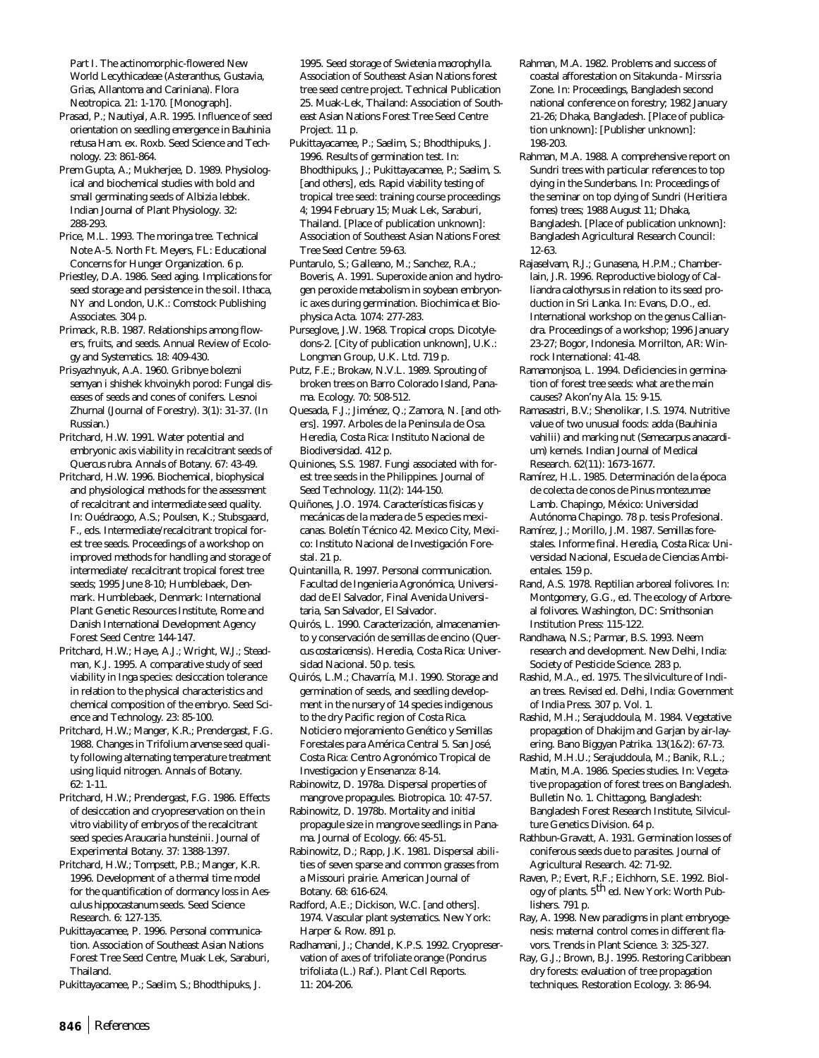Part I. The actinomorphic-flowered New World Lecythicadeae (*Asteranthus, Gustavia, Grias, Allantoma* and *Cariniana*). Flora Neotropica. 21: 1-170. [Monograph].

Prasad, P.; Nautiyal, A.R. 1995. Influence of seed orientation on seedling emergence in *Bauhinia retusa* Ham. ex. Roxb. Seed Science and Technology. 23: 861-864.

Prem Gupta, A.; Mukherjee, D. 1989. Physiological and biochemical studies with bold and small germinating seeds of *Albizia lebbek*. Indian Journal of Plant Physiology. 32: 288-293.

Price, M.L. 1993. The moringa tree. Technical Note A-5. North Ft. Meyers, FL: Educational Concerns for Hunger Organization. 6 p.

Priestley, D.A. 1986. Seed aging. Implications for seed storage and persistence in the soil. Ithaca, NY and London, U.K.: Comstock Publishing Associates. 304 p.

Primack, R.B. 1987. Relationships among flowers, fruits, and seeds. Annual Review of Ecology and Systematics. 18: 409-430.

Prisyazhnyuk, A.A. 1960. Gribnye bolezni semyan i shishek khvoinykh porod: Fungal diseases of seeds and cones of conifers. Lesnoi Zhurnal (Journal of Forestry). 3(1): 31-37. (In Russian.)

Pritchard, H.W. 1991. Water potential and embryonic axis viability in recalcitrant seeds of *Quercus rubra*. Annals of Botany. 67: 43-49.

Pritchard, H.W. 1996. Biochemical, biophysical and physiological methods for the assessment of recalcitrant and intermediate seed quality. In: Ouédraogo, A.S.; Poulsen, K.; Stubsgaard, F., eds. Intermediate/recalcitrant tropical forest tree seeds. Proceedings of a workshop on improved methods for handling and storage of intermediate/ recalcitrant tropical forest tree seeds; 1995 June 8-10; Humblebaek, Denmark. Humblebaek, Denmark: International Plant Genetic Resources Institute, Rome and Danish International Development Agency Forest Seed Centre: 144-147.

Pritchard, H.W.; Haye, A.J.; Wright, W.J.; Steadman, K.J. 1995. A comparative study of seed viability in *Inga* species: desiccation tolerance in relation to the physical characteristics and chemical composition of the embryo. Seed Science and Technology. 23: 85-100.

Pritchard, H.W.; Manger, K.R.; Prendergast, F.G. 1988. Changes in *Trifolium arvense* seed quality following alternating temperature treatment using liquid nitrogen. Annals of Botany. 62: 1-11.

Pritchard, H.W.; Prendergast, F.G. 1986. Effects of desiccation and cryopreservation on the *in vitro* viability of embryos of the recalcitrant seed species *Araucaria hunsteinii*. Journal of Experimental Botany. 37: 1388-1397.

Pritchard, H.W.; Tompsett, P.B.; Manger, K.R. 1996. Development of a thermal time model for the quantification of dormancy loss in *Aesculus hippocastanum* seeds. Seed Science Research. 6: 127-135.

Pukittayacamee, P. 1996. Personal communication. Association of Southeast Asian Nations Forest Tree Seed Centre, Muak Lek, Saraburi, Thailand.

Pukittayacamee, P.; Saelim, S.; Bhodthipuks, J.

1995. Seed storage of *Swietenia macrophylla*. Association of Southeast Asian Nations forest tree seed centre project. Technical Publication 25. Muak-Lek, Thailand: Association of Southeast Asian Nations Forest Tree Seed Centre Project. 11 p.

Pukittayacamee, P.; Saelim, S.; Bhodthipuks, J. 1996. Results of germination test. In: Bhodthipuks, J.; Pukittayacamee, P.; Saelim, S. [and others], eds. Rapid viability testing of tropical tree seed: training course proceedings 4; 1994 February 15; Muak Lek, Saraburi, Thailand. [Place of publication unknown]: Association of Southeast Asian Nations Forest Tree Seed Centre: 59-63.

Puntarulo, S.; Galleano, M.; Sanchez, R.A.; Boveris, A. 1991. Superoxide anion and hydrogen peroxide metabolism in soybean embryonic axes during germination. Biochimica et Biophysica Acta. 1074: 277-283.

Purseglove, J.W. 1968. Tropical crops. Dicotyledons-2. [City of publication unknown], U.K.: Longman Group, U.K. Ltd. 719 p.

Putz, F.E.; Brokaw, N.V.L. 1989. Sprouting of broken trees on Barro Colorado Island, Panama. Ecology. 70: 508-512.

Quesada, F.J.; Jiménez, Q.; Zamora, N. [and others]. 1997. Arboles de la Peninsula de Osa. Heredia, Costa Rica: Instituto Nacional de Biodiversidad. 412 p.

Quiniones, S.S. 1987. Fungi associated with forest tree seeds in the Philippines. Journal of Seed Technology. 11(2): 144-150.

Quiñones, J.O. 1974. Características fisicas y mecánicas de la madera de 5 especies mexicanas. Boletín Técnico 42. Mexico City, Mexico: Instituto Nacional de Investigación Forestal. 21 p.

Quintanilla, R. 1997. Personal communication. Facultad de Ingenieria Agronómica, Universidad de El Salvador, Final Avenida Universitaria, San Salvador, El Salvador.

Quirós, L. 1990. Caracterización, almacenamiento y conservación de semillas de encino (*Quercus costaricensis*). Heredia, Costa Rica: Universidad Nacional. 50 p. tesis.

Quirós, L.M.; Chavarría, M.I. 1990. Storage and germination of seeds, and seedling development in the nursery of 14 species indigenous to the dry Pacific region of Costa Rica. Noticiero mejoramiento Genético y Semillas Forestales para América Central 5. San José, Costa Rica: Centro Agronómico Tropical de Investigacion y Ensenanza: 8-14.

Rabinowitz, D. 1978a. Dispersal properties of mangrove propagules. Biotropica. 10: 47-57.

Rabinowitz, D. 1978b. Mortality and initial propagule size in mangrove seedlings in Panama. Journal of Ecology. 66: 45-51.

Rabinowitz, D.; Rapp, J.K. 1981. Dispersal abilities of seven sparse and common grasses from a Missouri prairie. American Journal of Botany. 68: 616-624.

Radford, A.E.; Dickison, W.C. [and others]. 1974. Vascular plant systematics. New York: Harper & Row. 891 p.

Radhamani, J.; Chandel, K.P.S. 1992. Cryopreservation of axes of trifoliate orange (*Poncirus trifoliata* (L.) Raf.). Plant Cell Reports. 11: 204-206.

- Rahman, M.A. 1982. Problems and success of coastal afforestation on Sitakunda - Mirssria Zone. In: Proceedings, Bangladesh second national conference on forestry; 1982 January 21-26; Dhaka, Bangladesh. [Place of publication unknown]: [Publisher unknown]: 198-203.
- Rahman, M.A. 1988. A comprehensive report on Sundri trees with particular references to top dying in the Sunderbans. In: Proceedings of the seminar on top dying of Sundri (*Heritiera fomes*) trees; 1988 August 11; Dhaka, Bangladesh. [Place of publication unknown]: Bangladesh Agricultural Research Council: 12-63.
- Rajaselvam, R.J.; Gunasena, H.P.M.; Chamberlain, J.R. 1996. Reproductive biology of *Calliandra calothyrsus* in relation to its seed production in Sri Lanka. In: Evans, D.O., ed. International workshop on the genus *Calliandra*. Proceedings of a workshop; 1996 January 23-27; Bogor, Indonesia. Morrilton, AR: Winrock International: 41-48.
- Ramamonjsoa, L. 1994. Deficiencies in germination of forest tree seeds: what are the main causes? Akon'ny Ala. 15: 9-15.
- Ramasastri, B.V.; Shenolikar, I.S. 1974. Nutritive value of two unusual foods: adda (*Bauhinia vahilii)* and marking nut (*Semecarpus anacardium*) kernels. Indian Journal of Medical Research. 62(11): 1673-1677.
- Ramírez, H.L. 1985. Determinación de la época de colecta de conos de *Pinus montezumae* Lamb. Chapingo, México: Universidad Autónoma Chapingo. 78 p. tesis Profesional.
- Ramírez, J.; Morillo, J.M. 1987. Semillas forestales. Informe final. Heredia, Costa Rica: Universidad Nacional, Escuela de Ciencias Ambientales. 159 p.
- Rand, A.S. 1978. Reptilian arboreal folivores. In: Montgomery, G.G., ed. The ecology *of Arboreal folivores*. Washington, DC: Smithsonian Institution Press: 115-122.
- Randhawa, N.S.; Parmar, B.S. 1993. Neem research and development. New Delhi, India: Society of Pesticide Science. 283 p.
- Rashid, M.A., ed. 1975. The silviculture of Indian trees. Revised ed. Delhi, India: Government of India Press. 307 p. Vol. 1.
- Rashid, M.H.; Serajuddoula, M. 1984. Vegetative propagation of Dhakijm and Garjan by air-layering. Bano Biggyan Patrika. 13(1&2): 67-73.
- Rashid, M.H.U.; Serajuddoula, M.; Banik, R.L.; Matin, M.A. 1986. Species studies. In: Vegetative propagation of forest trees on Bangladesh. Bulletin No. 1. Chittagong, Bangladesh: Bangladesh Forest Research Institute, Silviculture Genetics Division. 64 p.
- Rathbun-Gravatt, A. 1931. Germination losses of coniferous seeds due to parasites. Journal of Agricultural Research. 42: 71-92.
- Raven, P.; Evert, R.F.; Eichhorn, S.E. 1992. Biology of plants. 5<sup>th</sup> ed. New York: Worth Publishers. 791 p.
- Ray, A. 1998. New paradigms in plant embryogenesis: maternal control comes in different flavors. Trends in Plant Science. 3: 325-327.

Ray, G.J.; Brown, B.J. 1995. Restoring Caribbean dry forests: evaluation of tree propagation techniques. Restoration Ecology. 3: 86-94.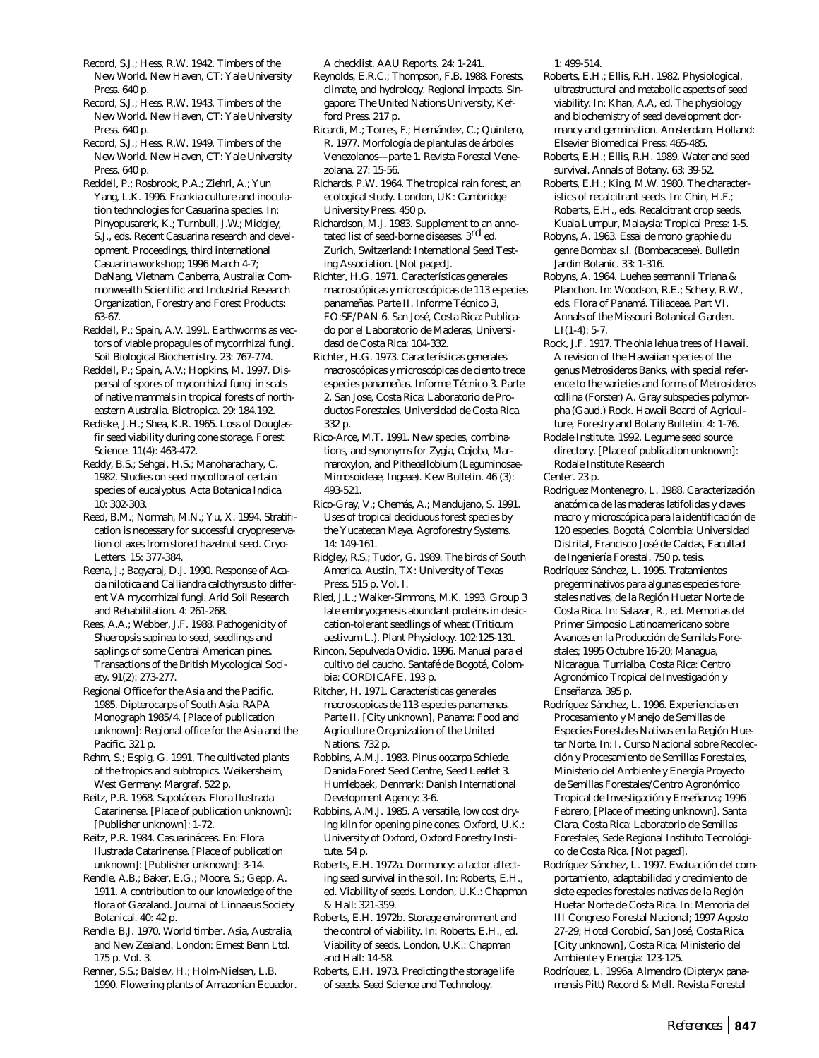Record, S.J.; Hess, R.W. 1942. Timbers of the New World. New Haven, CT: Yale University Press. 640 p.

Record, S.J.; Hess, R.W. 1943. Timbers of the New World. New Haven, CT: Yale University Press. 640 p.

Record, S.J.; Hess, R.W. 1949. Timbers of the New World. New Haven, CT: Yale University Press. 640 p.

Reddell, P.; Rosbrook, P.A.; Ziehrl, A.; Yun Yang, L.K. 1996. *Frankia* culture and inoculation technologies for *Casuarina* species. In: Pinyopusarerk, K.; Turnbull, J.W.; Midgley, S.J., eds. Recent *Casuarina* research and development. Proceedings, third international *Casuarina* workshop; 1996 March 4-7; DaNang, Vietnam. Canberra, Australia: Commonwealth Scientific and Industrial Research Organization, Forestry and Forest Products: 63-67.

Reddell, P.; Spain, A.V. 1991. Earthworms as vectors of viable propagules of mycorrhizal fungi. Soil Biological Biochemistry. 23: 767-774.

Reddell, P.; Spain, A.V.; Hopkins, M. 1997. Dispersal of spores of mycorrhizal fungi in scats of native mammals in tropical forests of northeastern Australia. Biotropica. 29: 184.192.

Rediske, J.H.; Shea, K.R. 1965. Loss of Douglasfir seed viability during cone storage. Forest Science. 11(4): 463-472.

Reddy, B.S.; Sehgal, H.S.; Manoharachary, C. 1982. Studies on seed mycoflora of certain species of eucalyptus. Acta Botanica Indica. 10: 302-303.

Reed, B.M.; Normah, M.N.; Yu, X. 1994. Stratification is necessary for successful cryopreservation of axes from stored hazelnut seed. Cryo-Letters. 15: 377-384.

Reena, J.; Bagyaraj, D.J. 1990. Response of *Acacia nilotica* and *Calliandra calothyrsus* to different VA mycorrhizal fungi. Arid Soil Research and Rehabilitation. 4: 261-268.

Rees, A.A.; Webber, J.F. 1988. Pathogenicity of Shaeropsis sapinea to seed, seedlings and saplings of some Central American pines. Transactions of the British Mycological Society. 91(2): 273-277.

Regional Office for the Asia and the Pacific. 1985. Dipterocarps of South Asia. RAPA Monograph 1985/4. [Place of publication unknown]: Regional office for the Asia and the Pacific. 321 p.

Rehm, S.; Espig, G. 1991. The cultivated plants of the tropics and subtropics. Weikersheim, West Germany: Margraf. 522 p.

Reitz, P.R. 1968. Sapotáceas. Flora Ilustrada Catarinense. [Place of publication unknown]: [Publisher unknown]: 1-72.

Reitz, P.R. 1984. Casuarináceas. En: Flora Ilustrada Catarinense. [Place of publication unknown]: [Publisher unknown]: 3-14.

Rendle, A.B.; Baker, E.G.; Moore, S.; Gepp, A. 1911. A contribution to our knowledge of the flora of Gazaland. Journal of Linnaeus Society Botanical. 40: 42 p.

Rendle, B.J. 1970. World timber. Asia, Australia, and New Zealand. London: Ernest Benn Ltd. 175 p. Vol. 3.

Renner, S.S.; Balslev, H.; Holm-Nielsen, L.B. 1990. Flowering plants of Amazonian Ecuador. A checklist. AAU Reports. 24: 1-241.

Reynolds, E.R.C.; Thompson, F.B. 1988. Forests, climate, and hydrology. Regional impacts. Singapore: The United Nations University, Kefford Press. 217 p.

Ricardi, M.; Torres, F.; Hernández, C.; Quintero, R. 1977. Morfología de plantulas de árboles Venezolanos—parte 1. Revista Forestal Venezolana. 27: 15-56.

Richards, P.W. 1964. The tropical rain forest, an ecological study. London, UK: Cambridge University Press. 450 p.

Richardson, M.J. 1983. Supplement to an annotated list of seed-borne diseases. 3<sup>rd</sup> ed. Zurich, Switzerland: International Seed Testing Association. [Not paged].

Richter, H.G. 1971. Características generales macroscópicas y microscópicas de 113 especies panameñas. Parte II. Informe Técnico 3, FO:SF/PAN 6. San José, Costa Rica: Publicado por el Laboratorio de Maderas, Universidasd de Costa Rica: 104-332.

Richter, H.G. 1973. Características generales macroscópicas y microscópicas de ciento trece especies panameñas. Informe Técnico 3. Parte 2. San Jose, Costa Rica: Laboratorio de Productos Forestales, Universidad de Costa Rica. 332 p.

Rico-Arce, M.T. 1991. New species, combinations, and synonyms for *Zygia*, *Cojoba*, *Marmaroxylon*, and *Pithecellobium* (Leguminosae-Mimosoideae, Ingeae). Kew Bulletin. 46 (3): 493-521.

Rico-Gray, V.; Chemás, A.; Mandujano, S. 1991. Uses of tropical deciduous forest species by the Yucatecan Maya. Agroforestry Systems. 14: 149-161.

Ridgley, R.S.; Tudor, G. 1989. The birds of South America. Austin, TX: University of Texas Press. 515 p. Vol. I.

Ried, J.L.; Walker-Simmons, M.K. 1993. Group 3 late embryogenesis abundant proteins in desiccation-tolerant seedlings of wheat (*Triticum aestivum* L.). Plant Physiology. 102:125-131.

Rincon, Sepulveda Ovidio. 1996. Manual para el cultivo del caucho. Santafé de Bogotá, Colombia: CORDICAFE. 193 p.

Ritcher, H. 1971. Características generales macroscopicas de 113 especies panamenas. Parte II. [City unknown], Panama: Food and Agriculture Organization of the United Nations. 732 p.

Robbins, A.M.J. 1983. *Pinus oocarpa* Schiede. Danida Forest Seed Centre, Seed Leaflet 3. Humlebaek, Denmark: Danish International Development Agency: 3-6.

Robbins, A.M.J. 1985. A versatile, low cost drying kiln for opening pine cones. Oxford, U.K.: University of Oxford, Oxford Forestry Institute. 54 p.

Roberts, E.H. 1972a. Dormancy: a factor affecting seed survival in the soil. In: Roberts, E.H., ed. Viability of seeds. London, U.K.: Chapman & Hall: 321-359.

Roberts, E.H. 1972b. Storage environment and the control of viability. In: Roberts, E.H., ed. Viability of seeds. London, U.K.: Chapman and Hall: 14-58.

Roberts, E.H. 1973. Predicting the storage life of seeds. Seed Science and Technology.

1: 499-514.

- Roberts, E.H.; Ellis, R.H. 1982. Physiological, ultrastructural and metabolic aspects of seed viability. In: Khan, A.A, ed. The physiology and biochemistry of seed development dormancy and germination. Amsterdam, Holland: Elsevier Biomedical Press: 465-485.
- Roberts, E.H.; Ellis, R.H. 1989. Water and seed survival. Annals of Botany. 63: 39-52.

Roberts, E.H.; King, M.W. 1980. The characteristics of recalcitrant seeds. In: Chin, H.F.; Roberts, E.H., eds. Recalcitrant crop seeds. Kuala Lumpur, Malaysia: Tropical Press: 1-5.

Robyns, A. 1963. Essai de mono graphie du genre Bombax s.l. (Bombacaceae). Bulletin Jardin Botanic. 33: 1-316.

Robyns, A. 1964. *Luehea seemannii* Triana & Planchon. In: Woodson, R.E.; Schery, R.W., eds. Flora of Panamá. Tiliaceae. Part VI. Annals of the Missouri Botanical Garden. LI(1-4): 5-7.

Rock, J.F. 1917. The *ohia lehua* trees of Hawaii. A revision of the Hawaiian species of the genus *Metrosideros* Banks, with special reference to the varieties and forms of *Metrosideros collina* (Forster) A. Gray subspecies *polymorpha* (Gaud.) Rock. Hawaii Board of Agriculture, Forestry and Botany Bulletin. 4: 1-76.

Rodale Institute. 1992. Legume seed source directory. [Place of publication unknown]: Rodale Institute Research

Center. 23 p.

Rodriguez Montenegro, L. 1988. Caracterización anatómica de las maderas latifolidas y claves macro y microscópica para la identificación de 120 especies. Bogotá, Colombia: Universidad Distrital, Francisco José de Caldas, Facultad de Ingeniería Forestal. 750 p. tesis.

Rodríquez Sánchez, L. 1995. Tratamientos pregerminativos para algunas especies forestales nativas, de la Región Huetar Norte de Costa Rica. In: Salazar, R., ed. Memorias del Primer Simposio Latinoamericano sobre Avances en la Producción de Semilals Forestales; 1995 Octubre 16-20; Managua, Nicaragua. Turrialba, Costa Rica: Centro Agronómico Tropical de Investigación y Enseñanza. 395 p.

Rodríguez Sánchez, L. 1996. Experiencias en Procesamiento y Manejo de Semillas de Especies Forestales Nativas en la Región Huetar Norte. In: I. Curso Nacional sobre Recolección y Procesamiento de Semillas Forestales, Ministerio del Ambiente y Energía Proyecto de Semillas Forestales/Centro Agronómico Tropical de Investigación y Enseñanza; 1996 Febrero; [Place of meeting unknown]. Santa Clara, Costa Rica: Laboratorio de Semillas Forestales, Sede Regional Instituto Tecnológico de Costa Rica. [Not paged].

Rodríguez Sánchez, L. 1997. Evaluación del comportamiento, adaptabilidad y crecimiento de siete especies forestales nativas de la Región Huetar Norte de Costa Rica. In: Memoria del III Congreso Forestal Nacional; 1997 Agosto 27-29; Hotel Corobicí, San José, Costa Rica. [City unknown], Costa Rica: Ministerio del Ambiente y Energía: 123-125.

Rodríquez, L. 1996a. Almendro (*Dipteryx panamensis* Pitt) Record & Mell. Revista Forestal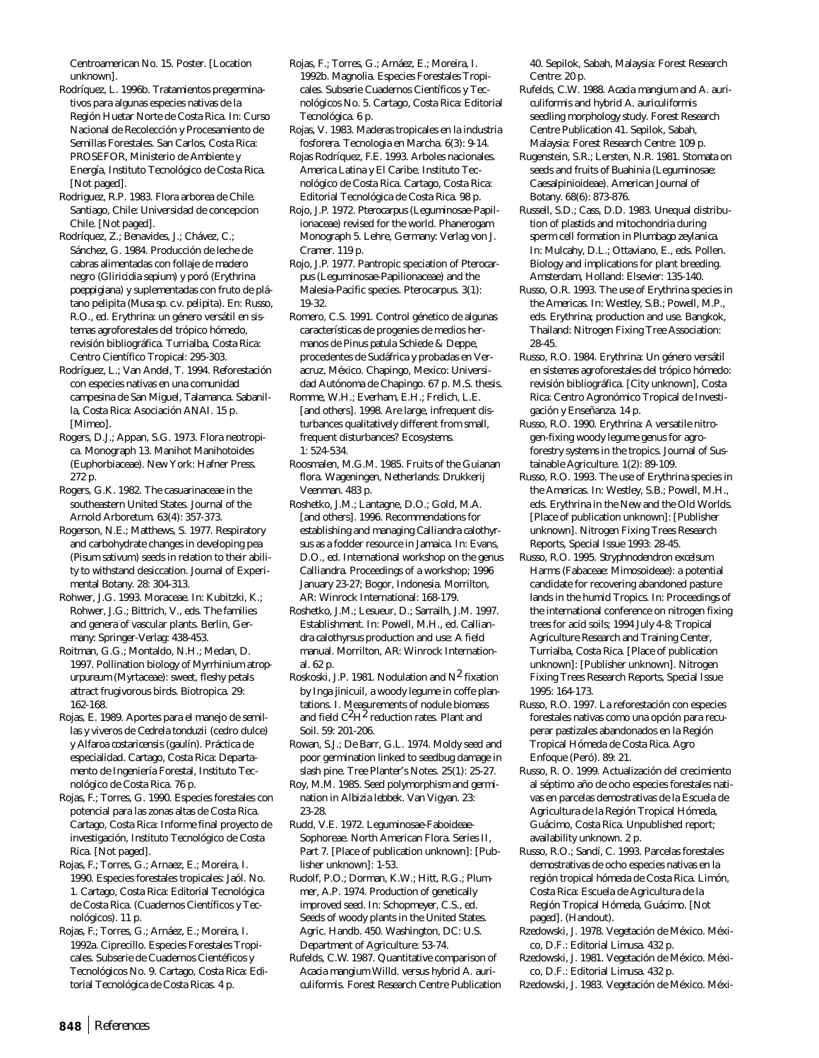Centroamerican No. 15. Poster. [Location unknown].

Rodríquez, L. 1996b. Tratamientos pregerminativos para algunas especies nativas de la Región Huetar Norte de Costa Rica. In: Curso Nacional de Recolección y Procesamiento de Semillas Forestales. San Carlos, Costa Rica: PROSEFOR, Ministerio de Ambiente y Energía, Instituto Tecnológico de Costa Rica. [Not paged].

Rodriguez, R.P. 1983. Flora arborea de Chile. Santiago, Chile: Universidad de concepcion Chile. [Not paged].

Rodríquez, Z.; Benavides, J.; Chávez, C.; Sánchez, G. 1984. Producción de leche de cabras alimentadas con follaje de madero negro (*Gliricidia sepium*) y poró (*Erythrina poeppigiana*) y suplementadas con fruto de plátano pelipita (*Musa sp. c.v. pelipita*). En: Russo, R.O., ed. Erythrina: un género versátil en sistemas agroforestales del trópico hómedo, revisión bibliográfica. Turrialba, Costa Rica: Centro Científico Tropical: 295-303.

Rodríguez, L.; Van Andel, T. 1994. Reforestación con especies nativas en una comunidad campesina de San Miguel, Talamanca. Sabanilla, Costa Rica: Asociación ANAI. 15 p. [Mimeo].

Rogers, D.J.; Appan, S.G. 1973. Flora neotropica. Monograph 13. Manihot Manihotoides (Euphorbiaceae). New York: Hafner Press. 272 p.

Rogers, G.K. 1982. The casuarinaceae in the southeastern United States. Journal of the Arnold Arboretum. 63(4): 357-373.

Rogerson, N.E.; Matthews, S. 1977. Respiratory and carbohydrate changes in developing pea (*Pisum sativum*) seeds in relation to their ability to withstand desiccation. Journal of Experimental Botany. 28: 304-313.

Rohwer, J.G. 1993. Moraceae. In: Kubitzki, K.; Rohwer, J.G.; Bittrich, V., eds. The families and genera of vascular plants. Berlin, Germany: Springer-Verlag: 438-453.

Roitman, G.G.; Montaldo, N.H.; Medan, D. 1997. Pollination biology of *Myrrhinium atropurpureum* (Myrtaceae): sweet, fleshy petals attract frugivorous birds. Biotropica. 29: 162-168.

Rojas, E. 1989. Aportes para el manejo de semillas y viveros de *Cedrela tonduzii* (cedro dulce) y *Alfaroa costaricensis* (gaulín). Práctica de especialidad. Cartago, Costa Rica: Departamento de Ingeniería Forestal, Instituto Tecnológico de Costa Rica. 76 p.

Rojas, F.; Torres, G. 1990. Especies forestales con potencial para las zonas altas de Costa Rica. Cartago, Costa Rica: Informe final proyecto de investigación, Instituto Tecnológico de Costa Rica. [Not paged].

Rojas, F.; Torres, G.; Arnaez, E.; Moreira, I. 1990. Especies forestales tropicales: Jaól. No. 1. Cartago, Costa Rica: Editorial Tecnológica de Costa Rica. (Cuadernos Científicos y Tecnológicos). 11 p.

Rojas, F.; Torres, G.; Arnáez, E.; Moreira, I. 1992a. Ciprecillo. Especies Forestales Tropicales. Subserie de Cuadernos Cientéficos y Tecnológicos No. 9. Cartago, Costa Rica: Editorial Tecnológica de Costa Ricas. 4 p.

Rojas, F.; Torres, G.; Arnáez, E.; Moreira, I. 1992b. Magnolia. Especies Forestales Tropicales. Subserie Cuadernos Científicos y Tecnológicos No. 5. Cartago, Costa Rica: Editorial Tecnológica. 6 p.

Rojas, V. 1983. Maderas tropicales en la industria fosforera. Tecnologia en Marcha. 6(3): 9-14.

Rojas Rodríquez, F.E. 1993. Arboles nacionales. America Latina y El Caribe. Instituto Tecnológico de Costa Rica. Cartago, Costa Rica: Editorial Tecnológica de Costa Rica. 98 p.

Rojo, J.P. 1972. *Pterocarpus* (Leguminosae-Papilionaceae) revised for the world. Phanerogam Monograph 5. Lehre, Germany: Verlag von J. Cramer. 119 p.

Rojo, J.P. 1977. Pantropic speciation of *Pterocarpus* (Leguminosae-Papilionaceae) and the Malesia-Pacific species. Pterocarpus. 3(1): 19-32.

Romero, C.S. 1991. Control génetico de algunas características de progenies de medios hermanos de *Pinus patula* Schiede & Deppe, procedentes de Sudáfrica y probadas en Veracruz, México. Chapingo, Mexico: Universidad Autónoma de Chapingo. 67 p. M.S. thesis.

Romme, W.H.; Everham, E.H.; Frelich, L.E. [and others]. 1998. Are large, infrequent disturbances qualitatively different from small, frequent disturbances? Ecosystems. 1: 524-534.

Roosmalen, M.G.M. 1985. Fruits of the Guianan flora. Wageningen, Netherlands: Drukkerij Veenman. 483 p.

Roshetko, J.M.; Lantagne, D.O.; Gold, M.A. [and others]. 1996. Recommendations for establishing and managing *Calliandra calothyrsus* as a fodder resource in Jamaica. In: Evans, D.O., ed. International workshop on the genus *Calliandra*. Proceedings of a workshop; 1996 January 23-27; Bogor, Indonesia. Morrilton, AR: Winrock International: 168-179.

Roshetko, J.M.; Lesueur, D.; Sarrailh, J.M. 1997. Establishment. In: Powell, M.H., ed. *Calliandra calothyrsus* production and use: A field manual. Morrilton, AR: Winrock International. 62 p.

Roskoski, J.P. 1981. Nodulation and  $N^2$  fixation by Inga jinicuil, a woody legume in coffe plantations. I. Measurements of nodule biomass and field  $C^2H^2$  reduction rates. Plant and Soil. 59: 201-206.

Rowan, S.J.; De Barr, G.L. 1974. Moldy seed and poor germination linked to seedbug damage in slash pine. Tree Planter's Notes. 25(1): 25-27.

Roy, M.M. 1985. Seed polymorphism and germination in *Albizia lebbek*. Van Vigyan. 23: 23-28.

Rudd, V.E. 1972. Leguminosae-Faboideae-Sophoreae. North American Flora. Series II, Part 7. [Place of publication unknown]: [Publisher unknown]: 1-53.

Rudolf, P.O.; Dorman, K.W.; Hitt, R.G.; Plummer, A.P. 1974. Production of genetically improved seed. In: Schopmeyer, C.S., ed. Seeds of woody plants in the United States. Agric. Handb. 450. Washington, DC: U.S. Department of Agriculture: 53-74.

Rufelds, C.W. 1987. Quantitative comparison of *Acacia mangium* Willd. versus hybrid *A. auriculiformis*. Forest Research Centre Publication 40. Sepilok, Sabah, Malaysia: Forest Research Centre: 20 p.

Rufelds, C.W. 1988. *Acacia mangium* and *A. auriculiformis* and hybrid *A. auriculiformis* seedling morphology study. Forest Research Centre Publication 41. Sepilok, Sabah, Malaysia: Forest Research Centre: 109 p.

Rugenstein, S.R.; Lersten, N.R. 1981. Stomata on seeds and fruits of *Buahinia* (Leguminosae: Caesalpinioideae). American Journal of Botany. 68(6): 873-876.

Russell, S.D.; Cass, D.D. 1983. Unequal distribution of plastids and mitochondria during sperm cell formation in *Plumbago zeylanica*. In: Mulcahy, D.L.; Ottaviano, E., eds. Pollen. Biology and implications for plant breeding. Amsterdam, Holland: Elsevier: 135-140.

Russo, O.R. 1993. The use of *Erythrina* species in the Americas. In: Westley, S.B.; Powell, M.P., eds. *Erythrina*; production and use. Bangkok, Thailand: Nitrogen Fixing Tree Association: 28-45.

- Russo, R.O. 1984. Erythrina: Un género versátil en sistemas agroforestales del trópico hómedo: revisión bibliográfica. [City unknown], Costa Rica: Centro Agronómico Tropical de Investigación y Enseñanza. 14 p.
- Russo, R.O. 1990. *Erythrina*: A versatile nitrogen-fixing woody legume genus for agroforestry systems in the tropics. Journal of Sustainable Agriculture. 1(2): 89-109.
- Russo, R.O. 1993. The use of *Erythrina* species in the Americas. In: Westley, S.B.; Powell, M.H., eds. *Erythrina* in the New and the Old Worlds. [Place of publication unknown]: [Publisher unknown]. Nitrogen Fixing Trees Research Reports, Special Issue 1993: 28-45.
- Russo, R.O. 1995. *Stryphnodendron excelsum* Harms (Fabaceae: Mimosoideae): a potential candidate for recovering abandoned pasture lands in the humid Tropics. In: Proceedings of the international conference on nitrogen fixing trees for acid soils; 1994 July 4-8; Tropical Agriculture Research and Training Center, Turrialba, Costa Rica. [Place of publication unknown]: [Publisher unknown]. Nitrogen Fixing Trees Research Reports, Special Issue 1995: 164-173.
- Russo, R.O. 1997. La reforestación con especies forestales nativas como una opción para recuperar pastizales abandonados en la Región Tropical Hómeda de Costa Rica. Agro Enfoque (Peró). 89: 21.
- Russo, R. O. 1999. Actualización del crecimiento al séptimo año de ocho especies forestales nativas en parcelas demostrativas de la Escuela de Agricultura de la Región Tropical Hómeda, Guácimo, Costa Rica. Unpublished report; availability unknown. 2 p.
- Russo, R.O.; Sandí, C. 1993. Parcelas forestales demostrativas de ocho especies nativas en la región tropical hómeda de Costa Rica. Limón, Costa Rica: Escuela de Agricultura de la Región Tropical Hómeda, Guácimo. [Not paged]. (Handout).
- Rzedowski, J. 1978. Vegetación de México. México, D.F.: Editorial Limusa. 432 p.

Rzedowski, J. 1981. Vegetación de México. México, D.F.: Editorial Limusa. 432 p.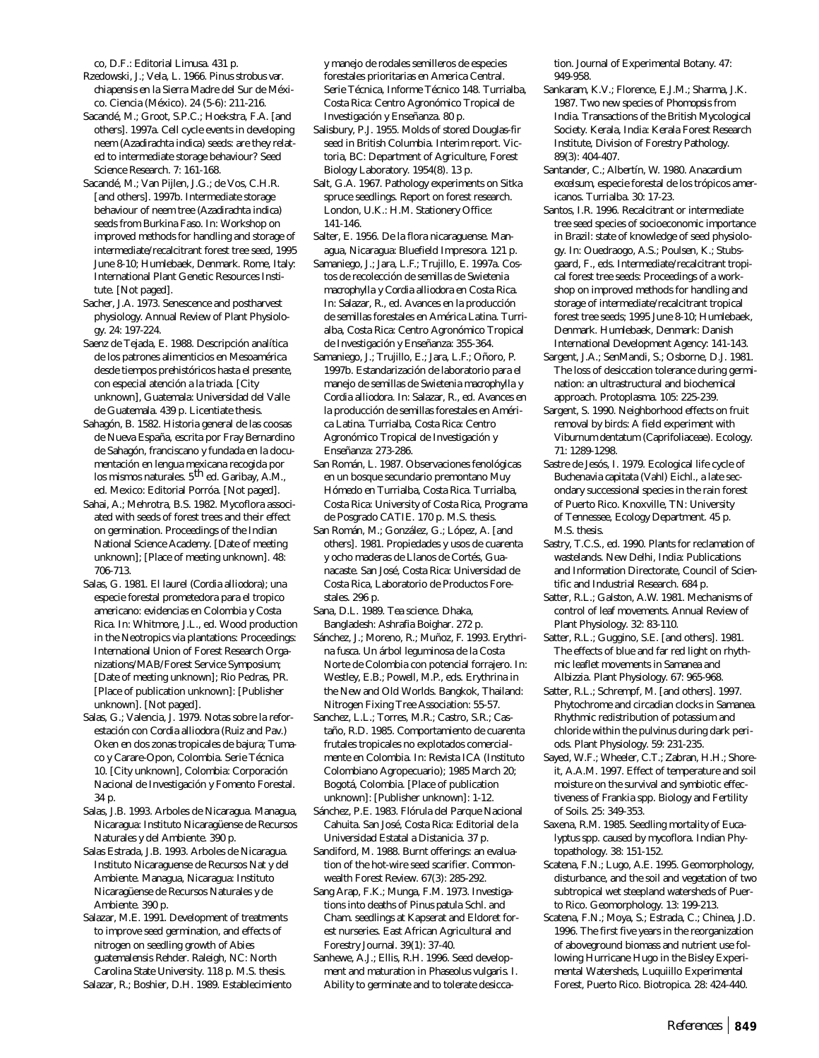co, D.F.: Editorial Limusa. 431 p.

- Rzedowski, J.; Vela, L. 1966. *Pinus strobus* var. *chiapensis* en la Sierra Madre del Sur de México. Ciencia (México). 24 (5-6): 211-216.
- Sacandé, M.; Groot, S.P.C.; Hoekstra, F.A. [and others]. 1997a. Cell cycle events in developing neem (*Azadirachta indica*) seeds: are they related to intermediate storage behaviour? Seed Science Research. 7: 161-168.
- Sacandé, M.; Van Pijlen, J.G.; de Vos, C.H.R. [and others]. 1997b. Intermediate storage behaviour of neem tree (*Azadirachta indica*) seeds from Burkina Faso. In: Workshop on improved methods for handling and storage of intermediate/recalcitrant forest tree seed, 1995 June 8-10; Humlebaek, Denmark. Rome, Italy: International Plant Genetic Resources Institute. [Not paged].
- Sacher, J.A. 1973. Senescence and postharvest physiology. Annual Review of Plant Physiology. 24: 197-224.
- Saenz de Tejada, E. 1988. Descripción analítica de los patrones alimenticios en Mesoamérica desde tiempos prehistóricos hasta el presente, con especial atención a la triada. [City unknown], Guatemala: Universidad del Valle de Guatemala. 439 p. Licentiate thesis.
- Sahagón, B. 1582. Historia general de las coosas de Nueva España, escrita por Fray Bernardino de Sahagón, franciscano y fundada en la documentación en lengua mexicana recogida por los mismos naturales. 5<sup>th</sup> ed. Garibay, A.M., ed. Mexico: Editorial Porróa. [Not paged].
- Sahai, A.; Mehrotra, B.S. 1982. Mycoflora associated with seeds of forest trees and their effect on germination. Proceedings of the Indian National Science Academy. [Date of meeting unknown]; [Place of meeting unknown]. 48: 706-713.
- Salas, G. 1981. El laurel (*Cordia alliodora*); una especie forestal prometedora para el tropico americano: evidencias en Colombia y Costa Rica. In: Whitmore, J.L., ed. Wood production in the Neotropics via plantations: Proceedings: International Union of Forest Research Organizations/MAB/Forest Service Symposium; [Date of meeting unknown]; Rio Pedras, PR. [Place of publication unknown]: [Publisher unknown]. [Not paged].
- Salas, G.; Valencia, J. 1979. Notas sobre la reforestación con *Cordia alliodora* (Ruiz and Pav.) Oken en dos zonas tropicales de bajura; Tumaco y Carare-Opon, Colombia. Serie Técnica 10. [City unknown], Colombia: Corporación Nacional de Investigación y Fomento Forestal. 34 p.
- Salas, J.B. 1993. Arboles de Nicaragua. Managua, Nicaragua: Instituto Nicaragüense de Recursos Naturales y del Ambiente. 390 p.
- Salas Estrada, J.B. 1993. Arboles de Nicaragua. Instituto Nicaraguense de Recursos Nat y del Ambiente. Managua, Nicaragua: Instituto Nicaragüense de Recursos Naturales y de Ambiente. 390 p.
- Salazar, M.E. 1991. Development of treatments to improve seed germination, and effects of nitrogen on seedling growth of *Abies guatemalensis* Rehder. Raleigh, NC: North Carolina State University. 118 p. M.S. thesis.

Salazar, R.; Boshier, D.H. 1989. Establecimiento

y manejo de rodales semilleros de especies forestales prioritarias en America Central. Serie Técnica, Informe Técnico 148. Turrialba, Costa Rica: Centro Agronómico Tropical de Investigación y Enseñanza. 80 p.

- Salisbury, P.J. 1955. Molds of stored Douglas-fir seed in British Columbia. Interim report. Victoria, BC: Department of Agriculture, Forest Biology Laboratory. 1954(8). 13 p.
- Salt, G.A. 1967. Pathology experiments on Sitka spruce seedlings. Report on forest research. London, U.K.: H.M. Stationery Office: 141-146.
- Salter, E. 1956. De la flora nicaraguense. Managua, Nicaragua: Bluefield Impresora. 121 p.
- Samaniego, J.; Jara, L.F.; Trujillo, E. 1997a. Costos de recolección de semillas de *Swietenia macrophylla* y *Cordia alliodora* en Costa Rica. In: Salazar, R., ed. Avances en la producción de semillas forestales en América Latina. Turrialba, Costa Rica: Centro Agronómico Tropical de Investigación y Enseñanza: 355-364.
- Samaniego, J.; Trujillo, E.; Jara, L.F.; Oñoro, P. 1997b. Estandarización de laboratorio para el manejo de semillas de *Swietenia macrophylla* y *Cordia alliodora*. In: Salazar, R., ed. Avances en la producción de semillas forestales en América Latina. Turrialba, Costa Rica: Centro Agronómico Tropical de Investigación y Enseñanza: 273-286.
- San Román, L. 1987. Observaciones fenológicas en un bosque secundario premontano Muy Hómedo en Turrialba, Costa Rica. Turrialba, Costa Rica: University of Costa Rica, Programa de Posgrado CATIE. 170 p. M.S. thesis.
- San Román, M.; González, G.; López, A. [and others]. 1981. Propiedades y usos de cuarenta y ocho maderas de Llanos de Cortés, Guanacaste. San José, Costa Rica: Universidad de Costa Rica, Laboratorio de Productos Forestales. 296 p.
- Sana, D.L. 1989. Tea science. Dhaka, Bangladesh: Ashrafia Boighar. 272 p.
- Sánchez, J.; Moreno, R.; Muñoz, F. 1993. *Erythrina fusca*. Un árbol leguminosa de la Costa Norte de Colombia con potencial forrajero. In: Westley, E.B.; Powell, M.P., eds. Erythrina in the New and Old Worlds. Bangkok, Thailand: Nitrogen Fixing Tree Association: 55-57.
- Sanchez, L.L.; Torres, M.R.; Castro, S.R.; Castaño, R.D. 1985. Comportamiento de cuarenta frutales tropicales no explotados comercialmente en Colombia. In: Revista ICA (Instituto Colombiano Agropecuario); 1985 March 20; Bogotá, Colombia. [Place of publication unknown]: [Publisher unknown]: 1-12.
- Sánchez, P.E. 1983. Flórula del Parque Nacional Cahuita. San José, Costa Rica: Editorial de la Universidad Estatal a Distanicia. 37 p.
- Sandiford, M. 1988. Burnt offerings: an evaluation of the hot-wire seed scarifier. Commonwealth Forest Review. 67(3): 285-292.
- Sang Arap, F.K.; Munga, F.M. 1973. Investigations into deaths of *Pinus patula* Schl. and Cham. seedlings at Kapserat and Eldoret forest nurseries. East African Agricultural and Forestry Journal. 39(1): 37-40.
- Sanhewe, A.J.; Ellis, R.H. 1996. Seed development and maturation in *Phaseolus vulgaris*. I. Ability to germinate and to tolerate desicca-

tion. Journal of Experimental Botany. 47: 949-958.

- Sankaram, K.V.; Florence, E.J.M.; Sharma, J.K. 1987. Two new species of *Phomopsis* from India. Transactions of the British Mycological Society. Kerala, India: Kerala Forest Research Institute, Division of Forestry Pathology. 89(3): 404-407.
- Santander, C.; Albertín, W. 1980. *Anacardium excelsum*, especie forestal de los trópicos americanos. Turrialba. 30: 17-23.
- Santos, I.R. 1996. Recalcitrant or intermediate tree seed species of socioeconomic importance in Brazil: state of knowledge of seed physiology. In: Ouedraogo, A.S.; Poulsen, K.; Stubsgaard, F., eds. Intermediate/recalcitrant tropical forest tree seeds: Proceedings of a workshop on improved methods for handling and storage of intermediate/recalcitrant tropical forest tree seeds; 1995 June 8-10; Humlebaek, Denmark. Humlebaek, Denmark: Danish International Development Agency: 141-143.
- Sargent, J.A.; SenMandi, S.; Osborne, D.J. 1981. The loss of desiccation tolerance during germination: an ultrastructural and biochemical approach. Protoplasma. 105: 225-239.
- Sargent, S. 1990. Neighborhood effects on fruit removal by birds: A field experiment with *Viburnum dentatum* (Caprifoliaceae). Ecology. 71: 1289-1298.
- Sastre de Jesós, I. 1979. Ecological life cycle of *Buchenavia capitata* (Vahl) Eichl., a late secondary successional species in the rain forest of Puerto Rico. Knoxville, TN: University of Tennessee, Ecology Department. 45 p. M.S. thesis.
- Sastry, T.C.S., ed. 1990. Plants for reclamation of wastelands. New Delhi, India: Publications and Information Directorate, Council of Scientific and Industrial Research. 684 p.
- Satter, R.L.; Galston, A.W. 1981. Mechanisms of control of leaf movements. Annual Review of Plant Physiology. 32: 83-110.
- Satter, R.L.; Guggino, S.E. [and others]. 1981. The effects of blue and far red light on rhythmic leaflet movements in *Samanea* and *Albizzia*. Plant Physiology. 67: 965-968.
- Satter, R.L.; Schrempf, M. [and others]. 1997. Phytochrome and circadian clocks in *Samanea*. Rhythmic redistribution of potassium and chloride within the pulvinus during dark periods. Plant Physiology. 59: 231-235.
- Sayed, W.F.; Wheeler, C.T.; Zabran, H.H.; Shoreit, A.A.M. 1997. Effect of temperature and soil moisture on the survival and symbiotic effectiveness of *Frankia* spp. Biology and Fertility of Soils. 25: 349-353.
- Saxena, R.M. 1985. Seedling mortality of *Eucalyptus* spp. caused by mycoflora. Indian Phytopathology. 38: 151-152.
- Scatena, F.N.; Lugo, A.E. 1995. Geomorphology, disturbance, and the soil and vegetation of two subtropical wet steepland watersheds of Puerto Rico. Geomorphology. 13: 199-213.
- Scatena, F.N.; Moya, S.; Estrada, C.; Chinea, J.D. 1996. The first five years in the reorganization of aboveground biomass and nutrient use following Hurricane Hugo in the Bisley Experimental Watersheds, Luquiillo Experimental Forest, Puerto Rico. Biotropica. 28: 424-440.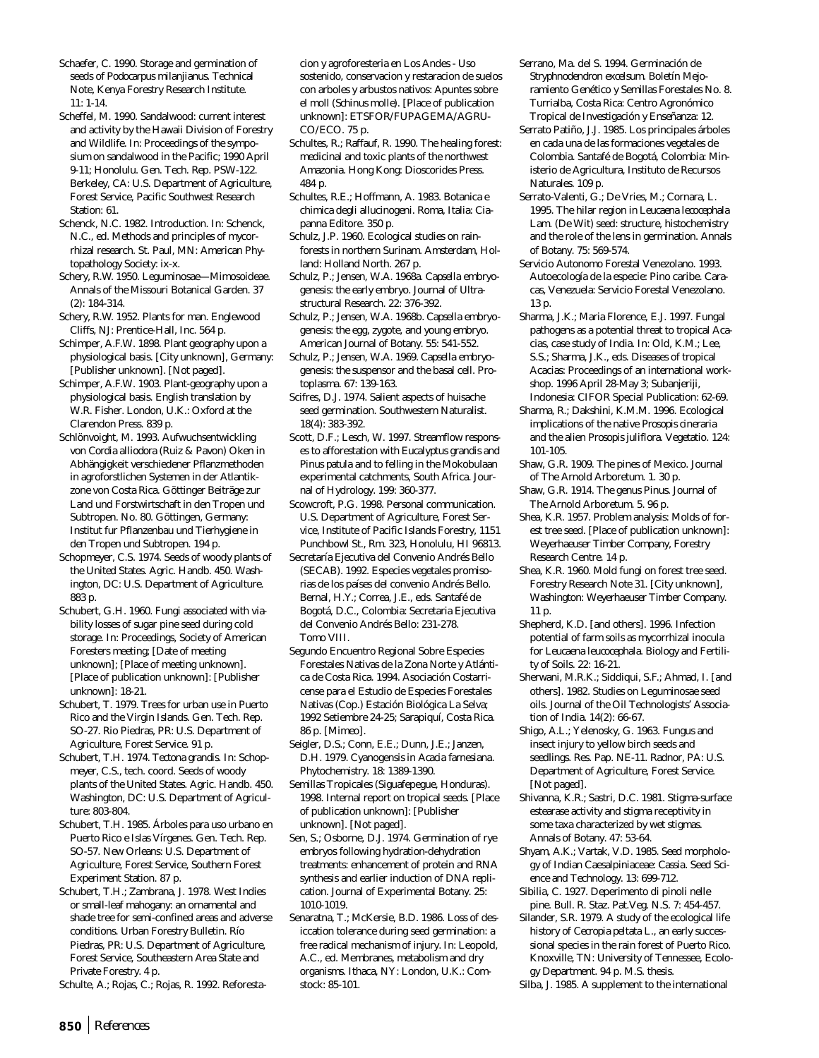Schaefer, C. 1990. Storage and germination of seeds of *Podocarpus milanjianus*. Technical Note, Kenya Forestry Research Institute. 11: 1-14.

Scheffel, M. 1990. Sandalwood: current interest and activity by the Hawaii Division of Forestry and Wildlife. In: Proceedings of the symposium on sandalwood in the Pacific; 1990 April 9-11; Honolulu. Gen. Tech. Rep. PSW-122. Berkeley, CA: U.S. Department of Agriculture, Forest Service, Pacific Southwest Research Station: 61.

Schenck, N.C. 1982. Introduction. In: Schenck, N.C., ed. Methods and principles of mycorrhizal research. St. Paul, MN: American Phytopathology Society: ix-x.

Schery, R.W. 1950. Leguminosae—Mimosoideae. Annals of the Missouri Botanical Garden. 37 (2): 184-314.

Schery, R.W. 1952. Plants for man. Englewood Cliffs, NJ: Prentice-Hall, Inc. 564 p.

Schimper, A.F.W. 1898. Plant geography upon a physiological basis. [City unknown], Germany: [Publisher unknown]. [Not paged].

Schimper, A.F.W. 1903. Plant-geography upon a physiological basis. English translation by W.R. Fisher. London, U.K.: Oxford at the Clarendon Press. 839 p.

Schlönvoight, M. 1993. Aufwuchsentwickling von *Cordia alliodora* (Ruiz & Pavon) Oken in Abhängigkeit verschiedener Pflanzmethoden in agroforstlichen Systemen in der Atlantikzone von Costa Rica. Göttinger Beiträge zur Land und Forstwirtschaft in den Tropen und Subtropen. No. 80. Göttingen, Germany: Institut fur Pflanzenbau und Tierhygiene in den Tropen und Subtropen. 194 p.

Schopmeyer, C.S. 1974. Seeds of woody plants of the United States. Agric. Handb. 450. Washington, DC: U.S. Department of Agriculture. 883 p.

Schubert, G.H. 1960. Fungi associated with viability losses of sugar pine seed during cold storage. In: Proceedings, Society of American Foresters meeting; [Date of meeting unknown]; [Place of meeting unknown]. [Place of publication unknown]: [Publisher unknown]: 18-21.

Schubert, T. 1979. Trees for urban use in Puerto Rico and the Virgin Islands. Gen. Tech. Rep. SO-27. Rio Piedras, PR: U.S. Department of Agriculture, Forest Service. 91 p.

Schubert, T.H. 1974. *Tectona grandis*. In: Schopmeyer, C.S., tech. coord. Seeds of woody plants of the United States. Agric. Handb. 450. Washington, DC: U.S. Department of Agriculture: 803-804.

Schubert, T.H. 1985. Árboles para uso urbano en Puerto Rico e Islas Vírgenes. Gen. Tech. Rep. SO-57. New Orleans: U.S. Department of Agriculture, Forest Service, Southern Forest Experiment Station. 87 p.

Schubert, T.H.; Zambrana, J. 1978. West Indies or small-leaf mahogany: an ornamental and shade tree for semi-confined areas and adverse conditions. Urban Forestry Bulletin. Río Piedras, PR: U.S. Department of Agriculture, Forest Service, Southeastern Area State and Private Forestry. 4 p.

Schulte, A.; Rojas, C.; Rojas, R. 1992. Reforesta-

cion y agroforesteria en Los Andes - Uso sostenido, conservacion y restaracion de suelos con arboles y arbustos nativos: Apuntes sobre el moll (*Schinus molle*). [Place of publication unknown]: ETSFOR/FUPAGEMA/AGRU-CO/ECO. 75 p.

Schultes, R.; Raffauf, R. 1990. The healing forest: medicinal and toxic plants of the northwest Amazonia. Hong Kong: Dioscorides Press. 484 p.

Schultes, R.E.; Hoffmann, A. 1983. Botanica e chimica degli allucinogeni. Roma, Italia: Ciapanna Editore. 350 p.

Schulz, J.P. 1960. Ecological studies on rainforests in northern Surinam. Amsterdam, Holland: Holland North. 267 p.

Schulz, P.; Jensen, W.A. 1968a. *Capsella* embryogenesis: the early embryo. Journal of Ultrastructural Research. 22: 376-392.

Schulz, P.; Jensen, W.A. 1968b. *Capsella* embryogenesis: the egg, zygote, and young embryo. American Journal of Botany. 55: 541-552.

Schulz, P.; Jensen, W.A. 1969. *Capsella* embryogenesis: the suspensor and the basal cell. Protoplasma. 67: 139-163.

Scifres, D.J. 1974. Salient aspects of huisache seed germination. Southwestern Naturalist. 18(4): 383-392.

Scott, D.F.; Lesch, W. 1997. Streamflow responses to afforestation with *Eucalyptus grandis* and *Pinus patula* and to felling in the Mokobulaan experimental catchments, South Africa. Journal of Hydrology. 199: 360-377.

Scowcroft, P.G. 1998. Personal communication. U.S. Department of Agriculture, Forest Service, Institute of Pacific Islands Forestry, 1151 Punchbowl St., Rm. 323, Honolulu, HI 96813.

Secretaría Ejecutiva del Convenio Andrés Bello (SECAB). 1992. Especies vegetales promisorias de los países del convenio Andrés Bello. Bernal, H.Y.; Correa, J.E., eds. Santafé de Bogotá, D.C., Colombia: Secretaria Ejecutiva del Convenio Andrés Bello: 231-278. Tomo VIII.

Segundo Encuentro Regional Sobre Especies Forestales Nativas de la Zona Norte y Atlántica de Costa Rica. 1994. Asociación Costarricense para el Estudio de Especies Forestales Nativas (Cop.) Estación Biológica La Selva; 1992 Setiembre 24-25; Sarapiquí, Costa Rica. 86 p. [Mimeo].

Seigler, D.S.; Conn, E.E.; Dunn, J.E.; Janzen, D.H. 1979. Cyanogensis in *Acacia farnesiana*. Phytochemistry. 18: 1389-1390.

Semillas Tropicales (Siguafepegue, Honduras). 1998. Internal report on tropical seeds. [Place of publication unknown]: [Publisher unknown]. [Not paged].

Sen, S.; Osborne, D.J. 1974. Germination of rye embryos following hydration-dehydration treatments: enhancement of protein and RNA synthesis and earlier induction of DNA replication. Journal of Experimental Botany. 25: 1010-1019.

Senaratna, T.; McKersie, B.D. 1986. Loss of desiccation tolerance during seed germination: a free radical mechanism of injury. In: Leopold, A.C., ed. Membranes, metabolism and dry organisms. Ithaca, NY: London, U.K.: Comstock: 85-101.

Serrano, Ma. del S. 1994. Germinación de *Stryphnodendron excelsum*. Boletín Mejoramiento Genético y Semillas Forestales No. 8. Turrialba, Costa Rica: Centro Agronómico Tropical de Investigación y Enseñanza: 12.

Serrato Patiño, J.J. 1985. Los principales árboles en cada una de las formaciones vegetales de Colombia. Santafé de Bogotá, Colombia: Ministerio de Agricultura, Instituto de Recursos Naturales. 109 p.

Serrato-Valenti, G.; De Vries, M.; Cornara, L. 1995. The hilar region in *Leucaena lecocephala* Lam. (De Wit) seed: structure, histochemistry and the role of the lens in germination. Annals of Botany. 75: 569-574.

Servicio Autonomo Forestal Venezolano. 1993. Autoecología de la especie: Pino caribe. Caracas, Venezuela: Servicio Forestal Venezolano. 13 p.

Sharma, J.K.; Maria Florence, E.J. 1997. Fungal pathogens as a potential threat to tropical Acacias, case study of India. In: Old, K.M.; Lee, S.S.; Sharma, J.K., eds. Diseases of tropical Acacias: Proceedings of an international workshop. 1996 April 28-May 3; Subanjeriji, Indonesia: CIFOR Special Publication: 62-69.

Sharma, R.; Dakshini, K.M.M. 1996. Ecological implications of the native *Prosopis cineraria* and the alien *Prosopis juliflora*. Vegetatio. 124: 101-105.

Shaw, G.R. 1909. The pines of Mexico. Journal of The Arnold Arboretum. 1. 30 p.

Shaw, G.R. 1914. The genus Pinus. Journal of The Arnold Arboretum. 5. 96 p.

Shea, K.R. 1957. Problem analysis: Molds of forest tree seed. [Place of publication unknown]: Weyerhaeuser Timber Company, Forestry Research Centre. 14 p.

Shea, K.R. 1960. Mold fungi on forest tree seed. Forestry Research Note 31. [City unknown], Washington: Weyerhaeuser Timber Company. 11 p.

Shepherd, K.D. [and others]. 1996. Infection potential of farm soils as mycorrhizal inocula for *Leucaena leucocephala*. Biology and Fertility of Soils. 22: 16-21.

Sherwani, M.R.K.; Siddiqui, S.F.; Ahmad, I. [and others]. 1982. Studies on Leguminosae seed oils. Journal of the Oil Technologists' Association of India. 14(2): 66-67.

Shigo, A.L.; Yelenosky, G. 1963. Fungus and insect injury to yellow birch seeds and seedlings. Res. Pap. NE-11. Radnor, PA: U.S. Department of Agriculture, Forest Service. [Not paged].

Shivanna, K.R.; Sastri, D.C. 1981. Stigma-surface estearase activity and stigma receptivity in some taxa characterized by wet stigmas. Annals of Botany. 47: 53-64.

Shyam, A.K.; Vartak, V.D. 1985. Seed morphology of Indian Caesalpiniaceae: *Cassia*. Seed Science and Technology. 13: 699-712.

Sibilia, C. 1927. Deperimento di pinoli nelle pine. Bull. R. Staz. Pat.Veg. N.S. 7: 454-457.

Silander, S.R. 1979. A study of the ecological life history of *Cecropia peltata* L., an early successional species in the rain forest of Puerto Rico. Knoxville, TN: University of Tennessee, Ecology Department. 94 p. M.S. thesis.

Silba, J. 1985. A supplement to the international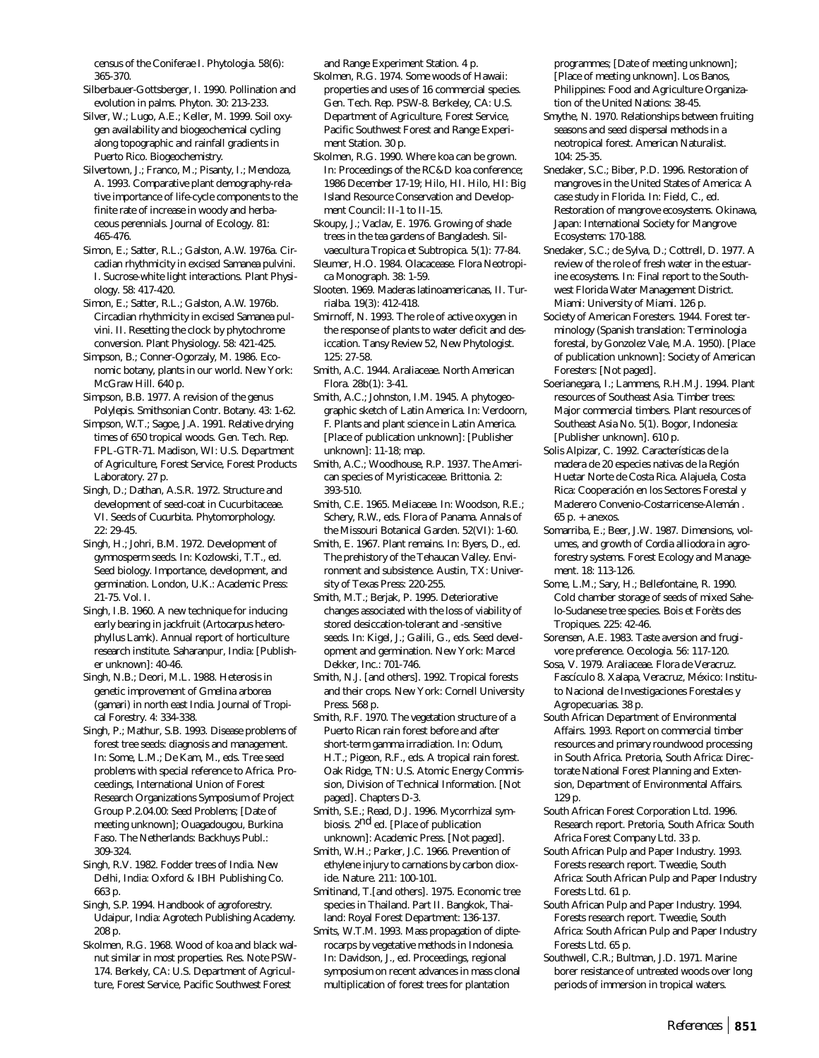census of the Coniferae I. Phytologia. 58(6): 365-370.

- Silberbauer-Gottsberger, I. 1990. Pollination and evolution in palms. Phyton. 30: 213-233.
- Silver, W.; Lugo, A.E.; Keller, M. 1999. Soil oxygen availability and biogeochemical cycling along topographic and rainfall gradients in Puerto Rico. Biogeochemistry.
- Silvertown, J.; Franco, M.; Pisanty, I.; Mendoza, A. 1993. Comparative plant demography-relative importance of life-cycle components to the finite rate of increase in woody and herbaceous perennials. Journal of Ecology. 81: 465-476.
- Simon, E.; Satter, R.L.; Galston, A.W. 1976a. Circadian rhythmicity in excised *Samanea* pulvini. I. Sucrose-white light interactions. Plant Physiology. 58: 417-420.
- Simon, E.; Satter, R.L.; Galston, A.W. 1976b. Circadian rhythmicity in excised *Samanea* pulvini. II. Resetting the clock by phytochrome conversion. Plant Physiology. 58: 421-425.
- Simpson, B.; Conner-Ogorzaly, M. 1986. Economic botany, plants in our world. New York: McGraw Hill. 640 p.
- Simpson, B.B. 1977. A revision of the genus *Polylepis*. Smithsonian Contr. Botany. 43: 1-62.
- Simpson, W.T.; Sagoe, J.A. 1991. Relative drying times of 650 tropical woods. Gen. Tech. Rep. FPL-GTR-71. Madison, WI: U.S. Department of Agriculture, Forest Service, Forest Products Laboratory. 27 p.
- Singh, D.; Dathan, A.S.R. 1972. Structure and development of seed-coat in Cucurbitaceae. VI. Seeds of *Cucurbita*. Phytomorphology. 22: 29-45.
- Singh, H.; Johri, B.M. 1972. Development of gymnosperm seeds. In: Kozlowski, T.T., ed. Seed biology. Importance, development, and germination. London, U.K.: Academic Press: 21-75. Vol. I.
- Singh, I.B. 1960. A new technique for inducing early bearing in jackfruit (*Artocarpus heterophyllus* Lamk). Annual report of horticulture research institute. Saharanpur, India: [Publisher unknown]: 40-46.
- Singh, N.B.; Deori, M.L. 1988. Heterosis in genetic improvement of *Gmelina arborea* (gamari) in north east India. Journal of Tropical Forestry. 4: 334-338.
- Singh, P.; Mathur, S.B. 1993. Disease problems of forest tree seeds: diagnosis and management. In: Some, L.M.; De Kam, M., eds. Tree seed problems with special reference to Africa. Proceedings, International Union of Forest Research Organizations Symposium of Project Group P.2.04.00: Seed Problems; [Date of meeting unknown]; Ouagadougou, Burkina Faso. The Netherlands: Backhuys Publ.: 309-324.
- Singh, R.V. 1982. Fodder trees of India. New Delhi, India: Oxford & IBH Publishing Co. 663 p.
- Singh, S.P. 1994. Handbook of agroforestry. Udaipur, India: Agrotech Publishing Academy. 208 p.
- Skolmen, R.G. 1968. Wood of koa and black walnut similar in most properties. Res. Note PSW-174. Berkely, CA: U.S. Department of Agriculture, Forest Service, Pacific Southwest Forest

and Range Experiment Station. 4 p.

- Skolmen, R.G. 1974. Some woods of Hawaii: properties and uses of 16 commercial species. Gen. Tech. Rep. PSW-8. Berkeley, CA: U.S. Department of Agriculture, Forest Service, Pacific Southwest Forest and Range Experiment Station. 30 p.
- Skolmen, R.G. 1990. Where koa can be grown. In: Proceedings of the RC&D koa conference; 1986 December 17-19; Hilo, HI. Hilo, HI: Big Island Resource Conservation and Development Council: II-1 to II-15.
- Skoupy, J.; Vaclav, E. 1976. Growing of shade trees in the tea gardens of Bangladesh. Silvaecultura Tropica et Subtropica. 5(1): 77-84.
- Sleumer, H.O. 1984. Olacacease. Flora Neotropica Monograph. 38: 1-59.
- Slooten. 1969. Maderas latinoamericanas, II. Turrialba. 19(3): 412-418.
- Smirnoff, N. 1993. The role of active oxygen in the response of plants to water deficit and desiccation. Tansy Review 52, New Phytologist. 125: 27-58.
- Smith, A.C. 1944. Araliaceae. North American Flora. 28b(1): 3-41.
- Smith, A.C.; Johnston, I.M. 1945. A phytogeographic sketch of Latin America. In: Verdoorn, F. Plants and plant science in Latin America. [Place of publication unknown]: [Publisher unknown]: 11-18; map.
- Smith, A.C.; Woodhouse, R.P. 1937. The American species of Myristicaceae. Brittonia. 2: 393-510.
- Smith, C.E. 1965. Meliaceae. In: Woodson, R.E.; Schery, R.W., eds. Flora of Panama. Annals of the Missouri Botanical Garden. 52(VI): 1-60.
- Smith, E. 1967. Plant remains. In: Byers, D., ed. The prehistory of the Tehaucan Valley. Environment and subsistence. Austin, TX: University of Texas Press: 220-255.
- Smith, M.T.; Berjak, P. 1995. Deteriorative changes associated with the loss of viability of stored desiccation-tolerant and -sensitive seeds. In: Kigel, J.; Galili, G., eds. Seed development and germination. New York: Marcel Dekker, Inc.: 701-746.
- Smith, N.J. [and others]. 1992. Tropical forests and their crops. New York: Cornell University Press. 568 p.
- Smith, R.F. 1970. The vegetation structure of a Puerto Rican rain forest before and after short-term gamma irradiation. In: Odum, H.T.; Pigeon, R.F., eds. A tropical rain forest. Oak Ridge, TN: U.S. Atomic Energy Commission, Division of Technical Information. [Not paged]. Chapters D-3.
- Smith, S.E.; Read, D.J. 1996. Mycorrhizal symbiosis. 2nd ed. [Place of publication unknown]: Academic Press. [Not paged].
- Smith, W.H.; Parker, J.C. 1966. Prevention of ethylene injury to carnations by carbon dioxide. Nature. 211: 100-101.
- Smitinand, T.[and others]. 1975. Economic tree species in Thailand. Part II. Bangkok, Thailand: Royal Forest Department: 136-137.
- Smits, W.T.M. 1993. Mass propagation of dipterocarps by vegetative methods in Indonesia. In: Davidson, J., ed. Proceedings, regional symposium on recent advances in mass clonal multiplication of forest trees for plantation

programmes; [Date of meeting unknown]; [Place of meeting unknown]. Los Banos, Philippines: Food and Agriculture Organization of the United Nations: 38-45.

- Smythe, N. 1970. Relationships between fruiting seasons and seed dispersal methods in a neotropical forest. American Naturalist. 104: 25-35.
- Snedaker, S.C.; Biber, P.D. 1996. Restoration of mangroves in the United States of America: A case study in Florida. In: Field, C., ed. Restoration of mangrove ecosystems. Okinawa, Japan: International Society for Mangrove Ecosystems: 170-188.
- Snedaker, S.C.; de Sylva, D.; Cottrell, D. 1977. A review of the role of fresh water in the estuarine ecosystems. In: Final report to the Southwest Florida Water Management District. Miami: University of Miami. 126 p.
- Society of American Foresters. 1944. Forest terminology (Spanish translation: Terminologia forestal, by Gonzolez Vale, M.A. 1950). [Place of publication unknown]: Society of American Foresters: [Not paged].
- Soerianegara, I.; Lammens, R.H.M.J. 1994. Plant resources of Southeast Asia. Timber trees: Major commercial timbers. Plant resources of Southeast Asia No. 5(1). Bogor, Indonesia: [Publisher unknown]. 610 p.
- Solis Alpizar, C. 1992. Características de la madera de 20 especies nativas de la Región Huetar Norte de Costa Rica. Alajuela, Costa Rica: Cooperación en los Sectores Forestal y Maderero Convenio-Costarricense-Alemán . 65 p. + anexos.
- Somarriba, E.; Beer, J.W. 1987. Dimensions, volumes, and growth of *Cordia alliodora* in agroforestry systems. Forest Ecology and Management. 18: 113-126.
- Some, L.M.; Sary, H.; Bellefontaine, R. 1990. Cold chamber storage of seeds of mixed Sahelo-Sudanese tree species. Bois et Forèts des Tropiques. 225: 42-46.
- Sorensen, A.E. 1983. Taste aversion and frugivore preference. Oecologia. 56: 117-120.
- Sosa, V. 1979. Araliaceae. Flora de Veracruz. Fascículo 8. Xalapa, Veracruz, México: Instituto Nacional de Investigaciones Forestales y Agropecuarias. 38 p.
- South African Department of Environmental Affairs. 1993. Report on commercial timber resources and primary roundwood processing in South Africa. Pretoria, South Africa: Directorate National Forest Planning and Extension, Department of Environmental Affairs. 129 p.
- South African Forest Corporation Ltd. 1996. Research report. Pretoria, South Africa: South Africa Forest Company Ltd. 33 p.
- South African Pulp and Paper Industry. 1993. Forests research report. Tweedie, South Africa: South African Pulp and Paper Industry Forests Ltd. 61 p.
- South African Pulp and Paper Industry. 1994. Forests research report. Tweedie, South Africa: South African Pulp and Paper Industry Forests Ltd. 65 p.
- Southwell, C.R.; Bultman, J.D. 1971. Marine borer resistance of untreated woods over long periods of immersion in tropical waters.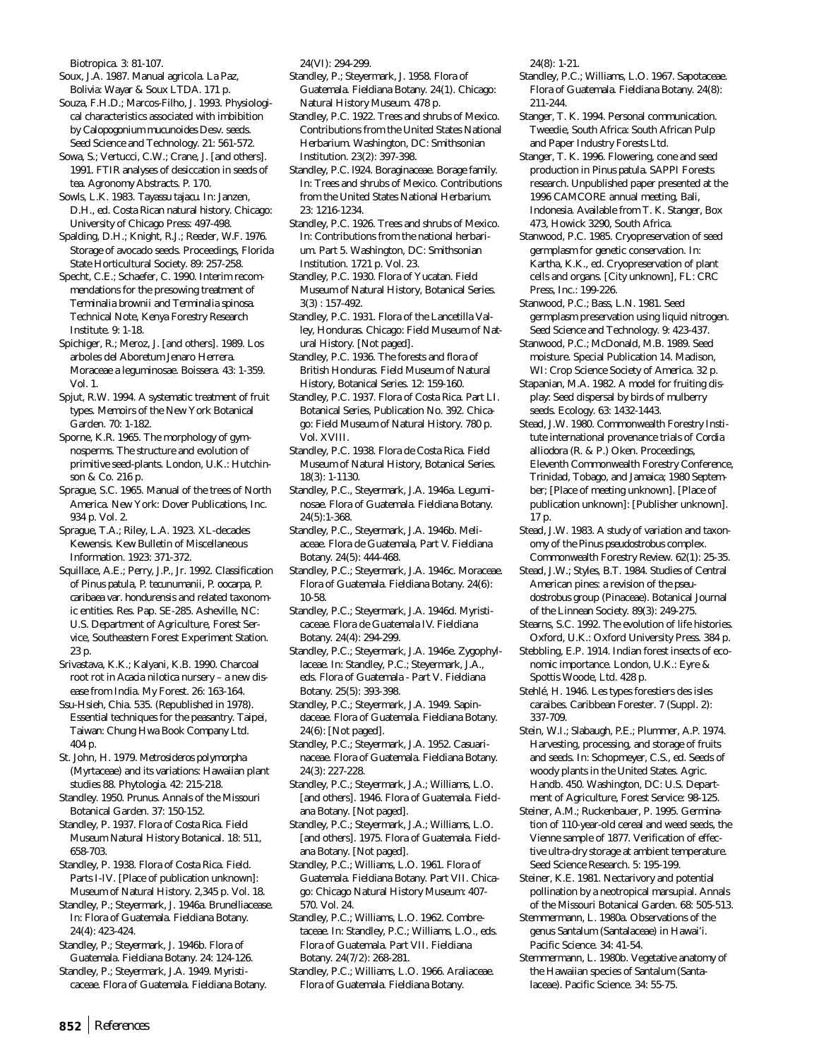Biotropica. 3: 81-107.

Soux, J.A. 1987. Manual agricola. La Paz, Bolivia: Wayar & Soux LTDA. 171 p.

Souza, F.H.D.; Marcos-Filho, J. 1993. Physiological characteristics associated with imbibition by *Calopogonium mucunoides* Desv. seeds. Seed Science and Technology. 21: 561-572.

Sowa, S.; Vertucci, C.W.; Crane, J. [and others]. 1991. FTIR analyses of desiccation in seeds of tea. Agronomy Abstracts. P. 170.

Sowls, L.K. 1983. *Tayassu tajacu*. In: Janzen, D.H., ed. Costa Rican natural history. Chicago: University of Chicago Press: 497-498.

Spalding, D.H.; Knight, R.J.; Reeder, W.F. 1976. Storage of avocado seeds. Proceedings, Florida State Horticultural Society. 89: 257-258.

Specht, C.E.; Schaefer, C. 1990. Interim recommendations for the presowing treatment of *Terminalia brownii* and *Terminalia spinosa*. Technical Note, Kenya Forestry Research Institute. 9: 1-18.

Spichiger, R.; Meroz, J. [and others]. 1989. Los arboles del Aboretum Jenaro Herrera. Moraceae a leguminosae. Boissera. 43: 1-359. Vol. 1.

Spjut, R.W. 1994. A systematic treatment of fruit types. Memoirs of the New York Botanical Garden. 70: 1-182.

Sporne, K.R. 1965. The morphology of gymnosperms. The structure and evolution of primitive seed-plants. London, U.K.: Hutchinson & Co. 216 p.

Sprague, S.C. 1965. Manual of the trees of North America. New York: Dover Publications, Inc. 934 p. Vol. 2.

Sprague, T.A.; Riley, L.A. 1923. XL-decades Kewensis. Kew Bulletin of Miscellaneous Information. 1923: 371-372.

Squillace, A.E.; Perry, J.P., Jr. 1992. Classification of *Pinus patula, P. tecunumanii, P. oocarpa, P. caribaea* var. *hondurensis* and related taxonomic entities. Res. Pap. SE-285. Asheville, NC: U.S. Department of Agriculture, Forest Service, Southeastern Forest Experiment Station. 23 p.

Srivastava, K.K.; Kalyani, K.B. 1990. Charcoal root rot in *Acacia nilotica* nursery – a new disease from India. My Forest. 26: 163-164.

Ssu-Hsieh, Chia. 535. (Republished in 1978). Essential techniques for the peasantry. Taipei, Taiwan: Chung Hwa Book Company Ltd. 404 p.

St. John, H. 1979. *Metrosideros polymorpha* (Myrtaceae) and its variations: Hawaiian plant studies 88. Phytologia. 42: 215-218.

Standley. 1950. *Prunus*. Annals of the Missouri Botanical Garden. 37: 150-152.

Standley, P. 1937. Flora of Costa Rica. Field Museum Natural History Botanical. 18: 511, 658-703.

Standley, P. 1938. Flora of Costa Rica. Field. Parts I-IV. [Place of publication unknown]: Museum of Natural History. 2,345 p. Vol. 18.

Standley, P.; Steyermark, J. 1946a. Brunelliacease. In: Flora of Guatemala. Fieldiana Botany. 24(4): 423-424.

Standley, P.; Steyermark, J. 1946b. Flora of Guatemala. Fieldiana Botany. 24: 124-126.

Standley, P.; Steyermark, J.A. 1949. Myristicaceae. Flora of Guatemala. Fieldiana Botany. 24(VI): 294-299.

Standley, P.; Steyermark, J. 1958. Flora of Guatemala. Fieldiana Botany. 24(1). Chicago: Natural History Museum. 478 p.

Standley, P.C. 1922. Trees and shrubs of Mexico. Contributions from the United States National Herbarium. Washington, DC: Smithsonian Institution. 23(2): 397-398.

Standley, P.C. l924. Boraginaceae. Borage family. In: Trees and shrubs of Mexico. Contributions from the United States National Herbarium. 23: 1216-1234.

Standley, P.C. 1926. Trees and shrubs of Mexico. In: Contributions from the national herbarium. Part 5. Washington, DC: Smithsonian Institution. 1721 p. Vol. 23.

Standley, P.C. 1930. Flora of Yucatan. Field Museum of Natural History, Botanical Series. 3(3) : 157-492.

Standley, P.C. 1931. Flora of the Lancetilla Valley, Honduras. Chicago: Field Museum of Natural History. [Not paged].

Standley, P.C. 1936. The forests and flora of British Honduras. Field Museum of Natural History, Botanical Series. 12: 159-160.

Standley, P.C. 1937. Flora of Costa Rica. Part LI. Botanical Series, Publication No. 392. Chicago: Field Museum of Natural History. 780 p. Vol. XVIII.

Standley, P.C. 1938. Flora de Costa Rica. Field Museum of Natural History, Botanical Series. 18(3): 1-1130.

Standley, P.C., Steyermark, J.A. 1946a. Leguminosae. Flora of Guatemala. Fieldiana Botany. 24(5):1-368.

Standley, P.C., Steyermark, J.A. 1946b. Meliaceae. Flora de Guatemala, Part V. Fieldiana Botany. 24(5): 444-468.

Standley, P.C.; Steyermark, J.A. 1946c. Moraceae. Flora of Guatemala. Fieldiana Botany. 24(6): 10-58.

Standley, P.C.; Steyermark, J.A. 1946d. Myristicaceae. Flora de Guatemala IV. Fieldiana Botany. 24(4): 294-299.

Standley, P.C.; Steyermark, J.A. 1946e. Zygophyllaceae. In: Standley, P.C.; Steyermark, J.A., eds. Flora of Guatemala - Part V. Fieldiana Botany. 25(5): 393-398.

Standley, P.C.; Steyermark, J.A. 1949. Sapindaceae. Flora of Guatemala. Fieldiana Botany. 24(6): [Not paged].

Standley, P.C.; Steyermark, J.A. 1952. Casuarinaceae. Flora of Guatemala. Fieldiana Botany. 24(3): 227-228.

Standley, P.C.; Steyermark, J.A.; Williams, L.O. [and others]. 1946. Flora of Guatemala. Fieldana Botany. [Not paged].

Standley, P.C.; Steyermark, J.A.; Williams, L.O. [and others]. 1975. Flora of Guatemala. Fieldana Botany. [Not paged].

Standley, P.C.; Williams, L.O. 1961. Flora of Guatemala. Fieldiana Botany. Part VII. Chicago: Chicago Natural History Museum: 407- 570. Vol. 24.

Standley, P.C.; Williams, L.O. 1962. Combretaceae. In: Standley, P.C.; Williams, L.O., eds. Flora of Guatemala. Part VII. Fieldiana Botany. 24(7/2): 268-281.

Standley, P.C.; Williams, L.O. 1966. Araliaceae. Flora of Guatemala. Fieldiana Botany.

24(8): 1-21.

Standley, P.C.; Williams, L.O. 1967. Sapotaceae. Flora of Guatemala. Fieldiana Botany. 24(8): 211-244.

Stanger, T. K. 1994. Personal communication. Tweedie, South Africa: South African Pulp and Paper Industry Forests Ltd.

Stanger, T. K. 1996. Flowering, cone and seed production in *Pinus patula*. SAPPI Forests research. Unpublished paper presented at the 1996 CAMCORE annual meeting, Bali, Indonesia. Available from T. K. Stanger, Box 473, Howick 3290, South Africa.

Stanwood, P.C. 1985. Cryopreservation of seed germplasm for genetic conservation. In: Kartha, K.K., ed. Cryopreservation of plant cells and organs. [City unknown], FL: CRC Press, Inc.: 199-226.

Stanwood, P.C.; Bass, L.N. 1981. Seed germplasm preservation using liquid nitrogen. Seed Science and Technology. 9: 423-437.

Stanwood, P.C.; McDonald, M.B. 1989. Seed moisture. Special Publication 14. Madison, WI: Crop Science Society of America. 32 p.

Stapanian, M.A. 1982. A model for fruiting display: Seed dispersal by birds of mulberry seeds. Ecology. 63: 1432-1443.

Stead, J.W. 1980. Commonwealth Forestry Institute international provenance trials of *Cordia alliodora* (R. & P.) Oken. Proceedings, Eleventh Commonwealth Forestry Conference, Trinidad, Tobago, and Jamaica; 1980 September; [Place of meeting unknown]. [Place of publication unknown]: [Publisher unknown]. 17 p.

Stead, J.W. 1983. A study of variation and taxonomy of the *Pinus pseudostrobus* complex. Commonwealth Forestry Review. 62(1): 25-35.

Stead, J.W.; Styles, B.T. 1984. Studies of Central American pines: a revision of the *pseudostrobus* group (Pinaceae). Botanical Journal of the Linnean Society. 89(3): 249-275.

Stearns, S.C. 1992. The evolution of life histories. Oxford, U.K.: Oxford University Press. 384 p.

Stebbling, E.P. 1914. Indian forest insects of economic importance. London, U.K.: Eyre & Spottis Woode, Ltd. 428 p.

Stehlé, H. 1946. Les types forestiers des isles caraibes. Caribbean Forester. 7 (Suppl. 2): 337-709.

Stein, W.I.; Slabaugh, P.E.; Plummer, A.P. 1974. Harvesting, processing, and storage of fruits and seeds. In: Schopmeyer, C.S., ed. Seeds of woody plants in the United States. Agric. Handb. 450. Washington, DC: U.S. Department of Agriculture, Forest Service: 98-125.

Steiner, A.M.; Ruckenbauer, P. 1995. Germination of 110-year-old cereal and weed seeds, the Vienne sample of 1877. Verification of effective ultra-dry storage at ambient temperature. Seed Science Research. 5: 195-199.

Steiner, K.E. 1981. Nectarivory and potential pollination by a neotropical marsupial. Annals of the Missouri Botanical Garden. 68: 505-513.

Stemmermann, L. 1980a. Observations of the genus *Santalum* (Santalaceae) in Hawai'i. Pacific Science. 34: 41-54.

Stemmermann, L. 1980b. Vegetative anatomy of the Hawaiian species of *Santalum* (Santalaceae). Pacific Science. 34: 55-75.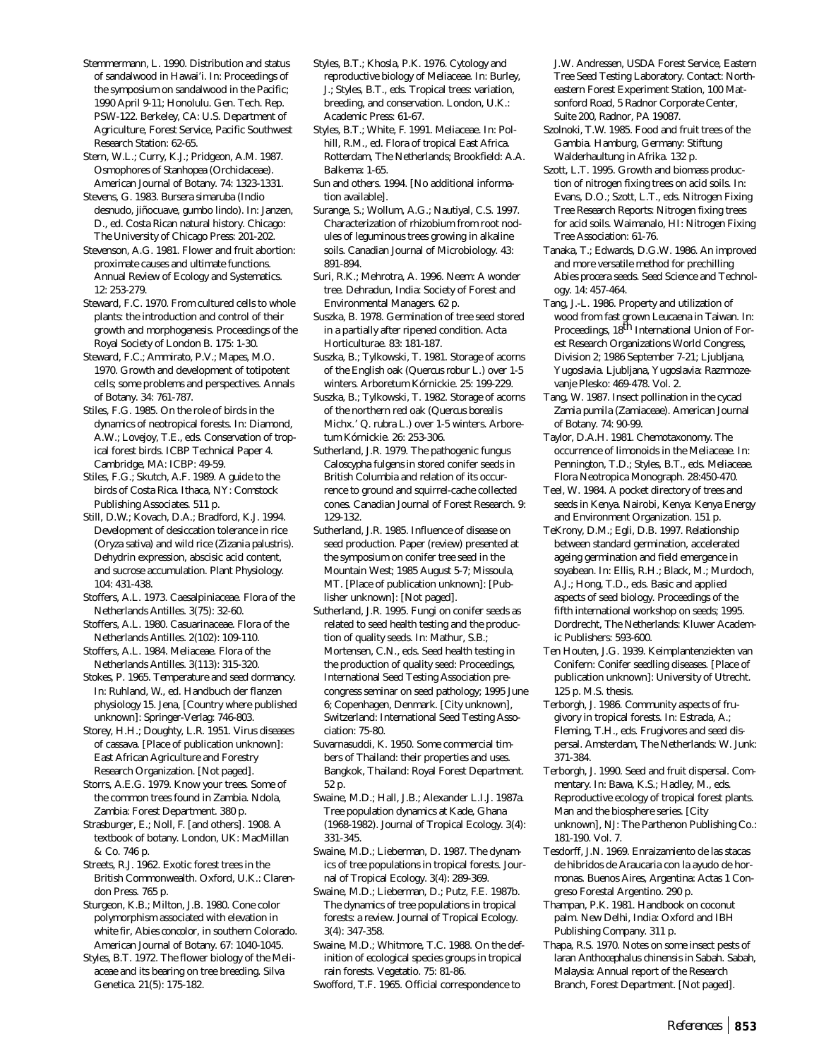Stemmermann, L. 1990. Distribution and status of sandalwood in Hawai'i. In: Proceedings of the symposium on sandalwood in the Pacific; 1990 April 9-11; Honolulu. Gen. Tech. Rep. PSW-122. Berkeley, CA: U.S. Department of Agriculture, Forest Service, Pacific Southwest Research Station: 62-65.

Stern, W.L.; Curry, K.J.; Pridgeon, A.M. 1987. Osmophores of *Stanhopea* (Orchidaceae). American Journal of Botany. 74: 1323-1331.

Stevens, G. 1983. *Bursera simaruba* (Indio desnudo, jiñocuave, gumbo lindo). In: Janzen, D., ed. Costa Rican natural history. Chicago: The University of Chicago Press: 201-202.

Stevenson, A.G. 1981. Flower and fruit abortion: proximate causes and ultimate functions. Annual Review of Ecology and Systematics. 12: 253-279.

Steward, F.C. 1970. From cultured cells to whole plants: the introduction and control of their growth and morphogenesis. Proceedings of the Royal Society of London B. 175: 1-30.

Steward, F.C.; Ammirato, P.V.; Mapes, M.O. 1970. Growth and development of totipotent cells; some problems and perspectives. Annals of Botany. 34: 761-787.

Stiles, F.G. 1985. On the role of birds in the dynamics of neotropical forests. In: Diamond, A.W.; Lovejoy, T.E., eds. Conservation of tropical forest birds. ICBP Technical Paper 4. Cambridge, MA: ICBP: 49-59.

Stiles, F.G.; Skutch, A.F. 1989. A guide to the birds of Costa Rica. Ithaca, NY: Comstock Publishing Associates. 511 p.

Still, D.W.; Kovach, D.A.; Bradford, K.J. 1994. Development of desiccation tolerance in rice (*Oryza sativa*) and wild rice (*Zizania palustris*). Dehydrin expression, abscisic acid content, and sucrose accumulation. Plant Physiology. 104: 431-438.

Stoffers, A.L. 1973. Caesalpiniaceae. Flora of the Netherlands Antilles. 3(75): 32-60.

Stoffers, A.L. 1980. Casuarinaceae. Flora of the Netherlands Antilles. 2(102): 109-110.

Stoffers, A.L. 1984. Meliaceae. Flora of the Netherlands Antilles. 3(113): 315-320.

Stokes, P. 1965. Temperature and seed dormancy. In: Ruhland, W., ed. Handbuch der flanzen physiology 15. Jena, [Country where published unknown]: Springer-Verlag: 746-803.

Storey, H.H.; Doughty, L.R. 1951. Virus diseases of cassava. [Place of publication unknown]: East African Agriculture and Forestry Research Organization. [Not paged].

Storrs, A.E.G. 1979. Know your trees. Some of the common trees found in Zambia. Ndola, Zambia: Forest Department. 380 p.

Strasburger, E.; Noll, F. [and others]. 1908. A textbook of botany. London, UK: MacMillan & Co. 746 p.

Streets, R.J. 1962. Exotic forest trees in the British Commonwealth. Oxford, U.K.: Clarendon Press. 765 p.

Sturgeon, K.B.; Milton, J.B. 1980. Cone color polymorphism associated with elevation in white fir, *Abies concolor*, in southern Colorado. American Journal of Botany. 67: 1040-1045.

Styles, B.T. 1972. The flower biology of the Meliaceae and its bearing on tree breeding. Silva Genetica. 21(5): 175-182.

Styles, B.T.; Khosla, P.K. 1976. Cytology and reproductive biology of Meliaceae. In: Burley, J.; Styles, B.T., eds. Tropical trees: variation, breeding, and conservation. London, U.K.: Academic Press: 61-67.

Styles, B.T.; White, F. 1991. Meliaceae. In: Polhill, R.M., ed. Flora of tropical East Africa. Rotterdam, The Netherlands; Brookfield: A.A. Balkema: 1-65.

Sun and others. 1994. [No additional information available].

Surange, S.; Wollum, A.G.; Nautiyal, C.S. 1997. Characterization of rhizobium from root nodules of leguminous trees growing in alkaline soils. Canadian Journal of Microbiology. 43: 891-894.

Suri, R.K.; Mehrotra, A. 1996. Neem: A wonder tree. Dehradun, India: Society of Forest and Environmental Managers. 62 p.

Suszka, B. 1978. Germination of tree seed stored in a partially after ripened condition. Acta Horticulturae. 83: 181-187.

Suszka, B.; Tylkowski, T. 1981. Storage of acorns of the English oak (*Quercus robur* L.) over 1-5 winters. Arboretum Kórnickie. 25: 199-229.

Suszka, B.; Tylkowski, T. 1982. Storage of acorns of the northern red oak (*Quercus borealis* Michx.' *Q. rubra* L.) over 1-5 winters. Arboretum Kórnickie. 26: 253-306.

Sutherland, J.R. 1979. The pathogenic fungus *Caloscypha fulgens* in stored conifer seeds in British Columbia and relation of its occurrence to ground and squirrel-cache collected cones. Canadian Journal of Forest Research. 9: 129-132.

Sutherland, J.R. 1985. Influence of disease on seed production. Paper (review) presented at the symposium on conifer tree seed in the Mountain West; 1985 August 5-7; Missoula, MT. [Place of publication unknown]: [Publisher unknown]: [Not paged].

Sutherland, J.R. 1995. Fungi on conifer seeds as related to seed health testing and the production of quality seeds. In: Mathur, S.B.; Mortensen, C.N., eds. Seed health testing in the production of quality seed: Proceedings, International Seed Testing Association precongress seminar on seed pathology; 1995 June 6; Copenhagen, Denmark. [City unknown], Switzerland: International Seed Testing Association: 75-80.

Suvarnasuddi, K. 1950. Some commercial timbers of Thailand: their properties and uses. Bangkok, Thailand: Royal Forest Department. 52 p.

Swaine, M.D.; Hall, J.B.; Alexander L.I.J. 1987a. Tree population dynamics at Kade, Ghana (1968-1982). Journal of Tropical Ecology. 3(4): 331-345.

Swaine, M.D.; Lieberman, D. 1987. The dynamics of tree populations in tropical forests. Journal of Tropical Ecology. 3(4): 289-369.

Swaine, M.D.; Lieberman, D.; Putz, F.E. 1987b. The dynamics of tree populations in tropical forests: a review. Journal of Tropical Ecology. 3(4): 347-358.

Swaine, M.D.; Whitmore, T.C. 1988. On the definition of ecological species groups in tropical rain forests. Vegetatio. 75: 81-86.

Swofford, T.F. 1965. Official correspondence to

J.W. Andressen, USDA Forest Service, Eastern Tree Seed Testing Laboratory. Contact: Northeastern Forest Experiment Station, 100 Matsonford Road, 5 Radnor Corporate Center, Suite 200, Radnor, PA 19087.

Szolnoki, T.W. 1985. Food and fruit trees of the Gambia. Hamburg, Germany: Stiftung Walderhaultung in Afrika. 132 p.

Szott, L.T. 1995. Growth and biomass production of nitrogen fixing trees on acid soils. In: Evans, D.O.; Szott, L.T., eds. Nitrogen Fixing Tree Research Reports: Nitrogen fixing trees for acid soils. Waimanalo, HI: Nitrogen Fixing Tree Association: 61-76.

Tanaka, T.; Edwards, D.G.W. 1986. An improved and more versatile method for prechilling *Abies procera* seeds. Seed Science and Technology. 14: 457-464.

Tang, J.-L. 1986. Property and utilization of wood from fast grown *Leucaena* in Taiwan. In: Proceedings, 18<sup>th</sup> International Union of Forest Research Organizations World Congress, Division 2; 1986 September 7-21; Ljubljana, Yugoslavia. Ljubljana, Yugoslavia: Razmnozevanje Plesko: 469-478. Vol. 2.

Tang, W. 1987. Insect pollination in the cycad *Zamia pumila* (Zamiaceae). American Journal of Botany. 74: 90-99.

Taylor, D.A.H. 1981. Chemotaxonomy. The occurrence of limonoids in the Meliaceae. In: Pennington, T.D.; Styles, B.T., eds. Meliaceae. Flora Neotropica Monograph. 28:450-470.

Teel, W. 1984. A pocket directory of trees and seeds in Kenya. Nairobi, Kenya: Kenya Energy and Environment Organization. 151 p.

TeKrony, D.M.; Egli, D.B. 1997. Relationship between standard germination, accelerated ageing germination and field emergence in soyabean. In: Ellis, R.H.; Black, M.; Murdoch, A.J.; Hong, T.D., eds. Basic and applied aspects of seed biology. Proceedings of the fifth international workshop on seeds; 1995. Dordrecht, The Netherlands: Kluwer Academic Publishers: 593-600.

Ten Houten, J.G. 1939. Keimplantenziekten van Conifern: Conifer seedling diseases. [Place of publication unknown]: University of Utrecht. 125 p. M.S. thesis.

Terborgh, J. 1986. Community aspects of frugivory in tropical forests. In: Estrada, A.; Fleming, T.H., eds. Frugivores and seed dispersal. Amsterdam, The Netherlands: W. Junk: 371-384.

Terborgh, J. 1990. Seed and fruit dispersal. Commentary. In: Bawa, K.S.; Hadley, M., eds. Reproductive ecology of tropical forest plants. Man and the biosphere series. [City unknown], NJ: The Parthenon Publishing Co.: 181-190. Vol. 7.

Tesdorff, J.N. 1969. Enraizamiento de las stacas de hibridos de Araucaria con la ayudo de hormonas. Buenos Aires, Argentina: Actas 1 Congreso Forestal Argentino. 290 p.

Thampan, P.K. 1981. Handbook on coconut palm. New Delhi, India: Oxford and IBH Publishing Company. 311 p.

Thapa, R.S. 1970. Notes on some insect pests of laran *Anthocephalus chinensis* in Sabah. Sabah, Malaysia: Annual report of the Research Branch, Forest Department. [Not paged].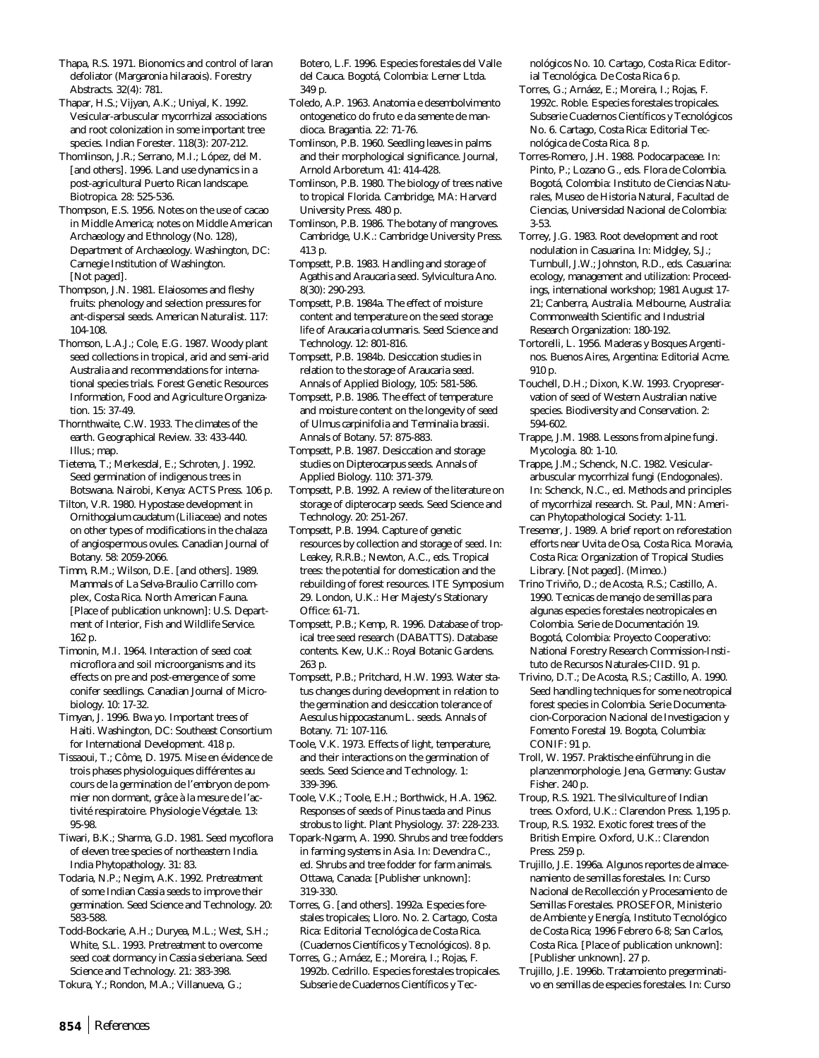Thapa, R.S. 1971. Bionomics and control of laran defoliator (*Margaronia hilaraois*). Forestry Abstracts. 32(4): 781.

Thapar, H.S.; Vijyan, A.K.; Uniyal, K. 1992. Vesicular-arbuscular mycorrhizal associations and root colonization in some important tree species. Indian Forester. 118(3): 207-212.

Thomlinson, J.R.; Serrano, M.I.; López, del M. [and others]. 1996. Land use dynamics in a post-agricultural Puerto Rican landscape. Biotropica. 28: 525-536.

Thompson, E.S. 1956. Notes on the use of cacao in Middle America; notes on Middle American Archaeology and Ethnology (No. 128), Department of Archaeology. Washington, DC: Carnegie Institution of Washington. [Not paged].

Thompson, J.N. 1981. Elaiosomes and fleshy fruits: phenology and selection pressures for ant-dispersal seeds. American Naturalist. 117: 104-108.

Thomson, L.A.J.; Cole, E.G. 1987. Woody plant seed collections in tropical, arid and semi-arid Australia and recommendations for international species trials. Forest Genetic Resources Information, Food and Agriculture Organization. 15: 37-49.

Thornthwaite, C.W. 1933. The climates of the earth. Geographical Review. 33: 433-440. Illus.; map.

Tietema, T.; Merkesdal, E.; Schroten, J. 1992. Seed germination of indigenous trees in Botswana. Nairobi, Kenya: ACTS Press. 106 p.

Tilton, V.R. 1980. Hypostase development in *Ornithogalum caudatum* (Liliaceae) and notes on other types of modifications in the chalaza of angiospermous ovules. Canadian Journal of Botany. 58: 2059-2066.

Timm, R.M.; Wilson, D.E. [and others]. 1989. Mammals of La Selva-Braulio Carrillo complex, Costa Rica. North American Fauna. [Place of publication unknown]: U.S. Department of Interior, Fish and Wildlife Service. 162 p.

Timonin, M.I. 1964. Interaction of seed coat microflora and soil microorganisms and its effects on pre and post-emergence of some conifer seedlings. Canadian Journal of Microbiology. 10: 17-32.

Timyan, J. 1996. Bwa yo. Important trees of Haiti. Washington, DC: Southeast Consortium for International Development. 418 p.

Tissaoui, T.; Côme, D. 1975. Mise en évidence de trois phases physiologuiques différentes au cours de la germination de l'embryon de pommier non dormant, grâce à la mesure de l'activité respiratoire. Physiologie Végetale. 13: 95-98.

Tiwari, B.K.; Sharma, G.D. 1981. Seed mycoflora of eleven tree species of northeastern India. India Phytopathology. 31: 83.

Todaria, N.P.; Negim, A.K. 1992. Pretreatment of some Indian *Cassia* seeds to improve their germination. Seed Science and Technology. 20: 583-588.

Todd-Bockarie, A.H.; Duryea, M.L.; West, S.H.; White, S.L. 1993. Pretreatment to overcome seed coat dormancy in *Cassia sieberiana*. Seed Science and Technology. 21: 383-398.

Tokura, Y.; Rondon, M.A.; Villanueva, G.;

Botero, L.F. 1996. Especies forestales del Valle del Cauca. Bogotá, Colombia: Lerner Ltda. 349 p.

Toledo, A.P. 1963. Anatomia e desembolvimento ontogenetico do fruto e da semente de mandioca. Bragantia. 22: 71-76.

Tomlinson, P.B. 1960. Seedling leaves in palms and their morphological significance. Journal, Arnold Arboretum. 41: 414-428.

Tomlinson, P.B. 1980. The biology of trees native to tropical Florida. Cambridge, MA: Harvard University Press. 480 p.

Tomlinson, P.B. 1986. The botany of mangroves. Cambridge, U.K.: Cambridge University Press. 413 p.

Tompsett, P.B. 1983. Handling and storage of *Agathis* and *Araucaria* seed. Sylvicultura Ano. 8(30): 290-293.

Tompsett, P.B. 1984a. The effect of moisture content and temperature on the seed storage life of *Araucaria columnaris*. Seed Science and Technology. 12: 801-816.

Tompsett, P.B. 1984b. Desiccation studies in relation to the storage of *Araucaria* seed. Annals of Applied Biology, 105: 581-586.

Tompsett, P.B. 1986. The effect of temperature and moisture content on the longevity of seed of *Ulmus carpinifolia* and *Terminalia brassii*. Annals of Botany. 57: 875-883.

Tompsett, P.B. 1987. Desiccation and storage studies on *Dipterocarpus* seeds. Annals of Applied Biology. 110: 371-379.

Tompsett, P.B. 1992. A review of the literature on storage of dipterocarp seeds. Seed Science and Technology. 20: 251-267.

Tompsett, P.B. 1994. Capture of genetic resources by collection and storage of seed. In: Leakey, R.R.B.; Newton, A.C., eds. Tropical trees: the potential for domestication and the rebuilding of forest resources. ITE Symposium 29. London, U.K.: Her Majesty's Stationary Office: 61-71.

Tompsett, P.B.; Kemp, R. 1996. Database of tropical tree seed research (DABATTS). Database contents. Kew, U.K.: Royal Botanic Gardens. 263 p.

Tompsett, P.B.; Pritchard, H.W. 1993. Water status changes during development in relation to the germination and desiccation tolerance of *Aesculus hippocastanum* L. seeds. Annals of Botany. 71: 107-116.

Toole, V.K. 1973. Effects of light, temperature, and their interactions on the germination of seeds. Seed Science and Technology. 1: 339-396.

Toole, V.K.; Toole, E.H.; Borthwick, H.A. 1962. Responses of seeds of *Pinus taeda* and *Pinus strobus* to light. Plant Physiology. 37: 228-233.

Topark-Ngarm, A. 1990. Shrubs and tree fodders in farming systems in Asia. In: Devendra C., ed. Shrubs and tree fodder for farm animals. Ottawa, Canada: [Publisher unknown]: 319-330.

Torres, G. [and others]. 1992a. Especies forestales tropicales; Lloro. No. 2. Cartago, Costa Rica: Editorial Tecnológica de Costa Rica. (Cuadernos Científicos y Tecnológicos). 8 p.

Torres, G.; Arnáez, E.; Moreira, I.; Rojas, F. 1992b. Cedrillo. Especies forestales tropicales. Subserie de Cuadernos Científicos y Tecnológicos No. 10. Cartago, Costa Rica: Editorial Tecnológica. De Costa Rica 6 p.

Torres, G.; Arnáez, E.; Moreira, I.; Rojas, F. 1992c. Roble. Especies forestales tropicales. Subserie Cuadernos Científicos y Tecnológicos No. 6. Cartago, Costa Rica: Editorial Tecnológica de Costa Rica. 8 p.

Torres-Romero, J.H. 1988. Podocarpaceae. In: Pinto, P.; Lozano G., eds. Flora de Colombia. Bogotá, Colombia: Instituto de Ciencias Naturales, Museo de Historia Natural, Facultad de Ciencias, Universidad Nacional de Colombia: 3-53.

Torrey, J.G. 1983. Root development and root nodulation in *Casuarina*. In: Midgley, S.J.; Turnbull, J.W.; Johnston, R.D., eds. *Casuarina*: ecology, management and utilization: Proceedings, international workshop; 1981 August 17- 21; Canberra, Australia. Melbourne, Australia: Commonwealth Scientific and Industrial Research Organization: 180-192.

Tortorelli, L. 1956. Maderas y Bosques Argentinos. Buenos Aires, Argentina: Editorial Acme. 910 p.

Touchell, D.H.; Dixon, K.W. 1993. Cryopreservation of seed of Western Australian native species. Biodiversity and Conservation. 2: 594-602.

Trappe, J.M. 1988. Lessons from alpine fungi. Mycologia. 80: 1-10.

Trappe, J.M.; Schenck, N.C. 1982. Vesiculararbuscular mycorrhizal fungi (Endogonales). In: Schenck, N.C., ed. Methods and principles of mycorrhizal research. St. Paul, MN: American Phytopathological Society: 1-11.

Tresemer, J. 1989. A brief report on reforestation efforts near Uvita de Osa, Costa Rica. Moravia, Costa Rica: Organization of Tropical Studies Library. [Not paged]. (Mimeo.)

Trino Triviño, D.; de Acosta, R.S.; Castillo, A. 1990. Tecnicas de manejo de semillas para algunas especies forestales neotropicales en Colombia. Serie de Documentación 19. Bogotá, Colombia: Proyecto Cooperativo: National Forestry Research Commission-Instituto de Recursos Naturales-CIID. 91 p.

Trivino, D.T.; De Acosta, R.S.; Castillo, A. 1990. Seed handling techniques for some neotropical forest species in Colombia. Serie Documentacion-Corporacion Nacional de Investigacion y Fomento Forestal 19. Bogota, Columbia: CONIF: 91 p.

Troll, W. 1957. Praktische einführung in die planzenmorphologie. Jena, Germany: Gustav Fisher. 240 p.

Troup, R.S. 1921. The silviculture of Indian trees. Oxford, U.K.: Clarendon Press. 1,195 p.

Troup, R.S. 1932. Exotic forest trees of the British Empire. Oxford, U.K.: Clarendon Press. 259 p.

Trujillo, J.E. 1996a. Algunos reportes de almacenamiento de semillas forestales. In: Curso Nacional de Recollección y Procesamiento de Semillas Forestales. PROSEFOR, Ministerio de Ambiente y Energía, Instituto Tecnológico de Costa Rica; 1996 Febrero 6-8; San Carlos, Costa Rica. [Place of publication unknown]: [Publisher unknown]. 27 p.

Trujillo, J.E. 1996b. Tratamoiento pregerminativo en semillas de especies forestales. In: Curso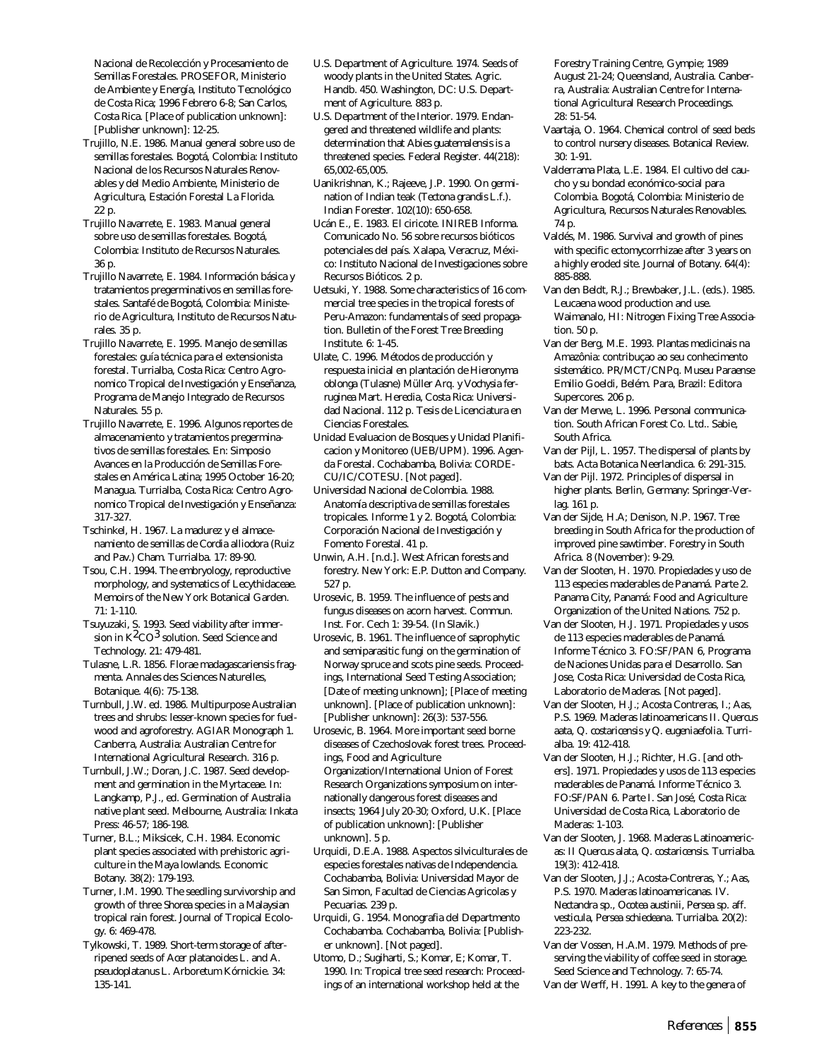Nacional de Recolección y Procesamiento de Semillas Forestales. PROSEFOR, Ministerio de Ambiente y Energía, Instituto Tecnológico de Costa Rica; 1996 Febrero 6-8; San Carlos, Costa Rica. [Place of publication unknown]: [Publisher unknown]: 12-25.

- Trujillo, N.E. 1986. Manual general sobre uso de semillas forestales. Bogotá, Colombia: Instituto Nacional de los Recursos Naturales Renovables y del Medio Ambiente, Ministerio de Agricultura, Estación Forestal La Florida. 22 p.
- Trujillo Navarrete, E. 1983. Manual general sobre uso de semillas forestales. Bogotá, Colombia: Instituto de Recursos Naturales. 36 p.
- Trujillo Navarrete, E. 1984. Información básica y tratamientos pregerminativos en semillas forestales. Santafé de Bogotá, Colombia: Ministerio de Agricultura, Instituto de Recursos Naturales. 35 p.
- Trujillo Navarrete, E. 1995. Manejo de semillas forestales: guía técnica para el extensionista forestal. Turrialba, Costa Rica: Centro Agronomico Tropical de Investigación y Enseñanza, Programa de Manejo Integrado de Recursos Naturales. 55 p.
- Trujillo Navarrete, E. 1996. Algunos reportes de almacenamiento y tratamientos pregerminativos de semillas forestales. En: Simposio Avances en la Producción de Semillas Forestales en América Latina; 1995 October 16-20; Managua. Turrialba, Costa Rica: Centro Agronomico Tropical de Investigación y Enseñanza: 317-327.
- Tschinkel, H. 1967. La madurez y el almacenamiento de semillas de *Cordia alliodora* (Ruiz and Pav.) Cham. Turrialba. 17: 89-90.
- Tsou, C.H. 1994. The embryology, reproductive morphology, and systematics of Lecythidaceae. Memoirs of the New York Botanical Garden. 71: 1-110.
- Tsuyuzaki, S. 1993. Seed viability after immersion in K<sup>2</sup>CO<sup>3</sup> solution. Seed Science and Technology. 21: 479-481.
- Tulasne, L.R. 1856. Florae madagascariensis fragmenta. Annales des Sciences Naturelles, Botanique. 4(6): 75-138.
- Turnbull, J.W. ed. 1986. Multipurpose Australian trees and shrubs: lesser-known species for fuelwood and agroforestry. AGIAR Monograph 1. Canberra, Australia: Australian Centre for International Agricultural Research. 316 p.
- Turnbull, J.W.; Doran, J.C. 1987. Seed development and germination in the Myrtaceae. In: Langkamp, P.J., ed. Germination of Australia native plant seed. Melbourne, Australia: Inkata Press: 46-57; 186-198.
- Turner, B.L.; Miksicek, C.H. 1984. Economic plant species associated with prehistoric agriculture in the Maya lowlands. Economic Botany. 38(2): 179-193.
- Turner, I.M. 1990. The seedling survivorship and growth of three *Shorea* species in a Malaysian tropical rain forest. Journal of Tropical Ecology. 6: 469-478.
- Tylkowski, T. 1989. Short-term storage of afterripened seeds of *Acer platanoides* L. and *A. pseudoplatanus* L. Arboretum Kórnickie. 34: 135-141.
- U.S. Department of Agriculture. 1974. Seeds of woody plants in the United States. Agric. Handb. 450. Washington, DC: U.S. Department of Agriculture. 883 p.
- U.S. Department of the Interior. 1979. Endangered and threatened wildlife and plants: determination that *Abies guatemalensis* is a threatened species. Federal Register. 44(218): 65,002-65,005.
- Uanikrishnan, K.; Rajeeve, J.P. 1990. On germination of Indian teak (*Tectona grandis* L.f.). Indian Forester. 102(10): 650-658.
- Ucán E., E. 1983. El ciricote. INIREB Informa. Comunicado No. 56 sobre recursos bióticos potenciales del país. Xalapa, Veracruz, México: Instituto Nacional de Investigaciones sobre Recursos Bióticos. 2 p.
- Uetsuki, Y. 1988. Some characteristics of 16 commercial tree species in the tropical forests of Peru-Amazon: fundamentals of seed propagation. Bulletin of the Forest Tree Breeding Institute. 6: 1-45.
- Ulate, C. 1996. Métodos de producción y respuesta inicial en plantación de *Hieronyma oblonga* (Tulasne) Müller Arq. y *Vochysia ferruginea* Mart. Heredia, Costa Rica: Universidad Nacional. 112 p. Tesis de Licenciatura en Ciencias Forestales.
- Unidad Evaluacion de Bosques y Unidad Planificacion y Monitoreo (UEB/UPM). 1996. Agenda Forestal. Cochabamba, Bolivia: CORDE-CU/IC/COTESU. [Not paged].
- Universidad Nacional de Colombia. 1988. Anatomía descriptiva de semillas forestales tropicales. Informe 1 y 2. Bogotá, Colombia: Corporación Nacional de Investigación y Fomento Forestal. 41 p.
- Unwin, A.H. [n.d.]. West African forests and forestry. New York: E.P. Dutton and Company. 527 p.
- Urosevic, B. 1959. The influence of pests and fungus diseases on acorn harvest. Commun. Inst. For. Cech 1: 39-54. (In Slavik.)
- Urosevic, B. 1961. The influence of saprophytic and semiparasitic fungi on the germination of Norway spruce and scots pine seeds. Proceedings, International Seed Testing Association; [Date of meeting unknown]; [Place of meeting unknown]. [Place of publication unknown]: [Publisher unknown]: 26(3): 537-556.
- Urosevic, B. 1964. More important seed borne diseases of Czechoslovak forest trees. Proceedings, Food and Agriculture Organization/International Union of Forest Research Organizations symposium on internationally dangerous forest diseases and insects; 1964 July 20-30; Oxford, U.K. [Place of publication unknown]: [Publisher unknown]. 5 p.
- Urquidi, D.E.A. 1988. Aspectos silviculturales de especies forestales nativas de Independencia. Cochabamba, Bolivia: Universidad Mayor de San Simon, Facultad de Ciencias Agricolas y Pecuarias. 239 p.
- Urquidi, G. 1954. Monografia del Departmento Cochabamba. Cochabamba, Bolivia: [Publisher unknown]. [Not paged].
- Utomo, D.; Sugiharti, S.; Komar, E; Komar, T. 1990. In: Tropical tree seed research: Proceedings of an international workshop held at the

Forestry Training Centre, Gympie; 1989 August 21-24; Queensland, Australia. Canberra, Australia: Australian Centre for International Agricultural Research Proceedings. 28: 51-54.

- Vaartaja, O. 1964. Chemical control of seed beds to control nursery diseases. Botanical Review. 30: 1-91.
- Valderrama Plata, L.E. 1984. El cultivo del caucho y su bondad económico-social para Colombia. Bogotá, Colombia: Ministerio de Agricultura, Recursos Naturales Renovables. 74 p.
- Valdés, M. 1986. Survival and growth of pines with specific ectomycorrhizae after 3 years on a highly eroded site. Journal of Botany. 64(4): 885-888.
- Van den Beldt, R.J.; Brewbaker, J.L. (eds.). 1985. Leucaena wood production and use. Waimanalo, HI: Nitrogen Fixing Tree Association. 50 p.
- Van der Berg, M.E. 1993. Plantas medicinais na Amazônia: contribuçao ao seu conhecimento sistemático. PR/MCT/CNPq. Museu Paraense Emilio Goeldi, Belém. Para, Brazil: Editora Supercores. 206 p.
- Van der Merwe, L. 1996. Personal communication. South African Forest Co. Ltd.. Sabie, South Africa.
- Van der Pijl, L. 1957. The dispersal of plants by bats. Acta Botanica Neerlandica. 6: 291-315.
- Van der Pijl. 1972. Principles of dispersal in higher plants. Berlin, Germany: Springer-Verlag. 161 p.
- Van der Sijde, H.A; Denison, N.P. 1967. Tree breeding in South Africa for the production of improved pine sawtimber. Forestry in South Africa. 8 (November): 9-29.
- Van der Slooten, H. 1970. Propiedades y uso de 113 especies maderables de Panamá. Parte 2. Panama City, Panamá: Food and Agriculture Organization of the United Nations. 752 p.
- Van der Slooten, H.J. 1971. Propiedades y usos de 113 especies maderables de Panamá. Informe Técnico 3. FO:SF/PAN 6, Programa de Naciones Unidas para el Desarrollo. San Jose, Costa Rica: Universidad de Costa Rica, Laboratorio de Maderas. [Not paged].
- Van der Slooten, H.J.; Acosta Contreras, I.; Aas, P.S. 1969. Maderas latinoamericans II. *Quercus aata, Q. costaricensis* y *Q. eugeniaefolia*. Turrialba. 19: 412-418.
- Van der Slooten, H.J.; Richter, H.G. [and others]. 1971. Propiedades y usos de 113 especies maderables de Panamá. Informe Técnico 3. FO:SF/PAN 6. Parte I. San José, Costa Rica: Universidad de Costa Rica, Laboratorio de Maderas: 1-103.
- Van der Slooten, J. 1968. Maderas Latinoamericas: II *Quercus alata, Q. costaricensis.* Turrialba. 19(3): 412-418.
- Van der Slooten, J.J.; Acosta-Contreras, Y.; Aas, P.S. 1970. Maderas latinoamericanas. IV. *Nectandra* sp., *Ocotea austinii, Persea* sp. aff. *vesticula*, *Persea schiedeana*. Turrialba. 20(2): 223-232.
- Van der Vossen, H.A.M. 1979. Methods of preserving the viability of coffee seed in storage. Seed Science and Technology. 7: 65-74.
- Van der Werff, H. 1991. A key to the genera of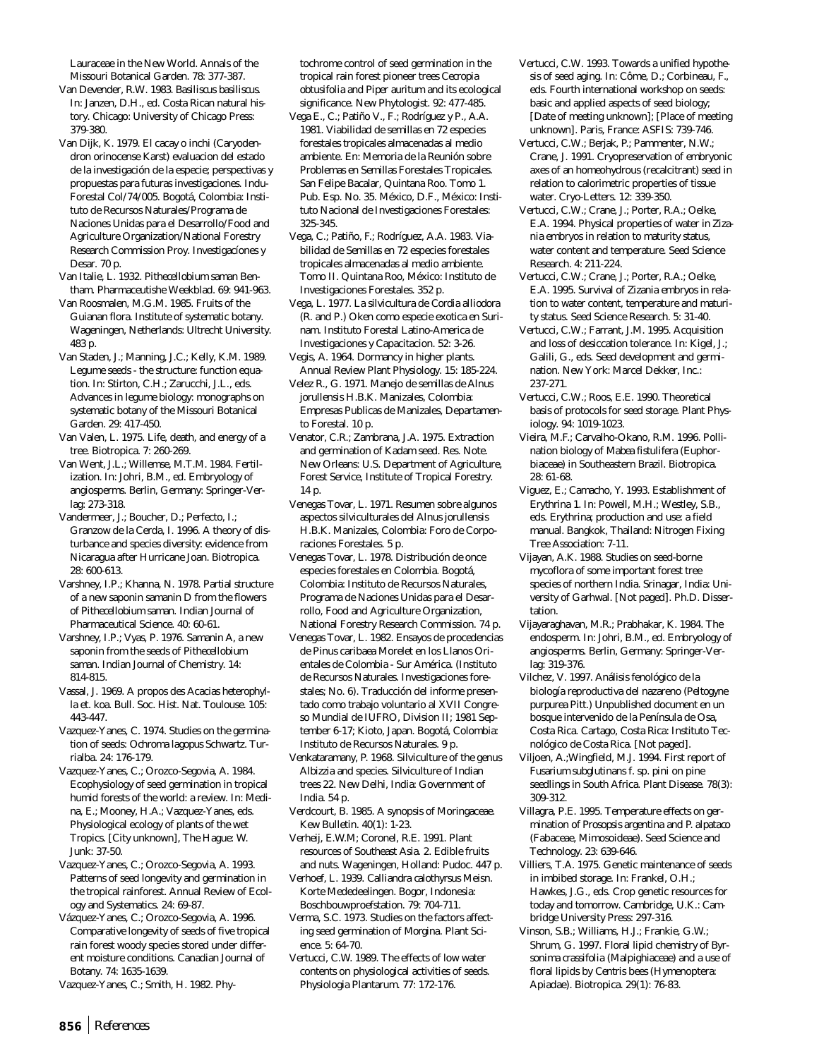Lauraceae in the New World. Annals of the Missouri Botanical Garden. 78: 377-387.

- Van Devender, R.W. 1983. *Basiliscus basiliscus*. In: Janzen, D.H., ed. Costa Rican natural history. Chicago: University of Chicago Press: 379-380.
- Van Dijk, K. 1979. El cacay o inchi (Caryodendron orinocense Karst) evaluacion del estado de la investigación de la especie; perspectivas y propuestas para futuras investigaciones. Indu-Forestal Col/74/005. Bogotá, Colombia: Instituto de Recursos Naturales/Programa de Naciones Unidas para el Desarrollo/Food and Agriculture Organization/National Forestry Research Commission Proy. Investigacíones y Desar. 70 p.
- Van Italie, L. 1932. *Pithecellobium saman* Bentham. Pharmaceutishe Weekblad. 69: 941-963.
- Van Roosmalen, M.G.M. 1985. Fruits of the Guianan flora. Institute of systematic botany. Wageningen, Netherlands: Ultrecht University. 483 p.
- Van Staden, J.; Manning, J.C.; Kelly, K.M. 1989. Legume seeds - the structure: function equation. In: Stirton, C.H.; Zarucchi, J.L., eds. Advances in legume biology: monographs on systematic botany of the Missouri Botanical Garden. 29: 417-450.
- Van Valen, L. 1975. Life, death, and energy of a tree. Biotropica. 7: 260-269.
- Van Went, J.L.; Willemse, M.T.M. 1984. Fertilization. In: Johri, B.M., ed. Embryology of angiosperms. Berlin, Germany: Springer-Verlag: 273-318.
- Vandermeer, J.; Boucher, D.; Perfecto, I.; Granzow de la Cerda, I. 1996. A theory of disturbance and species diversity: evidence from Nicaragua after Hurricane Joan. Biotropica. 28: 600-613.
- Varshney, I.P.; Khanna, N. 1978. Partial structure of a new saponin samanin D from the flowers of *Pithecellobium saman.* Indian Journal of Pharmaceutical Science. 40: 60-61.
- Varshney, I.P.; Vyas, P. 1976. Samanin A, a new saponin from the seeds of *Pithecellobium saman.* Indian Journal of Chemistry. 14: 814-815.
- Vassal, J. 1969. A propos des Acacias *heterophylla* et. *koa*. Bull. Soc. Hist. Nat. Toulouse. 105: 443-447.
- Vazquez-Yanes, C. 1974. Studies on the germination of seeds: *Ochroma lagopus* Schwartz. Turrialba. 24: 176-179.
- Vazquez-Yanes, C.; Orozco-Segovia, A. 1984. Ecophysiology of seed germination in tropical humid forests of the world: a review. In: Medina, E.; Mooney, H.A.; Vazquez-Yanes, eds. Physiological ecology of plants of the wet Tropics. [City unknown], The Hague: W. Junk: 37-50.
- Vazquez-Yanes, C.; Orozco-Segovia, A. 1993. Patterns of seed longevity and germination in the tropical rainforest. Annual Review of Ecology and Systematics. 24: 69-87.
- Vázquez-Yanes, C.; Orozco-Segovia, A. 1996. Comparative longevity of seeds of five tropical rain forest woody species stored under different moisture conditions. Canadian Journal of Botany. 74: 1635-1639.
- Vazquez-Yanes, C.; Smith, H. 1982. Phy-

tochrome control of seed germination in the tropical rain forest pioneer trees *Cecropia obtusifolia* and *Piper auritum* and its ecological significance. New Phytologist. 92: 477-485.

- Vega E., C.; Patiño V., F.; Rodríguez y P., A.A. 1981. Viabilidad de semillas en 72 especies forestales tropicales almacenadas al medio ambiente. En: Memoria de la Reunión sobre Problemas en Semillas Forestales Tropicales. San Felipe Bacalar, Quintana Roo. Tomo 1. Pub. Esp. No. 35. México, D.F., México: Instituto Nacional de Investigaciones Forestales: 325-345.
- Vega, C.; Patiño, F.; Rodríguez, A.A. 1983. Viabilidad de Semillas en 72 especies forestales tropicales almacenadas al medio ambiente. Tomo II. Quintana Roo, México: Instituto de Investigaciones Forestales. 352 p.
- Vega, L. 1977. La silvicultura de *Cordia alliodora* (R. and P.) Oken como especie exotica en Surinam. Instituto Forestal Latino-America de Investigaciones y Capacitacion. 52: 3-26. Vegis, A. 1964. Dormancy in higher plants.
- Annual Review Plant Physiology. 15: 185-224.
- Velez R., G. 1971. Manejo de semillas de *Alnus jorullensis* H.B.K. Manizales, Colombia: Empresas Publicas de Manizales, Departamento Forestal. 10 p.
- Venator, C.R.; Zambrana, J.A. 1975. Extraction and germination of Kadam seed. Res. Note. New Orleans: U.S. Department of Agriculture, Forest Service, Institute of Tropical Forestry. 14 p.
- Venegas Tovar, L. 1971. Resumen sobre algunos aspectos silviculturales del *Alnus jorullensis* H.B.K. Manizales, Colombia: Foro de Corporaciones Forestales. 5 p.
- Venegas Tovar, L. 1978. Distribución de once especies forestales en Colombia. Bogotá, Colombia: Instituto de Recursos Naturales, Programa de Naciones Unidas para el Desarrollo, Food and Agriculture Organization, National Forestry Research Commission. 74 p.
- Venegas Tovar, L. 1982. Ensayos de procedencias de Pinus caribaea Morelet en los Llanos Orientales de Colombia - Sur América. (Instituto de Recursos Naturales. Investigaciones forestales; No. 6). Traducción del informe presentado como trabajo voluntario al XVII Congreso Mundial de IUFRO, Division II; 1981 September 6-17; Kioto, Japan. Bogotá, Colombia: Instituto de Recursos Naturales. 9 p.
- Venkataramany, P. 1968. Silviculture of the genus *Albizzia* and species. Silviculture of Indian trees 22. New Delhi, India: Government of India. 54 p.
- Verdcourt, B. 1985. A synopsis of Moringaceae. Kew Bulletin. 40(1): 1-23.
- Verheij, E.W.M; Coronel, R.E. 1991. Plant resources of Southeast Asia. 2. Edible fruits and nuts. Wageningen, Holland: Pudoc. 447 p.
- Verhoef, L. 1939. *Calliandra calothyrsus* Meisn. Korte Mededeelingen. Bogor, Indonesia: Boschbouwproefstation. 79: 704-711.
- Verma, S.C. 1973. Studies on the factors affecting seed germination of *Morgina*. Plant Science. 5: 64-70.
- Vertucci, C.W. 1989. The effects of low water contents on physiological activities of seeds. Physiologia Plantarum. 77: 172-176.
- Vertucci, C.W. 1993. Towards a unified hypothesis of seed aging. In: Côme, D.; Corbineau, F., eds. Fourth international workshop on seeds: basic and applied aspects of seed biology; [Date of meeting unknown]; [Place of meeting unknown]. Paris, France: ASFIS: 739-746.
- Vertucci, C.W.; Berjak, P.; Pammenter, N.W.; Crane, J. 1991. Cryopreservation of embryonic axes of an homeohydrous (recalcitrant) seed in relation to calorimetric properties of tissue water. Cryo-Letters. 12: 339-350.
- Vertucci, C.W.; Crane, J.; Porter, R.A.; Oelke, E.A. 1994. Physical properties of water in *Zizania* embryos in relation to maturity status, water content and temperature. Seed Science Research. 4: 211-224.
- Vertucci, C.W.; Crane, J.; Porter, R.A.; Oelke, E.A. 1995. Survival of *Zizania* embryos in relation to water content, temperature and maturity status. Seed Science Research. 5: 31-40.
- Vertucci, C.W.; Farrant, J.M. 1995. Acquisition and loss of desiccation tolerance. In: Kigel, J.; Galili, G., eds. Seed development and germination. New York: Marcel Dekker, Inc.: 237-271.
- Vertucci, C.W.; Roos, E.E. 1990. Theoretical basis of protocols for seed storage. Plant Physiology. 94: 1019-1023.
- Vieira, M.F.; Carvalho-Okano, R.M. 1996. Pollination biology of *Mabea fistulifera* (Euphorbiaceae) in Southeastern Brazil. Biotropica. 28: 61-68.
- Viguez, E.; Camacho, Y. 1993. Establishment of *Erythrina* 1. In: Powell, M.H.; Westley, S.B., eds. *Erythrina*; production and use: a field manual. Bangkok, Thailand: Nitrogen Fixing Tree Association: 7-11.
- Vijayan, A.K. 1988. Studies on seed-borne mycoflora of some important forest tree species of northern India. Srinagar, India: University of Garhwal. [Not paged]. Ph.D. Dissertation.
- Vijayaraghavan, M.R.; Prabhakar, K. 1984. The endosperm. In: Johri, B.M., ed. Embryology of angiosperms. Berlin, Germany: Springer-Verlag: 319-376.
- Vilchez, V. 1997. Análisis fenológico de la biología reproductiva del nazareno (*Peltogyne purpurea* Pitt.) Unpublished document en un bosque intervenido de la Península de Osa, Costa Rica. Cartago, Costa Rica: Instituto Tecnológico de Costa Rica. [Not paged].
- Viljoen, A.;Wingfield, M.J. 1994. First report of *Fusarium subglutinans* f. sp. *pini* on pine seedlings in South Africa. Plant Disease. 78(3): 309-312.
- Villagra, P.E. 1995. Temperature effects on germination of *Prosopsis argentina* and *P. alpataco* (Fabaceae, Mimosoideae). Seed Science and Technology. 23: 639-646.
- Villiers, T.A. 1975. Genetic maintenance of seeds in imbibed storage. In: Frankel, O.H.; Hawkes, J.G., eds. Crop genetic resources for today and tomorrow. Cambridge, U.K.: Cambridge University Press: 297-316.
- Vinson, S.B.; Williams, H.J.; Frankie, G.W.; Shrum, G. 1997. Floral lipid chemistry of *Byrsonima crassifolia* (Malpighiaceae) and a use of floral lipids by *Centris* bees (Hymenoptera: Apiadae). Biotropica. 29(1): 76-83.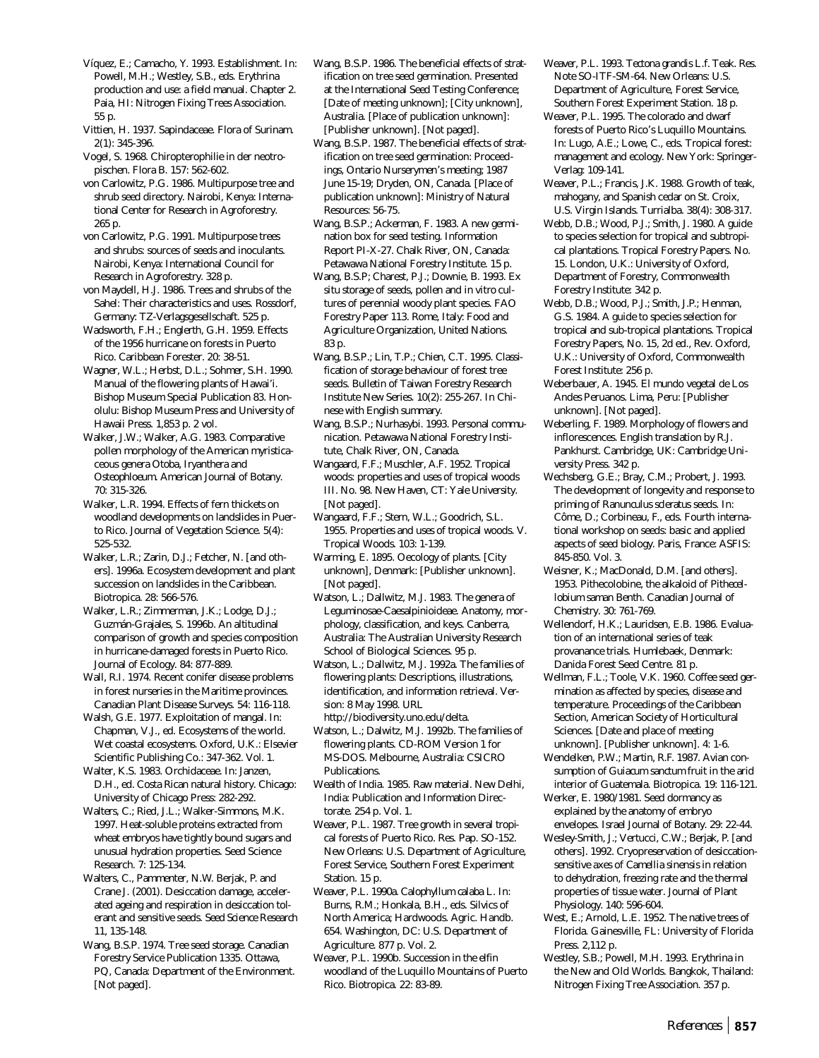Víquez, E.; Camacho, Y. 1993. Establishment. In: Powell, M.H.; Westley, S.B., eds. *Erythrina* production and use: a field manual. Chapter 2. Paia, HI: Nitrogen Fixing Trees Association. 55 p.

Vittien, H. 1937. Sapindaceae. Flora of Surinam. 2(1): 345-396.

Vogel, S. 1968. Chiropterophilie in der neotropischen. Flora B. 157: 562-602.

von Carlowitz, P.G. 1986. Multipurpose tree and shrub seed directory. Nairobi, Kenya: International Center for Research in Agroforestry. 265 p.

von Carlowitz, P.G. 1991. Multipurpose trees and shrubs: sources of seeds and inoculants. Nairobi, Kenya: International Council for Research in Agroforestry. 328 p.

von Maydell, H.J. 1986. Trees and shrubs of the Sahel: Their characteristics and uses. Rossdorf, Germany: TZ-Verlagsgesellschaft. 525 p.

Wadsworth, F.H.; Englerth, G.H. 1959. Effects of the 1956 hurricane on forests in Puerto Rico. Caribbean Forester. 20: 38-51.

Wagner, W.L.; Herbst, D.L.; Sohmer, S.H. 1990. Manual of the flowering plants of Hawai'i. Bishop Museum Special Publication 83. Honolulu: Bishop Museum Press and University of Hawaii Press. 1,853 p. 2 vol.

Walker, J.W.; Walker, A.G. 1983. Comparative pollen morphology of the American myristicaceous genera *Otoba, Iryanthera* and *Osteophloeum*. American Journal of Botany. 70: 315-326.

Walker, L.R. 1994. Effects of fern thickets on woodland developments on landslides in Puerto Rico. Journal of Vegetation Science. 5(4): 525-532.

Walker, L.R.; Zarin, D.J.; Fetcher, N. [and others]. 1996a. Ecosystem development and plant succession on landslides in the Caribbean. Biotropica. 28: 566-576.

Walker, L.R.; Zimmerman, J.K.; Lodge, D.J.; Guzmán-Grajales, S. 1996b. An altitudinal comparison of growth and species composition in hurricane-damaged forests in Puerto Rico. Journal of Ecology. 84: 877-889.

Wall, R.I. 1974. Recent conifer disease problems in forest nurseries in the Maritime provinces. Canadian Plant Disease Surveys. 54: 116-118.

Walsh, G.E. 1977. Exploitation of mangal. In: Chapman, V.J., ed. Ecosystems of the world. Wet coastal ecosystems. Oxford, U.K.: Elsevier Scientific Publishing Co.: 347-362. Vol. 1.

Walter, K.S. 1983. Orchidaceae. In: Janzen, D.H., ed. Costa Rican natural history. Chicago: University of Chicago Press: 282-292.

Walters, C.; Ried, J.L.; Walker-Simmons, M.K. 1997. Heat-soluble proteins extracted from wheat embryos have tightly bound sugars and unusual hydration properties. Seed Science Research. 7: 125-134.

Walters, C., Pammenter, N.W. Berjak, P. and Crane J. (2001). Desiccation damage, accelerated ageing and respiration in desiccation tolerant and sensitive seeds. *Seed Science Research* 11, 135-148.

Wang, B.S.P. 1974. Tree seed storage. Canadian Forestry Service Publication 1335. Ottawa, PQ, Canada: Department of the Environment. [Not paged].

Wang, B.S.P. 1986. The beneficial effects of stratification on tree seed germination. Presented at the International Seed Testing Conference; [Date of meeting unknown]; [City unknown], Australia. [Place of publication unknown]: [Publisher unknown]. [Not paged].

Wang, B.S.P. 1987. The beneficial effects of stratification on tree seed germination: Proceedings, Ontario Nurserymen's meeting; 1987 June 15-19; Dryden, ON, Canada. [Place of publication unknown]: Ministry of Natural Resources: 56-75.

Wang, B.S.P.; Ackerman, F. 1983. A new germination box for seed testing. Information Report PI-X-27. Chalk River, ON, Canada: Petawawa National Forestry Institute. 15 p.

Wang, B.S.P; Charest, P.J.; Downie, B. 1993. *Ex situ* storage of seeds, pollen and *in vitro* cultures of perennial woody plant species. FAO Forestry Paper 113. Rome, Italy: Food and Agriculture Organization, United Nations. 83 p.

Wang, B.S.P.; Lin, T.P.; Chien, C.T. 1995. Classification of storage behaviour of forest tree seeds. Bulletin of Taiwan Forestry Research Institute New Series. 10(2): 255-267. In Chinese with English summary.

Wang, B.S.P.; Nurhasybi. 1993. Personal communication. Petawawa National Forestry Institute, Chalk River, ON, Canada.

Wangaard, F.F.; Muschler, A.F. 1952. Tropical woods: properties and uses of tropical woods III. No. 98. New Haven, CT: Yale University. [Not paged].

Wangaard, F.F.; Stern, W.L.; Goodrich, S.L. 1955. Properties and uses of tropical woods. V. Tropical Woods. 103: 1-139.

Warming, E. 1895. Oecology of plants. [City unknown], Denmark: [Publisher unknown]. [Not paged].

Watson, L.; Dallwitz, M.J. 1983. The genera of Leguminosae-Caesalpinioideae. Anatomy, morphology, classification, and keys. Canberra, Australia: The Australian University Research School of Biological Sciences. 95 p.

Watson, L.; Dallwitz, M.J. 1992a. The families of flowering plants: Descriptions, illustrations, identification, and information retrieval. Version: 8 May 1998. URL http://biodiversity.uno.edu/delta.

Watson, L.; Dalwitz, M.J. 1992b. The families of flowering plants. CD-ROM Version 1 for MS-DOS. Melbourne, Australia: CSICRO Publications.

Wealth of India. 1985. Raw material. New Delhi, India: Publication and Information Directorate. 254 p. Vol. 1.

Weaver, P.L. 1987. Tree growth in several tropical forests of Puerto Rico. Res. Pap. SO-152. New Orleans: U.S. Department of Agriculture, Forest Service, Southern Forest Experiment Station. 15 p.

Weaver, P.L. 1990a. *Calophyllum calaba* L. In: Burns, R.M.; Honkala, B.H., eds. Silvics of North America; Hardwoods. Agric. Handb. 654. Washington, DC: U.S. Department of Agriculture. 877 p. Vol. 2.

Weaver, P.L. 1990b. Succession in the elfin woodland of the Luquillo Mountains of Puerto Rico. Biotropica. 22: 83-89.

Weaver, P.L. 1993. *Tectona grandis* L.f. Teak. Res. Note SO-ITF-SM-64. New Orleans: U.S. Department of Agriculture, Forest Service, Southern Forest Experiment Station. 18 p.

Weaver, P.L. 1995. The colorado and dwarf forests of Puerto Rico's Luquillo Mountains. In: Lugo, A.E.; Lowe, C., eds. Tropical forest: management and ecology. New York: Springer-Verlag: 109-141.

Weaver, P.L.; Francis, J.K. 1988. Growth of teak, mahogany, and Spanish cedar on St. Croix, U.S. Virgin Islands. Turrialba. 38(4): 308-317.

Webb, D.B.; Wood, P.J.; Smith, J. 1980. A guide to species selection for tropical and subtropical plantations. Tropical Forestry Papers. No. 15. London, U.K.: University of Oxford, Department of Forestry, Commonwealth Forestry Institute: 342 p.

Webb, D.B.; Wood, P.J.; Smith, J.P.; Henman, G.S. 1984. A guide to species selection for tropical and sub-tropical plantations. Tropical Forestry Papers, No. 15, 2d ed., Rev. Oxford, U.K.: University of Oxford, Commonwealth Forest Institute: 256 p.

Weberbauer, A. 1945. El mundo vegetal de Los Andes Peruanos. Lima, Peru: [Publisher unknown]. [Not paged].

Weberling, F. 1989. Morphology of flowers and inflorescences. English translation by R.J. Pankhurst. Cambridge, UK: Cambridge University Press. 342 p.

Wechsberg, G.E.; Bray, C.M.; Probert, J. 1993. The development of longevity and response to priming of *Ranunculus scleratus* seeds. In: Côme, D.; Corbineau, F., eds. Fourth international workshop on seeds: basic and applied aspects of seed biology. Paris, France: ASFIS: 845-850. Vol. 3.

Weisner, K.; MacDonald, D.M. [and others]. 1953. Pithecolobine, the alkaloid of *Pithecellobium saman* Benth. Canadian Journal of Chemistry. 30: 761-769.

Wellendorf, H.K.; Lauridsen, E.B. 1986. Evaluation of an international series of teak provanance trials. Humlebaek, Denmark: Danida Forest Seed Centre. 81 p.

Wellman, F.L.; Toole, V.K. 1960. Coffee seed germination as affected by species, disease and temperature. Proceedings of the Caribbean Section, American Society of Horticultural Sciences. [Date and place of meeting unknown]. [Publisher unknown]. 4: 1-6.

Wendelken, P.W.; Martin, R.F. 1987. Avian consumption of *Guiacum sanctum* fruit in the arid interior of Guatemala. Biotropica. 19: 116-121.

Werker, E. 1980/1981. Seed dormancy as explained by the anatomy of embryo envelopes. Israel Journal of Botany. 29: 22-44.

Wesley-Smith, J.; Vertucci, C.W.; Berjak, P. [and others]. 1992. Cryopreservation of desiccationsensitive axes of *Camellia sinensis* in relation to dehydration, freezing rate and the thermal properties of tissue water. Journal of Plant Physiology. 140: 596-604.

West, E.; Arnold, L.E. 1952. The native trees of Florida. Gainesville, FL: University of Florida Press. 2,112 p.

Westley, S.B.; Powell, M.H. 1993. *Erythrina* in the New and Old Worlds. Bangkok, Thailand: Nitrogen Fixing Tree Association. 357 p.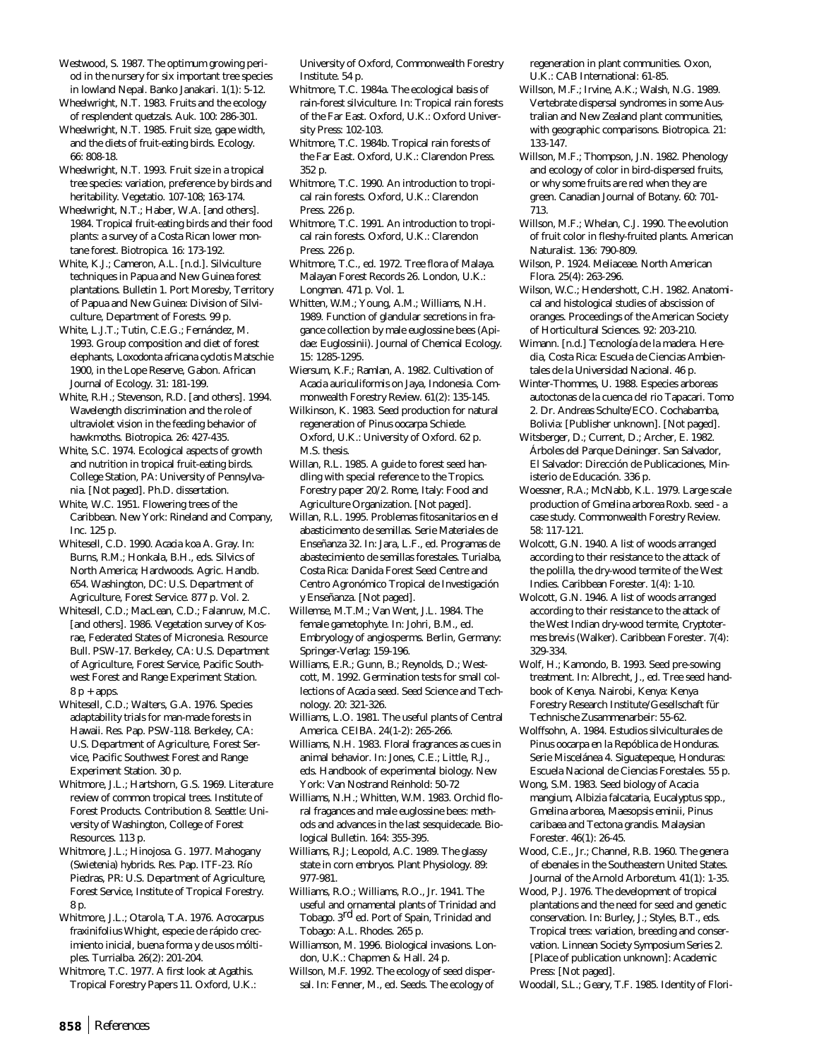Westwood, S. 1987. The optimum growing period in the nursery for six important tree species in lowland Nepal. Banko Janakari. 1(1): 5-12.

Wheelwright, N.T. 1983. Fruits and the ecology of resplendent quetzals. Auk. 100: 286-301.

Wheelwright, N.T. 1985. Fruit size, gape width, and the diets of fruit-eating birds. Ecology. 66: 808-18.

Wheelwright, N.T. 1993. Fruit size in a tropical tree species: variation, preference by birds and heritability. Vegetatio. 107-108; 163-174.

Wheelwright, N.T.; Haber, W.A. [and others]. 1984. Tropical fruit-eating birds and their food plants: a survey of a Costa Rican lower montane forest. Biotropica. 16: 173-192.

White, K.J.; Cameron, A.L. [n.d.]. Silviculture techniques in Papua and New Guinea forest plantations. Bulletin 1. Port Moresby, Territory of Papua and New Guinea: Division of Silviculture, Department of Forests. 99 p.

White, L.J.T.; Tutin, C.E.G.; Fernández, M. 1993. Group composition and diet of forest elephants, *Loxodonta africana cyclotis* Matschie 1900, in the Lope Reserve, Gabon. African Journal of Ecology. 31: 181-199.

White, R.H.; Stevenson, R.D. [and others]. 1994. Wavelength discrimination and the role of ultraviolet vision in the feeding behavior of hawkmoths. Biotropica. 26: 427-435.

White, S.C. 1974. Ecological aspects of growth and nutrition in tropical fruit-eating birds. College Station, PA: University of Pennsylvania. [Not paged]. Ph.D. dissertation.

White, W.C. 1951. Flowering trees of the Caribbean. New York: Rineland and Company, Inc. 125 p.

Whitesell, C.D. 1990. *Acacia koa* A. Gray. In: Burns, R.M.; Honkala, B.H., eds. Silvics of North America; Hardwoods. Agric. Handb. 654. Washington, DC: U.S. Department of Agriculture, Forest Service. 877 p. Vol. 2.

Whitesell, C.D.; MacLean, C.D.; Falanruw, M.C. [and others]. 1986. Vegetation survey of Kosrae, Federated States of Micronesia. Resource Bull. PSW-17. Berkeley, CA: U.S. Department of Agriculture, Forest Service, Pacific Southwest Forest and Range Experiment Station.  $8 p + apps.$ 

Whitesell, C.D.; Walters, G.A. 1976. Species adaptability trials for man-made forests in Hawaii. Res. Pap. PSW-118. Berkeley, CA: U.S. Department of Agriculture, Forest Service, Pacific Southwest Forest and Range Experiment Station. 30 p.

Whitmore, J.L.; Hartshorn, G.S. 1969. Literature review of common tropical trees. Institute of Forest Products. Contribution 8. Seattle: University of Washington, College of Forest Resources. 113 p.

Whitmore, J.L.; Hinojosa. G. 1977. Mahogany (*Swietenia*) hybrids. Res. Pap. ITF-23. Río Piedras, PR: U.S. Department of Agriculture, Forest Service, Institute of Tropical Forestry. 8 p.

Whitmore, J.L.; Otarola, T.A. 1976. *Acrocarpus fraxinifolius* Whight, especie de rápido crecimiento inicial, buena forma y de usos móltiples. Turrialba. 26(2): 201-204.

Whitmore, T.C. 1977. A first look at *Agathis*. Tropical Forestry Papers 11. Oxford, U.K.:

University of Oxford, Commonwealth Forestry Institute. 54 p.

Whitmore, T.C. 1984a. The ecological basis of rain-forest silviculture. In: Tropical rain forests of the Far East. Oxford, U.K.: Oxford University Press: 102-103.

Whitmore, T.C. 1984b. Tropical rain forests of the Far East. Oxford, U.K.: Clarendon Press. 352 p.

Whitmore, T.C. 1990. An introduction to tropical rain forests. Oxford, U.K.: Clarendon Press. 226 p.

Whitmore, T.C. 1991. An introduction to tropical rain forests. Oxford, U.K.: Clarendon Press. 226 p.

Whitmore, T.C., ed. 1972. Tree flora of Malaya. Malayan Forest Records 26. London, U.K.: Longman. 471 p. Vol. 1.

Whitten, W.M.; Young, A.M.; Williams, N.H. 1989. Function of glandular secretions in fragance collection by male euglossine bees (Apidae: Euglossinii). Journal of Chemical Ecology. 15: 1285-1295.

Wiersum, K.F.; Ramlan, A. 1982. Cultivation of *Acacia auriculiformis* on Jaya, Indonesia. Commonwealth Forestry Review. 61(2): 135-145.

Wilkinson, K. 1983. Seed production for natural regeneration of *Pinus oocarpa* Schiede. Oxford, U.K.: University of Oxford. 62 p. M.S. thesis.

Willan, R.L. 1985. A guide to forest seed handling with special reference to the Tropics. Forestry paper 20/2. Rome, Italy: Food and Agriculture Organization. [Not paged].

Willan, R.L. 1995. Problemas fitosanitarios en el abasticimento de semillas. Serie Materiales de Enseñanza 32. In: Jara, L.F., ed. Programas de abastecimiento de semillas forestales. Turialba, Costa Rica: Danida Forest Seed Centre and Centro Agronómico Tropical de Investigación y Enseñanza. [Not paged].

Willemse, M.T.M.; Van Went, J.L. 1984. The female gametophyte. In: Johri, B.M., ed. Embryology of angiosperms. Berlin, Germany: Springer-Verlag: 159-196.

Williams, E.R.; Gunn, B.; Reynolds, D.; Westcott, M. 1992. Germination tests for small collections of *Acacia* seed. Seed Science and Technology. 20: 321-326.

Williams, L.O. 1981. The useful plants of Central America. CEIBA. 24(1-2): 265-266.

Williams, N.H. 1983. Floral fragrances as cues in animal behavior. In: Jones, C.E.; Little, R.J., eds. Handbook of experimental biology. New York: Van Nostrand Reinhold: 50-72

Williams, N.H.; Whitten, W.M. 1983. Orchid floral fragances and male euglossine bees: methods and advances in the last sesquidecade. Biological Bulletin. 164: 355-395.

Williams, R.J; Leopold, A.C. 1989. The glassy state in corn embryos. Plant Physiology. 89: 977-981.

Williams, R.O.; Williams, R.O., Jr. 1941. The useful and ornamental plants of Trinidad and Tobago. 3rd ed. Port of Spain, Trinidad and Tobago: A.L. Rhodes. 265 p.

Williamson, M. 1996. Biological invasions. London, U.K.: Chapmen & Hall. 24 p.

Willson, M.F. 1992. The ecology of seed dispersal. In: Fenner, M., ed. Seeds. The ecology of regeneration in plant communities. Oxon, U.K.: CAB International: 61-85.

Willson, M.F.; Irvine, A.K.; Walsh, N.G. 1989. Vertebrate dispersal syndromes in some Australian and New Zealand plant communities, with geographic comparisons. Biotropica. 21: 133-147.

- Willson, M.F.; Thompson, J.N. 1982. Phenology and ecology of color in bird-dispersed fruits, or why some fruits are red when they are green. Canadian Journal of Botany. 60: 701- 713.
- Willson, M.F.; Whelan, C.J. 1990. The evolution of fruit color in fleshy-fruited plants. American Naturalist. 136: 790-809.
- Wilson, P. 1924. Meliaceae. North American Flora. 25(4): 263-296.
- Wilson, W.C.; Hendershott, C.H. 1982. Anatomical and histological studies of abscission of oranges. Proceedings of the American Society of Horticultural Sciences. 92: 203-210.
- Wimann. [n.d.] Tecnología de la madera. Heredia, Costa Rica: Escuela de Ciencias Ambientales de la Universidad Nacional. 46 p.

Winter-Thommes, U. 1988. Especies arboreas autoctonas de la cuenca del rio Tapacari. Tomo 2. Dr. Andreas Schulte/ECO. Cochabamba, Bolivia: [Publisher unknown]. [Not paged].

Witsberger, D.; Current, D.; Archer, E. 1982. Árboles del Parque Deininger. San Salvador, El Salvador: Dirección de Publicaciones, Ministerio de Educación. 336 p.

Woessner, R.A.; McNabb, K.L. 1979. Large scale production of *Gmelina arborea* Roxb. seed - a case study. Commonwealth Forestry Review. 58: 117-121.

Wolcott, G.N. 1940. A list of woods arranged according to their resistance to the attack of the polilla, the dry-wood termite of the West Indies. Caribbean Forester. 1(4): 1-10.

Wolcott, G.N. 1946. A list of woods arranged according to their resistance to the attack of the West Indian dry-wood termite, *Cryptotermes brevis* (Walker). Caribbean Forester. 7(4): 329-334.

- Wolf, H.; Kamondo, B. 1993. Seed pre-sowing treatment. In: Albrecht, J., ed. Tree seed handbook of Kenya. Nairobi, Kenya: Kenya Forestry Research Institute/Gesellschaft für Technische Zusammenarbeir: 55-62.
- Wolffsohn, A. 1984. Estudios silviculturales de *Pinus oocarpa* en la Repóblica de Honduras. Serie Miscelánea 4. Siguatepeque, Honduras: Escuela Nacional de Ciencias Forestales. 55 p.
- Wong, S.M. 1983. Seed biology of Acacia mangium, Albizia falcataria, Eucalyptus spp., Gmelina arborea, Maesopsis eminii, Pinus caribaea and Tectona grandis. Malaysian Forester. 46(1): 26-45.
- Wood, C.E., Jr.; Channel, R.B. 1960. The genera of ebenales in the Southeastern United States. Journal of the Arnold Arboretum. 41(1): 1-35.
- Wood, P.J. 1976. The development of tropical plantations and the need for seed and genetic conservation. In: Burley, J.; Styles, B.T., eds. Tropical trees: variation, breeding and conservation. Linnean Society Symposium Series 2. [Place of publication unknown]: Academic Press: [Not paged].

Woodall, S.L.; Geary, T.F. 1985. Identity of Flori-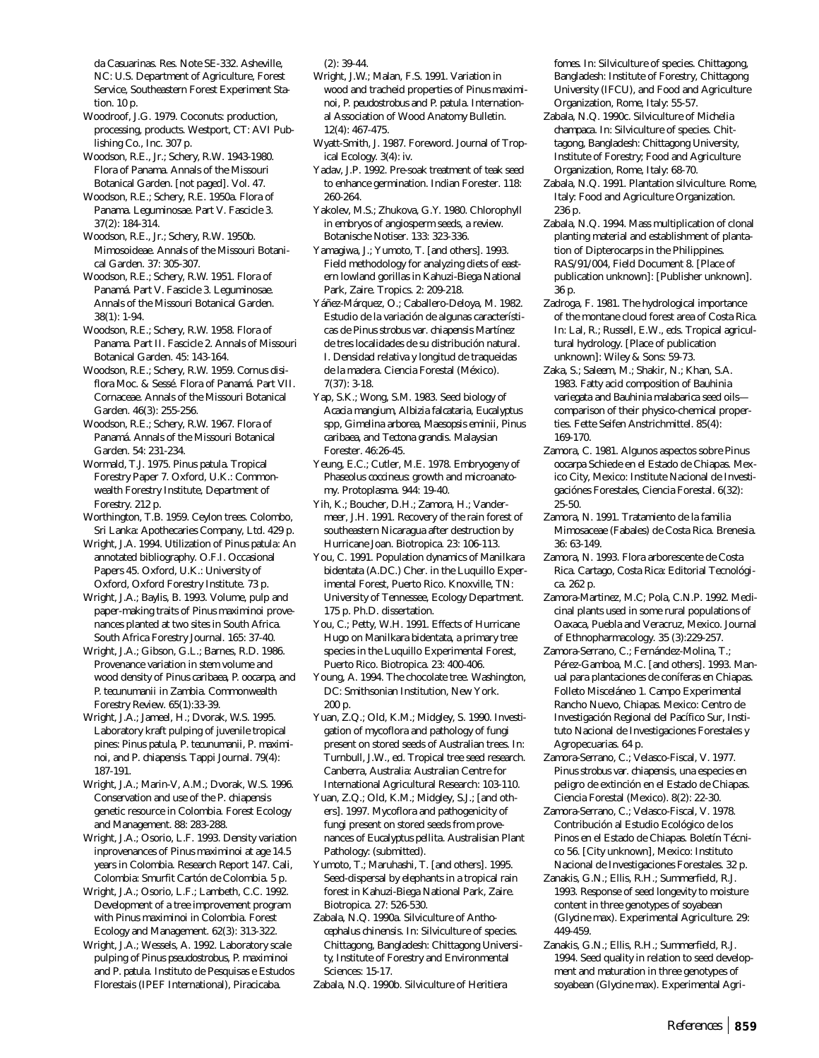da Casuarinas. Res. Note SE-332. Asheville, NC: U.S. Department of Agriculture, Forest Service, Southeastern Forest Experiment Station. 10 p.

Woodroof, J.G. 1979. Coconuts: production, processing, products. Westport, CT: AVI Publishing Co., Inc. 307 p.

Woodson, R.E., Jr.; Schery, R.W. 1943-1980. Flora of Panama. Annals of the Missouri Botanical Garden. [not paged]. Vol. 47.

Woodson, R.E.; Schery, R.E. 1950a. Flora of Panama. Leguminosae. Part V. Fascicle 3. 37(2): 184-314.

Woodson, R.E., Jr.; Schery, R.W. 1950b. Mimosoideae. Annals of the Missouri Botanical Garden. 37: 305-307.

Woodson, R.E.; Schery, R.W. 1951. Flora of Panamá. Part V. Fascicle 3. Leguminosae. Annals of the Missouri Botanical Garden. 38(1): 1-94.

Woodson, R.E.; Schery, R.W. 1958. Flora of Panama. Part II. Fascicle 2. Annals of Missouri Botanical Garden. 45: 143-164.

Woodson, R.E.; Schery, R.W. 1959. *Cornus disiflora* Moc. & Sessé. Flora of Panamá. Part VII. Cornaceae. Annals of the Missouri Botanical Garden. 46(3): 255-256.

Woodson, R.E.; Schery, R.W. 1967. Flora of Panamá. Annals of the Missouri Botanical Garden. 54: 231-234.

Wormald, T.J. 1975. *Pinus patula*. Tropical Forestry Paper 7. Oxford, U.K.: Commonwealth Forestry Institute, Department of Forestry. 212 p.

Worthington, T.B. 1959. Ceylon trees. Colombo, Sri Lanka: Apothecaries Company, Ltd. 429 p.

Wright, J.A. 1994. Utilization of *Pinus patula*: An annotated bibliography. O.F.I. Occasional Papers 45. Oxford, U.K.: University of Oxford, Oxford Forestry Institute. 73 p.

Wright, J.A.; Baylis, B. 1993. Volume, pulp and paper-making traits of *Pinus maximinoi* provenances planted at two sites in South Africa. South Africa Forestry Journal. 165: 37-40.

Wright, J.A.; Gibson, G.L.; Barnes, R.D. 1986. Provenance variation in stem volume and wood density of *Pinus caribaea*, *P. oocarpa*, and *P. tecunumanii* in Zambia. Commonwealth Forestry Review. 65(1):33-39.

Wright, J.A.; Jameel, H.; Dvorak, W.S. 1995. Laboratory kraft pulping of juvenile tropical pines: *Pinus patula*, *P. tecunumanii, P. maximinoi,* and *P. chiapensis.* Tappi Journal. 79(4): 187-191.

Wright, J.A.; Marin-V, A.M.; Dvorak, W.S. 1996. Conservation and use of the *P. chiapensis* genetic resource in Colombia. Forest Ecology and Management. 88: 283-288.

Wright, J.A.; Osorio, L.F. 1993. Density variation inprovenances of *Pinus maximinoi* at age 14.5 years in Colombia. Research Report 147. Cali, Colombia: Smurfit Cartón de Colombia. 5 p.

Wright, J.A.; Osorio, L.F.; Lambeth, C.C. 1992. Development of a tree improvement program with *Pinus maximinoi* in Colombia. Forest Ecology and Management. 62(3): 313-322.

Wright, J.A.; Wessels, A. 1992. Laboratory scale pulping of *Pinus pseudostrobus, P. maximinoi* and *P. patula*. Instituto de Pesquisas e Estudos Florestais (IPEF International), Piracicaba.

(2): 39-44.

Wright, J.W.; Malan, F.S. 1991. Variation in wood and tracheid properties of *Pinus maximinoi, P. peudostrobus* and *P. patula*. International Association of Wood Anatomy Bulletin. 12(4): 467-475.

Wyatt-Smith, J. 1987. Foreword. Journal of Tropical Ecology. 3(4): iv.

Yadav, J.P. 1992. Pre-soak treatment of teak seed to enhance germination. Indian Forester. 118: 260-264.

Yakolev, M.S.; Zhukova, G.Y. 1980. Chlorophyll in embryos of angiosperm seeds, a review. Botanische Notiser. 133: 323-336.

Yamagiwa, J.; Yumoto, T. [and others]. 1993. Field methodology for analyzing diets of eastern lowland gorillas in Kahuzi-Biega National Park, Zaire. Tropics. 2: 209-218.

Yáñez-Márquez, O.; Caballero-Deloya, M. 1982. Estudio de la variación de algunas características de *Pinus strobus* var. *chiapensis* Martínez de tres localidades de su distribución natural. I. Densidad relativa y longitud de traqueidas de la madera. Ciencia Forestal (México). 7(37): 3-18.

Yap, S.K.; Wong, S.M. 1983. Seed biology of *Acacia mangium, Albizia falcataria, Eucalyptus* spp, *Gimelina arborea, Maesopsis eminii, Pinus caribaea*, and *Tectona grandis*. Malaysian Forester. 46:26-45.

Yeung, E.C.; Cutler, M.E. 1978. Embryogeny of *Phaseolus coccineus*: growth and microanatomy. Protoplasma. 944: 19-40.

Yih, K.; Boucher, D.H.; Zamora, H.; Vandermeer, J.H. 1991. Recovery of the rain forest of southeastern Nicaragua after destruction by Hurricane Joan. Biotropica. 23: 106-113.

You, C. 1991. Population dynamics of *Manilkara bidentata* (A.DC.) Cher. in the Luquillo Experimental Forest, Puerto Rico. Knoxville, TN: University of Tennessee, Ecology Department. 175 p. Ph.D. dissertation.

You, C.; Petty, W.H. 1991. Effects of Hurricane Hugo on *Manilkara bidentata*, a primary tree species in the Luquillo Experimental Forest, Puerto Rico. Biotropica. 23: 400-406.

Young, A. 1994. The chocolate tree. Washington, DC: Smithsonian Institution, New York. 200 p.

Yuan, Z.Q.; Old, K.M.; Midgley, S. 1990. Investigation of mycoflora and pathology of fungi present on stored seeds of Australian trees. In: Turnbull, J.W., ed. Tropical tree seed research. Canberra, Australia: Australian Centre for International Agricultural Research: 103-110.

Yuan, Z.Q.; Old, K.M.; Midgley, S.J.; [and others]. 1997. Mycoflora and pathogenicity of fungi present on stored seeds from provenances of *Eucalyptus pellita*. Australisian Plant Pathology: (submitted).

Yumoto, T.; Maruhashi, T. [and others]. 1995. Seed-dispersal by elephants in a tropical rain forest in Kahuzi-Biega National Park, Zaire. Biotropica. 27: 526-530.

Zabala, N.Q. 1990a. Silviculture of *Anthocephalus chinensis*. In: Silviculture of species. Chittagong, Bangladesh: Chittagong University, Institute of Forestry and Environmental Sciences: 15-17.

Zabala, N.Q. 1990b. Silviculture of *Heritiera*

*fomes*. In: Silviculture of species. Chittagong, Bangladesh: Institute of Forestry, Chittagong University (IFCU), and Food and Agriculture Organization, Rome, Italy: 55-57.

- Zabala, N.Q. 1990c. Silviculture of *Michelia champaca*. In: Silviculture of species. Chittagong, Bangladesh: Chittagong University, Institute of Forestry; Food and Agriculture Organization, Rome, Italy: 68-70.
- Zabala, N.Q. 1991. Plantation silviculture. Rome, Italy: Food and Agriculture Organization. 236 p.

Zabala, N.Q. 1994. Mass multiplication of clonal planting material and establishment of plantation of Dipterocarps in the Philippines. RAS/91/004, Field Document 8. [Place of publication unknown]: [Publisher unknown]. 36 p.

Zadroga, F. 1981. The hydrological importance of the montane cloud forest area of Costa Rica. In: Lal, R.; Russell, E.W., eds. Tropical agricultural hydrology. [Place of publication unknown]: Wiley & Sons: 59-73.

Zaka, S.; Saleem, M.; Shakir, N.; Khan, S.A. 1983. Fatty acid composition of *Bauhinia variegata* and *Bauhinia malabarica* seed oils comparison of their physico-chemical properties. Fette Seifen Anstrichmittel. 85(4): 169-170.

Zamora, C. 1981. Algunos aspectos sobre *Pinus oocarpa* Schiede en el Estado de Chiapas. Mexico City, Mexico: Institute Nacional de Investigaciónes Forestales, Ciencia Forestal. 6(32): 25-50.

Zamora, N. 1991. Tratamiento de la familia Mimosaceae (Fabales) de Costa Rica. Brenesia. 36: 63-149.

Zamora, N. 1993. Flora arborescente de Costa Rica. Cartago, Costa Rica: Editorial Tecnológica. 262 p.

Zamora-Martinez, M.C; Pola, C.N.P. 1992. Medicinal plants used in some rural populations of Oaxaca, Puebla and Veracruz, Mexico. Journal of Ethnopharmacology. 35 (3):229-257.

Zamora-Serrano, C.; Fernández-Molina, T.; Pérez-Gamboa, M.C. [and others]. 1993. Manual para plantaciones de coníferas en Chiapas. Folleto Misceláneo 1. Campo Experimental Rancho Nuevo, Chiapas. Mexico: Centro de Investigación Regional del Pacífico Sur, Instituto Nacional de Investigaciones Forestales y Agropecuarias. 64 p.

Zamora-Serrano, C.; Velasco-Fiscal, V. 1977. *Pinus strobus* var. *chiapensis*, una especies en peligro de extinción en el Estado de Chiapas. Ciencia Forestal (Mexico). 8(2): 22-30.

Zamora-Serrano, C.; Velasco-Fiscal, V. 1978. Contribución al Estudio Ecológico de los Pinos en el Estado de Chiapas. Boletín Técnico 56. [City unknown], Mexico: Instituto Nacional de Investigaciones Forestales. 32 p.

Zanakis, G.N.; Ellis, R.H.; Summerfield, R.J. 1993. Response of seed longevity to moisture content in three genotypes of soyabean (*Glycine max*). Experimental Agriculture. 29: 449-459.

Zanakis, G.N.; Ellis, R.H.; Summerfield, R.J. 1994. Seed quality in relation to seed development and maturation in three genotypes of soyabean (*Glycine max*). Experimental Agri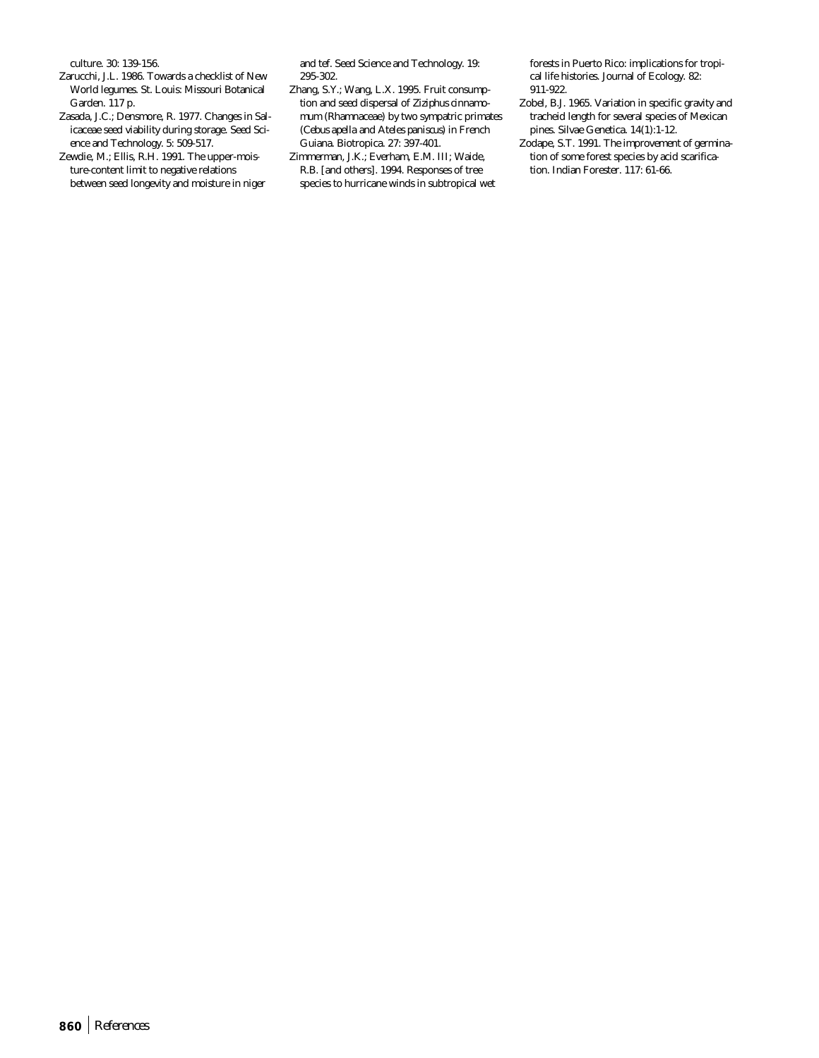culture. 30: 139-156.

- Zarucchi, J.L. 1986. Towards a checklist of New World legumes. St. Louis: Missouri Botanical Garden. 117 p.
- Zasada, J.C.; Densmore, R. 1977. Changes in Salicaceae seed viability during storage. Seed Science and Technology. 5: 509-517.
- Zewdie, M.; Ellis, R.H. 1991. The upper-moisture-content limit to negative relations between seed longevity and moisture in niger

and tef. Seed Science and Technology. 19: 295-302.

Zhang, S.Y.; Wang, L.X. 1995. Fruit consumption and seed dispersal of *Ziziphus cinnamomum* (Rhamnaceae) by two sympatric primates (*Cebus apella* and *Ateles paniscus*) in French Guiana. Biotropica. 27: 397-401.

Zimmerman, J.K.; Everham, E.M. III; Waide, R.B. [and others]. 1994. Responses of tree species to hurricane winds in subtropical wet forests in Puerto Rico: implications for tropical life histories. Journal of Ecology. 82: 911-922.

- Zobel, B.J. 1965. Variation in specific gravity and tracheid length for several species of Mexican pines. Silvae Genetica. 14(1):1-12.
- Zodape, S.T. 1991. The improvement of germination of some forest species by acid scarification. Indian Forester. 117: 61-66.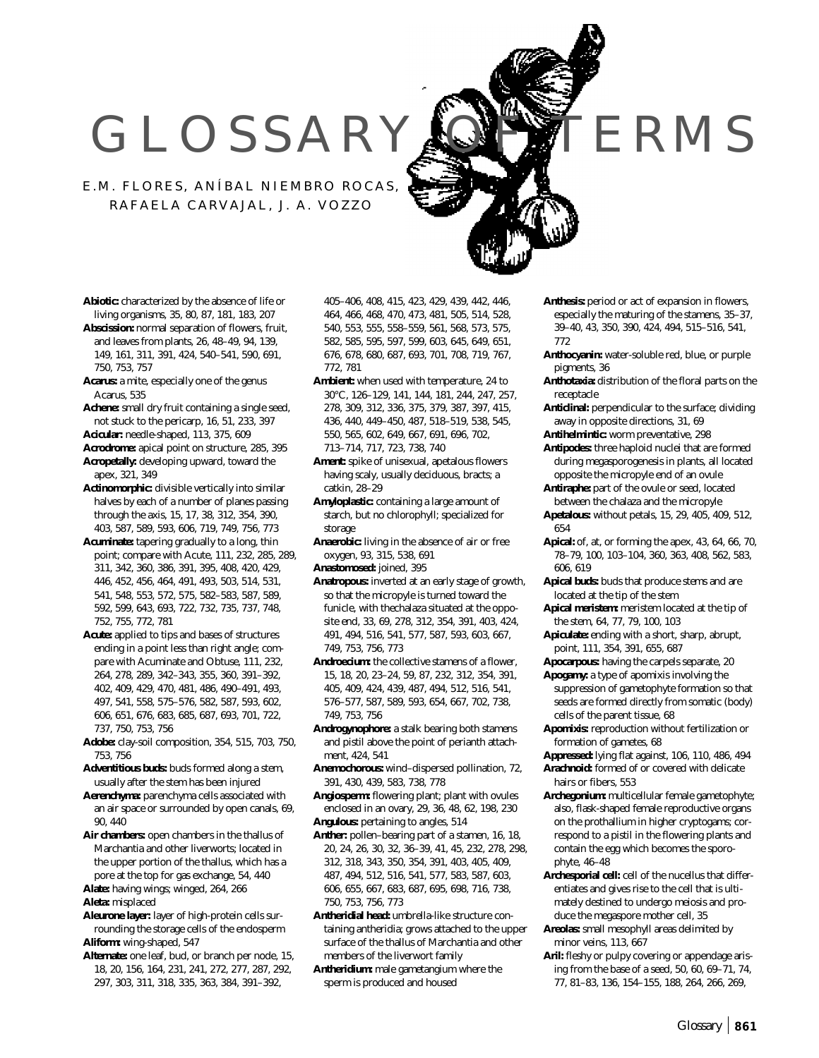## GLOSSARY OF TERMS

E.M. FLORES, ANÍBAL NIEMBRO ROCAS, RAFAELA CARVAJAL, J. A. VOZZO

- **Abiotic:** characterized by the absence of life or living organisms, 35, 80, 87, 181, 183, 207
- **Abscission:** normal separation of flowers, fruit, and leaves from plants, 26, 48–49, 94, 139, 149, 161, 311, 391, 424, 540–541, 590, 691, 750, 753, 757
- **Acarus:** a mite, especially one of the genus Acarus, 535
- **Achene:** small dry fruit containing a single seed, not stuck to the pericarp, 16, 51, 233, 397
- **Acicular:** needle-shaped, 113, 375, 609
- **Acrodrome:** apical point on structure, 285, 395 **Acropetally:** developing upward, toward the apex, 321, 349
- **Actinomorphic:** divisible vertically into similar halves by each of a number of planes passing through the axis, 15, 17, 38, 312, 354, 390, 403, 587, 589, 593, 606, 719, 749, 756, 773
- **Acuminate:** tapering gradually to a long, thin point; compare with Acute, 111, 232, 285, 289, 311, 342, 360, 386, 391, 395, 408, 420, 429, 446, 452, 456, 464, 491, 493, 503, 514, 531, 541, 548, 553, 572, 575, 582–583, 587, 589, 592, 599, 643, 693, 722, 732, 735, 737, 748, 752, 755, 772, 781
- **Acute:** applied to tips and bases of structures ending in a point less than right angle; compare with Acuminate and Obtuse, 111, 232, 264, 278, 289, 342–343, 355, 360, 391–392, 402, 409, 429, 470, 481, 486, 490–491, 493, 497, 541, 558, 575–576, 582, 587, 593, 602, 606, 651, 676, 683, 685, 687, 693, 701, 722, 737, 750, 753, 756
- **Adobe:** clay-soil composition, 354, 515, 703, 750, 753, 756
- **Adventitious buds:** buds formed along a stem, usually after the stem has been injured
- **Aerenchyma:** parenchyma cells associated with an air space or surrounded by open canals, 69, 90, 440
- **Air chambers:** open chambers in the thallus of Marchantia and other liverworts; located in the upper portion of the thallus, which has a pore at the top for gas exchange, 54, 440
- **Alate:** having wings; winged, 264, 266 **Aleta:** misplaced
- **Aleurone layer:** layer of high-protein cells surrounding the storage cells of the endosperm **Aliform:** wing-shaped, 547
- **Alternate:** one leaf, bud, or branch per node, 15, 18, 20, 156, 164, 231, 241, 272, 277, 287, 292, 297, 303, 311, 318, 335, 363, 384, 391–392,

405–406, 408, 415, 423, 429, 439, 442, 446, 464, 466, 468, 470, 473, 481, 505, 514, 528, 540, 553, 555, 558–559, 561, 568, 573, 575, 582, 585, 595, 597, 599, 603, 645, 649, 651, 676, 678, 680, 687, 693, 701, 708, 719, 767, 772, 781

- **Ambient:** when used with temperature, 24 to 30°C, 126–129, 141, 144, 181, 244, 247, 257, 278, 309, 312, 336, 375, 379, 387, 397, 415, 436, 440, 449–450, 487, 518–519, 538, 545, 550, 565, 602, 649, 667, 691, 696, 702, 713–714, 717, 723, 738, 740
- **Ament:** spike of unisexual, apetalous flowers having scaly, usually deciduous, bracts; a catkin, 28–29
- **Amyloplastic:** containing a large amount of starch, but no chlorophyll; specialized for storage
- **Anaerobic:** living in the absence of air or free oxygen, 93, 315, 538, 691
- **Anastomosed:** joined, 395
- **Anatropous:** inverted at an early stage of growth, so that the micropyle is turned toward the funicle, with thechalaza situated at the opposite end, 33, 69, 278, 312, 354, 391, 403, 424, 491, 494, 516, 541, 577, 587, 593, 603, 667, 749, 753, 756, 773
- **Androecium:** the collective stamens of a flower, 15, 18, 20, 23–24, 59, 87, 232, 312, 354, 391, 405, 409, 424, 439, 487, 494, 512, 516, 541, 576–577, 587, 589, 593, 654, 667, 702, 738, 749, 753, 756
- **Androgynophore:** a stalk bearing both stamens and pistil above the point of perianth attachment, 424, 541
- **Anemochorous:** wind–dispersed pollination, 72, 391, 430, 439, 583, 738, 778
- **Angiosperm:** flowering plant; plant with ovules enclosed in an ovary, 29, 36, 48, 62, 198, 230 **Angulous:** pertaining to angles, 514
- **Anther:** pollen–bearing part of a stamen, 16, 18, 20, 24, 26, 30, 32, 36–39, 41, 45, 232, 278, 298, 312, 318, 343, 350, 354, 391, 403, 405, 409, 487, 494, 512, 516, 541, 577, 583, 587, 603, 606, 655, 667, 683, 687, 695, 698, 716, 738, 750, 753, 756, 773
- **Antheridial head:** umbrella-like structure containing antheridia; grows attached to the upper surface of the thallus of Marchantia and other members of the liverwort family
- **Antheridium:** male gametangium where the sperm is produced and housed
- **Anthesis:** period or act of expansion in flowers, especially the maturing of the stamens, 35–37, 39–40, 43, 350, 390, 424, 494, 515–516, 541, 772
- **Anthocyanin:** water-soluble red, blue, or purple pigments, 36
- **Anthotaxia:** distribution of the floral parts on the receptacle
- **Anticlinal:** perpendicular to the surface; dividing away in opposite directions, 31, 69
- **Antihelmintic:** worm preventative, 298
- **Antipodes:** three haploid nuclei that are formed during megasporogenesis in plants, all located opposite the micropyle end of an ovule
- **Antiraphe:** part of the ovule or seed, located between the chalaza and the micropyle
- **Apetalous:** without petals, 15, 29, 405, 409, 512, 654
- **Apical:** of, at, or forming the apex, 43, 64, 66, 70, 78–79, 100, 103–104, 360, 363, 408, 562, 583, 606, 619
- **Apical buds:** buds that produce stems and are located at the tip of the stem
- **Apical meristem:** meristem located at the tip of the stem, 64, 77, 79, 100, 103
- **Apiculate:** ending with a short, sharp, abrupt, point, 111, 354, 391, 655, 687
- **Apocarpous:** having the carpels separate, 20
- **Apogamy:** a type of apomixis involving the suppression of gametophyte formation so that seeds are formed directly from somatic (body) cells of the parent tissue, 68
- **Apomixis:** reproduction without fertilization or formation of gametes, 68
- **Appressed:** lying flat against, 106, 110, 486, 494 **Arachnoid:** formed of or covered with delicate hairs or fibers, 553
- **Archegonium:** multicellular female gametophyte; also, flask-shaped female reproductive organs on the prothallium in higher cryptogams; correspond to a pistil in the flowering plants and contain the egg which becomes the sporophyte, 46–48
- **Archesporial cell:** cell of the nucellus that differentiates and gives rise to the cell that is ultimately destined to undergo meiosis and produce the megaspore mother cell, 35
- **Areolas:** small mesophyll areas delimited by minor veins, 113, 667
- **Aril:** fleshy or pulpy covering or appendage arising from the base of a seed, 50, 60, 69–71, 74, 77, 81–83, 136, 154–155, 188, 264, 266, 269,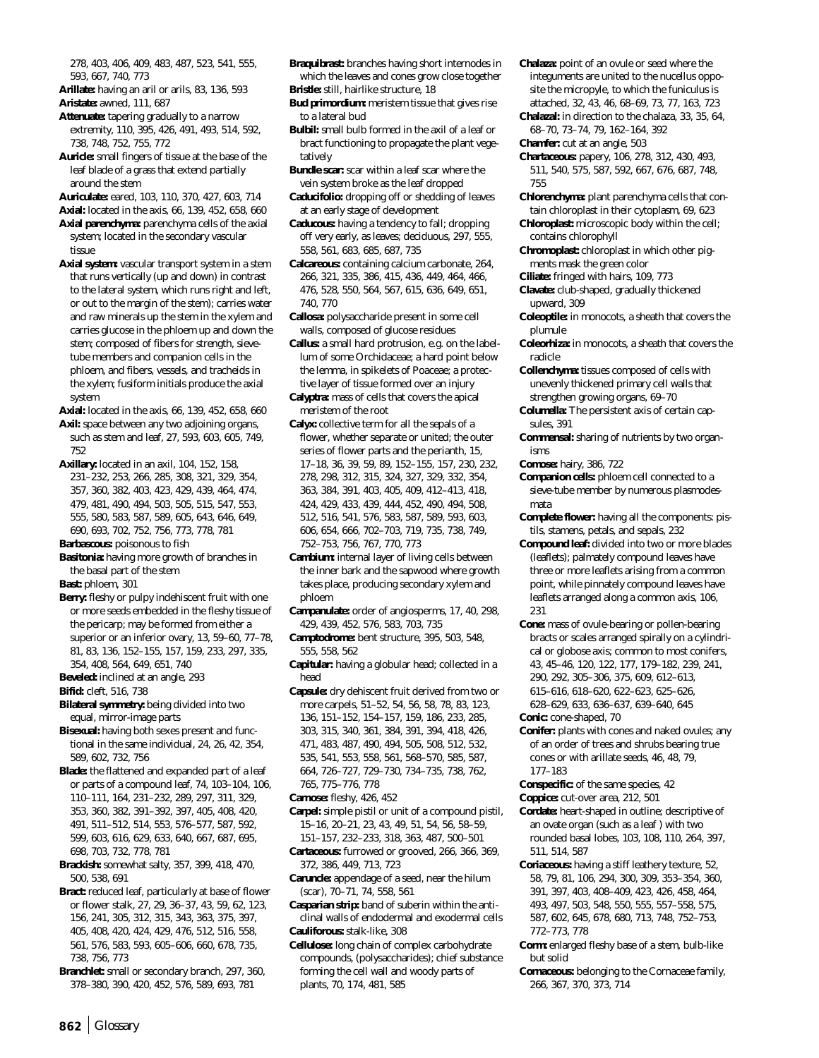278, 403, 406, 409, 483, 487, 523, 541, 555, 593, 667, 740, 773

- **Arillate:** having an aril or arils, 83, 136, 593
- **Aristate:** awned, 111, 687 **Attenuate:** tapering gradually to a narrow
- extremity, 110, 395, 426, 491, 493, 514, 592, 738, 748, 752, 755, 772
- **Auricle:** small fingers of tissue at the base of the leaf blade of a grass that extend partially around the stem
- **Auriculate:** eared, 103, 110, 370, 427, 603, 714
- **Axial:** located in the axis, 66, 139, 452, 658, 660
- **Axial parenchyma:** parenchyma cells of the axial system; located in the secondary vascular tissue
- **Axial system:** vascular transport system in a stem that runs vertically (up and down) in contrast to the lateral system, which runs right and left, or out to the margin of the stem); carries water and raw minerals up the stem in the xylem and carries glucose in the phloem up and down the stem; composed of fibers for strength, sievetube members and companion cells in the phloem, and fibers, vessels, and tracheids in the xylem; fusiform initials produce the axial system
- **Axial:** located in the axis, 66, 139, 452, 658, 660
- Axil: space between any two adjoining organs, such as stem and leaf, 27, 593, 603, 605, 749, 752

**Axillary:** located in an axil, 104, 152, 158, 231–232, 253, 266, 285, 308, 321, 329, 354, 357, 360, 382, 403, 423, 429, 439, 464, 474, 479, 481, 490, 494, 503, 505, 515, 547, 553, 555, 580, 583, 587, 589, 605, 643, 646, 649,

- 690, 693, 702, 752, 756, 773, 778, 781
- **Barbascous:** poisonous to fish
- **Basitonia:** having more growth of branches in the basal part of the stem
- **Bast:** phloem, 301
- **Berry:** fleshy or pulpy indehiscent fruit with one or more seeds embedded in the fleshy tissue of the pericarp; may be formed from either a superior or an inferior ovary, 13, 59–60, 77–78, 81, 83, 136, 152–155, 157, 159, 233, 297, 335, 354, 408, 564, 649, 651, 740
- **Beveled:** inclined at an angle, 293
- **Bifid:** cleft, 516, 738
- **Bilateral symmetry:** being divided into two equal, mirror-image parts
- **Bisexual:** having both sexes present and functional in the same individual, 24, 26, 42, 354, 589, 602, 732, 756
- **Blade:** the flattened and expanded part of a leaf or parts of a compound leaf, 74, 103–104, 106, 110–111, 164, 231–232, 289, 297, 311, 329, 353, 360, 382, 391–392, 397, 405, 408, 420, 491, 511–512, 514, 553, 576–577, 587, 592, 599, 603, 616, 629, 633, 640, 667, 687, 695, 698, 703, 732, 778, 781
- **Brackish:** somewhat salty, 357, 399, 418, 470, 500, 538, 691
- **Bract:** reduced leaf, particularly at base of flower or flower stalk, 27, 29, 36–37, 43, 59, 62, 123, 156, 241, 305, 312, 315, 343, 363, 375, 397, 405, 408, 420, 424, 429, 476, 512, 516, 558, 561, 576, 583, 593, 605–606, 660, 678, 735, 738, 756, 773
- **Branchlet:** small or secondary branch, 297, 360, 378–380, 390, 420, 452, 576, 589, 693, 781
- **Braquibrast:** branches having short internodes in which the leaves and cones grow close together
- **Bristle:** still, hairlike structure, 18
- **Bud primordium:** meristem tissue that gives rise to a lateral bud
- **Bulbil:** small bulb formed in the axil of a leaf or bract functioning to propagate the plant vegetatively
- **Bundle scar:** scar within a leaf scar where the vein system broke as the leaf dropped
- **Caducifolio:** dropping off or shedding of leaves at an early stage of development
- **Caducous:** having a tendency to fall; dropping off very early, as leaves; deciduous, 297, 555, 558, 561, 683, 685, 687, 735
- **Calcareous:** containing calcium carbonate, 264, 266, 321, 335, 386, 415, 436, 449, 464, 466, 476, 528, 550, 564, 567, 615, 636, 649, 651, 740, 770
- **Callosa:** polysaccharide present in some cell walls, composed of glucose residues
- **Callus:** a small hard protrusion, e.g. on the labellum of some Orchidaceae; a hard point below the lemma, in spikelets of Poaceae; a protective layer of tissue formed over an injury
- **Calyptra:** mass of cells that covers the apical meristem of the root
- **Calyx:** collective term for all the sepals of a flower, whether separate or united; the outer series of flower parts and the perianth, 15, 17–18, 36, 39, 59, 89, 152–155, 157, 230, 232, 278, 298, 312, 315, 324, 327, 329, 332, 354, 363, 384, 391, 403, 405, 409, 412–413, 418, 424, 429, 433, 439, 444, 452, 490, 494, 508, 512, 516, 541, 576, 583, 587, 589, 593, 603, 606, 654, 666, 702–703, 719, 735, 738, 749, 752–753, 756, 767, 770, 773
- **Cambium:** internal layer of living cells between the inner bark and the sapwood where growth takes place, producing secondary xylem and phloem
- **Campanulate:** order of angiosperms, 17, 40, 298, 429, 439, 452, 576, 583, 703, 735
- **Camptodrome:** bent structure, 395, 503, 548, 555, 558, 562
- **Capitular:** having a globular head; collected in a head
- **Capsule:** dry dehiscent fruit derived from two or more carpels, 51–52, 54, 56, 58, 78, 83, 123, 136, 151–152, 154–157, 159, 186, 233, 285, 303, 315, 340, 361, 384, 391, 394, 418, 426, 471, 483, 487, 490, 494, 505, 508, 512, 532, 535, 541, 553, 558, 561, 568–570, 585, 587, 664, 726–727, 729–730, 734–735, 738, 762,
- 765, 775–776, 778
- **Carnose:** fleshy, 426, 452
- **Carpel:** simple pistil or unit of a compound pistil, 15–16, 20–21, 23, 43, 49, 51, 54, 56, 58–59, 151–157, 232–233, 318, 363, 487, 500–501
- **Cartaceous:** furrowed or grooved, 266, 366, 369, 372, 386, 449, 713, 723
- **Caruncle:** appendage of a seed, near the hilum (scar), 70–71, 74, 558, 561
- **Casparian strip:** band of suberin within the anticlinal walls of endodermal and exodermal cells **Cauliforous:** stalk-like, 308
- **Cellulose:** long chain of complex carbohydrate compounds, (polysaccharides); chief substance forming the cell wall and woody parts of plants, 70, 174, 481, 585
- **Chalaza:** point of an ovule or seed where the integuments are united to the nucellus opposite the micropyle, to which the funiculus is attached, 32, 43, 46, 68–69, 73, 77, 163, 723
- **Chalazal:** in direction to the chalaza, 33, 35, 64, 68–70, 73–74, 79, 162–164, 392
- **Chamfer:** cut at an angle, 503
- **Chartaceous:** papery, 106, 278, 312, 430, 493, 511, 540, 575, 587, 592, 667, 676, 687, 748, 755
- **Chlorenchyma:** plant parenchyma cells that contain chloroplast in their cytoplasm, 69, 623
- **Chloroplast:** microscopic body within the cell; contains chlorophyll
- **Chromoplast:** chloroplast in which other pigments mask the green color
- **Ciliate:** fringed with hairs, 109, 773
- **Clavate:** club-shaped, gradually thickened upward, 309
- **Coleoptile:** in monocots, a sheath that covers the plumule
- **Coleorhiza:** in monocots, a sheath that covers the radicle
- **Collenchyma:** tissues composed of cells with unevenly thickened primary cell walls that strengthen growing organs, 69–70
- **Columella:** The persistent axis of certain capsules, 391
- **Commensal:** sharing of nutrients by two organisms
- **Comose:** hairy, 386, 722
- **Companion cells:** phloem cell connected to a sieve-tube member by numerous plasmodesmata
- **Complete flower:** having all the components: pistils, stamens, petals, and sepals, 232
- **Compound leaf:** divided into two or more blades (leaflets); palmately compound leaves have three or more leaflets arising from a common point, while pinnately compound leaves have leaflets arranged along a common axis, 106, 231
- **Cone:** mass of ovule-bearing or pollen-bearing bracts or scales arranged spirally on a cylindrical or globose axis; common to most conifers, 43, 45–46, 120, 122, 177, 179–182, 239, 241, 290, 292, 305–306, 375, 609, 612–613, 615–616, 618–620, 622–623, 625–626, 628–629, 633, 636–637, 639–640, 645

**Conic:** cone-shaped, 70

- **Conifer:** plants with cones and naked ovules; any of an order of trees and shrubs bearing true cones or with arillate seeds, 46, 48, 79, 177–183
- **Conspecific:** of the same species, 42
- **Coppice:** cut-over area, 212, 501
- **Cordate:** heart-shaped in outline; descriptive of an ovate organ (such as a leaf ) with two rounded basal lobes, 103, 108, 110, 264, 397, 511, 514, 587
- **Coriaceous:** having a stiff leathery texture, 52, 58, 79, 81, 106, 294, 300, 309, 353–354, 360, 391, 397, 403, 408–409, 423, 426, 458, 464, 493, 497, 503, 548, 550, 555, 557–558, 575, 587, 602, 645, 678, 680, 713, 748, 752–753, 772–773, 778
- **Corm:** enlarged fleshy base of a stem, bulb-like but solid
- **Cornaceous:** belonging to the Cornaceae family, 266, 367, 370, 373, 714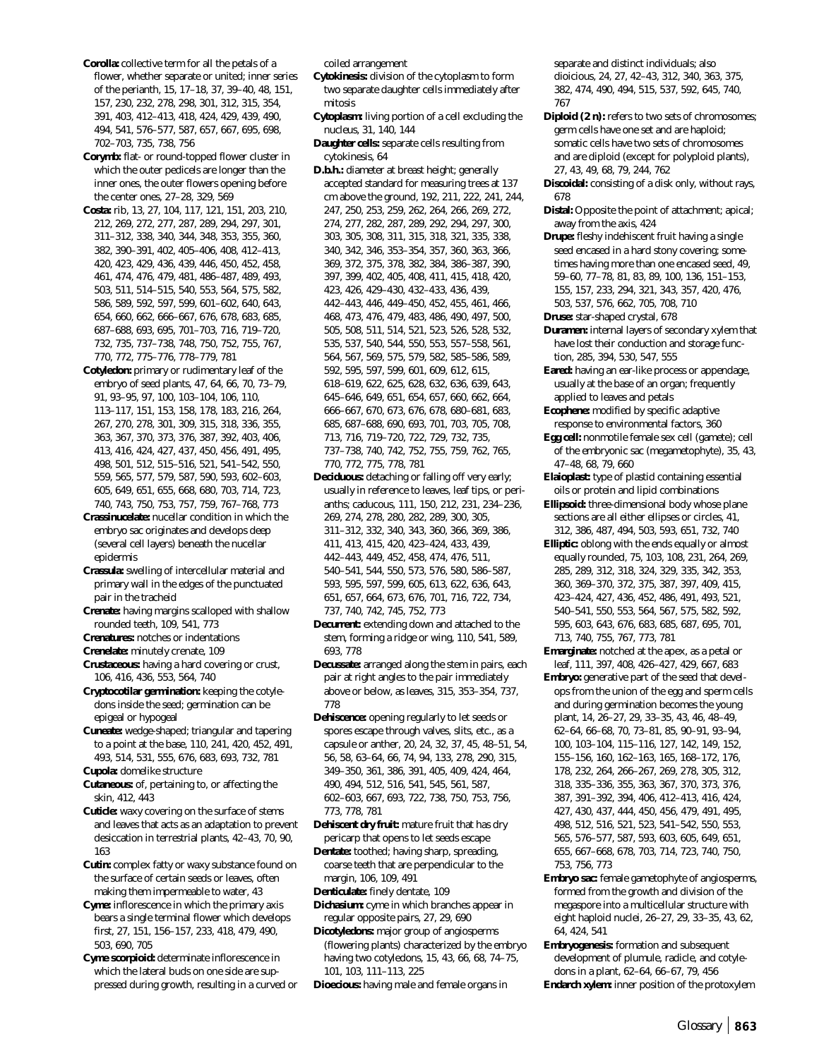**Corolla:** collective term for all the petals of a flower, whether separate or united; inner series of the perianth, 15, 17–18, 37, 39–40, 48, 151, 157, 230, 232, 278, 298, 301, 312, 315, 354, 391, 403, 412–413, 418, 424, 429, 439, 490, 494, 541, 576–577, 587, 657, 667, 695, 698, 702–703, 735, 738, 756

**Corymb:** flat- or round-topped flower cluster in which the outer pedicels are longer than the inner ones, the outer flowers opening before the center ones, 27–28, 329, 569

- **Costa:** rib, 13, 27, 104, 117, 121, 151, 203, 210, 212, 269, 272, 277, 287, 289, 294, 297, 301, 311–312, 338, 340, 344, 348, 353, 355, 360, 382, 390–391, 402, 405–406, 408, 412–413, 420, 423, 429, 436, 439, 446, 450, 452, 458, 461, 474, 476, 479, 481, 486–487, 489, 493, 503, 511, 514–515, 540, 553, 564, 575, 582, 586, 589, 592, 597, 599, 601–602, 640, 643, 654, 660, 662, 666–667, 676, 678, 683, 685, 687–688, 693, 695, 701–703, 716, 719–720, 732, 735, 737–738, 748, 750, 752, 755, 767, 770, 772, 775–776, 778–779, 781
- **Cotyledon:** primary or rudimentary leaf of the embryo of seed plants, 47, 64, 66, 70, 73–79, 91, 93–95, 97, 100, 103–104, 106, 110, 113–117, 151, 153, 158, 178, 183, 216, 264, 267, 270, 278, 301, 309, 315, 318, 336, 355, 363, 367, 370, 373, 376, 387, 392, 403, 406, 413, 416, 424, 427, 437, 450, 456, 491, 495, 498, 501, 512, 515–516, 521, 541–542, 550, 559, 565, 577, 579, 587, 590, 593, 602–603, 605, 649, 651, 655, 668, 680, 703, 714, 723, 740, 743, 750, 753, 757, 759, 767–768, 773
- **Crassinucelate:** nucellar condition in which the embryo sac originates and develops deep (several cell layers) beneath the nucellar epidermis
- **Crassula:** swelling of intercellular material and primary wall in the edges of the punctuated pair in the tracheid
- **Crenate:** having margins scalloped with shallow rounded teeth, 109, 541, 773

**Crenatures:** notches or indentations

**Crenelate:** minutely crenate, 109

- **Crustaceous:** having a hard covering or crust, 106, 416, 436, 553, 564, 740
- **Cryptocotilar germination:** keeping the cotyledons inside the seed; germination can be epigeal or hypogeal

**Cuneate:** wedge-shaped; triangular and tapering to a point at the base, 110, 241, 420, 452, 491, 493, 514, 531, 555, 676, 683, 693, 732, 781 **Cupola:** domelike structure

- **Cutaneous:** of, pertaining to, or affecting the skin, 412, 443
- **Cuticle:** waxy covering on the surface of stems and leaves that acts as an adaptation to prevent desiccation in terrestrial plants, 42–43, 70, 90, 163

**Cutin:** complex fatty or waxy substance found on the surface of certain seeds or leaves, often making them impermeable to water, 43

**Cyme:** inflorescence in which the primary axis bears a single terminal flower which develops first, 27, 151, 156–157, 233, 418, 479, 490, 503, 690, 705

**Cyme scorpioid:** determinate inflorescence in which the lateral buds on one side are suppressed during growth, resulting in a curved or coiled arrangement

- **Cytokinesis:** division of the cytoplasm to form two separate daughter cells immediately after mitosis
- **Cytoplasm:** living portion of a cell excluding the nucleus, 31, 140, 144
- **Daughter cells:** separate cells resulting from cytokinesis, 64

**D.b.h.:** diameter at breast height; generally accepted standard for measuring trees at 137 cm above the ground, 192, 211, 222, 241, 244, 247, 250, 253, 259, 262, 264, 266, 269, 272, 274, 277, 282, 287, 289, 292, 294, 297, 300, 303, 305, 308, 311, 315, 318, 321, 335, 338, 340, 342, 346, 353–354, 357, 360, 363, 366, 369, 372, 375, 378, 382, 384, 386–387, 390, 397, 399, 402, 405, 408, 411, 415, 418, 420, 423, 426, 429–430, 432–433, 436, 439, 442–443, 446, 449–450, 452, 455, 461, 466, 468, 473, 476, 479, 483, 486, 490, 497, 500, 505, 508, 511, 514, 521, 523, 526, 528, 532, 535, 537, 540, 544, 550, 553, 557–558, 561, 564, 567, 569, 575, 579, 582, 585–586, 589, 592, 595, 597, 599, 601, 609, 612, 615, 618–619, 622, 625, 628, 632, 636, 639, 643, 645–646, 649, 651, 654, 657, 660, 662, 664, 666–667, 670, 673, 676, 678, 680–681, 683, 685, 687–688, 690, 693, 701, 703, 705, 708, 713, 716, 719–720, 722, 729, 732, 735, 737–738, 740, 742, 752, 755, 759, 762, 765, 770, 772, 775, 778, 781

**Deciduous:** detaching or falling off very early; usually in reference to leaves, leaf tips, or perianths; caducous, 111, 150, 212, 231, 234–236, 269, 274, 278, 280, 282, 289, 300, 305, 311–312, 332, 340, 343, 360, 366, 369, 386, 411, 413, 415, 420, 423–424, 433, 439, 442–443, 449, 452, 458, 474, 476, 511, 540–541, 544, 550, 573, 576, 580, 586–587, 593, 595, 597, 599, 605, 613, 622, 636, 643, 651, 657, 664, 673, 676, 701, 716, 722, 734, 737, 740, 742, 745, 752, 773

**Decurrent:** extending down and attached to the stem, forming a ridge or wing, 110, 541, 589, 693, 778

**Decussate:** arranged along the stem in pairs, each pair at right angles to the pair immediately above or below, as leaves, 315, 353–354, 737, 778

**Dehiscence:** opening regularly to let seeds or spores escape through valves, slits, etc., as a capsule or anther, 20, 24, 32, 37, 45, 48–51, 54, 56, 58, 63–64, 66, 74, 94, 133, 278, 290, 315, 349–350, 361, 386, 391, 405, 409, 424, 464, 490, 494, 512, 516, 541, 545, 561, 587, 602–603, 667, 693, 722, 738, 750, 753, 756, 773, 778, 781

**Dehiscent dry fruit:** mature fruit that has dry pericarp that opens to let seeds escape

**Dentate:** toothed; having sharp, spreading, coarse teeth that are perpendicular to the margin, 106, 109, 491

**Denticulate:** finely dentate, 109

**Dichasium:** cyme in which branches appear in regular opposite pairs, 27, 29, 690

**Dicotyledons:** major group of angiosperms (flowering plants) characterized by the embryo having two cotyledons, 15, 43, 66, 68, 74–75, 101, 103, 111–113, 225

**Dioecious:** having male and female organs in

separate and distinct individuals; also dioicious, 24, 27, 42–43, 312, 340, 363, 375, 382, 474, 490, 494, 515, 537, 592, 645, 740, 767

**Diploid (2 n):** refers to two sets of chromosomes; germ cells have one set and are haploid; somatic cells have two sets of chromosomes and are diploid (except for polyploid plants), 27, 43, 49, 68, 79, 244, 762

**Discoidal:** consisting of a disk only, without rays, 678

**Distal:** Opposite the point of attachment; apical; away from the axis, 424

**Drupe:** fleshy indehiscent fruit having a single seed encased in a hard stony covering; sometimes having more than one encased seed, 49, 59–60, 77–78, 81, 83, 89, 100, 136, 151–153, 155, 157, 233, 294, 321, 343, 357, 420, 476, 503, 537, 576, 662, 705, 708, 710

**Druse:** star-shaped crystal, 678

- **Duramen:** internal layers of secondary xylem that have lost their conduction and storage function, 285, 394, 530, 547, 555
- **Eared:** having an ear-like process or appendage, usually at the base of an organ; frequently applied to leaves and petals
- **Ecophene:** modified by specific adaptive response to environmental factors, 360

**Egg cell:** nonmotile female sex cell (gamete); cell of the embryonic sac (megametophyte), 35, 43, 47–48, 68, 79, 660

**Elaioplast:** type of plastid containing essential oils or protein and lipid combinations

- **Ellipsoid:** three-dimensional body whose plane sections are all either ellipses or circles, 41, 312, 386, 487, 494, 503, 593, 651, 732, 740
- **Elliptic:** oblong with the ends equally or almost equally rounded, 75, 103, 108, 231, 264, 269, 285, 289, 312, 318, 324, 329, 335, 342, 353, 360, 369–370, 372, 375, 387, 397, 409, 415, 423–424, 427, 436, 452, 486, 491, 493, 521, 540–541, 550, 553, 564, 567, 575, 582, 592, 595, 603, 643, 676, 683, 685, 687, 695, 701, 713, 740, 755, 767, 773, 781

**Emarginate:** notched at the apex, as a petal or leaf, 111, 397, 408, 426–427, 429, 667, 683

- **Embryo:** generative part of the seed that develops from the union of the egg and sperm cells and during germination becomes the young plant, 14, 26–27, 29, 33–35, 43, 46, 48–49, 62–64, 66–68, 70, 73–81, 85, 90–91, 93–94, 100, 103–104, 115–116, 127, 142, 149, 152, 155–156, 160, 162–163, 165, 168–172, 176, 178, 232, 264, 266–267, 269, 278, 305, 312, 318, 335–336, 355, 363, 367, 370, 373, 376, 387, 391–392, 394, 406, 412–413, 416, 424, 427, 430, 437, 444, 450, 456, 479, 491, 495, 498, 512, 516, 521, 523, 541–542, 550, 553, 565, 576–577, 587, 593, 603, 605, 649, 651, 655, 667–668, 678, 703, 714, 723, 740, 750, 753, 756, 773
- **Embryo sac:** female gametophyte of angiosperms, formed from the growth and division of the megaspore into a multicellular structure with eight haploid nuclei, 26–27, 29, 33–35, 43, 62, 64, 424, 541
- **Embryogenesis:** formation and subsequent development of plumule, radicle, and cotyledons in a plant, 62–64, 66–67, 79, 456

**Endarch xylem:** inner position of the protoxylem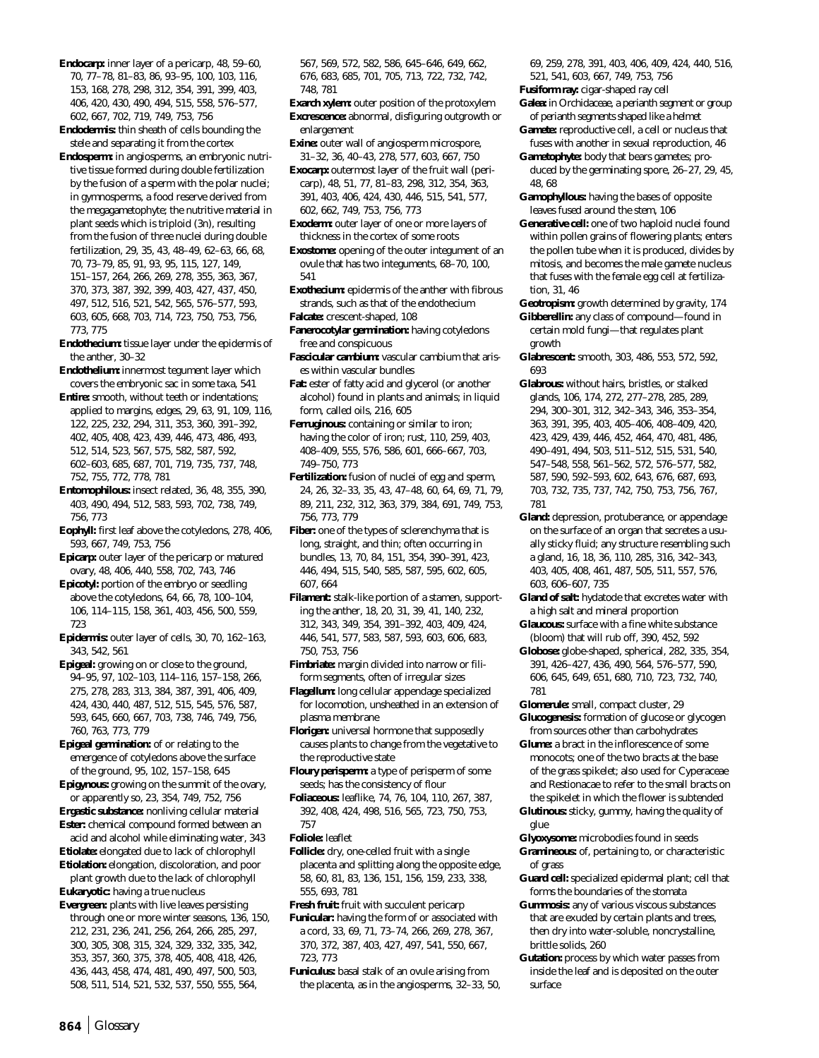- **Endocarp:** inner layer of a pericarp, 48, 59–60, 70, 77–78, 81–83, 86, 93–95, 100, 103, 116, 153, 168, 278, 298, 312, 354, 391, 399, 403, 406, 420, 430, 490, 494, 515, 558, 576–577, 602, 667, 702, 719, 749, 753, 756
- **Endodermis:** thin sheath of cells bounding the stele and separating it from the cortex

**Endosperm:** in angiosperms, an embryonic nutritive tissue formed during double fertilization by the fusion of a sperm with the polar nuclei; in gymnosperms, a food reserve derived from the megagametophyte; the nutritive material in plant seeds which is triploid (3n), resulting from the fusion of three nuclei during double fertilization, 29, 35, 43, 48–49, 62–63, 66, 68, 70, 73–79, 85, 91, 93, 95, 115, 127, 149, 151–157, 264, 266, 269, 278, 355, 363, 367, 370, 373, 387, 392, 399, 403, 427, 437, 450, 497, 512, 516, 521, 542, 565, 576–577, 593, 603, 605, 668, 703, 714, 723, 750, 753, 756, 773, 775

**Endothecium:** tissue layer under the epidermis of the anther, 30–32

**Endothelium:** innermost tegument layer which covers the embryonic sac in some taxa, 541

**Entire:** smooth, without teeth or indentations; applied to margins, edges, 29, 63, 91, 109, 116, 122, 225, 232, 294, 311, 353, 360, 391–392, 402, 405, 408, 423, 439, 446, 473, 486, 493, 512, 514, 523, 567, 575, 582, 587, 592, 602–603, 685, 687, 701, 719, 735, 737, 748, 752, 755, 772, 778, 781

**Entomophilous:** insect related, 36, 48, 355, 390, 403, 490, 494, 512, 583, 593, 702, 738, 749, 756, 773

**Eophyll:** first leaf above the cotyledons, 278, 406, 593, 667, 749, 753, 756

**Epicarp:** outer layer of the pericarp or matured ovary, 48, 406, 440, 558, 702, 743, 746

**Epicotyl:** portion of the embryo or seedling above the cotyledons, 64, 66, 78, 100–104, 106, 114–115, 158, 361, 403, 456, 500, 559, 723

**Epidermis:** outer layer of cells, 30, 70, 162–163, 343, 542, 561

**Epigeal:** growing on or close to the ground, 94–95, 97, 102–103, 114–116, 157–158, 266, 275, 278, 283, 313, 384, 387, 391, 406, 409, 424, 430, 440, 487, 512, 515, 545, 576, 587, 593, 645, 660, 667, 703, 738, 746, 749, 756, 760, 763, 773, 779

**Epigeal germination:** of or relating to the emergence of cotyledons above the surface of the ground, 95, 102, 157–158, 645

**Epigynous:** growing on the summit of the ovary, or apparently so, 23, 354, 749, 752, 756

**Ergastic substance:** nonliving cellular material **Ester:** chemical compound formed between an acid and alcohol while eliminating water, 343

**Etiolate:** elongated due to lack of chlorophyll

**Etiolation:** elongation, discoloration, and poor plant growth due to the lack of chlorophyll **Eukaryotic:** having a true nucleus

**Evergreen:** plants with live leaves persisting through one or more winter seasons, 136, 150, 212, 231, 236, 241, 256, 264, 266, 285, 297, 300, 305, 308, 315, 324, 329, 332, 335, 342, 353, 357, 360, 375, 378, 405, 408, 418, 426, 436, 443, 458, 474, 481, 490, 497, 500, 503, 508, 511, 514, 521, 532, 537, 550, 555, 564,

567, 569, 572, 582, 586, 645–646, 649, 662, 676, 683, 685, 701, 705, 713, 722, 732, 742, 748, 781

**Exarch xylem:** outer position of the protoxylem **Excrescence:** abnormal, disfiguring outgrowth or enlargement

**Exine:** outer wall of angiosperm microspore, 31–32, 36, 40–43, 278, 577, 603, 667, 750

**Exocarp:** outermost layer of the fruit wall (pericarp), 48, 51, 77, 81–83, 298, 312, 354, 363, 391, 403, 406, 424, 430, 446, 515, 541, 577, 602, 662, 749, 753, 756, 773

**Exoderm:** outer layer of one or more layers of thickness in the cortex of some roots

**Exostome:** opening of the outer integument of an ovule that has two integuments, 68–70, 100, 541

- **Exothecium:** epidermis of the anther with fibrous strands, such as that of the endothecium
- **Falcate:** crescent-shaped, 108

**Fanerocotylar germination:** having cotyledons free and conspicuous

**Fascicular cambium:** vascular cambium that arises within vascular bundles

**Fat:** ester of fatty acid and glycerol (or another alcohol) found in plants and animals; in liquid form, called oils, 216, 605

**Ferruginous:** containing or similar to iron; having the color of iron; rust, 110, 259, 403, 408–409, 555, 576, 586, 601, 666–667, 703, 749–750, 773

**Fertilization:** fusion of nuclei of egg and sperm, 24, 26, 32–33, 35, 43, 47–48, 60, 64, 69, 71, 79, 89, 211, 232, 312, 363, 379, 384, 691, 749, 753, 756, 773, 779

**Fiber:** one of the types of sclerenchyma that is long, straight, and thin; often occurring in bundles, 13, 70, 84, 151, 354, 390–391, 423, 446, 494, 515, 540, 585, 587, 595, 602, 605, 607, 664

**Filament:** stalk-like portion of a stamen, supporting the anther, 18, 20, 31, 39, 41, 140, 232, 312, 343, 349, 354, 391–392, 403, 409, 424, 446, 541, 577, 583, 587, 593, 603, 606, 683, 750, 753, 756

**Fimbriate:** margin divided into narrow or filiform segments, often of irregular sizes

**Flagellum:** long cellular appendage specialized for locomotion, unsheathed in an extension of plasma membrane

**Florigen:** universal hormone that supposedly causes plants to change from the vegetative to the reproductive state

**Floury perisperm:** a type of perisperm of some seeds; has the consistency of flour

- **Foliaceous:** leaflike, 74, 76, 104, 110, 267, 387, 392, 408, 424, 498, 516, 565, 723, 750, 753, 757
- **Foliole:** leaflet
- **Follicle:** dry, one-celled fruit with a single placenta and splitting along the opposite edge, 58, 60, 81, 83, 136, 151, 156, 159, 233, 338, 555, 693, 781

**Fresh fruit:** fruit with succulent pericarp

**Funicular:** having the form of or associated with a cord, 33, 69, 71, 73–74, 266, 269, 278, 367, 370, 372, 387, 403, 427, 497, 541, 550, 667, 723, 773

**Funiculus:** basal stalk of an ovule arising from the placenta, as in the angiosperms, 32–33, 50, 69, 259, 278, 391, 403, 406, 409, 424, 440, 516, 521, 541, 603, 667, 749, 753, 756

**Fusiform ray:** cigar-shaped ray cell

**Galea:** in Orchidaceae, a perianth segment or group of perianth segments shaped like a helmet

**Gamete:** reproductive cell, a cell or nucleus that fuses with another in sexual reproduction, 46

**Gametophyte:** body that bears gametes; produced by the germinating spore, 26–27, 29, 45, 48, 68

- **Gamophyllous:** having the bases of opposite leaves fused around the stem, 106
- **Generative cell:** one of two haploid nuclei found within pollen grains of flowering plants; enters the pollen tube when it is produced, divides by mitosis, and becomes the male gamete nucleus that fuses with the female egg cell at fertilization, 31, 46

**Geotropism:** growth determined by gravity, 174 **Gibberellin:** any class of compound—found in certain mold fungi—that regulates plant growth

**Glabrescent:** smooth, 303, 486, 553, 572, 592, 693

- **Glabrous:** without hairs, bristles, or stalked glands, 106, 174, 272, 277–278, 285, 289, 294, 300–301, 312, 342–343, 346, 353–354, 363, 391, 395, 403, 405–406, 408–409, 420, 423, 429, 439, 446, 452, 464, 470, 481, 486, 490–491, 494, 503, 511–512, 515, 531, 540, 547–548, 558, 561–562, 572, 576–577, 582, 587, 590, 592–593, 602, 643, 676, 687, 693, 703, 732, 735, 737, 742, 750, 753, 756, 767, 781
- **Gland:** depression, protuberance, or appendage on the surface of an organ that secretes a usually sticky fluid; any structure resembling such a gland, 16, 18, 36, 110, 285, 316, 342–343, 403, 405, 408, 461, 487, 505, 511, 557, 576, 603, 606–607, 735
- **Gland of salt:** hydatode that excretes water with a high salt and mineral proportion
- **Glaucous:** surface with a fine white substance (bloom) that will rub off, 390, 452, 592
- **Globose:** globe-shaped, spherical, 282, 335, 354, 391, 426–427, 436, 490, 564, 576–577, 590, 606, 645, 649, 651, 680, 710, 723, 732, 740, 781

**Glomerule:** small, compact cluster, 29 **Glucogenesis:** formation of glucose or glycogen from sources other than carbohydrates

**Glume:** a bract in the inflorescence of some monocots; one of the two bracts at the base of the grass spikelet; also used for Cyperaceae and Restionacae to refer to the small bracts on the spikelet in which the flower is subtended

**Glutinous:** sticky, gummy, having the quality of glue

- **Glyoxysome:** microbodies found in seeds **Gramineous:** of, pertaining to, or characteristic of grass
- **Guard cell:** specialized epidermal plant; cell that forms the boundaries of the stomata
- **Gummosis:** any of various viscous substances that are exuded by certain plants and trees, then dry into water-soluble, noncrystalline, brittle solids, 260
- **Gutation:** process by which water passes from inside the leaf and is deposited on the outer surface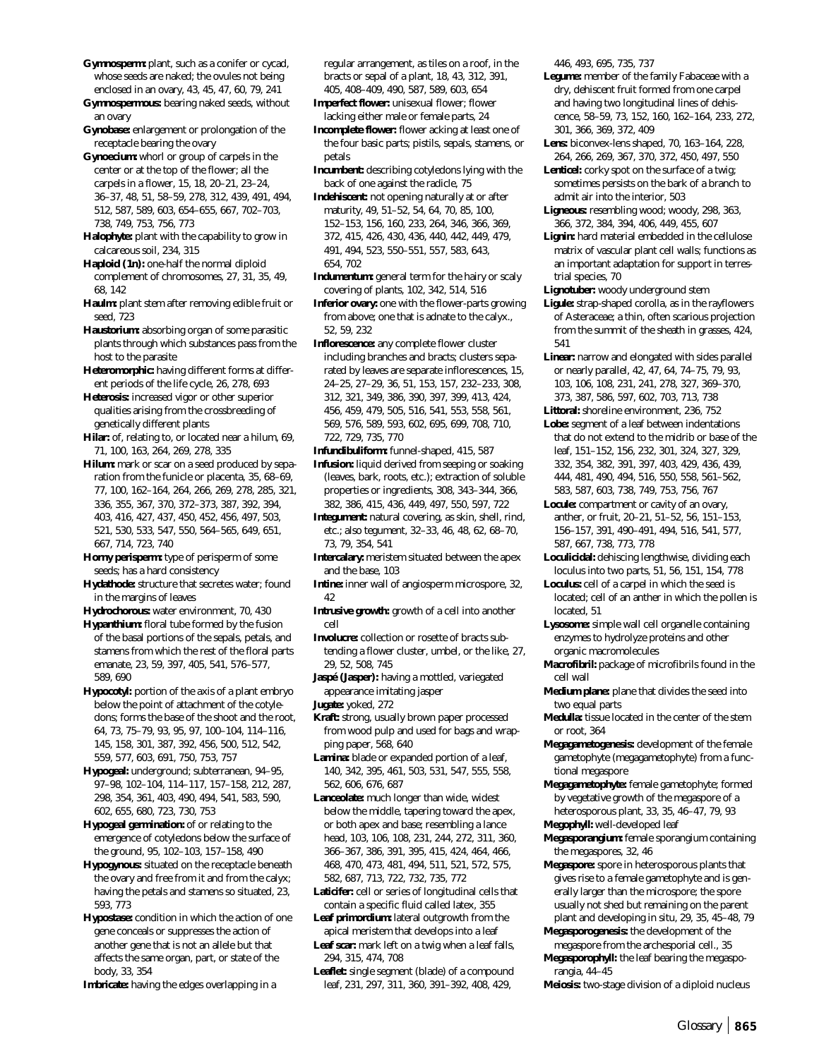- **Gymnosperm:** plant, such as a conifer or cycad, whose seeds are naked; the ovules not being enclosed in an ovary, 43, 45, 47, 60, 79, 241
- **Gymnospermous:** bearing naked seeds, without an ovary
- **Gynobase:** enlargement or prolongation of the receptacle bearing the ovary
- **Gynoecium:** whorl or group of carpels in the center or at the top of the flower; all the carpels in a flower, 15, 18, 20–21, 23–24, 36–37, 48, 51, 58–59, 278, 312, 439, 491, 494, 512, 587, 589, 603, 654–655, 667, 702–703, 738, 749, 753, 756, 773
- **Halophyte:** plant with the capability to grow in calcareous soil, 234, 315
- **Haploid (1n):** one-half the normal diploid complement of chromosomes, 27, 31, 35, 49, 68, 142
- **Haulm:** plant stem after removing edible fruit or seed, 723
- **Haustorium:** absorbing organ of some parasitic plants through which substances pass from the host to the parasite
- **Heteromorphic:** having different forms at different periods of the life cycle, 26, 278, 693
- **Heterosis:** increased vigor or other superior qualities arising from the crossbreeding of genetically different plants
- **Hilar:** of, relating to, or located near a hilum, 69, 71, 100, 163, 264, 269, 278, 335
- **Hilum:** mark or scar on a seed produced by separation from the funicle or placenta, 35, 68–69, 77, 100, 162–164, 264, 266, 269, 278, 285, 321, 336, 355, 367, 370, 372–373, 387, 392, 394, 403, 416, 427, 437, 450, 452, 456, 497, 503, 521, 530, 533, 547, 550, 564–565, 649, 651, 667, 714, 723, 740
- **Horny perisperm:** type of perisperm of some seeds; has a hard consistency
- **Hydathode:** structure that secretes water; found in the margins of leaves
- **Hydrochorous:** water environment, 70, 430
- **Hypanthium:** floral tube formed by the fusion of the basal portions of the sepals, petals, and stamens from which the rest of the floral parts emanate, 23, 59, 397, 405, 541, 576–577, 589, 690
- **Hypocotyl:** portion of the axis of a plant embryo below the point of attachment of the cotyledons; forms the base of the shoot and the root, 64, 73, 75–79, 93, 95, 97, 100–104, 114–116, 145, 158, 301, 387, 392, 456, 500, 512, 542, 559, 577, 603, 691, 750, 753, 757
- **Hypogeal:** underground; subterranean, 94–95, 97–98, 102–104, 114–117, 157–158, 212, 287, 298, 354, 361, 403, 490, 494, 541, 583, 590, 602, 655, 680, 723, 730, 753
- **Hypogeal germination:** of or relating to the emergence of cotyledons below the surface of the ground, 95, 102–103, 157–158, 490
- **Hypogynous:** situated on the receptacle beneath the ovary and free from it and from the calyx; having the petals and stamens so situated, 23, 593, 773
- **Hypostase:** condition in which the action of one gene conceals or suppresses the action of another gene that is not an allele but that affects the same organ, part, or state of the body, 33, 354
- **Imbricate:** having the edges overlapping in a

regular arrangement, as tiles on a roof, in the bracts or sepal of a plant, 18, 43, 312, 391, 405, 408–409, 490, 587, 589, 603, 654

- **Imperfect flower:** unisexual flower; flower lacking either male or female parts, 24
- **Incomplete flower:** flower acking at least one of the four basic parts; pistils, sepals, stamens, or petals
- **Incumbent:** describing cotyledons lying with the back of one against the radicle, 75
- **Indehiscent:** not opening naturally at or after maturity, 49, 51–52, 54, 64, 70, 85, 100, 152–153, 156, 160, 233, 264, 346, 366, 369, 372, 415, 426, 430, 436, 440, 442, 449, 479, 491, 494, 523, 550–551, 557, 583, 643, 654, 702
- **Indumentum:** general term for the hairy or scaly covering of plants, 102, 342, 514, 516
- **Inferior ovary:** one with the flower-parts growing from above; one that is adnate to the calyx., 52, 59, 232
- **Inflorescence:** any complete flower cluster including branches and bracts; clusters separated by leaves are separate inflorescences, 15, 24–25, 27–29, 36, 51, 153, 157, 232–233, 308, 312, 321, 349, 386, 390, 397, 399, 413, 424, 456, 459, 479, 505, 516, 541, 553, 558, 561, 569, 576, 589, 593, 602, 695, 699, 708, 710, 722, 729, 735, 770
- **Infundibuliform:** funnel-shaped, 415, 587
- **Infusion:** liquid derived from seeping or soaking (leaves, bark, roots, etc.); extraction of soluble properties or ingredients, 308, 343–344, 366, 382, 386, 415, 436, 449, 497, 550, 597, 722
- **Integument:** natural covering, as skin, shell, rind, etc.; also tegument, 32–33, 46, 48, 62, 68–70, 73, 79, 354, 541
- **Intercalary:** meristem situated between the apex and the base, 103
- **Intine:** inner wall of angiosperm microspore, 32, 42
- **Intrusive growth:** growth of a cell into another cell
- **Involucre:** collection or rosette of bracts subtending a flower cluster, umbel, or the like, 27, 29, 52, 508, 745
- **Jaspé (Jasper):** having a mottled, variegated appearance imitating jasper
- **Jugate:** yoked, 272
- **Kraft:** strong, usually brown paper processed from wood pulp and used for bags and wrapping paper, 568, 640
- **Lamina:** blade or expanded portion of a leaf, 140, 342, 395, 461, 503, 531, 547, 555, 558, 562, 606, 676, 687
- **Lanceolate:** much longer than wide, widest below the middle, tapering toward the apex, or both apex and base; resembling a lance head, 103, 106, 108, 231, 244, 272, 311, 360, 366–367, 386, 391, 395, 415, 424, 464, 466, 468, 470, 473, 481, 494, 511, 521, 572, 575, 582, 687, 713, 722, 732, 735, 772
- **Laticifer:** cell or series of longitudinal cells that contain a specific fluid called latex, 355
- **Leaf primordium:** lateral outgrowth from the apical meristem that develops into a leaf
- **Leaf scar:** mark left on a twig when a leaf falls, 294, 315, 474, 708
- **Leaflet:** single segment (blade) of a compound leaf, 231, 297, 311, 360, 391–392, 408, 429,

446, 493, 695, 735, 737

- **Legume:** member of the family Fabaceae with a dry, dehiscent fruit formed from one carpel and having two longitudinal lines of dehiscence, 58–59, 73, 152, 160, 162–164, 233, 272, 301, 366, 369, 372, 409
- **Lens:** biconvex-lens shaped, 70, 163–164, 228, 264, 266, 269, 367, 370, 372, 450, 497, 550
- Lenticel: corky spot on the surface of a twig; sometimes persists on the bark of a branch to admit air into the interior, 503
- **Ligneous:** resembling wood; woody, 298, 363, 366, 372, 384, 394, 406, 449, 455, 607
- **Lignin:** hard material embedded in the cellulose matrix of vascular plant cell walls; functions as an important adaptation for support in terrestrial species, 70
- **Lignotuber:** woody underground stem
- **Ligule:** strap-shaped corolla, as in the rayflowers of Asteraceae; a thin, often scarious projection from the summit of the sheath in grasses, 424, 541
- **Linear:** narrow and elongated with sides parallel or nearly parallel, 42, 47, 64, 74–75, 79, 93, 103, 106, 108, 231, 241, 278, 327, 369–370, 373, 387, 586, 597, 602, 703, 713, 738
- **Littoral:** shoreline environment, 236, 752
- **Lobe:** segment of a leaf between indentations that do not extend to the midrib or base of the leaf, 151–152, 156, 232, 301, 324, 327, 329, 332, 354, 382, 391, 397, 403, 429, 436, 439, 444, 481, 490, 494, 516, 550, 558, 561–562, 583, 587, 603, 738, 749, 753, 756, 767
- **Locule:** compartment or cavity of an ovary, anther, or fruit, 20–21, 51–52, 56, 151–153, 156–157, 391, 490–491, 494, 516, 541, 577, 587, 667, 738, 773, 778
- **Loculicidal:** dehiscing lengthwise, dividing each loculus into two parts, 51, 56, 151, 154, 778
- **Loculus:** cell of a carpel in which the seed is located; cell of an anther in which the pollen is located, 51
- **Lysosome:** simple wall cell organelle containing enzymes to hydrolyze proteins and other organic macromolecules
- **Macrofibril:** package of microfibrils found in the cell wall
- **Medium plane:** plane that divides the seed into two equal parts
- **Medulla:** tissue located in the center of the stem or root, 364
- **Megagametogenesis:** development of the female gametophyte (megagametophyte) from a functional megaspore
- **Megagametophyte:** female gametophyte; formed by vegetative growth of the megaspore of a heterosporous plant, 33, 35, 46–47, 79, 93
- **Megophyll:** well-developed leaf
- **Megasporangium:** female sporangium containing the megaspores, 32, 46
- **Megaspore:** spore in heterosporous plants that gives rise to a female gametophyte and is generally larger than the microspore; the spore usually not shed but remaining on the parent plant and developing in situ, 29, 35, 45–48, 79
- **Megasporogenesis:** the development of the megaspore from the archesporial cell., 35
- **Megasporophyll:** the leaf bearing the megasporangia, 44–45
- **Meiosis:** two-stage division of a diploid nucleus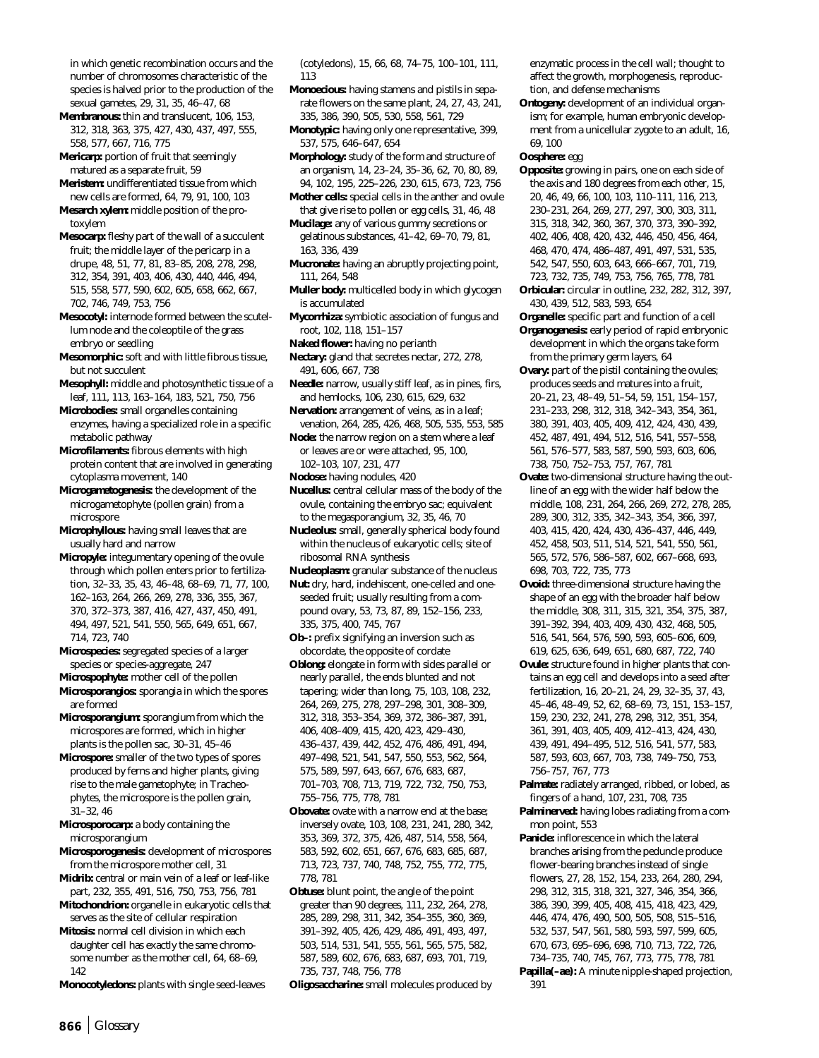in which genetic recombination occurs and the number of chromosomes characteristic of the species is halved prior to the production of the sexual gametes, 29, 31, 35, 46–47, 68

**Membranous:** thin and translucent, 106, 153, 312, 318, 363, 375, 427, 430, 437, 497, 555, 558, 577, 667, 716, 775

**Mericarp:** portion of fruit that seemingly matured as a separate fruit, 59

**Meristem:** undifferentiated tissue from which new cells are formed, 64, 79, 91, 100, 103 **Mesarch xylem:** middle position of the pro-

toxylem **Mesocarp:** fleshy part of the wall of a succulent

fruit; the middle layer of the pericarp in a drupe, 48, 51, 77, 81, 83–85, 208, 278, 298, 312, 354, 391, 403, 406, 430, 440, 446, 494, 515, 558, 577, 590, 602, 605, 658, 662, 667, 702, 746, 749, 753, 756

**Mesocotyl:** internode formed between the scutellum node and the coleoptile of the grass embryo or seedling

**Mesomorphic:** soft and with little fibrous tissue, but not succulent

**Mesophyll:** middle and photosynthetic tissue of a leaf, 111, 113, 163–164, 183, 521, 750, 756

**Microbodies:** small organelles containing enzymes, having a specialized role in a specific metabolic pathway

**Microfilaments:** fibrous elements with high protein content that are involved in generating cytoplasma movement, 140

**Microgametogenesis:** the development of the microgametophyte (pollen grain) from a microspore

**Microphyllous:** having small leaves that are usually hard and narrow

**Micropyle:** integumentary opening of the ovule through which pollen enters prior to fertilization, 32–33, 35, 43, 46–48, 68–69, 71, 77, 100, 162–163, 264, 266, 269, 278, 336, 355, 367, 370, 372–373, 387, 416, 427, 437, 450, 491, 494, 497, 521, 541, 550, 565, 649, 651, 667, 714, 723, 740

**Microspecies:** segregated species of a larger species or species-aggregate, 247

**Microspophyte:** mother cell of the pollen **Microsporangios:** sporangia in which the spores

are formed **Microsporangium:** sporangium from which the microspores are formed, which in higher plants is the pollen sac, 30–31, 45–46

**Microspore:** smaller of the two types of spores produced by ferns and higher plants, giving rise to the male gametophyte; in Tracheophytes, the microspore is the pollen grain, 31–32, 46

**Microsporocarp:** a body containing the microsporangium

**Microsporogenesis:** development of microspores from the microspore mother cell, 31

**Midrib:** central or main vein of a leaf or leaf-like part, 232, 355, 491, 516, 750, 753, 756, 781

**Mitochondrion:** organelle in eukaryotic cells that serves as the site of cellular respiration

**Mitosis:** normal cell division in which each daughter cell has exactly the same chromosome number as the mother cell, 64, 68–69, 142

**Monocotyledons:** plants with single seed-leaves

(cotyledons), 15, 66, 68, 74–75, 100–101, 111, 113

**Monoecious:** having stamens and pistils in separate flowers on the same plant, 24, 27, 43, 241, 335, 386, 390, 505, 530, 558, 561, 729

**Monotypic:** having only one representative, 399, 537, 575, 646–647, 654

**Morphology:** study of the form and structure of an organism, 14, 23–24, 35–36, 62, 70, 80, 89, 94, 102, 195, 225–226, 230, 615, 673, 723, 756

**Mother cells:** special cells in the anther and ovule that give rise to pollen or egg cells, 31, 46, 48

**Mucilage:** any of various gummy secretions or gelatinous substances, 41–42, 69–70, 79, 81, 163, 336, 439

**Mucronate:** having an abruptly projecting point, 111, 264, 548

**Muller body:** multicelled body in which glycogen is accumulated

**Mycorrhiza:** symbiotic association of fungus and root, 102, 118, 151–157

**Naked flower:** having no perianth

**Nectary:** gland that secretes nectar, 272, 278, 491, 606, 667, 738

**Needle:** narrow, usually stiff leaf, as in pines, firs, and hemlocks, 106, 230, 615, 629, 632

**Nervation:** arrangement of veins, as in a leaf; venation, 264, 285, 426, 468, 505, 535, 553, 585

**Node:** the narrow region on a stem where a leaf or leaves are or were attached, 95, 100, 102–103, 107, 231, 477

**Nodose:** having nodules, 420

**Nucellus:** central cellular mass of the body of the ovule, containing the embryo sac; equivalent to the megasporangium, 32, 35, 46, 70

**Nucleolus:** small, generally spherical body found within the nucleus of eukaryotic cells; site of ribosomal RNA synthesis

**Nucleoplasm:** granular substance of the nucleus

**Nut:** dry, hard, indehiscent, one-celled and oneseeded fruit; usually resulting from a compound ovary, 53, 73, 87, 89, 152–156, 233, 335, 375, 400, 745, 767

**Ob–:** prefix signifying an inversion such as obcordate, the opposite of cordate

**Oblong:** elongate in form with sides parallel or nearly parallel, the ends blunted and not tapering; wider than long, 75, 103, 108, 232, 264, 269, 275, 278, 297–298, 301, 308–309, 312, 318, 353–354, 369, 372, 386–387, 391, 406, 408–409, 415, 420, 423, 429–430, 436–437, 439, 442, 452, 476, 486, 491, 494, 497–498, 521, 541, 547, 550, 553, 562, 564, 575, 589, 597, 643, 667, 676, 683, 687, 701–703, 708, 713, 719, 722, 732, 750, 753, 755–756, 775, 778, 781

**Obovate:** ovate with a narrow end at the base; inversely ovate, 103, 108, 231, 241, 280, 342, 353, 369, 372, 375, 426, 487, 514, 558, 564, 583, 592, 602, 651, 667, 676, 683, 685, 687, 713, 723, 737, 740, 748, 752, 755, 772, 775, 778, 781

**Obtuse:** blunt point, the angle of the point greater than 90 degrees, 111, 232, 264, 278, 285, 289, 298, 311, 342, 354–355, 360, 369, 391–392, 405, 426, 429, 486, 491, 493, 497, 503, 514, 531, 541, 555, 561, 565, 575, 582, 587, 589, 602, 676, 683, 687, 693, 701, 719, 735, 737, 748, 756, 778

**Oligosaccharine:** small molecules produced by

enzymatic process in the cell wall; thought to affect the growth, morphogenesis, reproduction, and defense mechanisms

**Ontogeny:** development of an individual organism; for example, human embryonic development from a unicellular zygote to an adult, 16, 69, 100

**Oosphere:** egg

**Opposite:** growing in pairs, one on each side of the axis and 180 degrees from each other, 15, 20, 46, 49, 66, 100, 103, 110–111, 116, 213, 230–231, 264, 269, 277, 297, 300, 303, 311, 315, 318, 342, 360, 367, 370, 373, 390–392, 402, 406, 408, 420, 432, 446, 450, 456, 464, 468, 470, 474, 486–487, 491, 497, 531, 535, 542, 547, 550, 603, 643, 666–667, 701, 719,

723, 732, 735, 749, 753, 756, 765, 778, 781 **Orbicular:** circular in outline, 232, 282, 312, 397, 430, 439, 512, 583, 593, 654

**Organelle:** specific part and function of a cell

**Organogenesis:** early period of rapid embryonic development in which the organs take form from the primary germ layers, 64

**Ovary:** part of the pistil containing the ovules; produces seeds and matures into a fruit, 20–21, 23, 48–49, 51–54, 59, 151, 154–157, 231–233, 298, 312, 318, 342–343, 354, 361, 380, 391, 403, 405, 409, 412, 424, 430, 439, 452, 487, 491, 494, 512, 516, 541, 557–558, 561, 576–577, 583, 587, 590, 593, 603, 606, 738, 750, 752–753, 757, 767, 781

**Ovate:** two-dimensional structure having the outline of an egg with the wider half below the middle, 108, 231, 264, 266, 269, 272, 278, 285, 289, 300, 312, 335, 342–343, 354, 366, 397, 403, 415, 420, 424, 430, 436–437, 446, 449, 452, 458, 503, 511, 514, 521, 541, 550, 561, 565, 572, 576, 586–587, 602, 667–668, 693, 698, 703, 722, 735, 773

**Ovoid:** three-dimensional structure having the shape of an egg with the broader half below the middle, 308, 311, 315, 321, 354, 375, 387, 391–392, 394, 403, 409, 430, 432, 468, 505, 516, 541, 564, 576, 590, 593, 605–606, 609, 619, 625, 636, 649, 651, 680, 687, 722, 740

**Ovule:** structure found in higher plants that contains an egg cell and develops into a seed after fertilization, 16, 20–21, 24, 29, 32–35, 37, 43, 45–46, 48–49, 52, 62, 68–69, 73, 151, 153–157, 159, 230, 232, 241, 278, 298, 312, 351, 354, 361, 391, 403, 405, 409, 412–413, 424, 430, 439, 491, 494–495, 512, 516, 541, 577, 583, 587, 593, 603, 667, 703, 738, 749–750, 753, 756–757, 767, 773

**Palmate:** radiately arranged, ribbed, or lobed, as fingers of a hand, 107, 231, 708, 735

**Palminerved:** having lobes radiating from a common point, 553

**Panicle:** inflorescence in which the lateral branches arising from the peduncle produce flower-bearing branches instead of single flowers, 27, 28, 152, 154, 233, 264, 280, 294, 298, 312, 315, 318, 321, 327, 346, 354, 366, 386, 390, 399, 405, 408, 415, 418, 423, 429, 446, 474, 476, 490, 500, 505, 508, 515–516, 532, 537, 547, 561, 580, 593, 597, 599, 605, 670, 673, 695–696, 698, 710, 713, 722, 726, 734–735, 740, 745, 767, 773, 775, 778, 781

**Papilla(–ae):** A minute nipple-shaped projection, 391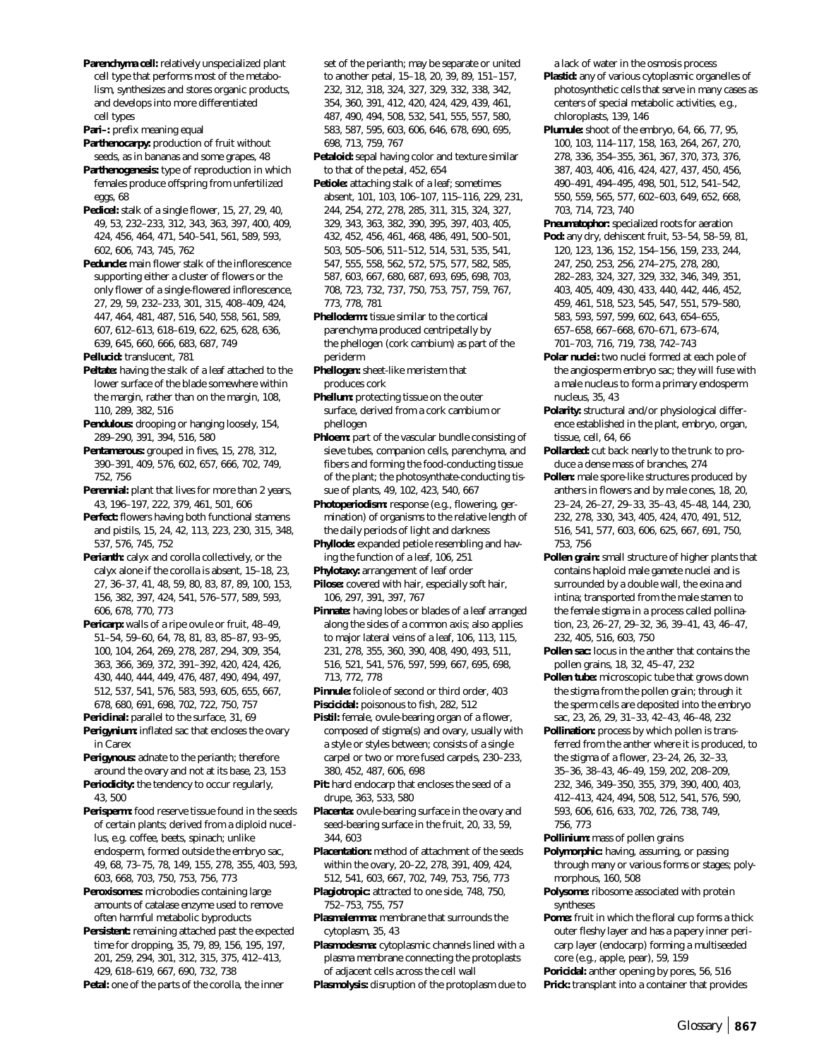**Parenchyma cell:** relatively unspecialized plant cell type that performs most of the metabolism, synthesizes and stores organic products, and develops into more differentiated cell types

Pari-: prefix meaning equal

**Parthenocarpy:** production of fruit without seeds, as in bananas and some grapes, 48

**Parthenogenesis:** type of reproduction in which females produce offspring from unfertilized eggs, 68

**Pedicel:** stalk of a single flower, 15, 27, 29, 40, 49, 53, 232–233, 312, 343, 363, 397, 400, 409, 424, 456, 464, 471, 540–541, 561, 589, 593, 602, 606, 743, 745, 762

**Peduncle:** main flower stalk of the inflorescence supporting either a cluster of flowers or the only flower of a single-flowered inflorescence, 27, 29, 59, 232–233, 301, 315, 408–409, 424, 447, 464, 481, 487, 516, 540, 558, 561, 589, 607, 612–613, 618–619, 622, 625, 628, 636, 639, 645, 660, 666, 683, 687, 749

**Pellucid:** translucent, 781

**Peltate:** having the stalk of a leaf attached to the lower surface of the blade somewhere within the margin, rather than on the margin, 108, 110, 289, 382, 516

- **Pendulous:** drooping or hanging loosely, 154, 289–290, 391, 394, 516, 580
- **Pentamerous:** grouped in fives, 15, 278, 312, 390–391, 409, 576, 602, 657, 666, 702, 749, 752, 756

**Perennial:** plant that lives for more than 2 years, 43, 196–197, 222, 379, 461, 501, 606

**Perfect:** flowers having both functional stamens and pistils, 15, 24, 42, 113, 223, 230, 315, 348, 537, 576, 745, 752

**Perianth:** calyx and corolla collectively, or the calyx alone if the corolla is absent, 15–18, 23, 27, 36–37, 41, 48, 59, 80, 83, 87, 89, 100, 153, 156, 382, 397, 424, 541, 576–577, 589, 593, 606, 678, 770, 773

**Pericarp:** walls of a ripe ovule or fruit, 48–49, 51–54, 59–60, 64, 78, 81, 83, 85–87, 93–95, 100, 104, 264, 269, 278, 287, 294, 309, 354, 363, 366, 369, 372, 391–392, 420, 424, 426, 430, 440, 444, 449, 476, 487, 490, 494, 497, 512, 537, 541, 576, 583, 593, 605, 655, 667, 678, 680, 691, 698, 702, 722, 750, 757

**Periclinal:** parallel to the surface, 31, 69

**Perigynium:** inflated sac that encloses the ovary in Carex

**Perigynous:** adnate to the perianth; therefore around the ovary and not at its base, 23, 153

**Periodicity:** the tendency to occur regularly, 43, 500

**Perisperm:** food reserve tissue found in the seeds of certain plants; derived from a diploid nucellus, e.g. coffee, beets, spinach; unlike endosperm, formed outside the embryo sac, 49, 68, 73–75, 78, 149, 155, 278, 355, 403, 593, 603, 668, 703, 750, 753, 756, 773

**Peroxisomes:** microbodies containing large amounts of catalase enzyme used to remove often harmful metabolic byproducts

**Persistent:** remaining attached past the expected time for dropping, 35, 79, 89, 156, 195, 197, 201, 259, 294, 301, 312, 315, 375, 412–413, 429, 618–619, 667, 690, 732, 738

**Petal:** one of the parts of the corolla, the inner

set of the perianth; may be separate or united to another petal, 15–18, 20, 39, 89, 151–157, 232, 312, 318, 324, 327, 329, 332, 338, 342, 354, 360, 391, 412, 420, 424, 429, 439, 461, 487, 490, 494, 508, 532, 541, 555, 557, 580, 583, 587, 595, 603, 606, 646, 678, 690, 695, 698, 713, 759, 767

**Petaloid:** sepal having color and texture similar to that of the petal, 452, 654

**Petiole:** attaching stalk of a leaf; sometimes absent, 101, 103, 106–107, 115–116, 229, 231, 244, 254, 272, 278, 285, 311, 315, 324, 327, 329, 343, 363, 382, 390, 395, 397, 403, 405, 432, 452, 456, 461, 468, 486, 491, 500–501, 503, 505–506, 511–512, 514, 531, 535, 541, 547, 555, 558, 562, 572, 575, 577, 582, 585, 587, 603, 667, 680, 687, 693, 695, 698, 703, 708, 723, 732, 737, 750, 753, 757, 759, 767, 773, 778, 781

**Phelloderm:** tissue similar to the cortical parenchyma produced centripetally by the phellogen (cork cambium) as part of the periderm

**Phellogen:** sheet-like meristem that produces cork

**Phellum:** protecting tissue on the outer surface, derived from a cork cambium or phellogen

**Phloem:** part of the vascular bundle consisting of sieve tubes, companion cells, parenchyma, and fibers and forming the food-conducting tissue of the plant; the photosynthate-conducting tissue of plants, 49, 102, 423, 540, 667

**Photoperiodism:** response (e.g., flowering, germination) of organisms to the relative length of the daily periods of light and darkness

**Phyllode:** expanded petiole resembling and having the function of a leaf, 106, 251

**Phylotaxy:** arrangement of leaf order

- **Pilose:** covered with hair, especially soft hair, 106, 297, 391, 397, 767
- **Pinnate:** having lobes or blades of a leaf arranged along the sides of a common axis; also applies to major lateral veins of a leaf, 106, 113, 115, 231, 278, 355, 360, 390, 408, 490, 493, 511, 516, 521, 541, 576, 597, 599, 667, 695, 698, 713, 772, 778
- **Pinnule:** foliole of second or third order, 403 **Piscicidal:** poisonous to fish, 282, 512

**Pistil:** female, ovule-bearing organ of a flower, composed of stigma(s) and ovary, usually with a style or styles between; consists of a single carpel or two or more fused carpels, 230–233, 380, 452, 487, 606, 698

**Pit:** hard endocarp that encloses the seed of a drupe, 363, 533, 580

**Placenta:** ovule-bearing surface in the ovary and seed-bearing surface in the fruit, 20, 33, 59, 344, 603

**Placentation:** method of attachment of the seeds within the ovary, 20–22, 278, 391, 409, 424, 512, 541, 603, 667, 702, 749, 753, 756, 773

**Plagiotropic:** attracted to one side, 748, 750, 752–753, 755, 757

**Plasmalemma:** membrane that surrounds the cytoplasm, 35, 43

**Plasmodesma:** cytoplasmic channels lined with a plasma membrane connecting the protoplasts of adjacent cells across the cell wall

**Plasmolysis:** disruption of the protoplasm due to

a lack of water in the osmosis process

**Plastid:** any of various cytoplasmic organelles of photosynthetic cells that serve in many cases as centers of special metabolic activities, e.g., chloroplasts, 139, 146

**Plumule:** shoot of the embryo, 64, 66, 77, 95, 100, 103, 114–117, 158, 163, 264, 267, 270, 278, 336, 354–355, 361, 367, 370, 373, 376, 387, 403, 406, 416, 424, 427, 437, 450, 456, 490–491, 494–495, 498, 501, 512, 541–542, 550, 559, 565, 577, 602–603, 649, 652, 668, 703, 714, 723, 740

**Pneumatophor:** specialized roots for aeration **Pod:** any dry, dehiscent fruit, 53–54, 58–59, 81, 120, 123, 136, 152, 154–156, 159, 233, 244, 247, 250, 253, 256, 274–275, 278, 280, 282–283, 324, 327, 329, 332, 346, 349, 351, 403, 405, 409, 430, 433, 440, 442, 446, 452, 459, 461, 518, 523, 545, 547, 551, 579–580, 583, 593, 597, 599, 602, 643, 654–655,

657–658, 667–668, 670–671, 673–674, 701–703, 716, 719, 738, 742–743

**Polar nuclei:** two nuclei formed at each pole of the angiosperm embryo sac; they will fuse with a male nucleus to form a primary endosperm nucleus, 35, 43

**Polarity:** structural and/or physiological difference established in the plant, embryo, organ, tissue, cell, 64, 66

**Pollarded:** cut back nearly to the trunk to produce a dense mass of branches, 274

- **Pollen:** male spore-like structures produced by anthers in flowers and by male cones, 18, 20, 23–24, 26–27, 29–33, 35–43, 45–48, 144, 230, 232, 278, 330, 343, 405, 424, 470, 491, 512, 516, 541, 577, 603, 606, 625, 667, 691, 750, 753, 756
- **Pollen grain:** small structure of higher plants that contains haploid male gamete nuclei and is surrounded by a double wall, the exina and intina; transported from the male stamen to the female stigma in a process called pollination, 23, 26–27, 29–32, 36, 39–41, 43, 46–47, 232, 405, 516, 603, 750

**Pollen sac:** locus in the anther that contains the pollen grains, 18, 32, 45–47, 232

**Pollen tube:** microscopic tube that grows down the stigma from the pollen grain; through it the sperm cells are deposited into the embryo sac, 23, 26, 29, 31–33, 42–43, 46–48, 232

**Pollination:** process by which pollen is transferred from the anther where it is produced, to the stigma of a flower, 23–24, 26, 32–33, 35–36, 38–43, 46–49, 159, 202, 208–209, 232, 346, 349–350, 355, 379, 390, 400, 403, 412–413, 424, 494, 508, 512, 541, 576, 590, 593, 606, 616, 633, 702, 726, 738, 749, 756, 773

**Pollinium:** mass of pollen grains

**Polymorphic:** having, assuming, or passing through many or various forms or stages; polymorphous, 160, 508

**Polysome:** ribosome associated with protein syntheses

**Pome:** fruit in which the floral cup forms a thick outer fleshy layer and has a papery inner pericarp layer (endocarp) forming a multiseeded core (e.g., apple, pear), 59, 159

**Poricidal:** anther opening by pores, 56, 516

**Prick:** transplant into a container that provides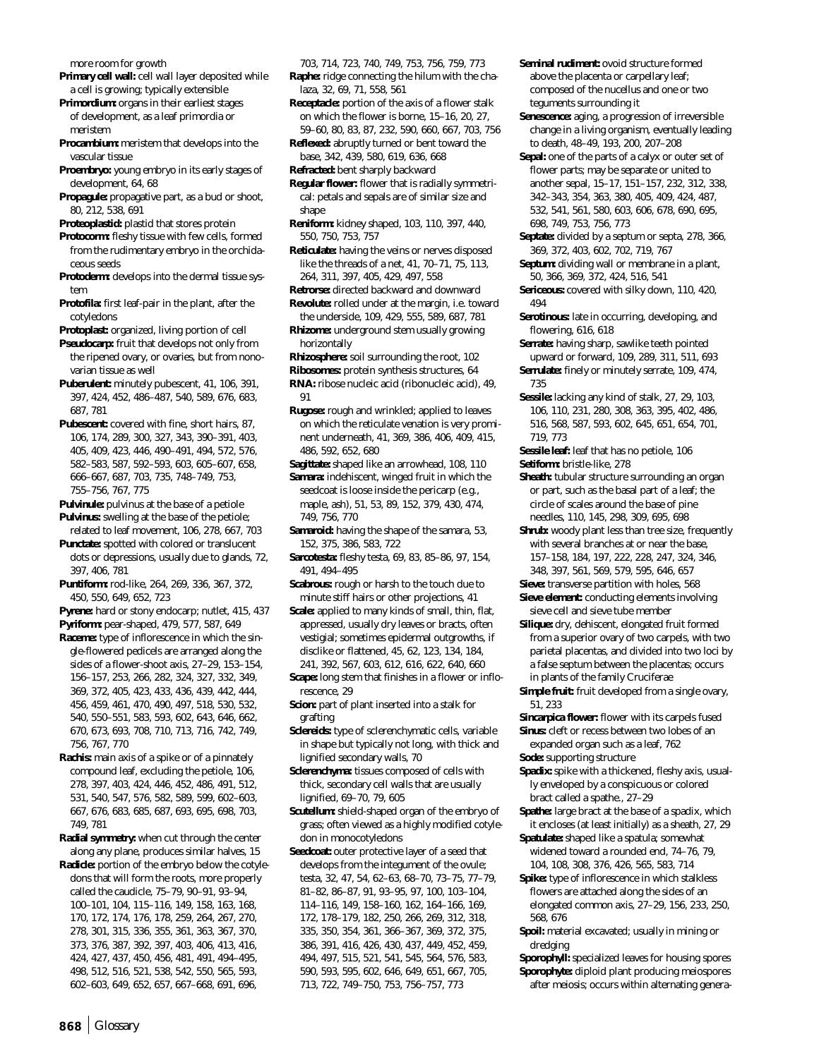more room for growth

- **Primary cell wall:** cell wall layer deposited while a cell is growing; typically extensible
- **Primordium:** organs in their earliest stages of development, as a leaf primordia or meristem
- **Procambium:** meristem that develops into the vascular tissue
- **Proembryo:** young embryo in its early stages of development, 64, 68
- **Propagule:** propagative part, as a bud or shoot, 80, 212, 538, 691

**Proteoplastid:** plastid that stores protein

- **Protocorm:** fleshy tissue with few cells, formed from the rudimentary embryo in the orchidaceous seeds
- **Protoderm:** develops into the dermal tissue system
- **Protofila:** first leaf-pair in the plant, after the cotyledons
- **Protoplast:** organized, living portion of cell

**Pseudocarp:** fruit that develops not only from the ripened ovary, or ovaries, but from nonovarian tissue as well

- **Puberulent:** minutely pubescent, 41, 106, 391, 397, 424, 452, 486–487, 540, 589, 676, 683, 687, 781
- **Pubescent:** covered with fine, short hairs, 87, 106, 174, 289, 300, 327, 343, 390–391, 403, 405, 409, 423, 446, 490–491, 494, 572, 576, 582–583, 587, 592–593, 603, 605–607, 658, 666–667, 687, 703, 735, 748–749, 753, 755–756, 767, 775

**Pulvinule:** pulvinus at the base of a petiole

- **Pulvinus:** swelling at the base of the petiole; related to leaf movement, 106, 278, 667, 703
- **Punctate:** spotted with colored or translucent dots or depressions, usually due to glands, 72, 397, 406, 781
- **Puntiform:** rod-like, 264, 269, 336, 367, 372, 450, 550, 649, 652, 723
- **Pyrene:** hard or stony endocarp; nutlet, 415, 437

**Pyriform:** pear-shaped, 479, 577, 587, 649

- **Raceme:** type of inflorescence in which the single-flowered pedicels are arranged along the sides of a flower-shoot axis, 27–29, 153–154, 156–157, 253, 266, 282, 324, 327, 332, 349, 369, 372, 405, 423, 433, 436, 439, 442, 444, 456, 459, 461, 470, 490, 497, 518, 530, 532, 540, 550–551, 583, 593, 602, 643, 646, 662, 670, 673, 693, 708, 710, 713, 716, 742, 749, 756, 767, 770
- **Rachis:** main axis of a spike or of a pinnately compound leaf, excluding the petiole, 106, 278, 397, 403, 424, 446, 452, 486, 491, 512, 531, 540, 547, 576, 582, 589, 599, 602–603, 667, 676, 683, 685, 687, 693, 695, 698, 703, 749, 781

**Radial symmetry:** when cut through the center along any plane, produces similar halves, 15

**Radicle:** portion of the embryo below the cotyledons that will form the roots, more properly called the caudicle, 75–79, 90–91, 93–94, 100–101, 104, 115–116, 149, 158, 163, 168, 170, 172, 174, 176, 178, 259, 264, 267, 270, 278, 301, 315, 336, 355, 361, 363, 367, 370, 373, 376, 387, 392, 397, 403, 406, 413, 416, 424, 427, 437, 450, 456, 481, 491, 494–495, 498, 512, 516, 521, 538, 542, 550, 565, 593, 602–603, 649, 652, 657, 667–668, 691, 696,

- 703, 714, 723, 740, 749, 753, 756, 759, 773 **Raphe:** ridge connecting the hilum with the chalaza, 32, 69, 71, 558, 561
- **Receptacle:** portion of the axis of a flower stalk on which the flower is borne, 15–16, 20, 27, 59–60, 80, 83, 87, 232, 590, 660, 667, 703, 756
- **Reflexed:** abruptly turned or bent toward the base, 342, 439, 580, 619, 636, 668
- **Refracted:** bent sharply backward
- **Regular flower:** flower that is radially symmetrical: petals and sepals are of similar size and shape
- **Reniform:** kidney shaped, 103, 110, 397, 440, 550, 750, 753, 757
- **Reticulate:** having the veins or nerves disposed like the threads of a net, 41, 70–71, 75, 113, 264, 311, 397, 405, 429, 497, 558
- **Retrorse:** directed backward and downward
- **Revolute:** rolled under at the margin, i.e. toward the underside, 109, 429, 555, 589, 687, 781 **Rhizome:** underground stem usually growing
- horizontally
- **Rhizosphere:** soil surrounding the root, 102
- **Ribosomes:** protein synthesis structures, 64
- **RNA:** ribose nucleic acid (ribonucleic acid), 49, 91
- **Rugose:** rough and wrinkled; applied to leaves on which the reticulate venation is very prominent underneath, 41, 369, 386, 406, 409, 415, 486, 592, 652, 680

**Sagittate:** shaped like an arrowhead, 108, 110

- **Samara:** indehiscent, winged fruit in which the seedcoat is loose inside the pericarp (e.g., maple, ash), 51, 53, 89, 152, 379, 430, 474, 749, 756, 770
- **Samaroid:** having the shape of the samara, 53, 152, 375, 386, 583, 722
- **Sarcotesta:** fleshy testa, 69, 83, 85–86, 97, 154, 491, 494–495
- **Scabrous:** rough or harsh to the touch due to minute stiff hairs or other projections, 41
- **Scale:** applied to many kinds of small, thin, flat, appressed, usually dry leaves or bracts, often vestigial; sometimes epidermal outgrowths, if disclike or flattened, 45, 62, 123, 134, 184, 241, 392, 567, 603, 612, 616, 622, 640, 660
- **Scape:** long stem that finishes in a flower or inflorescence, 29
- **Scion:** part of plant inserted into a stalk for grafting
- **Sclereids:** type of sclerenchymatic cells, variable in shape but typically not long, with thick and lignified secondary walls, 70
- **Sclerenchyma:** tissues composed of cells with thick, secondary cell walls that are usually lignified, 69–70, 79, 605
- **Scutellum:** shield-shaped organ of the embryo of grass; often viewed as a highly modified cotyledon in monocotyledons
- **Seedcoat:** outer protective layer of a seed that develops from the integument of the ovule; testa, 32, 47, 54, 62–63, 68–70, 73–75, 77–79, 81–82, 86–87, 91, 93–95, 97, 100, 103–104, 114–116, 149, 158–160, 162, 164–166, 169, 172, 178–179, 182, 250, 266, 269, 312, 318, 335, 350, 354, 361, 366–367, 369, 372, 375, 386, 391, 416, 426, 430, 437, 449, 452, 459, 494, 497, 515, 521, 541, 545, 564, 576, 583, 590, 593, 595, 602, 646, 649, 651, 667, 705, 713, 722, 749–750, 753, 756–757, 773
- **Seminal rudiment:** ovoid structure formed above the placenta or carpellary leaf; composed of the nucellus and one or two teguments surrounding it
- **Senescence:** aging, a progression of irreversible change in a living organism, eventually leading to death, 48–49, 193, 200, 207–208
- **Sepal:** one of the parts of a calyx or outer set of flower parts; may be separate or united to another sepal, 15–17, 151–157, 232, 312, 338, 342–343, 354, 363, 380, 405, 409, 424, 487, 532, 541, 561, 580, 603, 606, 678, 690, 695, 698, 749, 753, 756, 773
- **Septate:** divided by a septum or septa, 278, 366, 369, 372, 403, 602, 702, 719, 767
- **Septum:** dividing wall or membrane in a plant, 50, 366, 369, 372, 424, 516, 541
- **Sericeous:** covered with silky down, 110, 420, 494
- **Serotinous:** late in occurring, developing, and flowering, 616, 618
- **Serrate:** having sharp, sawlike teeth pointed upward or forward, 109, 289, 311, 511, 693 **Serrulate:** finely or minutely serrate, 109, 474,
- 735
- **Sessile:** lacking any kind of stalk, 27, 29, 103, 106, 110, 231, 280, 308, 363, 395, 402, 486, 516, 568, 587, 593, 602, 645, 651, 654, 701, 719, 773
- **Sessile leaf:** leaf that has no petiole, 106 **Setiform:** bristle-like, 278
- **Sheath:** tubular structure surrounding an organ or part, such as the basal part of a leaf; the circle of scales around the base of pine needles, 110, 145, 298, 309, 695, 698
- **Shrub:** woody plant less than tree size, frequently with several branches at or near the base, 157–158, 184, 197, 222, 228, 247, 324, 346, 348, 397, 561, 569, 579, 595, 646, 657
- **Sieve:** transverse partition with holes, 568
- **Sieve element:** conducting elements involving sieve cell and sieve tube member
- **Silique:** dry, dehiscent, elongated fruit formed from a superior ovary of two carpels, with two parietal placentas, and divided into two loci by a false septum between the placentas; occurs in plants of the family Cruciferae
- **Simple fruit:** fruit developed from a single ovary, 51, 233
- **Sincarpica flower:** flower with its carpels fused **Sinus:** cleft or recess between two lobes of an
- expanded organ such as a leaf, 762 **Sode:** supporting structure
- **Spadix:** spike with a thickened, fleshy axis, usually enveloped by a conspicuous or colored bract called a spathe., 27–29
- **Spathe:** large bract at the base of a spadix, which it encloses (at least initially) as a sheath, 27, 29
- **Spatulate:** shaped like a spatula; somewhat widened toward a rounded end, 74–76, 79, 104, 108, 308, 376, 426, 565, 583, 714
- **Spike:** type of inflorescence in which stalkless flowers are attached along the sides of an elongated common axis, 27–29, 156, 233, 250, 568, 676
- **Spoil:** material excavated; usually in mining or dredging
- **Sporophyll:** specialized leaves for housing spores **Sporophyte:** diploid plant producing meiospores after meiosis; occurs within alternating genera-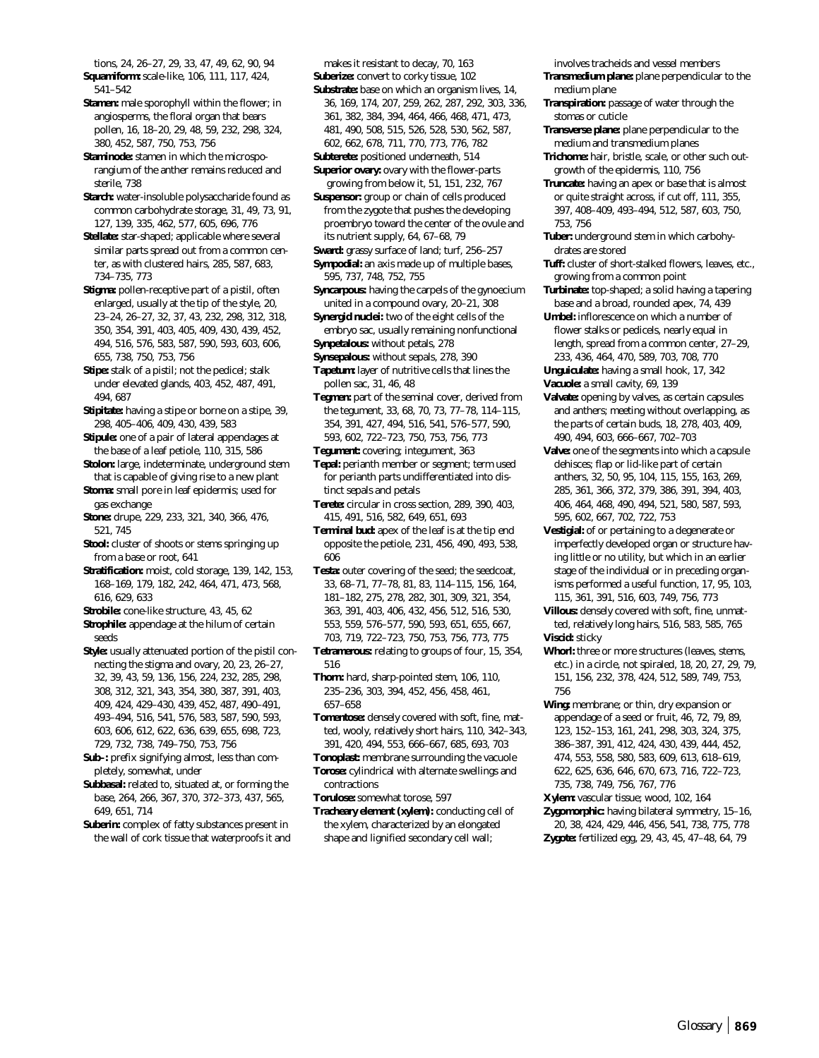tions, 24, 26–27, 29, 33, 47, 49, 62, 90, 94 **Squamiform:** scale-like, 106, 111, 117, 424,

541–542 **Stamen:** male sporophyll within the flower; in angiosperms, the floral organ that bears pollen, 16, 18–20, 29, 48, 59, 232, 298, 324, 380, 452, 587, 750, 753, 756

**Staminode:** stamen in which the microsporangium of the anther remains reduced and sterile, 738

**Starch:** water-insoluble polysaccharide found as common carbohydrate storage, 31, 49, 73, 91, 127, 139, 335, 462, 577, 605, 696, 776

**Stellate:** star-shaped; applicable where several similar parts spread out from a common center, as with clustered hairs, 285, 587, 683, 734–735, 773

**Stigma:** pollen-receptive part of a pistil, often enlarged, usually at the tip of the style, 20, 23–24, 26–27, 32, 37, 43, 232, 298, 312, 318, 350, 354, 391, 403, 405, 409, 430, 439, 452, 494, 516, 576, 583, 587, 590, 593, 603, 606, 655, 738, 750, 753, 756

**Stipe:** stalk of a pistil; not the pedicel; stalk under elevated glands, 403, 452, 487, 491, 494, 687

**Stipitate:** having a stipe or borne on a stipe, 39, 298, 405–406, 409, 430, 439, 583

**Stipule:** one of a pair of lateral appendages at the base of a leaf petiole, 110, 315, 586

**Stolon:** large, indeterminate, underground stem that is capable of giving rise to a new plant

**Stoma:** small pore in leaf epidermis; used for gas exchange

**Stone:** drupe, 229, 233, 321, 340, 366, 476, 521, 745

**Stool:** cluster of shoots or stems springing up from a base or root, 641

**Stratification:** moist, cold storage, 139, 142, 153, 168–169, 179, 182, 242, 464, 471, 473, 568, 616, 629, 633

**Strobile:** cone-like structure, 43, 45, 62

**Strophile:** appendage at the hilum of certain seeds

**Style:** usually attenuated portion of the pistil connecting the stigma and ovary, 20, 23, 26–27, 32, 39, 43, 59, 136, 156, 224, 232, 285, 298, 308, 312, 321, 343, 354, 380, 387, 391, 403, 409, 424, 429–430, 439, 452, 487, 490–491, 493–494, 516, 541, 576, 583, 587, 590, 593, 603, 606, 612, 622, 636, 639, 655, 698, 723, 729, 732, 738, 749–750, 753, 756

**Sub–:** prefix signifying almost, less than completely, somewhat, under

**Subbasal:** related to, situated at, or forming the base, 264, 266, 367, 370, 372–373, 437, 565, 649, 651, 714

**Suberin:** complex of fatty substances present in the wall of cork tissue that waterproofs it and

makes it resistant to decay, 70, 163 **Suberize:** convert to corky tissue, 102

**Substrate:** base on which an organism lives, 14, 36, 169, 174, 207, 259, 262, 287, 292, 303, 336, 361, 382, 384, 394, 464, 466, 468, 471, 473, 481, 490, 508, 515, 526, 528, 530, 562, 587, 602, 662, 678, 711, 770, 773, 776, 782

**Subterete:** positioned underneath, 514

**Superior ovary:** ovary with the flower-parts growing from below it, 51, 151, 232, 767

**Suspensor:** group or chain of cells produced from the zygote that pushes the developing proembryo toward the center of the ovule and its nutrient supply, 64, 67–68, 79

**Sward:** grassy surface of land; turf, 256–257

**Sympodial:** an axis made up of multiple bases, 595, 737, 748, 752, 755

**Syncarpous:** having the carpels of the gynoecium united in a compound ovary, 20–21, 308

**Synergid nuclei:** two of the eight cells of the embryo sac, usually remaining nonfunctional

**Synpetalous:** without petals, 278

**Synsepalous:** without sepals, 278, 390

**Tapetum:** layer of nutritive cells that lines the pollen sac, 31, 46, 48

**Tegmen:** part of the seminal cover, derived from the tegument, 33, 68, 70, 73, 77–78, 114–115, 354, 391, 427, 494, 516, 541, 576–577, 590, 593, 602, 722–723, 750, 753, 756, 773

**Tegument:** covering; integument, 363

**Tepal:** perianth member or segment; term used for perianth parts undifferentiated into distinct sepals and petals

**Terete:** circular in cross section, 289, 390, 403, 415, 491, 516, 582, 649, 651, 693

**Terminal bud:** apex of the leaf is at the tip end opposite the petiole, 231, 456, 490, 493, 538, 606

Testa: outer covering of the seed; the seedcoat, 33, 68–71, 77–78, 81, 83, 114–115, 156, 164, 181–182, 275, 278, 282, 301, 309, 321, 354, 363, 391, 403, 406, 432, 456, 512, 516, 530, 553, 559, 576–577, 590, 593, 651, 655, 667, 703, 719, 722–723, 750, 753, 756, 773, 775

**Tetramerous:** relating to groups of four, 15, 354, 516

**Thorn:** hard, sharp-pointed stem, 106, 110, 235–236, 303, 394, 452, 456, 458, 461, 657–658

**Tomentose:** densely covered with soft, fine, matted, wooly, relatively short hairs, 110, 342–343, 391, 420, 494, 553, 666–667, 685, 693, 703

**Tonoplast:** membrane surrounding the vacuole **Torose:** cylindrical with alternate swellings and

contractions **Torulose:** somewhat torose, 597

**Tracheary element (xylem):** conducting cell of the xylem, characterized by an elongated shape and lignified secondary cell wall;

involves tracheids and vessel members

**Transmedium plane:** plane perpendicular to the medium plane

**Transpiration:** passage of water through the stomas or cuticle

**Transverse plane:** plane perpendicular to the medium and transmedium planes

**Trichome:** hair, bristle, scale, or other such outgrowth of the epidermis, 110, 756

**Truncate:** having an apex or base that is almost or quite straight across, if cut off, 111, 355, 397, 408–409, 493–494, 512, 587, 603, 750, 753, 756

**Tuber:** underground stem in which carbohydrates are stored

**Tuff:** cluster of short-stalked flowers, leaves, etc., growing from a common point

**Turbinate:** top-shaped; a solid having a tapering base and a broad, rounded apex, 74, 439

**Umbel:** inflorescence on which a number of flower stalks or pedicels, nearly equal in length, spread from a common center, 27–29, 233, 436, 464, 470, 589, 703, 708, 770 **Unguiculate:** having a small hook, 17, 342

**Vacuole:** a small cavity, 69, 139

**Valvate:** opening by valves, as certain capsules and anthers; meeting without overlapping, as the parts of certain buds, 18, 278, 403, 409,

490, 494, 603, 666–667, 702–703 **Valve:** one of the segments into which a capsule dehisces; flap or lid-like part of certain anthers, 32, 50, 95, 104, 115, 155, 163, 269, 285, 361, 366, 372, 379, 386, 391, 394, 403, 406, 464, 468, 490, 494, 521, 580, 587, 593, 595, 602, 667, 702, 722, 753

**Vestigial:** of or pertaining to a degenerate or imperfectly developed organ or structure having little or no utility, but which in an earlier stage of the individual or in preceding organisms performed a useful function, 17, 95, 103, 115, 361, 391, 516, 603, 749, 756, 773

**Villous:** densely covered with soft, fine, unmatted, relatively long hairs, 516, 583, 585, 765 **Viscid:** sticky

**Whorl:** three or more structures (leaves, stems, etc.) in a circle, not spiraled, 18, 20, 27, 29, 79, 151, 156, 232, 378, 424, 512, 589, 749, 753, 756

**Wing:** membrane; or thin, dry expansion or appendage of a seed or fruit, 46, 72, 79, 89, 123, 152–153, 161, 241, 298, 303, 324, 375, 386–387, 391, 412, 424, 430, 439, 444, 452, 474, 553, 558, 580, 583, 609, 613, 618–619, 622, 625, 636, 646, 670, 673, 716, 722–723,

735, 738, 749, 756, 767, 776

**Xylem:** vascular tissue; wood, 102, 164

**Zygomorphic:** having bilateral symmetry, 15–16, 20, 38, 424, 429, 446, 456, 541, 738, 775, 778 **Zygote:** fertilized egg, 29, 43, 45, 47–48, 64, 79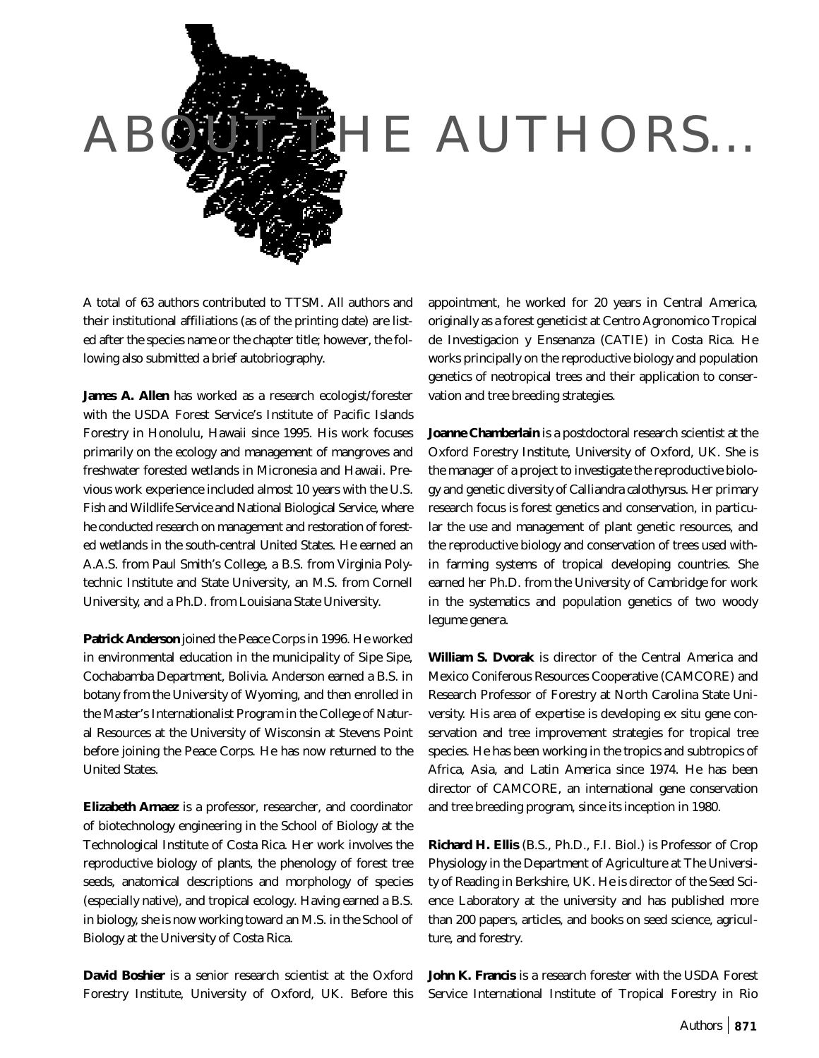

A total of 63 authors contributed to TTSM. All authors and their institutional affiliations (as of the printing date) are listed after the species name or the chapter title; however, the following also submitted a brief autobriography.

**James A. Allen** has worked as a research ecologist/forester with the USDA Forest Service's Institute of Pacific Islands Forestry in Honolulu, Hawaii since 1995. His work focuses primarily on the ecology and management of mangroves and freshwater forested wetlands in Micronesia and Hawaii. Previous work experience included almost 10 years with the U.S. Fish and Wildlife Service and National Biological Service, where he conducted research on management and restoration of forested wetlands in the south-central United States. He earned an A.A.S. from Paul Smith's College, a B.S. from Virginia Polytechnic Institute and State University, an M.S. from Cornell University, and a Ph.D. from Louisiana State University.

**Patrick Anderson** joined the Peace Corps in 1996. He worked in environmental education in the municipality of Sipe Sipe, Cochabamba Department, Bolivia. Anderson earned a B.S. in botany from the University of Wyoming, and then enrolled in the Master's Internationalist Program in the College of Natural Resources at the University of Wisconsin at Stevens Point before joining the Peace Corps. He has now returned to the United States.

**Elizabeth Arnaez** is a professor, researcher, and coordinator of biotechnology engineering in the School of Biology at the Technological Institute of Costa Rica. Her work involves the reproductive biology of plants, the phenology of forest tree seeds, anatomical descriptions and morphology of species (especially native), and tropical ecology. Having earned a B.S. in biology, she is now working toward an M.S. in the School of Biology at the University of Costa Rica.

**David Boshier** is a senior research scientist at the Oxford Forestry Institute, University of Oxford, UK. Before this appointment, he worked for 20 years in Central America, originally as a forest geneticist at Centro Agronomico Tropical de Investigacion y Ensenanza (CATIE) in Costa Rica. He works principally on the reproductive biology and population genetics of neotropical trees and their application to conservation and tree breeding strategies.

**Joanne Chamberlain** is a postdoctoral research scientist at the Oxford Forestry Institute, University of Oxford, UK. She is the manager of a project to investigate the reproductive biology and genetic diversity of *Calliandra calothyrsus*. Her primary research focus is forest genetics and conservation, in particular the use and management of plant genetic resources, and the reproductive biology and conservation of trees used within farming systems of tropical developing countries. She earned her Ph.D. from the University of Cambridge for work in the systematics and population genetics of two woody legume genera.

**William S. Dvorak** is director of the Central America and Mexico Coniferous Resources Cooperative (CAMCORE) and Research Professor of Forestry at North Carolina State University. His area of expertise is developing ex situ gene conservation and tree improvement strategies for tropical tree species. He has been working in the tropics and subtropics of Africa, Asia, and Latin America since 1974. He has been director of CAMCORE, an international gene conservation and tree breeding program, since its inception in 1980.

**Richard H. Ellis** (B.S., Ph.D., F.I. Biol.) is Professor of Crop Physiology in the Department of Agriculture at The University of Reading in Berkshire, UK. He is director of the Seed Science Laboratory at the university and has published more than 200 papers, articles, and books on seed science, agriculture, and forestry.

**John K. Francis** is a research forester with the USDA Forest Service International Institute of Tropical Forestry in Rio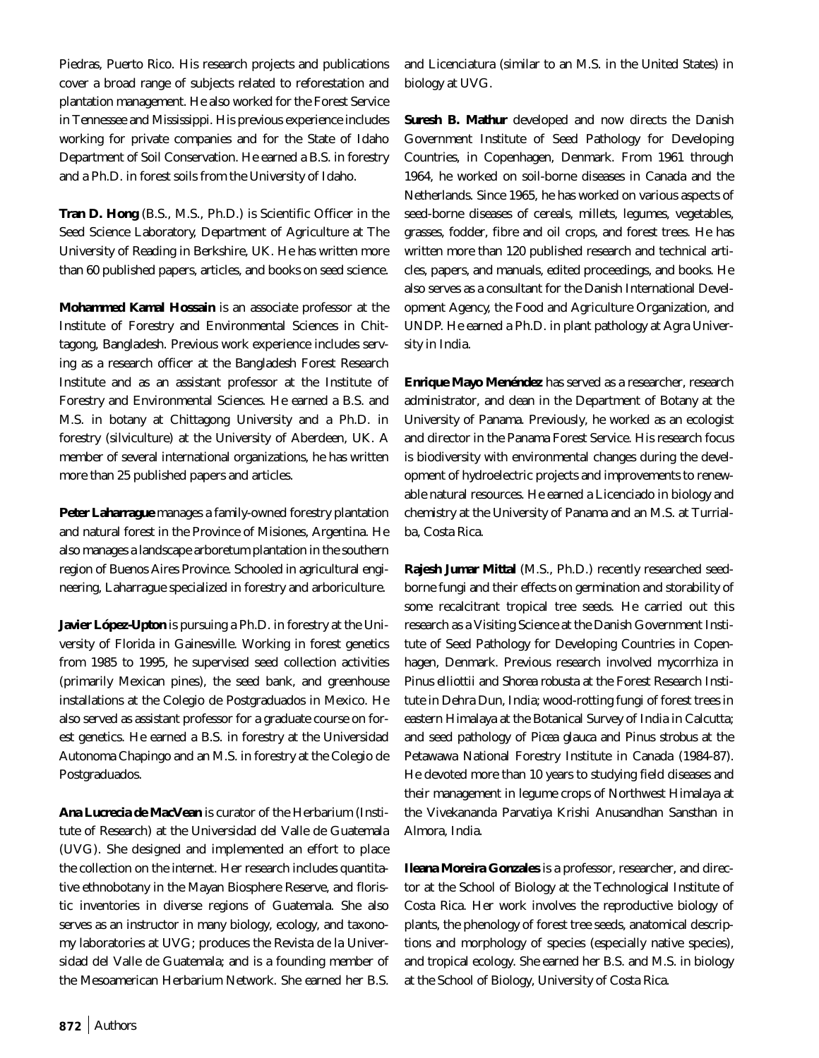Piedras, Puerto Rico. His research projects and publications cover a broad range of subjects related to reforestation and plantation management. He also worked for the Forest Service in Tennessee and Mississippi. His previous experience includes working for private companies and for the State of Idaho Department of Soil Conservation. He earned a B.S. in forestry and a Ph.D. in forest soils from the University of Idaho.

**Tran D. Hong** (B.S., M.S., Ph.D.) is Scientific Officer in the Seed Science Laboratory, Department of Agriculture at The University of Reading in Berkshire, UK. He has written more than 60 published papers, articles, and books on seed science.

**Mohammed Kamal Hossain** is an associate professor at the Institute of Forestry and Environmental Sciences in Chittagong, Bangladesh. Previous work experience includes serving as a research officer at the Bangladesh Forest Research Institute and as an assistant professor at the Institute of Forestry and Environmental Sciences. He earned a B.S. and M.S. in botany at Chittagong University and a Ph.D. in forestry (silviculture) at the University of Aberdeen, UK. A member of several international organizations, he has written more than 25 published papers and articles.

**Peter Laharrague** manages a family-owned forestry plantation and natural forest in the Province of Misiones, Argentina. He also manages a landscape arboretum plantation in the southern region of Buenos Aires Province. Schooled in agricultural engineering, Laharrague specialized in forestry and arboriculture.

**Javier López-Upton** is pursuing a Ph.D. in forestry at the University of Florida in Gainesville. Working in forest genetics from 1985 to 1995, he supervised seed collection activities (primarily Mexican pines), the seed bank, and greenhouse installations at the Colegio de Postgraduados in Mexico. He also served as assistant professor for a graduate course on forest genetics. He earned a B.S. in forestry at the Universidad Autonoma Chapingo and an M.S. in forestry at the Colegio de Postgraduados.

**Ana Lucrecia de MacVean** is curator of the Herbarium (Institute of Research) at the Universidad del Valle de Guatemala (UVG). She designed and implemented an effort to place the collection on the internet. Her research includes quantitative ethnobotany in the Mayan Biosphere Reserve, and floristic inventories in diverse regions of Guatemala. She also serves as an instructor in many biology, ecology, and taxonomy laboratories at UVG; produces the Revista de la Universidad del Valle de Guatemala; and is a founding member of the Mesoamerican Herbarium Network. She earned her B.S.

and Licenciatura (similar to an M.S. in the United States) in biology at UVG.

**Suresh B. Mathur** developed and now directs the Danish Government Institute of Seed Pathology for Developing Countries, in Copenhagen, Denmark. From 1961 through 1964, he worked on soil-borne diseases in Canada and the Netherlands. Since 1965, he has worked on various aspects of seed-borne diseases of cereals, millets, legumes, vegetables, grasses, fodder, fibre and oil crops, and forest trees. He has written more than 120 published research and technical articles, papers, and manuals, edited proceedings, and books. He also serves as a consultant for the Danish International Development Agency, the Food and Agriculture Organization, and UNDP. He earned a Ph.D. in plant pathology at Agra University in India.

**Enrique Mayo Menéndez** has served as a researcher, research administrator, and dean in the Department of Botany at the University of Panama. Previously, he worked as an ecologist and director in the Panama Forest Service. His research focus is biodiversity with environmental changes during the development of hydroelectric projects and improvements to renewable natural resources. He earned a Licenciado in biology and chemistry at the University of Panama and an M.S. at Turrialba, Costa Rica.

**Rajesh Jumar Mittal** (M.S., Ph.D.) recently researched seedborne fungi and their effects on germination and storability of some recalcitrant tropical tree seeds. He carried out this research as a Visiting Science at the Danish Government Institute of Seed Pathology for Developing Countries in Copenhagen, Denmark. Previous research involved mycorrhiza in *Pinus elliottii* and *Shorea robusta* at the Forest Research Institute in Dehra Dun, India; wood-rotting fungi of forest trees in eastern Himalaya at the Botanical Survey of India in Calcutta; and seed pathology of *Picea glauca* and *Pinus strobus* at the Petawawa National Forestry Institute in Canada (1984-87). He devoted more than 10 years to studying field diseases and their management in legume crops of Northwest Himalaya at the Vivekananda Parvatiya Krishi Anusandhan Sansthan in Almora, India.

**Ileana Moreira Gonzales** is a professor, researcher, and director at the School of Biology at the Technological Institute of Costa Rica. Her work involves the reproductive biology of plants, the phenology of forest tree seeds, anatomical descriptions and morphology of species (especially native species), and tropical ecology. She earned her B.S. and M.S. in biology at the School of Biology, University of Costa Rica.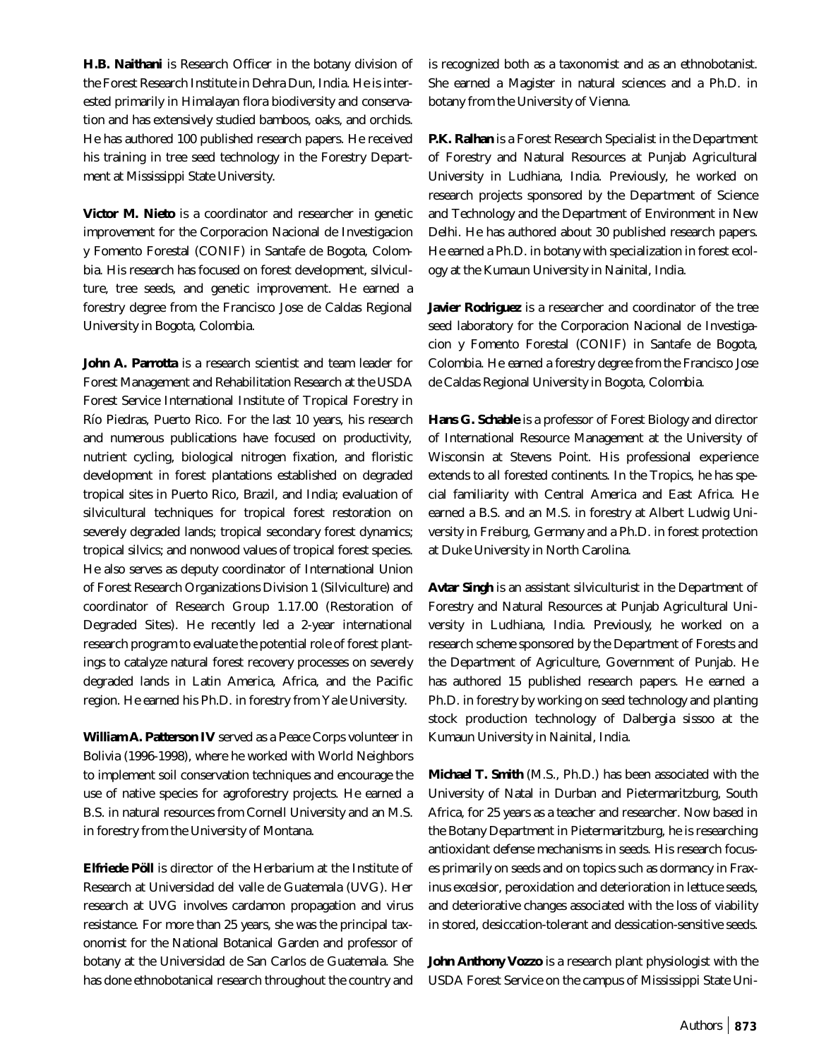**H.B. Naithani** is Research Officer in the botany division of the Forest Research Institute in Dehra Dun, India. He is interested primarily in Himalayan flora biodiversity and conservation and has extensively studied bamboos, oaks, and orchids. He has authored 100 published research papers. He received his training in tree seed technology in the Forestry Department at Mississippi State University.

**Victor M. Nieto** is a coordinator and researcher in genetic improvement for the Corporacion Nacional de Investigacion y Fomento Forestal (CONIF) in Santafe de Bogota, Colombia. His research has focused on forest development, silviculture, tree seeds, and genetic improvement. He earned a forestry degree from the Francisco Jose de Caldas Regional University in Bogota, Colombia.

**John A. Parrotta** is a research scientist and team leader for Forest Management and Rehabilitation Research at the USDA Forest Service International Institute of Tropical Forestry in Río Piedras, Puerto Rico. For the last 10 years, his research and numerous publications have focused on productivity, nutrient cycling, biological nitrogen fixation, and floristic development in forest plantations established on degraded tropical sites in Puerto Rico, Brazil, and India; evaluation of silvicultural techniques for tropical forest restoration on severely degraded lands; tropical secondary forest dynamics; tropical silvics; and nonwood values of tropical forest species. He also serves as deputy coordinator of International Union of Forest Research Organizations Division 1 (Silviculture) and coordinator of Research Group 1.17.00 (Restoration of Degraded Sites). He recently led a 2-year international research program to evaluate the potential role of forest plantings to catalyze natural forest recovery processes on severely degraded lands in Latin America, Africa, and the Pacific region. He earned his Ph.D. in forestry from Yale University.

**William A. Patterson IV** served as a Peace Corps volunteer in Bolivia (1996-1998), where he worked with World Neighbors to implement soil conservation techniques and encourage the use of native species for agroforestry projects. He earned a B.S. in natural resources from Cornell University and an M.S. in forestry from the University of Montana.

**Elfriede Pöll** is director of the Herbarium at the Institute of Research at Universidad del valle de Guatemala (UVG). Her research at UVG involves cardamon propagation and virus resistance. For more than 25 years, she was the principal taxonomist for the National Botanical Garden and professor of botany at the Universidad de San Carlos de Guatemala. She has done ethnobotanical research throughout the country and is recognized both as a taxonomist and as an ethnobotanist. She earned a Magister in natural sciences and a Ph.D. in botany from the University of Vienna.

**P.K. Ralhan** is a Forest Research Specialist in the Department of Forestry and Natural Resources at Punjab Agricultural University in Ludhiana, India. Previously, he worked on research projects sponsored by the Department of Science and Technology and the Department of Environment in New Delhi. He has authored about 30 published research papers. He earned a Ph.D. in botany with specialization in forest ecology at the Kumaun University in Nainital, India.

**Javier Rodriguez** is a researcher and coordinator of the tree seed laboratory for the Corporacion Nacional de Investigacion y Fomento Forestal (CONIF) in Santafe de Bogota, Colombia. He earned a forestry degree from the Francisco Jose de Caldas Regional University in Bogota, Colombia.

**Hans G. Schable** is a professor of Forest Biology and director of International Resource Management at the University of Wisconsin at Stevens Point. His professional experience extends to all forested continents. In the Tropics, he has special familiarity with Central America and East Africa. He earned a B.S. and an M.S. in forestry at Albert Ludwig University in Freiburg, Germany and a Ph.D. in forest protection at Duke University in North Carolina.

**Avtar Singh** is an assistant silviculturist in the Department of Forestry and Natural Resources at Punjab Agricultural University in Ludhiana, India. Previously, he worked on a research scheme sponsored by the Department of Forests and the Department of Agriculture, Government of Punjab. He has authored 15 published research papers. He earned a Ph.D. in forestry by working on seed technology and planting stock production technology of *Dalbergia sissoo* at the Kumaun University in Nainital, India.

**Michael T. Smith** (M.S., Ph.D.) has been associated with the University of Natal in Durban and Pietermaritzburg, South Africa, for 25 years as a teacher and researcher. Now based in the Botany Department in Pietermaritzburg, he is researching antioxidant defense mechanisms in seeds. His research focuses primarily on seeds and on topics such as dormancy in *Fraxinus excelsior*, peroxidation and deterioration in lettuce seeds, and deteriorative changes associated with the loss of viability in stored, desiccation-tolerant and dessication-sensitive seeds.

**John Anthony Vozzo** is a research plant physiologist with the USDA Forest Service on the campus of Mississippi State Uni